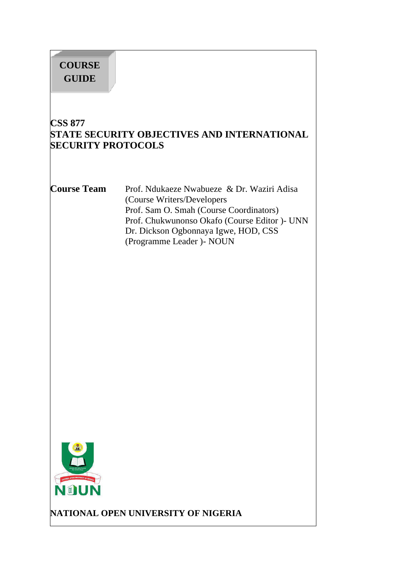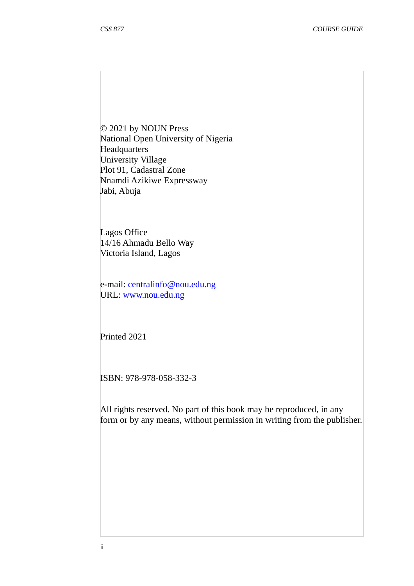© 2021 by NOUN Press National Open University of Nigeria **Headquarters** University Village Plot 91, Cadastral Zone Nnamdi Azikiwe Expressway Jabi, Abuja

Lagos Office 14/16 Ahmadu Bello Way Victoria Island, Lagos

e-mail: centralinfo@nou.edu.ng URL: www.nou.edu.ng

Printed 2021

ISBN: 978-978-058-332-3

All rights reserved. No part of this book may be reproduced, in any form or by any means, without permission in writing from the publisher.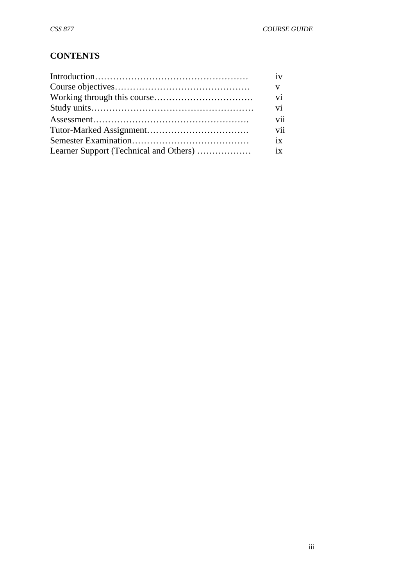## **CONTENTS**

| iv           |
|--------------|
| $\mathbf{V}$ |
| vi           |
| vi           |
| vii          |
| vii          |
| $ix -$       |
|              |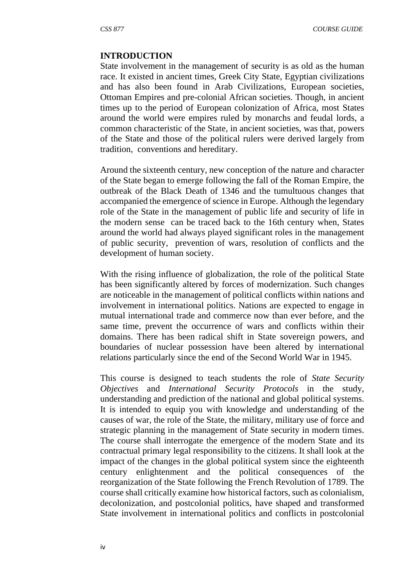#### **INTRODUCTION**

State involvement in the management of security is as old as the human race. It existed in ancient times, Greek City State, Egyptian civilizations and has also been found in Arab Civilizations, European societies, Ottoman Empires and pre-colonial African societies. Though, in ancient times up to the period of European colonization of Africa, most States around the world were empires ruled by monarchs and feudal lords, a common characteristic of the State, in ancient societies, was that, powers of the State and those of the political rulers were derived largely from tradition, conventions and hereditary.

Around the sixteenth century, new conception of the nature and character of the State began to emerge following the fall of the Roman Empire, the outbreak of the Black Death of 1346 and the tumultuous changes that accompanied the emergence of science in Europe. Although the legendary role of the State in the management of public life and security of life in the modern sense can be traced back to the 16th century when, States around the world had always played significant roles in the management of public security, prevention of wars, resolution of conflicts and the development of human society.

With the rising influence of globalization, the role of the political State has been significantly altered by forces of modernization. Such changes are noticeable in the management of political conflicts within nations and involvement in international politics. Nations are expected to engage in mutual international trade and commerce now than ever before, and the same time, prevent the occurrence of wars and conflicts within their domains. There has been radical shift in State sovereign powers, and boundaries of nuclear possession have been altered by international relations particularly since the end of the Second World War in 1945.

This course is designed to teach students the role of *State Security Objectives* and *International Security Protocols* in the study, understanding and prediction of the national and global political systems. It is intended to equip you with knowledge and understanding of the causes of war, the role of the State, the military, military use of force and strategic planning in the management of State security in modern times. The course shall interrogate the emergence of the modern State and its contractual primary legal responsibility to the citizens. It shall look at the impact of the changes in the global political system since the eighteenth century enlightenment and the political consequences of the reorganization of the State following the French Revolution of 1789. The course shall critically examine how historical factors, such as colonialism, decolonization, and postcolonial politics, have shaped and transformed State involvement in international politics and conflicts in postcolonial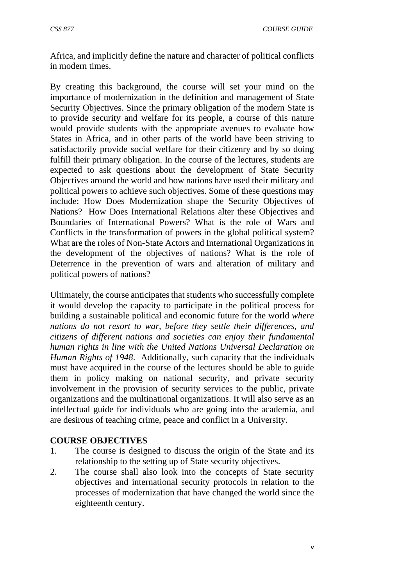Africa, and implicitly define the nature and character of political conflicts in modern times.

By creating this background, the course will set your mind on the importance of modernization in the definition and management of State Security Objectives. Since the primary obligation of the modern State is to provide security and welfare for its people, a course of this nature would provide students with the appropriate avenues to evaluate how States in Africa, and in other parts of the world have been striving to satisfactorily provide social welfare for their citizenry and by so doing fulfill their primary obligation. In the course of the lectures, students are expected to ask questions about the development of State Security Objectives around the world and how nations have used their military and political powers to achieve such objectives. Some of these questions may include: How Does Modernization shape the Security Objectives of Nations? How Does International Relations alter these Objectives and Boundaries of International Powers? What is the role of Wars and Conflicts in the transformation of powers in the global political system? What are the roles of Non-State Actors and International Organizations in the development of the objectives of nations? What is the role of Deterrence in the prevention of wars and alteration of military and political powers of nations?

Ultimately, the course anticipates that students who successfully complete it would develop the capacity to participate in the political process for building a sustainable political and economic future for the world *where nations do not resort to war, before they settle their differences, and citizens of different nations and societies can enjoy their fundamental human rights in line with the United Nations Universal Declaration on Human Rights of 1948*. Additionally, such capacity that the individuals must have acquired in the course of the lectures should be able to guide them in policy making on national security, and private security involvement in the provision of security services to the public, private organizations and the multinational organizations. It will also serve as an intellectual guide for individuals who are going into the academia, and are desirous of teaching crime, peace and conflict in a University.

#### **COURSE OBJECTIVES**

- 1. The course is designed to discuss the origin of the State and its relationship to the setting up of State security objectives.
- 2. The course shall also look into the concepts of State security objectives and international security protocols in relation to the processes of modernization that have changed the world since the eighteenth century.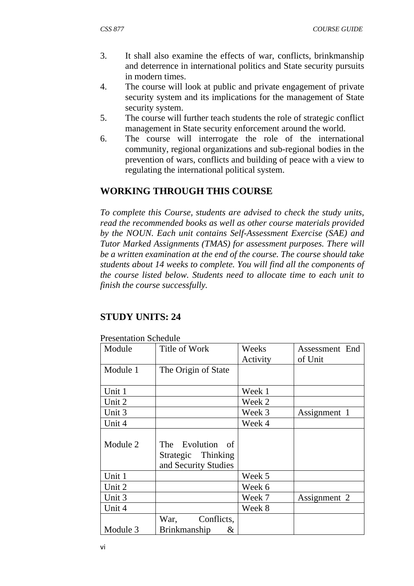- 3. It shall also examine the effects of war, conflicts, brinkmanship and deterrence in international politics and State security pursuits in modern times.
- 4. The course will look at public and private engagement of private security system and its implications for the management of State security system.
- 5. The course will further teach students the role of strategic conflict management in State security enforcement around the world.
- 6. The course will interrogate the role of the international community, regional organizations and sub-regional bodies in the prevention of wars, conflicts and building of peace with a view to regulating the international political system.

## **WORKING THROUGH THIS COURSE**

*To complete this Course, students are advised to check the study units, read the recommended books as well as other course materials provided by the NOUN. Each unit contains Self-Assessment Exercise (SAE) and Tutor Marked Assignments (TMAS) for assessment purposes. There will be a written examination at the end of the course. The course should take students about 14 weeks to complete. You will find all the components of the course listed below. Students need to allocate time to each unit to finish the course successfully.* 

## **STUDY UNITS: 24**

| Module   | Title of Work            | Weeks    | Assessment End |
|----------|--------------------------|----------|----------------|
|          |                          | Activity | of Unit        |
| Module 1 | The Origin of State      |          |                |
|          |                          |          |                |
| Unit 1   |                          | Week 1   |                |
| Unit 2   |                          | Week 2   |                |
| Unit 3   |                          | Week 3   | Assignment 1   |
| Unit 4   |                          | Week 4   |                |
|          |                          |          |                |
| Module 2 | The Evolution of         |          |                |
|          | Strategic Thinking       |          |                |
|          | and Security Studies     |          |                |
| Unit 1   |                          | Week 5   |                |
| Unit 2   |                          | Week 6   |                |
| Unit 3   |                          | Week 7   | Assignment 2   |
| Unit 4   |                          | Week 8   |                |
|          | Conflicts,<br>War,       |          |                |
| Module 3 | <b>Brinkmanship</b><br>& |          |                |

Presentation Schedule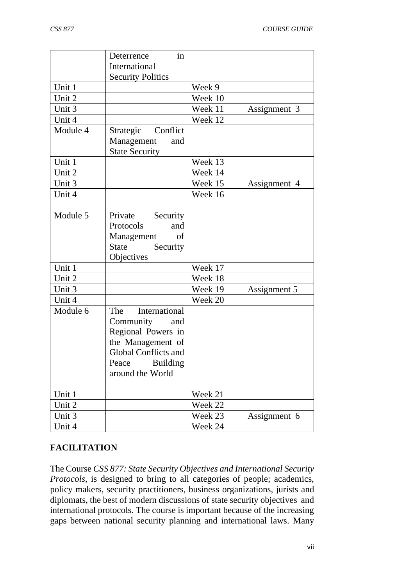|          | in<br>Deterrence            |         |              |
|----------|-----------------------------|---------|--------------|
|          | International               |         |              |
|          | <b>Security Politics</b>    |         |              |
| Unit 1   |                             | Week 9  |              |
| Unit 2   |                             | Week 10 |              |
| Unit 3   |                             | Week 11 | Assignment 3 |
| Unit 4   |                             | Week 12 |              |
| Module 4 | Conflict<br>Strategic       |         |              |
|          | Management<br>and           |         |              |
|          | <b>State Security</b>       |         |              |
| Unit 1   |                             | Week 13 |              |
| Unit 2   |                             | Week 14 |              |
| Unit 3   |                             | Week 15 | Assignment 4 |
| Unit 4   |                             | Week 16 |              |
|          |                             |         |              |
| Module 5 | Private<br>Security         |         |              |
|          | Protocols<br>and            |         |              |
|          | Management<br>of            |         |              |
|          | State<br>Security           |         |              |
|          | Objectives                  |         |              |
| Unit 1   |                             | Week 17 |              |
| Unit 2   |                             | Week 18 |              |
| Unit 3   |                             | Week 19 | Assignment 5 |
| Unit 4   |                             | Week 20 |              |
| Module 6 | International<br>The        |         |              |
|          | Community<br>and            |         |              |
|          | Regional Powers in          |         |              |
|          | the Management of           |         |              |
|          | <b>Global Conflicts and</b> |         |              |
|          | Peace Building              |         |              |
|          | around the World            |         |              |
| Unit 1   |                             | Week 21 |              |
| Unit 2   |                             | Week 22 |              |
| Unit 3   |                             | Week 23 | Assignment 6 |
| Unit 4   |                             | Week 24 |              |

## **FACILITATION**

The Course *CSS 877: State Security Objectives and International Security Protocols*, is designed to bring to all categories of people; academics, policy makers, security practitioners, business organizations, jurists and diplomats, the best of modern discussions of state security objectives and international protocols. The course is important because of the increasing gaps between national security planning and international laws. Many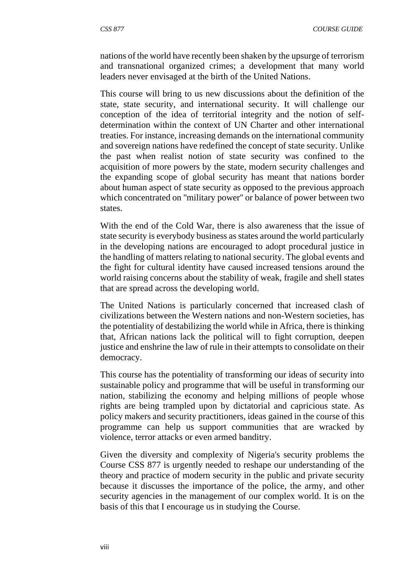nations of the world have recently been shaken by the upsurge of terrorism and transnational organized crimes; a development that many world leaders never envisaged at the birth of the United Nations.

This course will bring to us new discussions about the definition of the state, state security, and international security. It will challenge our conception of the idea of territorial integrity and the notion of selfdetermination within the context of UN Charter and other international treaties. For instance, increasing demands on the international community and sovereign nations have redefined the concept of state security. Unlike the past when realist notion of state security was confined to the acquisition of more powers by the state, modern security challenges and the expanding scope of global security has meant that nations border about human aspect of state security as opposed to the previous approach which concentrated on ''military power'' or balance of power between two states.

With the end of the Cold War, there is also awareness that the issue of state security is everybody business as states around the world particularly in the developing nations are encouraged to adopt procedural justice in the handling of matters relating to national security. The global events and the fight for cultural identity have caused increased tensions around the world raising concerns about the stability of weak, fragile and shell states that are spread across the developing world.

The United Nations is particularly concerned that increased clash of civilizations between the Western nations and non-Western societies, has the potentiality of destabilizing the world while in Africa, there is thinking that, African nations lack the political will to fight corruption, deepen justice and enshrine the law of rule in their attempts to consolidate on their democracy.

This course has the potentiality of transforming our ideas of security into sustainable policy and programme that will be useful in transforming our nation, stabilizing the economy and helping millions of people whose rights are being trampled upon by dictatorial and capricious state. As policy makers and security practitioners, ideas gained in the course of this programme can help us support communities that are wracked by violence, terror attacks or even armed banditry.

Given the diversity and complexity of Nigeria's security problems the Course CSS 877 is urgently needed to reshape our understanding of the theory and practice of modern security in the public and private security because it discusses the importance of the police, the army, and other security agencies in the management of our complex world. It is on the basis of this that I encourage us in studying the Course.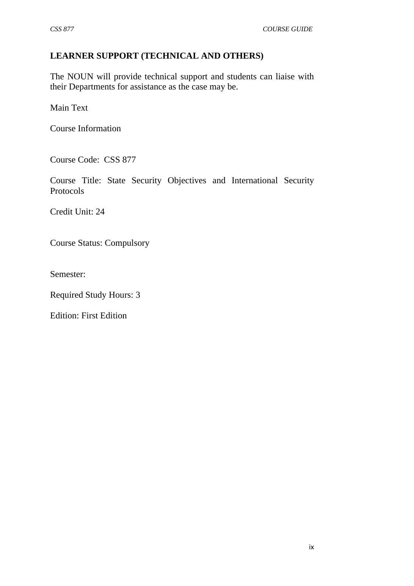## **LEARNER SUPPORT (TECHNICAL AND OTHERS)**

The NOUN will provide technical support and students can liaise with their Departments for assistance as the case may be.

Main Text

Course Information

Course Code: CSS 877

Course Title: State Security Objectives and International Security Protocols

Credit Unit: 24

Course Status: Compulsory

Semester:

Required Study Hours: 3

Edition: First Edition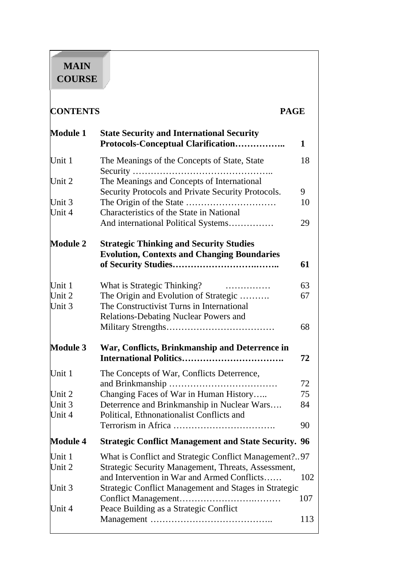# **MAIN COURSE**

| <b>CONTENTS</b>  |                                                                                                    | <b>PAGE</b> |
|------------------|----------------------------------------------------------------------------------------------------|-------------|
| <b>Module 1</b>  | <b>State Security and International Security</b><br>Protocols-Conceptual Clarification             | 1           |
| Unit 1           | The Meanings of the Concepts of State, State                                                       | 18          |
| Unit 2           | The Meanings and Concepts of International                                                         |             |
|                  | Security Protocols and Private Security Protocols.                                                 | 9           |
| Unit 3<br>Unit 4 | Characteristics of the State in National                                                           | 10          |
|                  | And international Political Systems                                                                | 29          |
| <b>Module 2</b>  | <b>Strategic Thinking and Security Studies</b>                                                     |             |
|                  | <b>Evolution, Contexts and Changing Boundaries</b>                                                 |             |
|                  |                                                                                                    | 61          |
| Unit 1           | What is Strategic Thinking?                                                                        | 63          |
| Unit 2           | The Origin and Evolution of Strategic                                                              | 67          |
| Unit 3           | The Constructivist Turns in International                                                          |             |
|                  | Relations-Debating Nuclear Powers and                                                              |             |
|                  |                                                                                                    | 68          |
| <b>Module 3</b>  | War, Conflicts, Brinkmanship and Deterrence in                                                     |             |
|                  |                                                                                                    | 72          |
| Unit 1           | The Concepts of War, Conflicts Deterrence,                                                         |             |
|                  |                                                                                                    | 72          |
| Unit 2           | Changing Faces of War in Human History                                                             | 75          |
| Unit 3           | Deterrence and Brinkmanship in Nuclear Wars                                                        | 84          |
| Unit 4           | Political, Ethnonationalist Conflicts and                                                          | 90          |
| <b>Module 4</b>  | <b>Strategic Conflict Management and State Security. 96</b>                                        |             |
|                  |                                                                                                    |             |
| Unit 1<br>Unit 2 | What is Conflict and Strategic Conflict Management?97                                              |             |
|                  | Strategic Security Management, Threats, Assessment,<br>and Intervention in War and Armed Conflicts | 102         |
| Unit 3           | Strategic Conflict Management and Stages in Strategic                                              |             |
|                  |                                                                                                    | 107         |
| Unit 4           | Peace Building as a Strategic Conflict                                                             |             |
|                  |                                                                                                    | 113         |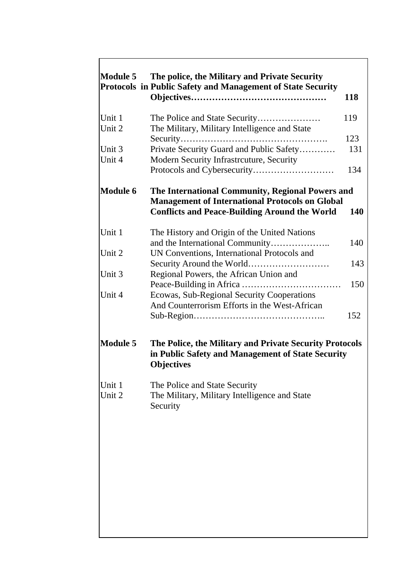| Module 5         | The police, the Military and Private Security<br>Protocols in Public Safety and Management of State Security                                                       | 118 |
|------------------|--------------------------------------------------------------------------------------------------------------------------------------------------------------------|-----|
| Unit 1           |                                                                                                                                                                    | 119 |
| Unit 2           | The Military, Military Intelligence and State<br>Security                                                                                                          | 123 |
| Unit 3           | .<br>Private Security Guard and Public Safety                                                                                                                      | 131 |
| Unit 4           | Modern Security Infrastrcuture, Security                                                                                                                           | 134 |
| <b>Module 6</b>  | The International Community, Regional Powers and<br><b>Management of International Protocols on Global</b><br><b>Conflicts and Peace-Building Around the World</b> | 140 |
| Unit 1           | The History and Origin of the United Nations                                                                                                                       |     |
|                  | and the International Community                                                                                                                                    | 140 |
| Unit 2           | UN Conventions, International Protocols and                                                                                                                        | 143 |
| Unit 3           | Regional Powers, the African Union and                                                                                                                             |     |
|                  |                                                                                                                                                                    | 150 |
| Unit 4           | Ecowas, Sub-Regional Security Cooperations<br>And Counterrorism Efforts in the West-African                                                                        | 152 |
| <b>Module 5</b>  | The Police, the Military and Private Security Protocols<br>in Public Safety and Management of State Security<br><b>Objectives</b>                                  |     |
| Unit 1<br>Unit 2 | The Police and State Security<br>The Military, Military Intelligence and State<br>Security                                                                         |     |
|                  |                                                                                                                                                                    |     |
|                  |                                                                                                                                                                    |     |
|                  |                                                                                                                                                                    |     |
|                  |                                                                                                                                                                    |     |
|                  |                                                                                                                                                                    |     |
|                  |                                                                                                                                                                    |     |
|                  |                                                                                                                                                                    |     |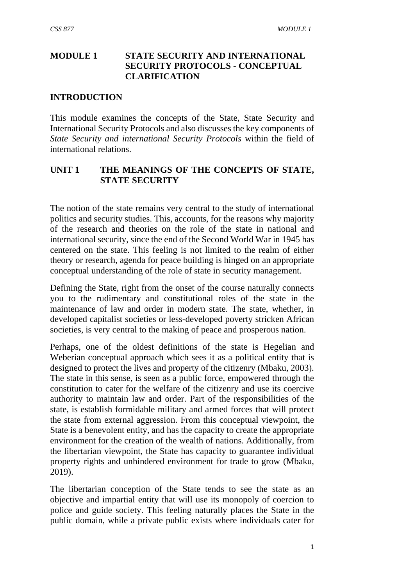## **MODULE 1 STATE SECURITY AND INTERNATIONAL SECURITY PROTOCOLS - CONCEPTUAL CLARIFICATION**

#### **INTRODUCTION**

This module examines the concepts of the State, State Security and International Security Protocols and also discusses the key components of *State Security and international Security Protocols* within the field of international relations.

#### **UNIT 1 THE MEANINGS OF THE CONCEPTS OF STATE, STATE SECURITY**

The notion of the state remains very central to the study of international politics and security studies. This, accounts, for the reasons why majority of the research and theories on the role of the state in national and international security, since the end of the Second World War in 1945 has centered on the state. This feeling is not limited to the realm of either theory or research, agenda for peace building is hinged on an appropriate conceptual understanding of the role of state in security management.

Defining the State, right from the onset of the course naturally connects you to the rudimentary and constitutional roles of the state in the maintenance of law and order in modern state. The state, whether, in developed capitalist societies or less-developed poverty stricken African societies, is very central to the making of peace and prosperous nation.

Perhaps, one of the oldest definitions of the state is Hegelian and Weberian conceptual approach which sees it as a political entity that is designed to protect the lives and property of the citizenry (Mbaku, 2003). The state in this sense, is seen as a public force, empowered through the constitution to cater for the welfare of the citizenry and use its coercive authority to maintain law and order. Part of the responsibilities of the state, is establish formidable military and armed forces that will protect the state from external aggression. From this conceptual viewpoint, the State is a benevolent entity, and has the capacity to create the appropriate environment for the creation of the wealth of nations. Additionally, from the libertarian viewpoint, the State has capacity to guarantee individual property rights and unhindered environment for trade to grow (Mbaku, 2019).

The libertarian conception of the State tends to see the state as an objective and impartial entity that will use its monopoly of coercion to police and guide society. This feeling naturally places the State in the public domain, while a private public exists where individuals cater for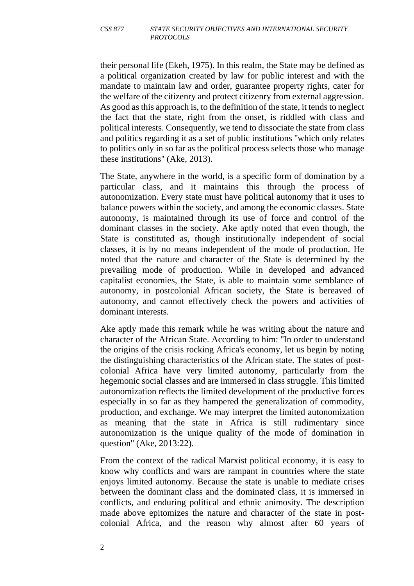their personal life (Ekeh, 1975). In this realm, the State may be defined as a political organization created by law for public interest and with the mandate to maintain law and order, guarantee property rights, cater for the welfare of the citizenry and protect citizenry from external aggression. As good as this approach is, to the definition of the state, it tends to neglect the fact that the state, right from the onset, is riddled with class and political interests. Consequently, we tend to dissociate the state from class and politics regarding it as a set of public institutions ''which only relates to politics only in so far as the political process selects those who manage these institutions'' (Ake, 2013).

The State, anywhere in the world, is a specific form of domination by a particular class, and it maintains this through the process of autonomization. Every state must have political autonomy that it uses to balance powers within the society, and among the economic classes. State autonomy, is maintained through its use of force and control of the dominant classes in the society. Ake aptly noted that even though, the State is constituted as, though institutionally independent of social classes, it is by no means independent of the mode of production. He noted that the nature and character of the State is determined by the prevailing mode of production. While in developed and advanced capitalist economies, the State, is able to maintain some semblance of autonomy, in postcolonial African society, the State is bereaved of autonomy, and cannot effectively check the powers and activities of dominant interests.

Ake aptly made this remark while he was writing about the nature and character of the African State. According to him: ''In order to understand the origins of the crisis rocking Africa's economy, let us begin by noting the distinguishing characteristics of the African state. The states of postcolonial Africa have very limited autonomy, particularly from the hegemonic social classes and are immersed in class struggle. This limited autonomization reflects the limited development of the productive forces especially in so far as they hampered the generalization of commodity, production, and exchange. We may interpret the limited autonomization as meaning that the state in Africa is still rudimentary since autonomization is the unique quality of the mode of domination in question'' (Ake, 2013:22).

From the context of the radical Marxist political economy, it is easy to know why conflicts and wars are rampant in countries where the state enjoys limited autonomy. Because the state is unable to mediate crises between the dominant class and the dominated class, it is immersed in conflicts, and enduring political and ethnic animosity. The description made above epitomizes the nature and character of the state in postcolonial Africa, and the reason why almost after 60 years of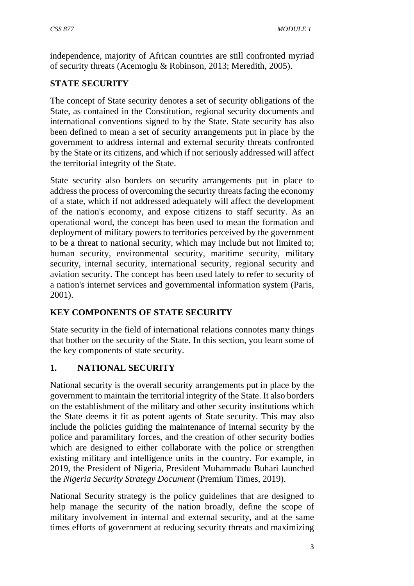independence, majority of African countries are still confronted myriad of security threats (Acemoglu & Robinson, 2013; Meredith, 2005).

## **STATE SECURITY**

The concept of State security denotes a set of security obligations of the State, as contained in the Constitution, regional security documents and international conventions signed to by the State. State security has also been defined to mean a set of security arrangements put in place by the government to address internal and external security threats confronted by the State or its citizens, and which if not seriously addressed will affect the territorial integrity of the State.

State security also borders on security arrangements put in place to address the process of overcoming the security threats facing the economy of a state, which if not addressed adequately will affect the development of the nation's economy, and expose citizens to staff security. As an operational word, the concept has been used to mean the formation and deployment of military powers to territories perceived by the government to be a threat to national security, which may include but not limited to; human security, environmental security, maritime security, military security, internal security, international security, regional security and aviation security. The concept has been used lately to refer to security of a nation's internet services and governmental information system (Paris, 2001).

## **KEY COMPONENTS OF STATE SECURITY**

State security in the field of international relations connotes many things that bother on the security of the State. In this section, you learn some of the key components of state security.

## **1. NATIONAL SECURITY**

National security is the overall security arrangements put in place by the government to maintain the territorial integrity of the State. It also borders on the establishment of the military and other security institutions which the State deems it fit as potent agents of State security. This may also include the policies guiding the maintenance of internal security by the police and paramilitary forces, and the creation of other security bodies which are designed to either collaborate with the police or strengthen existing military and intelligence units in the country. For example, in 2019, the President of Nigeria, President Muhammadu Buhari launched the *Nigeria Security Strategy Document* (Premium Times, 2019).

National Security strategy is the policy guidelines that are designed to help manage the security of the nation broadly, define the scope of military involvement in internal and external security, and at the same times efforts of government at reducing security threats and maximizing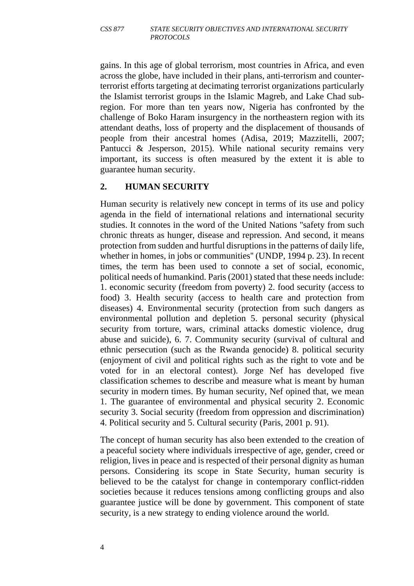gains. In this age of global terrorism, most countries in Africa, and even across the globe, have included in their plans, anti-terrorism and counterterrorist efforts targeting at decimating terrorist organizations particularly the Islamist terrorist groups in the Islamic Magreb, and Lake Chad subregion. For more than ten years now, Nigeria has confronted by the challenge of Boko Haram insurgency in the northeastern region with its attendant deaths, loss of property and the displacement of thousands of people from their ancestral homes (Adisa, 2019; Mazzitelli, 2007; Pantucci & Jesperson, 2015). While national security remains very important, its success is often measured by the extent it is able to guarantee human security.

#### **2. HUMAN SECURITY**

Human security is relatively new concept in terms of its use and policy agenda in the field of international relations and international security studies. It connotes in the word of the United Nations ''safety from such chronic threats as hunger, disease and repression. And second, it means protection from sudden and hurtful disruptions in the patterns of daily life, whether in homes, in jobs or communities'' (UNDP, 1994 p. 23). In recent times, the term has been used to connote a set of social, economic, political needs of humankind. Paris (2001) stated that these needs include: 1. economic security (freedom from poverty) 2. food security (access to food) 3. Health security (access to health care and protection from diseases) 4. Environmental security (protection from such dangers as environmental pollution and depletion 5. personal security (physical security from torture, wars, criminal attacks domestic violence, drug abuse and suicide), 6. 7. Community security (survival of cultural and ethnic persecution (such as the Rwanda genocide) 8. political security (enjoyment of civil and political rights such as the right to vote and be voted for in an electoral contest). Jorge Nef has developed five classification schemes to describe and measure what is meant by human security in modern times. By human security, Nef opined that, we mean 1. The guarantee of environmental and physical security 2. Economic security 3. Social security (freedom from oppression and discrimination) 4. Political security and 5. Cultural security (Paris, 2001 p. 91).

The concept of human security has also been extended to the creation of a peaceful society where individuals irrespective of age, gender, creed or religion, lives in peace and is respected of their personal dignity as human persons. Considering its scope in State Security, human security is believed to be the catalyst for change in contemporary conflict-ridden societies because it reduces tensions among conflicting groups and also guarantee justice will be done by government. This component of state security, is a new strategy to ending violence around the world.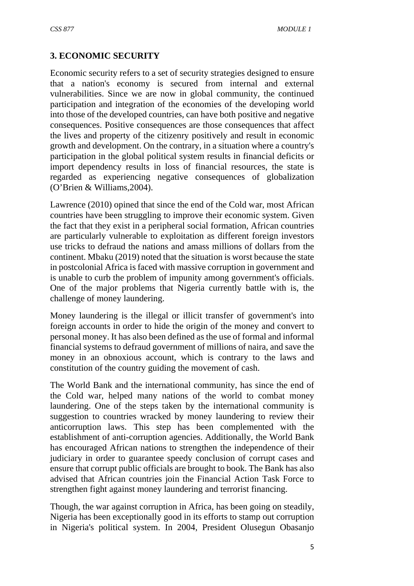## **3. ECONOMIC SECURITY**

Economic security refers to a set of security strategies designed to ensure that a nation's economy is secured from internal and external vulnerabilities. Since we are now in global community, the continued participation and integration of the economies of the developing world into those of the developed countries, can have both positive and negative consequences. Positive consequences are those consequences that affect the lives and property of the citizenry positively and result in economic growth and development. On the contrary, in a situation where a country's participation in the global political system results in financial deficits or import dependency results in loss of financial resources, the state is regarded as experiencing negative consequences of globalization (O'Brien & Williams,2004).

Lawrence (2010) opined that since the end of the Cold war, most African countries have been struggling to improve their economic system. Given the fact that they exist in a peripheral social formation, African countries are particularly vulnerable to exploitation as different foreign investors use tricks to defraud the nations and amass millions of dollars from the continent. Mbaku (2019) noted that the situation is worst because the state in postcolonial Africa is faced with massive corruption in government and is unable to curb the problem of impunity among government's officials. One of the major problems that Nigeria currently battle with is, the challenge of money laundering.

Money laundering is the illegal or illicit transfer of government's into foreign accounts in order to hide the origin of the money and convert to personal money. It has also been defined as the use of formal and informal financial systems to defraud government of millions of naira, and save the money in an obnoxious account, which is contrary to the laws and constitution of the country guiding the movement of cash.

The World Bank and the international community, has since the end of the Cold war, helped many nations of the world to combat money laundering. One of the steps taken by the international community is suggestion to countries wracked by money laundering to review their anticorruption laws. This step has been complemented with the establishment of anti-corruption agencies. Additionally, the World Bank has encouraged African nations to strengthen the independence of their judiciary in order to guarantee speedy conclusion of corrupt cases and ensure that corrupt public officials are brought to book. The Bank has also advised that African countries join the Financial Action Task Force to strengthen fight against money laundering and terrorist financing.

Though, the war against corruption in Africa, has been going on steadily, Nigeria has been exceptionally good in its efforts to stamp out corruption in Nigeria's political system. In 2004, President Olusegun Obasanjo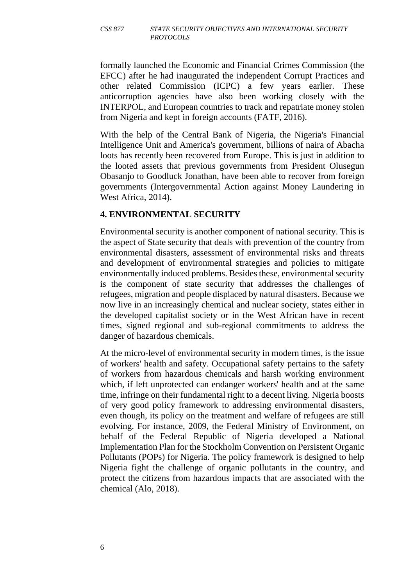#### *CSS 877 STATE SECURITY OBJECTIVES AND INTERNATIONAL SECURITY PROTOCOLS*

formally launched the Economic and Financial Crimes Commission (the EFCC) after he had inaugurated the independent Corrupt Practices and other related Commission (ICPC) a few years earlier. These anticorruption agencies have also been working closely with the INTERPOL, and European countries to track and repatriate money stolen from Nigeria and kept in foreign accounts (FATF, 2016).

With the help of the Central Bank of Nigeria, the Nigeria's Financial Intelligence Unit and America's government, billions of naira of Abacha loots has recently been recovered from Europe. This is just in addition to the looted assets that previous governments from President Olusegun Obasanjo to Goodluck Jonathan, have been able to recover from foreign governments (Intergovernmental Action against Money Laundering in West Africa, 2014).

#### **4. ENVIRONMENTAL SECURITY**

Environmental security is another component of national security. This is the aspect of State security that deals with prevention of the country from environmental disasters, assessment of environmental risks and threats and development of environmental strategies and policies to mitigate environmentally induced problems. Besides these, environmental security is the component of state security that addresses the challenges of refugees, migration and people displaced by natural disasters. Because we now live in an increasingly chemical and nuclear society, states either in the developed capitalist society or in the West African have in recent times, signed regional and sub-regional commitments to address the danger of hazardous chemicals.

At the micro-level of environmental security in modern times, is the issue of workers' health and safety. Occupational safety pertains to the safety of workers from hazardous chemicals and harsh working environment which, if left unprotected can endanger workers' health and at the same time, infringe on their fundamental right to a decent living. Nigeria boosts of very good policy framework to addressing environmental disasters, even though, its policy on the treatment and welfare of refugees are still evolving. For instance, 2009, the Federal Ministry of Environment, on behalf of the Federal Republic of Nigeria developed a National Implementation Plan for the Stockholm Convention on Persistent Organic Pollutants (POPs) for Nigeria. The policy framework is designed to help Nigeria fight the challenge of organic pollutants in the country, and protect the citizens from hazardous impacts that are associated with the chemical (Alo, 2018).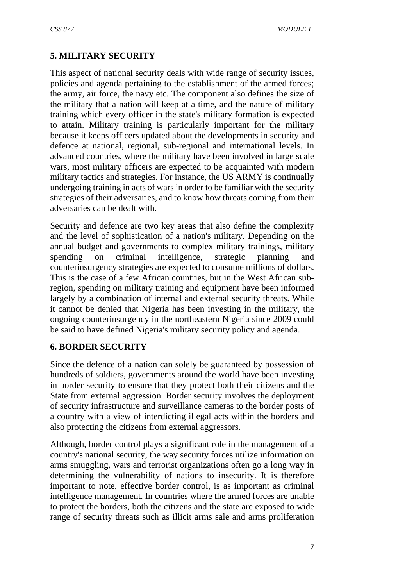## **5. MILITARY SECURITY**

This aspect of national security deals with wide range of security issues, policies and agenda pertaining to the establishment of the armed forces; the army, air force, the navy etc. The component also defines the size of the military that a nation will keep at a time, and the nature of military training which every officer in the state's military formation is expected to attain. Military training is particularly important for the military because it keeps officers updated about the developments in security and defence at national, regional, sub-regional and international levels. In advanced countries, where the military have been involved in large scale wars, most military officers are expected to be acquainted with modern military tactics and strategies. For instance, the US ARMY is continually undergoing training in acts of wars in order to be familiar with the security strategies of their adversaries, and to know how threats coming from their adversaries can be dealt with.

Security and defence are two key areas that also define the complexity and the level of sophistication of a nation's military. Depending on the annual budget and governments to complex military trainings, military spending on criminal intelligence, strategic planning and counterinsurgency strategies are expected to consume millions of dollars. This is the case of a few African countries, but in the West African subregion, spending on military training and equipment have been informed largely by a combination of internal and external security threats. While it cannot be denied that Nigeria has been investing in the military, the ongoing counterinsurgency in the northeastern Nigeria since 2009 could be said to have defined Nigeria's military security policy and agenda.

#### **6. BORDER SECURITY**

Since the defence of a nation can solely be guaranteed by possession of hundreds of soldiers, governments around the world have been investing in border security to ensure that they protect both their citizens and the State from external aggression. Border security involves the deployment of security infrastructure and surveillance cameras to the border posts of a country with a view of interdicting illegal acts within the borders and also protecting the citizens from external aggressors.

Although, border control plays a significant role in the management of a country's national security, the way security forces utilize information on arms smuggling, wars and terrorist organizations often go a long way in determining the vulnerability of nations to insecurity. It is therefore important to note, effective border control, is as important as criminal intelligence management. In countries where the armed forces are unable to protect the borders, both the citizens and the state are exposed to wide range of security threats such as illicit arms sale and arms proliferation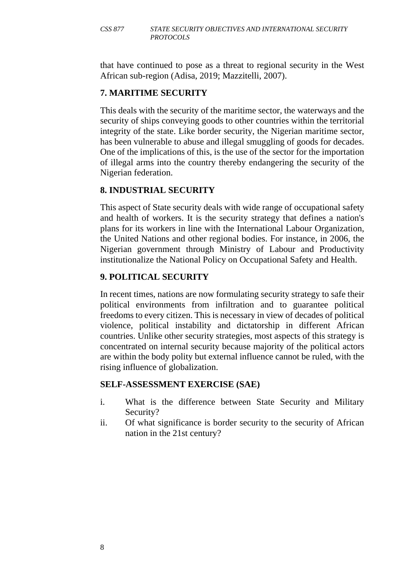that have continued to pose as a threat to regional security in the West African sub-region (Adisa, 2019; Mazzitelli, 2007).

## **7. MARITIME SECURITY**

This deals with the security of the maritime sector, the waterways and the security of ships conveying goods to other countries within the territorial integrity of the state. Like border security, the Nigerian maritime sector, has been vulnerable to abuse and illegal smuggling of goods for decades. One of the implications of this, is the use of the sector for the importation of illegal arms into the country thereby endangering the security of the Nigerian federation.

### **8. INDUSTRIAL SECURITY**

This aspect of State security deals with wide range of occupational safety and health of workers. It is the security strategy that defines a nation's plans for its workers in line with the International Labour Organization, the United Nations and other regional bodies. For instance, in 2006, the Nigerian government through Ministry of Labour and Productivity institutionalize the National Policy on Occupational Safety and Health.

## **9. POLITICAL SECURITY**

In recent times, nations are now formulating security strategy to safe their political environments from infiltration and to guarantee political freedoms to every citizen. This is necessary in view of decades of political violence, political instability and dictatorship in different African countries. Unlike other security strategies, most aspects of this strategy is concentrated on internal security because majority of the political actors are within the body polity but external influence cannot be ruled, with the rising influence of globalization.

#### **SELF-ASSESSMENT EXERCISE (SAE)**

- i. What is the difference between State Security and Military Security?
- ii. Of what significance is border security to the security of African nation in the 21st century?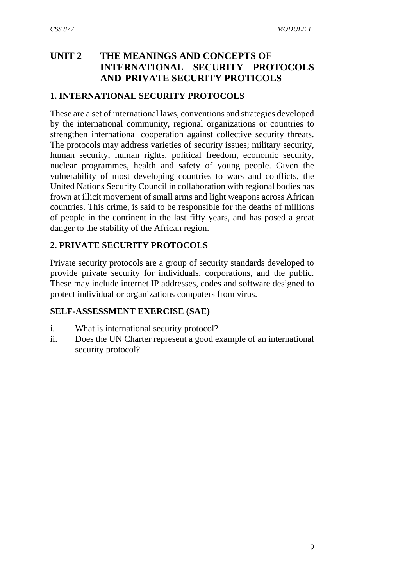## **UNIT 2 THE MEANINGS AND CONCEPTS OF INTERNATIONAL SECURITY PROTOCOLS AND PRIVATE SECURITY PROTICOLS**

#### **1. INTERNATIONAL SECURITY PROTOCOLS**

These are a set of international laws, conventions and strategies developed by the international community, regional organizations or countries to strengthen international cooperation against collective security threats. The protocols may address varieties of security issues; military security, human security, human rights, political freedom, economic security, nuclear programmes, health and safety of young people. Given the vulnerability of most developing countries to wars and conflicts, the United Nations Security Council in collaboration with regional bodies has frown at illicit movement of small arms and light weapons across African countries. This crime, is said to be responsible for the deaths of millions of people in the continent in the last fifty years, and has posed a great danger to the stability of the African region.

### **2. PRIVATE SECURITY PROTOCOLS**

Private security protocols are a group of security standards developed to provide private security for individuals, corporations, and the public. These may include internet IP addresses, codes and software designed to protect individual or organizations computers from virus.

#### **SELF-ASSESSMENT EXERCISE (SAE)**

- i. What is international security protocol?
- ii. Does the UN Charter represent a good example of an international security protocol?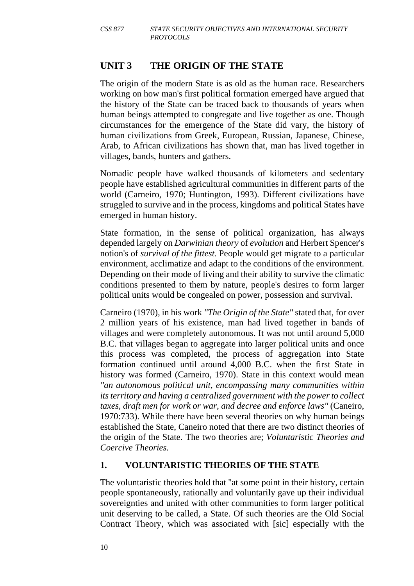## **UNIT 3 THE ORIGIN OF THE STATE**

The origin of the modern State is as old as the human race. Researchers working on how man's first political formation emerged have argued that the history of the State can be traced back to thousands of years when human beings attempted to congregate and live together as one. Though circumstances for the emergence of the State did vary, the history of human civilizations from Greek, European, Russian, Japanese, Chinese, Arab, to African civilizations has shown that, man has lived together in villages, bands, hunters and gathers.

Nomadic people have walked thousands of kilometers and sedentary people have established agricultural communities in different parts of the world (Carneiro, 1970; Huntington, 1993). Different civilizations have struggled to survive and in the process, kingdoms and political States have emerged in human history.

State formation, in the sense of political organization, has always depended largely on *Darwinian theory* of *evolution* and Herbert Spencer's notion's of *survival of the fittest.* People would get migrate to a particular environment, acclimatize and adapt to the conditions of the environment. Depending on their mode of living and their ability to survive the climatic conditions presented to them by nature, people's desires to form larger political units would be congealed on power, possession and survival.

Carneiro (1970), in his work *''The Origin of the State''* stated that, for over 2 million years of his existence, man had lived together in bands of villages and were completely autonomous. It was not until around 5,000 B.C. that villages began to aggregate into larger political units and once this process was completed, the process of aggregation into State formation continued until around 4,000 B.C. when the first State in history was formed (Carneiro, 1970). State in this context would mean *''an autonomous political unit, encompassing many communities within its territory and having a centralized government with the power to collect taxes, draft men for work or war, and decree and enforce laws''* (Caneiro, 1970:733). While there have been several theories on why human beings established the State, Caneiro noted that there are two distinct theories of the origin of the State. The two theories are; *Voluntaristic Theories and Coercive Theories.* 

#### **1. VOLUNTARISTIC THEORIES OF THE STATE**

The voluntaristic theories hold that ''at some point in their history, certain people spontaneously, rationally and voluntarily gave up their individual sovereignties and united with other communities to form larger political unit deserving to be called, a State. Of such theories are the Old Social Contract Theory, which was associated with [sic] especially with the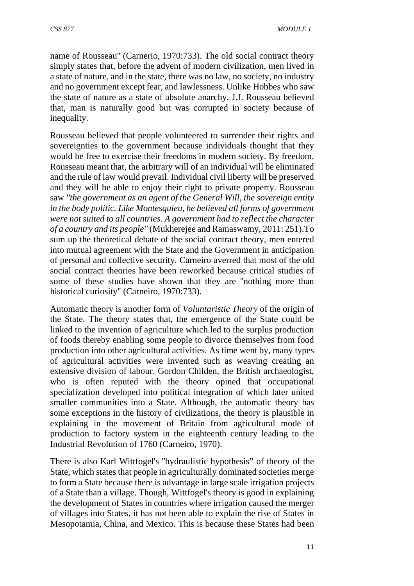name of Rousseau'' (Carnerio, 1970:733). The old social contract theory simply states that, before the advent of modern civilization, men lived in a state of nature, and in the state, there was no law, no society, no industry and no government except fear, and lawlessness. Unlike Hobbes who saw the state of nature as a state of absolute anarchy, J.J. Rousseau believed that, man is naturally good but was corrupted in society because of inequality.

Rousseau believed that people volunteered to surrender their rights and sovereignties to the government because individuals thought that they would be free to exercise their freedoms in modern society. By freedom, Rousseau meant that, the arbitrary will of an individual will be eliminated and the rule of law would prevail. Individual civil liberty will be preserved and they will be able to enjoy their right to private property. Rousseau saw *''the government as an agent of the General Will, the sovereign entity in the body politic. Like Montesquieu, he believed all forms of government were not suited to all countries. A government had to reflect the character of a country and its people''* (Mukherejee and Ramaswamy, 2011: 251).To sum up the theoretical debate of the social contract theory, men entered into mutual agreement with the State and the Government in anticipation of personal and collective security. Carneiro averred that most of the old social contract theories have been reworked because critical studies of some of these studies have shown that they are ''nothing more than historical curiosity'' (Carneiro, 1970:733).

Automatic theory is another form of *Voluntaristic Theory* of the origin of the State. The theory states that, the emergence of the State could be linked to the invention of agriculture which led to the surplus production of foods thereby enabling some people to divorce themselves from food production into other agricultural activities. As time went by, many types of agricultural activities were invented such as weaving creating an extensive division of labour. Gordon Childen, the British archaeologist, who is often reputed with the theory opined that occupational specialization developed into political integration of which later united smaller communities into a State. Although, the automatic theory has some exceptions in the history of civilizations, the theory is plausible in explaining in the movement of Britain from agricultural mode of production to factory system in the eighteenth century leading to the Industrial Revolution of 1760 (Carneiro, 1970).

There is also Karl Wittfogel's ''hydraulistic hypothesis" of theory of the State, which states that people in agriculturally dominated societies merge to form a State because there is advantage in large scale irrigation projects of a State than a village. Though, Wittfogel's theory is good in explaining the development of States in countries where irrigation caused the merger of villages into States, it has not been able to explain the rise of States in Mesopotamia, China, and Mexico. This is because these States had been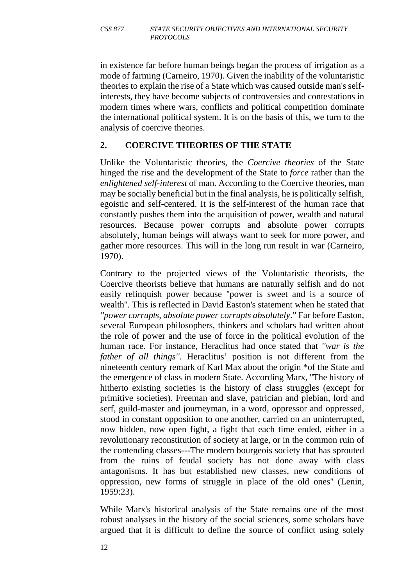in existence far before human beings began the process of irrigation as a mode of farming (Carneiro, 1970). Given the inability of the voluntaristic theories to explain the rise of a State which was caused outside man's selfinterests, they have become subjects of controversies and contestations in modern times where wars, conflicts and political competition dominate the international political system. It is on the basis of this, we turn to the analysis of coercive theories.

### **2. COERCIVE THEORIES OF THE STATE**

Unlike the Voluntaristic theories, the *Coercive theories* of the State hinged the rise and the development of the State to *force* rather than the *enlightened self-interest* of man. According to the Coercive theories, man may be socially beneficial but in the final analysis, he is politically selfish, egoistic and self-centered. It is the self-interest of the human race that constantly pushes them into the acquisition of power, wealth and natural resources. Because power corrupts and absolute power corrupts absolutely, human beings will always want to seek for more power, and gather more resources. This will in the long run result in war (Carneiro, 1970).

Contrary to the projected views of the Voluntaristic theorists, the Coercive theorists believe that humans are naturally selfish and do not easily relinquish power because ''power is sweet and is a source of wealth''. This is reflected in David Easton's statement when he stated that *''power corrupts, absolute power corrupts absolutely*." Far before Easton, several European philosophers, thinkers and scholars had written about the role of power and the use of force in the political evolution of the human race. For instance, Heraclitus had once stated that *''war is the father of all things''.* Heraclitus' position is not different from the nineteenth century remark of Karl Max about the origin \*of the State and the emergence of class in modern State. According Marx, ''The history of hitherto existing societies is the history of class struggles (except for primitive societies). Freeman and slave, patrician and plebian, lord and serf, guild-master and journeyman, in a word, oppressor and oppressed, stood in constant opposition to one another, carried on an uninterrupted, now hidden, now open fight, a fight that each time ended, either in a revolutionary reconstitution of society at large, or in the common ruin of the contending classes---The modern bourgeois society that has sprouted from the ruins of feudal society has not done away with class antagonisms. It has but established new classes, new conditions of oppression, new forms of struggle in place of the old ones'' (Lenin, 1959:23).

While Marx's historical analysis of the State remains one of the most robust analyses in the history of the social sciences, some scholars have argued that it is difficult to define the source of conflict using solely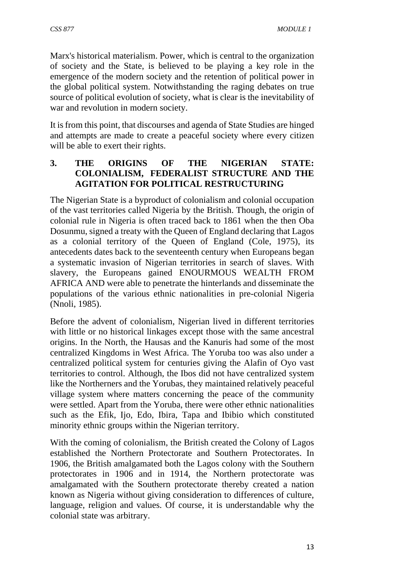Marx's historical materialism. Power, which is central to the organization of society and the State, is believed to be playing a key role in the emergence of the modern society and the retention of political power in the global political system. Notwithstanding the raging debates on true source of political evolution of society, what is clear is the inevitability of war and revolution in modern society.

It is from this point, that discourses and agenda of State Studies are hinged and attempts are made to create a peaceful society where every citizen will be able to exert their rights.

#### **3. THE ORIGINS OF THE NIGERIAN STATE: COLONIALISM, FEDERALIST STRUCTURE AND THE AGITATION FOR POLITICAL RESTRUCTURING**

The Nigerian State is a byproduct of colonialism and colonial occupation of the vast territories called Nigeria by the British. Though, the origin of colonial rule in Nigeria is often traced back to 1861 when the then Oba Dosunmu, signed a treaty with the Queen of England declaring that Lagos as a colonial territory of the Queen of England (Cole, 1975), its antecedents dates back to the seventeenth century when Europeans began a systematic invasion of Nigerian territories in search of slaves. With slavery, the Europeans gained ENOURMOUS WEALTH FROM AFRICA AND were able to penetrate the hinterlands and disseminate the populations of the various ethnic nationalities in pre-colonial Nigeria (Nnoli, 1985).

Before the advent of colonialism, Nigerian lived in different territories with little or no historical linkages except those with the same ancestral origins. In the North, the Hausas and the Kanuris had some of the most centralized Kingdoms in West Africa. The Yoruba too was also under a centralized political system for centuries giving the Alafin of Oyo vast territories to control. Although, the Ibos did not have centralized system like the Northerners and the Yorubas, they maintained relatively peaceful village system where matters concerning the peace of the community were settled. Apart from the Yoruba, there were other ethnic nationalities such as the Efik, Ijo, Edo, Ibira, Tapa and Ibibio which constituted minority ethnic groups within the Nigerian territory.

With the coming of colonialism, the British created the Colony of Lagos established the Northern Protectorate and Southern Protectorates. In 1906, the British amalgamated both the Lagos colony with the Southern protectorates in 1906 and in 1914, the Northern protectorate was amalgamated with the Southern protectorate thereby created a nation known as Nigeria without giving consideration to differences of culture, language, religion and values. Of course, it is understandable why the colonial state was arbitrary.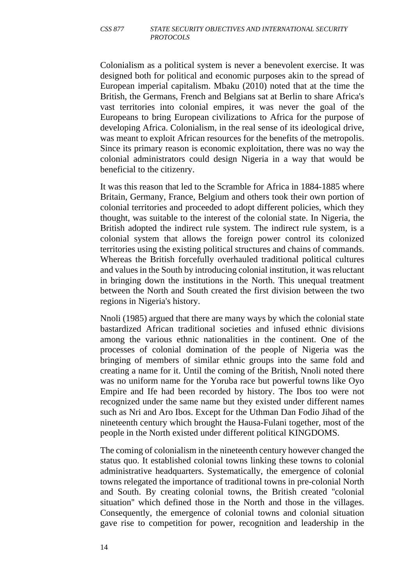Colonialism as a political system is never a benevolent exercise. It was designed both for political and economic purposes akin to the spread of European imperial capitalism. Mbaku (2010) noted that at the time the British, the Germans, French and Belgians sat at Berlin to share Africa's vast territories into colonial empires, it was never the goal of the Europeans to bring European civilizations to Africa for the purpose of developing Africa. Colonialism, in the real sense of its ideological drive, was meant to exploit African resources for the benefits of the metropolis. Since its primary reason is economic exploitation, there was no way the colonial administrators could design Nigeria in a way that would be beneficial to the citizenry.

It was this reason that led to the Scramble for Africa in 1884-1885 where Britain, Germany, France, Belgium and others took their own portion of colonial territories and proceeded to adopt different policies, which they thought, was suitable to the interest of the colonial state. In Nigeria, the British adopted the indirect rule system. The indirect rule system, is a colonial system that allows the foreign power control its colonized territories using the existing political structures and chains of commands. Whereas the British forcefully overhauled traditional political cultures and values in the South by introducing colonial institution, it was reluctant in bringing down the institutions in the North. This unequal treatment between the North and South created the first division between the two regions in Nigeria's history.

Nnoli (1985) argued that there are many ways by which the colonial state bastardized African traditional societies and infused ethnic divisions among the various ethnic nationalities in the continent. One of the processes of colonial domination of the people of Nigeria was the bringing of members of similar ethnic groups into the same fold and creating a name for it. Until the coming of the British, Nnoli noted there was no uniform name for the Yoruba race but powerful towns like Oyo Empire and Ife had been recorded by history. The Ibos too were not recognized under the same name but they existed under different names such as Nri and Aro Ibos. Except for the Uthman Dan Fodio Jihad of the nineteenth century which brought the Hausa-Fulani together, most of the people in the North existed under different political KINGDOMS.

The coming of colonialism in the nineteenth century however changed the status quo. It established colonial towns linking these towns to colonial administrative headquarters. Systematically, the emergence of colonial towns relegated the importance of traditional towns in pre-colonial North and South. By creating colonial towns, the British created ''colonial situation'' which defined those in the North and those in the villages. Consequently, the emergence of colonial towns and colonial situation gave rise to competition for power, recognition and leadership in the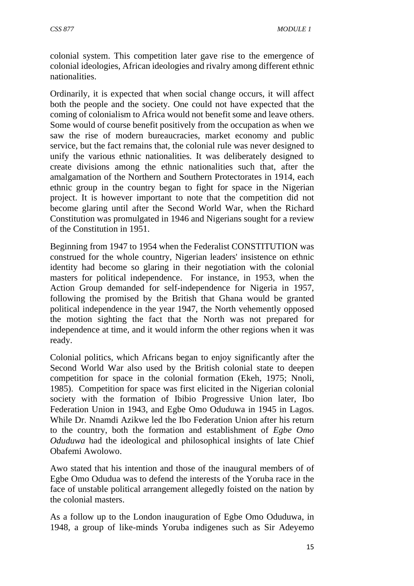colonial system. This competition later gave rise to the emergence of colonial ideologies, African ideologies and rivalry among different ethnic nationalities.

Ordinarily, it is expected that when social change occurs, it will affect both the people and the society. One could not have expected that the coming of colonialism to Africa would not benefit some and leave others. Some would of course benefit positively from the occupation as when we saw the rise of modern bureaucracies, market economy and public service, but the fact remains that, the colonial rule was never designed to unify the various ethnic nationalities. It was deliberately designed to create divisions among the ethnic nationalities such that, after the amalgamation of the Northern and Southern Protectorates in 1914, each ethnic group in the country began to fight for space in the Nigerian project. It is however important to note that the competition did not become glaring until after the Second World War, when the Richard Constitution was promulgated in 1946 and Nigerians sought for a review of the Constitution in 1951.

Beginning from 1947 to 1954 when the Federalist CONSTITUTION was construed for the whole country, Nigerian leaders' insistence on ethnic identity had become so glaring in their negotiation with the colonial masters for political independence. For instance, in 1953, when the Action Group demanded for self-independence for Nigeria in 1957, following the promised by the British that Ghana would be granted political independence in the year 1947, the North vehemently opposed the motion sighting the fact that the North was not prepared for independence at time, and it would inform the other regions when it was ready.

Colonial politics, which Africans began to enjoy significantly after the Second World War also used by the British colonial state to deepen competition for space in the colonial formation (Ekeh, 1975; Nnoli, 1985). Competition for space was first elicited in the Nigerian colonial society with the formation of Ibibio Progressive Union later, Ibo Federation Union in 1943, and Egbe Omo Oduduwa in 1945 in Lagos. While Dr. Nnamdi Azikwe led the Ibo Federation Union after his return to the country, both the formation and establishment of *Egbe Omo Oduduwa* had the ideological and philosophical insights of late Chief Obafemi Awolowo.

Awo stated that his intention and those of the inaugural members of of Egbe Omo Odudua was to defend the interests of the Yoruba race in the face of unstable political arrangement allegedly foisted on the nation by the colonial masters.

As a follow up to the London inauguration of Egbe Omo Oduduwa, in 1948, a group of like-minds Yoruba indigenes such as Sir Adeyemo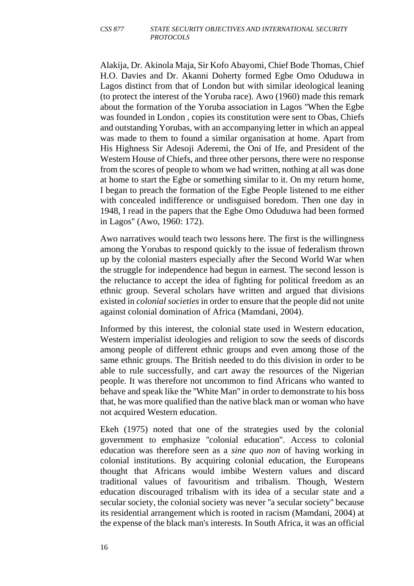#### *CSS 877 STATE SECURITY OBJECTIVES AND INTERNATIONAL SECURITY PROTOCOLS*

Alakija, Dr. Akinola Maja, Sir Kofo Abayomi, Chief Bode Thomas, Chief H.O. Davies and Dr. Akanni Doherty formed Egbe Omo Oduduwa in Lagos distinct from that of London but with similar ideological leaning (to protect the interest of the Yoruba race). Awo (1960) made this remark about the formation of the Yoruba association in Lagos ''When the Egbe was founded in London , copies its constitution were sent to Obas, Chiefs and outstanding Yorubas, with an accompanying letter in which an appeal was made to them to found a similar organisation at home. Apart from His Highness Sir Adesoji Aderemi, the Oni of Ife, and President of the Western House of Chiefs, and three other persons, there were no response from the scores of people to whom we had written, nothing at all was done at home to start the Egbe or something similar to it. On my return home, I began to preach the formation of the Egbe People listened to me either with concealed indifference or undisguised boredom. Then one day in 1948, I read in the papers that the Egbe Omo Oduduwa had been formed in Lagos'' (Awo, 1960: 172).

Awo narratives would teach two lessons here. The first is the willingness among the Yorubas to respond quickly to the issue of federalism thrown up by the colonial masters especially after the Second World War when the struggle for independence had begun in earnest. The second lesson is the reluctance to accept the idea of fighting for political freedom as an ethnic group. Several scholars have written and argued that divisions existed in *colonial societies* in order to ensure that the people did not unite against colonial domination of Africa (Mamdani, 2004).

Informed by this interest, the colonial state used in Western education, Western imperialist ideologies and religion to sow the seeds of discords among people of different ethnic groups and even among those of the same ethnic groups. The British needed to do this division in order to be able to rule successfully, and cart away the resources of the Nigerian people. It was therefore not uncommon to find Africans who wanted to behave and speak like the ''White Man'' in order to demonstrate to his boss that, he was more qualified than the native black man or woman who have not acquired Western education.

Ekeh (1975) noted that one of the strategies used by the colonial government to emphasize ''colonial education''. Access to colonial education was therefore seen as a *sine quo non* of having working in colonial institutions. By acquiring colonial education, the Europeans thought that Africans would imbibe Western values and discard traditional values of favouritism and tribalism. Though, Western education discouraged tribalism with its idea of a secular state and a secular society, the colonial society was never ''a secular society'' because its residential arrangement which is rooted in racism (Mamdani, 2004) at the expense of the black man's interests. In South Africa, it was an official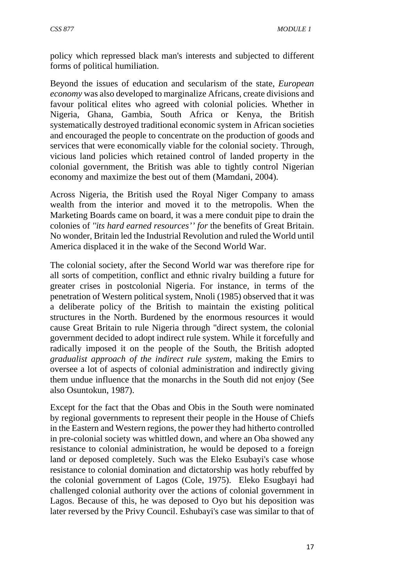policy which repressed black man's interests and subjected to different forms of political humiliation.

Beyond the issues of education and secularism of the state, *European economy* was also developed to marginalize Africans, create divisions and favour political elites who agreed with colonial policies. Whether in Nigeria, Ghana, Gambia, South Africa or Kenya, the British systematically destroyed traditional economic system in African societies and encouraged the people to concentrate on the production of goods and services that were economically viable for the colonial society. Through, vicious land policies which retained control of landed property in the colonial government, the British was able to tightly control Nigerian economy and maximize the best out of them (Mamdani, 2004).

Across Nigeria, the British used the Royal Niger Company to amass wealth from the interior and moved it to the metropolis. When the Marketing Boards came on board, it was a mere conduit pipe to drain the colonies of *''its hard earned resources'' for* the benefits of Great Britain. No wonder, Britain led the Industrial Revolution and ruled the World until America displaced it in the wake of the Second World War.

The colonial society, after the Second World war was therefore ripe for all sorts of competition, conflict and ethnic rivalry building a future for greater crises in postcolonial Nigeria. For instance, in terms of the penetration of Western political system, Nnoli (1985) observed that it was a deliberate policy of the British to maintain the existing political structures in the North. Burdened by the enormous resources it would cause Great Britain to rule Nigeria through ''direct system, the colonial government decided to adopt indirect rule system. While it forcefully and radically imposed it on the people of the South, the British adopted *gradualist approach of the indirect rule system,* making the Emirs to oversee a lot of aspects of colonial administration and indirectly giving them undue influence that the monarchs in the South did not enjoy (See also Osuntokun, 1987).

Except for the fact that the Obas and Obis in the South were nominated by regional governments to represent their people in the House of Chiefs in the Eastern and Western regions, the power they had hitherto controlled in pre-colonial society was whittled down, and where an Oba showed any resistance to colonial administration, he would be deposed to a foreign land or deposed completely. Such was the Eleko Esubayi's case whose resistance to colonial domination and dictatorship was hotly rebuffed by the colonial government of Lagos (Cole, 1975). Eleko Esugbayi had challenged colonial authority over the actions of colonial government in Lagos. Because of this, he was deposed to Oyo but his deposition was later reversed by the Privy Council. Eshubayi's case was similar to that of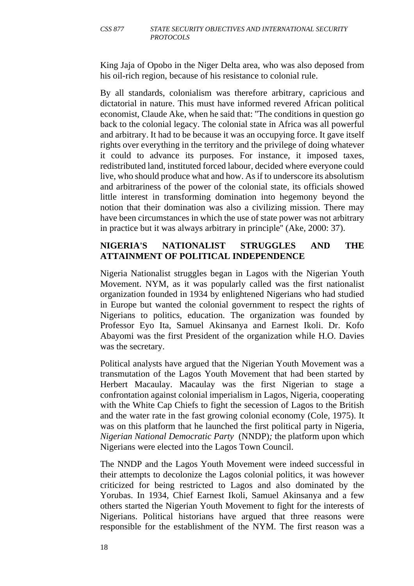King Jaja of Opobo in the Niger Delta area, who was also deposed from his oil-rich region, because of his resistance to colonial rule.

By all standards, colonialism was therefore arbitrary, capricious and dictatorial in nature. This must have informed revered African political economist, Claude Ake, when he said that: ''The conditions in question go back to the colonial legacy. The colonial state in Africa was all powerful and arbitrary. It had to be because it was an occupying force. It gave itself rights over everything in the territory and the privilege of doing whatever it could to advance its purposes. For instance, it imposed taxes, redistributed land, instituted forced labour, decided where everyone could live, who should produce what and how. As if to underscore its absolutism and arbitrariness of the power of the colonial state, its officials showed little interest in transforming domination into hegemony beyond the notion that their domination was also a civilizing mission. There may have been circumstances in which the use of state power was not arbitrary in practice but it was always arbitrary in principle'' (Ake, 2000: 37).

## **NIGERIA'S NATIONALIST STRUGGLES AND THE ATTAINMENT OF POLITICAL INDEPENDENCE**

Nigeria Nationalist struggles began in Lagos with the Nigerian Youth Movement. NYM, as it was popularly called was the first nationalist organization founded in 1934 by enlightened Nigerians who had studied in Europe but wanted the colonial government to respect the rights of Nigerians to politics, education. The organization was founded by Professor Eyo Ita, Samuel Akinsanya and Earnest Ikoli. Dr. Kofo Abayomi was the first President of the organization while H.O. Davies was the secretary.

Political analysts have argued that the Nigerian Youth Movement was a transmutation of the Lagos Youth Movement that had been started by Herbert Macaulay. Macaulay was the first Nigerian to stage a confrontation against colonial imperialism in Lagos, Nigeria, cooperating with the White Cap Chiefs to fight the secession of Lagos to the British and the water rate in the fast growing colonial economy (Cole, 1975). It was on this platform that he launched the first political party in Nigeria, *Nigerian National Democratic Party* (NNDP)*;* the platform upon which Nigerians were elected into the Lagos Town Council.

The NNDP and the Lagos Youth Movement were indeed successful in their attempts to decolonize the Lagos colonial politics, it was however criticized for being restricted to Lagos and also dominated by the Yorubas. In 1934, Chief Earnest Ikoli, Samuel Akinsanya and a few others started the Nigerian Youth Movement to fight for the interests of Nigerians. Political historians have argued that three reasons were responsible for the establishment of the NYM. The first reason was a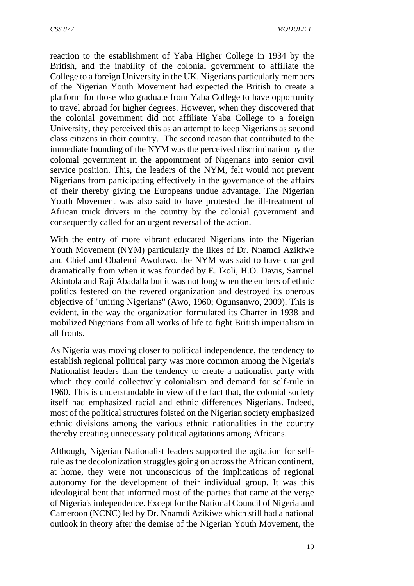reaction to the establishment of Yaba Higher College in 1934 by the British, and the inability of the colonial government to affiliate the College to a foreign University in the UK. Nigerians particularly members of the Nigerian Youth Movement had expected the British to create a platform for those who graduate from Yaba College to have opportunity to travel abroad for higher degrees. However, when they discovered that the colonial government did not affiliate Yaba College to a foreign University, they perceived this as an attempt to keep Nigerians as second class citizens in their country. The second reason that contributed to the immediate founding of the NYM was the perceived discrimination by the colonial government in the appointment of Nigerians into senior civil service position. This, the leaders of the NYM, felt would not prevent Nigerians from participating effectively in the governance of the affairs of their thereby giving the Europeans undue advantage. The Nigerian Youth Movement was also said to have protested the ill-treatment of African truck drivers in the country by the colonial government and consequently called for an urgent reversal of the action.

With the entry of more vibrant educated Nigerians into the Nigerian Youth Movement (NYM) particularly the likes of Dr. Nnamdi Azikiwe and Chief and Obafemi Awolowo, the NYM was said to have changed dramatically from when it was founded by E. Ikoli, H.O. Davis, Samuel Akintola and Raji Abadalla but it was not long when the embers of ethnic politics festered on the revered organization and destroyed its onerous objective of ''uniting Nigerians'' (Awo, 1960; Ogunsanwo, 2009). This is evident, in the way the organization formulated its Charter in 1938 and mobilized Nigerians from all works of life to fight British imperialism in all fronts.

As Nigeria was moving closer to political independence, the tendency to establish regional political party was more common among the Nigeria's Nationalist leaders than the tendency to create a nationalist party with which they could collectively colonialism and demand for self-rule in 1960. This is understandable in view of the fact that, the colonial society itself had emphasized racial and ethnic differences Nigerians. Indeed, most of the political structures foisted on the Nigerian society emphasized ethnic divisions among the various ethnic nationalities in the country thereby creating unnecessary political agitations among Africans.

Although, Nigerian Nationalist leaders supported the agitation for selfrule as the decolonization struggles going on across the African continent, at home, they were not unconscious of the implications of regional autonomy for the development of their individual group. It was this ideological bent that informed most of the parties that came at the verge of Nigeria's independence. Except for the National Council of Nigeria and Cameroon (NCNC) led by Dr. Nnamdi Azikiwe which still had a national outlook in theory after the demise of the Nigerian Youth Movement, the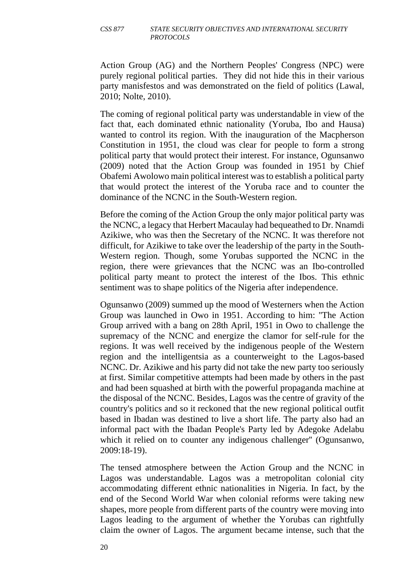#### *CSS 877 STATE SECURITY OBJECTIVES AND INTERNATIONAL SECURITY PROTOCOLS*

Action Group (AG) and the Northern Peoples' Congress (NPC) were purely regional political parties. They did not hide this in their various party manisfestos and was demonstrated on the field of politics (Lawal, 2010; Nolte, 2010).

The coming of regional political party was understandable in view of the fact that, each dominated ethnic nationality (Yoruba, Ibo and Hausa) wanted to control its region. With the inauguration of the Macpherson Constitution in 1951, the cloud was clear for people to form a strong political party that would protect their interest. For instance, Ogunsanwo (2009) noted that the Action Group was founded in 1951 by Chief Obafemi Awolowo main political interest was to establish a political party that would protect the interest of the Yoruba race and to counter the dominance of the NCNC in the South-Western region.

Before the coming of the Action Group the only major political party was the NCNC, a legacy that Herbert Macaulay had bequeathed to Dr. Nnamdi Azikiwe, who was then the Secretary of the NCNC. It was therefore not difficult, for Azikiwe to take over the leadership of the party in the South-Western region. Though, some Yorubas supported the NCNC in the region, there were grievances that the NCNC was an Ibo-controlled political party meant to protect the interest of the Ibos. This ethnic sentiment was to shape politics of the Nigeria after independence.

Ogunsanwo (2009) summed up the mood of Westerners when the Action Group was launched in Owo in 1951. According to him: ''The Action Group arrived with a bang on 28th April, 1951 in Owo to challenge the supremacy of the NCNC and energize the clamor for self-rule for the regions. It was well received by the indigenous people of the Western region and the intelligentsia as a counterweight to the Lagos-based NCNC. Dr. Azikiwe and his party did not take the new party too seriously at first. Similar competitive attempts had been made by others in the past and had been squashed at birth with the powerful propaganda machine at the disposal of the NCNC. Besides, Lagos was the centre of gravity of the country's politics and so it reckoned that the new regional political outfit based in Ibadan was destined to live a short life. The party also had an informal pact with the Ibadan People's Party led by Adegoke Adelabu which it relied on to counter any indigenous challenger" (Ogunsanwo, 2009:18-19).

The tensed atmosphere between the Action Group and the NCNC in Lagos was understandable. Lagos was a metropolitan colonial city accommodating different ethnic nationalities in Nigeria. In fact, by the end of the Second World War when colonial reforms were taking new shapes, more people from different parts of the country were moving into Lagos leading to the argument of whether the Yorubas can rightfully claim the owner of Lagos. The argument became intense, such that the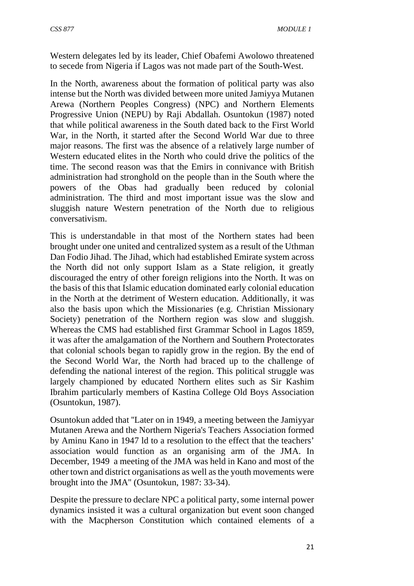Western delegates led by its leader, Chief Obafemi Awolowo threatened to secede from Nigeria if Lagos was not made part of the South-West.

In the North, awareness about the formation of political party was also intense but the North was divided between more united Jamiyya Mutanen Arewa (Northern Peoples Congress) (NPC) and Northern Elements Progressive Union (NEPU) by Raji Abdallah. Osuntokun (1987) noted that while political awareness in the South dated back to the First World War, in the North, it started after the Second World War due to three major reasons. The first was the absence of a relatively large number of Western educated elites in the North who could drive the politics of the time. The second reason was that the Emirs in connivance with British administration had stronghold on the people than in the South where the powers of the Obas had gradually been reduced by colonial administration. The third and most important issue was the slow and sluggish nature Western penetration of the North due to religious conversativism.

This is understandable in that most of the Northern states had been brought under one united and centralized system as a result of the Uthman Dan Fodio Jihad. The Jihad, which had established Emirate system across the North did not only support Islam as a State religion, it greatly discouraged the entry of other foreign religions into the North. It was on the basis of this that Islamic education dominated early colonial education in the North at the detriment of Western education. Additionally, it was also the basis upon which the Missionaries (e.g. Christian Missionary Society) penetration of the Northern region was slow and sluggish. Whereas the CMS had established first Grammar School in Lagos 1859, it was after the amalgamation of the Northern and Southern Protectorates that colonial schools began to rapidly grow in the region. By the end of the Second World War, the North had braced up to the challenge of defending the national interest of the region. This political struggle was largely championed by educated Northern elites such as Sir Kashim Ibrahim particularly members of Kastina College Old Boys Association (Osuntokun, 1987).

Osuntokun added that ''Later on in 1949, a meeting between the Jamiyyar Mutanen Arewa and the Northern Nigeria's Teachers Association formed by Aminu Kano in 1947 ld to a resolution to the effect that the teachers' association would function as an organising arm of the JMA. In December, 1949 a meeting of the JMA was held in Kano and most of the other town and district organisations as well as the youth movements were brought into the JMA'' (Osuntokun, 1987: 33-34).

Despite the pressure to declare NPC a political party, some internal power dynamics insisted it was a cultural organization but event soon changed with the Macpherson Constitution which contained elements of a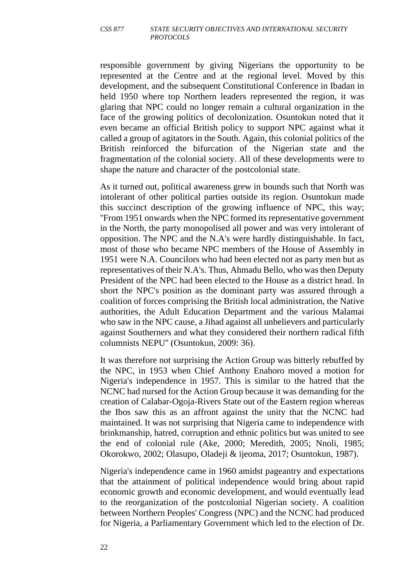#### *CSS 877 STATE SECURITY OBJECTIVES AND INTERNATIONAL SECURITY PROTOCOLS*

responsible government by giving Nigerians the opportunity to be represented at the Centre and at the regional level. Moved by this development, and the subsequent Constitutional Conference in Ibadan in held 1950 where top Northern leaders represented the region, it was glaring that NPC could no longer remain a cultural organization in the face of the growing politics of decolonization. Osuntokun noted that it even became an official British policy to support NPC against what it called a group of agitators in the South. Again, this colonial politics of the British reinforced the bifurcation of the Nigerian state and the fragmentation of the colonial society. All of these developments were to shape the nature and character of the postcolonial state.

As it turned out, political awareness grew in bounds such that North was intolerant of other political parties outside its region. Osuntokun made this succinct description of the growing influence of NPC, this way; ''From 1951 onwards when the NPC formed its representative government in the North, the party monopolised all power and was very intolerant of opposition. The NPC and the N.A's were hardly distinguishable. In fact, most of those who became NPC members of the House of Assembly in 1951 were N.A. Councilors who had been elected not as party men but as representatives of their N.A's. Thus, Ahmadu Bello, who was then Deputy President of the NPC had been elected to the House as a district head. In short the NPC's position as the dominant party was assured through a coalition of forces comprising the British local administration, the Native authorities, the Adult Education Department and the various Malamai who saw in the NPC cause, a Jihad against all unbelievers and particularly against Southerners and what they considered their northern radical fifth columnists NEPU'' (Osuntokun, 2009: 36).

It was therefore not surprising the Action Group was bitterly rebuffed by the NPC, in 1953 when Chief Anthony Enahoro moved a motion for Nigeria's independence in 1957. This is similar to the hatred that the NCNC had nursed for the Action Group because it was demanding for the creation of Calabar-Ogoja-Rivers State out of the Eastern region whereas the Ibos saw this as an affront against the unity that the NCNC had maintained. It was not surprising that Nigeria came to independence with brinkmanship, hatred, corruption and ethnic politics but was united to see the end of colonial rule (Ake, 2000; Meredith, 2005; Nnoli, 1985; Okorokwo, 2002; Olasupo, Oladeji & ijeoma, 2017; Osuntokun, 1987).

Nigeria's independence came in 1960 amidst pageantry and expectations that the attainment of political independence would bring about rapid economic growth and economic development, and would eventually lead to the reorganization of the postcolonial Nigerian society. A coalition between Northern Peoples' Congress (NPC) and the NCNC had produced for Nigeria, a Parliamentary Government which led to the election of Dr.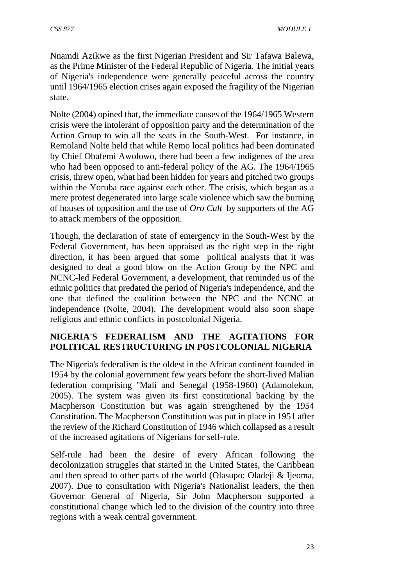Nnamdi Azikwe as the first Nigerian President and Sir Tafawa Balewa, as the Prime Minister of the Federal Republic of Nigeria. The initial years of Nigeria's independence were generally peaceful across the country until 1964/1965 election crises again exposed the fragility of the Nigerian state.

Nolte (2004) opined that, the immediate causes of the 1964/1965 Western crisis were the intolerant of opposition party and the determination of the Action Group to win all the seats in the South-West. For instance, in Remoland Nolte held that while Remo local politics had been dominated by Chief Obafemi Awolowo, there had been a few indigenes of the area who had been opposed to anti-federal policy of the AG. The 1964/1965 crisis, threw open, what had been hidden for years and pitched two groups within the Yoruba race against each other. The crisis, which began as a mere protest degenerated into large scale violence which saw the burning of houses of opposition and the use of *Oro Cult* by supporters of the AG to attack members of the opposition.

Though, the declaration of state of emergency in the South-West by the Federal Government, has been appraised as the right step in the right direction, it has been argued that some political analysts that it was designed to deal a good blow on the Action Group by the NPC and NCNC-led Federal Government, a development, that reminded us of the ethnic politics that predated the period of Nigeria's independence, and the one that defined the coalition between the NPC and the NCNC at independence (Nolte, 2004). The development would also soon shape religious and ethnic conflicts in postcolonial Nigeria.

#### **NIGERIA'S FEDERALISM AND THE AGITATIONS FOR POLITICAL RESTRUCTURING IN POSTCOLONIAL NIGERIA**

The Nigeria's federalism is the oldest in the African continent founded in 1954 by the colonial government few years before the short-lived Malian federation comprising ''Mali and Senegal (1958-1960) (Adamolekun, 2005). The system was given its first constitutional backing by the Macpherson Constitution but was again strengthened by the 1954 Constitution. The Macpherson Constitution was put in place in 1951 after the review of the Richard Constitution of 1946 which collapsed as a result of the increased agitations of Nigerians for self-rule.

Self-rule had been the desire of every African following the decolonization struggles that started in the United States, the Caribbean and then spread to other parts of the world (Olasupo; Oladeji & Ijeoma, 2007). Due to consultation with Nigeria's Nationalist leaders, the then Governor General of Nigeria, Sir John Macpherson supported a constitutional change which led to the division of the country into three regions with a weak central government.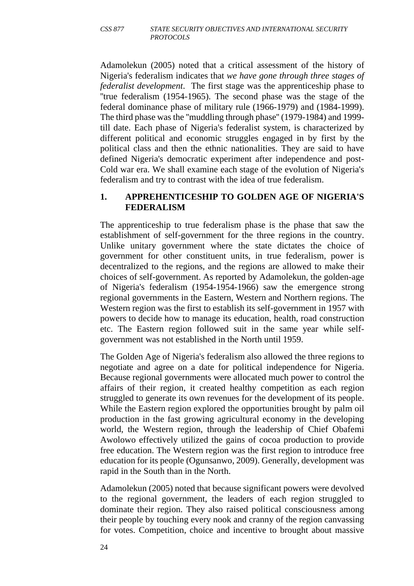Adamolekun (2005) noted that a critical assessment of the history of Nigeria's federalism indicates that *we have gone through three stages of federalist development*. The first stage was the apprenticeship phase to ''true federalism (1954-1965). The second phase was the stage of the federal dominance phase of military rule (1966-1979) and (1984-1999). The third phase was the ''muddling through phase'' (1979-1984) and 1999 till date. Each phase of Nigeria's federalist system, is characterized by different political and economic struggles engaged in by first by the political class and then the ethnic nationalities. They are said to have defined Nigeria's democratic experiment after independence and post-Cold war era. We shall examine each stage of the evolution of Nigeria's federalism and try to contrast with the idea of true federalism.

#### **1. APPREHENTICESHIP TO GOLDEN AGE OF NIGERIA'S FEDERALISM**

The apprenticeship to true federalism phase is the phase that saw the establishment of self-government for the three regions in the country. Unlike unitary government where the state dictates the choice of government for other constituent units, in true federalism, power is decentralized to the regions, and the regions are allowed to make their choices of self-government. As reported by Adamolekun, the golden-age of Nigeria's federalism (1954-1954-1966) saw the emergence strong regional governments in the Eastern, Western and Northern regions. The Western region was the first to establish its self-government in 1957 with powers to decide how to manage its education, health, road construction etc. The Eastern region followed suit in the same year while selfgovernment was not established in the North until 1959.

The Golden Age of Nigeria's federalism also allowed the three regions to negotiate and agree on a date for political independence for Nigeria. Because regional governments were allocated much power to control the affairs of their region, it created healthy competition as each region struggled to generate its own revenues for the development of its people. While the Eastern region explored the opportunities brought by palm oil production in the fast growing agricultural economy in the developing world, the Western region, through the leadership of Chief Obafemi Awolowo effectively utilized the gains of cocoa production to provide free education. The Western region was the first region to introduce free education for its people (Ogunsanwo, 2009). Generally, development was rapid in the South than in the North.

Adamolekun (2005) noted that because significant powers were devolved to the regional government, the leaders of each region struggled to dominate their region. They also raised political consciousness among their people by touching every nook and cranny of the region canvassing for votes. Competition, choice and incentive to brought about massive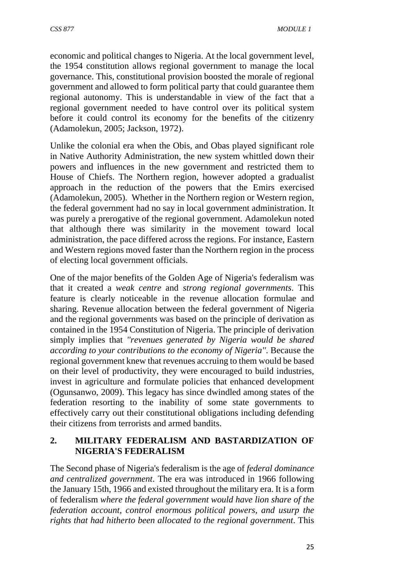economic and political changes to Nigeria. At the local government level, the 1954 constitution allows regional government to manage the local governance. This, constitutional provision boosted the morale of regional government and allowed to form political party that could guarantee them regional autonomy. This is understandable in view of the fact that a regional government needed to have control over its political system before it could control its economy for the benefits of the citizenry (Adamolekun, 2005; Jackson, 1972).

Unlike the colonial era when the Obis, and Obas played significant role in Native Authority Administration, the new system whittled down their powers and influences in the new government and restricted them to House of Chiefs. The Northern region, however adopted a gradualist approach in the reduction of the powers that the Emirs exercised (Adamolekun, 2005). Whether in the Northern region or Western region, the federal government had no say in local government administration. It was purely a prerogative of the regional government. Adamolekun noted that although there was similarity in the movement toward local administration, the pace differed across the regions. For instance, Eastern and Western regions moved faster than the Northern region in the process of electing local government officials.

One of the major benefits of the Golden Age of Nigeria's federalism was that it created a *weak centre* and *strong regional governments*. This feature is clearly noticeable in the revenue allocation formulae and sharing. Revenue allocation between the federal government of Nigeria and the regional governments was based on the principle of derivation as contained in the 1954 Constitution of Nigeria. The principle of derivation simply implies that *''revenues generated by Nigeria would be shared according to your contributions to the economy of Nigeria''*. Because the regional government knew that revenues accruing to them would be based on their level of productivity, they were encouraged to build industries, invest in agriculture and formulate policies that enhanced development (Ogunsanwo, 2009). This legacy has since dwindled among states of the federation resorting to the inability of some state governments to effectively carry out their constitutional obligations including defending their citizens from terrorists and armed bandits.

### **2. MILITARY FEDERALISM AND BASTARDIZATION OF NIGERIA'S FEDERALISM**

The Second phase of Nigeria's federalism is the age of *federal dominance and centralized government*. The era was introduced in 1966 following the January 15th, 1966 and existed throughout the military era. It is a form of federalism *where the federal government would have lion share of the federation account, control enormous political powers, and usurp the rights that had hitherto been allocated to the regional government*. This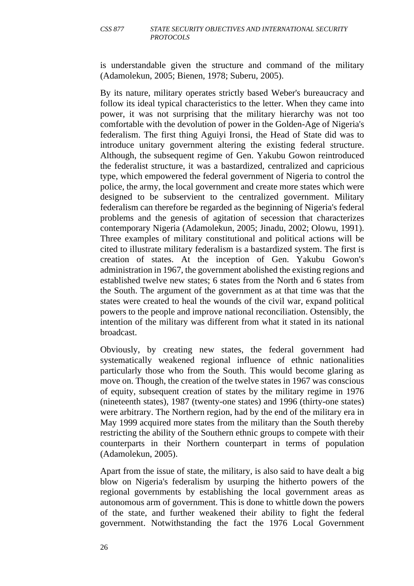is understandable given the structure and command of the military (Adamolekun, 2005; Bienen, 1978; Suberu, 2005).

By its nature, military operates strictly based Weber's bureaucracy and follow its ideal typical characteristics to the letter. When they came into power, it was not surprising that the military hierarchy was not too comfortable with the devolution of power in the Golden-Age of Nigeria's federalism. The first thing Aguiyi Ironsi, the Head of State did was to introduce unitary government altering the existing federal structure. Although, the subsequent regime of Gen. Yakubu Gowon reintroduced the federalist structure, it was a bastardized, centralized and capricious type, which empowered the federal government of Nigeria to control the police, the army, the local government and create more states which were designed to be subservient to the centralized government. Military federalism can therefore be regarded as the beginning of Nigeria's federal problems and the genesis of agitation of secession that characterizes contemporary Nigeria (Adamolekun, 2005; Jinadu, 2002; Olowu, 1991). Three examples of military constitutional and political actions will be cited to illustrate military federalism is a bastardized system. The first is creation of states. At the inception of Gen. Yakubu Gowon's administration in 1967, the government abolished the existing regions and established twelve new states; 6 states from the North and 6 states from the South. The argument of the government as at that time was that the states were created to heal the wounds of the civil war, expand political powers to the people and improve national reconciliation. Ostensibly, the intention of the military was different from what it stated in its national broadcast.

Obviously, by creating new states, the federal government had systematically weakened regional influence of ethnic nationalities particularly those who from the South. This would become glaring as move on. Though, the creation of the twelve states in 1967 was conscious of equity, subsequent creation of states by the military regime in 1976 (nineteenth states), 1987 (twenty-one states) and 1996 (thirty-one states) were arbitrary. The Northern region, had by the end of the military era in May 1999 acquired more states from the military than the South thereby restricting the ability of the Southern ethnic groups to compete with their counterparts in their Northern counterpart in terms of population (Adamolekun, 2005).

Apart from the issue of state, the military, is also said to have dealt a big blow on Nigeria's federalism by usurping the hitherto powers of the regional governments by establishing the local government areas as autonomous arm of government. This is done to whittle down the powers of the state, and further weakened their ability to fight the federal government. Notwithstanding the fact the 1976 Local Government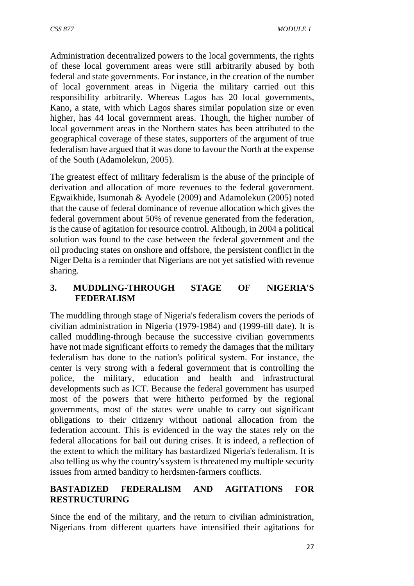Administration decentralized powers to the local governments, the rights of these local government areas were still arbitrarily abused by both federal and state governments. For instance, in the creation of the number of local government areas in Nigeria the military carried out this responsibility arbitrarily. Whereas Lagos has 20 local governments, Kano, a state, with which Lagos shares similar population size or even higher, has 44 local government areas. Though, the higher number of local government areas in the Northern states has been attributed to the geographical coverage of these states, supporters of the argument of true federalism have argued that it was done to favour the North at the expense of the South (Adamolekun, 2005).

The greatest effect of military federalism is the abuse of the principle of derivation and allocation of more revenues to the federal government. Egwaikhide, Isumonah & Ayodele (2009) and Adamolekun (2005) noted that the cause of federal dominance of revenue allocation which gives the federal government about 50% of revenue generated from the federation, is the cause of agitation for resource control. Although, in 2004 a political solution was found to the case between the federal government and the oil producing states on onshore and offshore, the persistent conflict in the Niger Delta is a reminder that Nigerians are not yet satisfied with revenue sharing.

### **3. MUDDLING-THROUGH STAGE OF NIGERIA'S FEDERALISM**

The muddling through stage of Nigeria's federalism covers the periods of civilian administration in Nigeria (1979-1984) and (1999-till date). It is called muddling-through because the successive civilian governments have not made significant efforts to remedy the damages that the military federalism has done to the nation's political system. For instance, the center is very strong with a federal government that is controlling the police, the military, education and health and infrastructural developments such as ICT. Because the federal government has usurped most of the powers that were hitherto performed by the regional governments, most of the states were unable to carry out significant obligations to their citizenry without national allocation from the federation account. This is evidenced in the way the states rely on the federal allocations for bail out during crises. It is indeed, a reflection of the extent to which the military has bastardized Nigeria's federalism. It is also telling us why the country's system is threatened my multiple security issues from armed banditry to herdsmen-farmers conflicts.

### **BASTADIZED FEDERALISM AND AGITATIONS FOR RESTRUCTURING**

Since the end of the military, and the return to civilian administration, Nigerians from different quarters have intensified their agitations for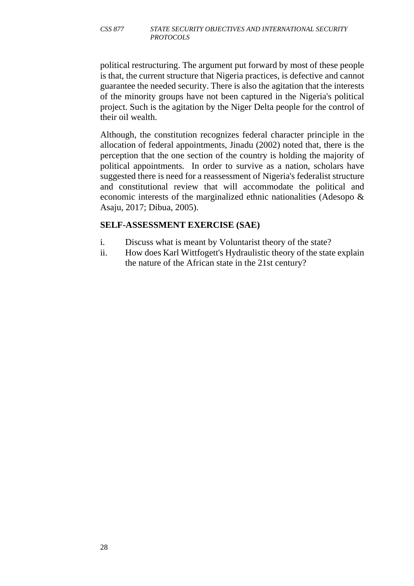political restructuring. The argument put forward by most of these people is that, the current structure that Nigeria practices, is defective and cannot guarantee the needed security. There is also the agitation that the interests of the minority groups have not been captured in the Nigeria's political project. Such is the agitation by the Niger Delta people for the control of their oil wealth.

Although, the constitution recognizes federal character principle in the allocation of federal appointments, Jinadu (2002) noted that, there is the perception that the one section of the country is holding the majority of political appointments. In order to survive as a nation, scholars have suggested there is need for a reassessment of Nigeria's federalist structure and constitutional review that will accommodate the political and economic interests of the marginalized ethnic nationalities (Adesopo & Asaju, 2017; Dibua, 2005).

#### **SELF-ASSESSMENT EXERCISE (SAE)**

- i. Discuss what is meant by Voluntarist theory of the state?
- ii. How does Karl Wittfogett's Hydraulistic theory of the state explain the nature of the African state in the 21st century?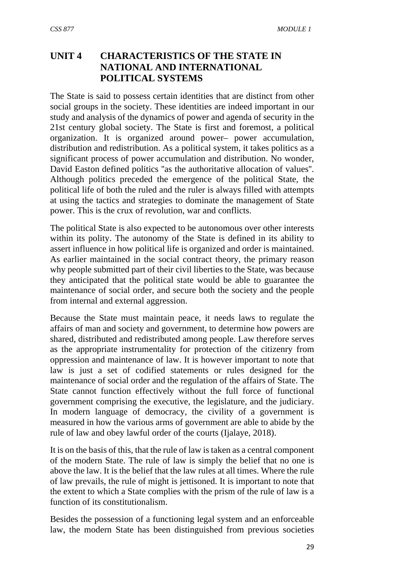# **UNIT 4 CHARACTERISTICS OF THE STATE IN NATIONAL AND INTERNATIONAL POLITICAL SYSTEMS**

The State is said to possess certain identities that are distinct from other social groups in the society. These identities are indeed important in our study and analysis of the dynamics of power and agenda of security in the 21st century global society. The State is first and foremost, a political organization. It is organized around power– power accumulation, distribution and redistribution. As a political system, it takes politics as a significant process of power accumulation and distribution. No wonder, David Easton defined politics ''as the authoritative allocation of values''. Although politics preceded the emergence of the political State, the political life of both the ruled and the ruler is always filled with attempts at using the tactics and strategies to dominate the management of State power. This is the crux of revolution, war and conflicts.

The political State is also expected to be autonomous over other interests within its polity. The autonomy of the State is defined in its ability to assert influence in how political life is organized and order is maintained. As earlier maintained in the social contract theory, the primary reason why people submitted part of their civil liberties to the State, was because they anticipated that the political state would be able to guarantee the maintenance of social order, and secure both the society and the people from internal and external aggression.

Because the State must maintain peace, it needs laws to regulate the affairs of man and society and government, to determine how powers are shared, distributed and redistributed among people. Law therefore serves as the appropriate instrumentality for protection of the citizenry from oppression and maintenance of law. It is however important to note that law is just a set of codified statements or rules designed for the maintenance of social order and the regulation of the affairs of State. The State cannot function effectively without the full force of functional government comprising the executive, the legislature, and the judiciary. In modern language of democracy, the civility of a government is measured in how the various arms of government are able to abide by the rule of law and obey lawful order of the courts (Ijalaye, 2018).

It is on the basis of this, that the rule of law is taken as a central component of the modern State. The rule of law is simply the belief that no one is above the law. It is the belief that the law rules at all times. Where the rule of law prevails, the rule of might is jettisoned. It is important to note that the extent to which a State complies with the prism of the rule of law is a function of its constitutionalism.

Besides the possession of a functioning legal system and an enforceable law, the modern State has been distinguished from previous societies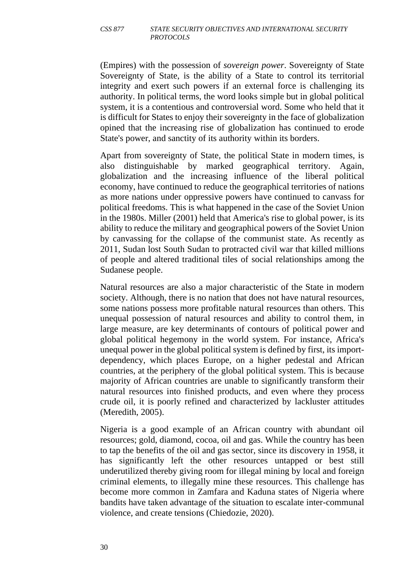(Empires) with the possession of *sovereign power*. Sovereignty of State Sovereignty of State, is the ability of a State to control its territorial integrity and exert such powers if an external force is challenging its authority. In political terms, the word looks simple but in global political system, it is a contentious and controversial word. Some who held that it is difficult for States to enjoy their sovereignty in the face of globalization opined that the increasing rise of globalization has continued to erode State's power, and sanctity of its authority within its borders.

Apart from sovereignty of State, the political State in modern times, is also distinguishable by marked geographical territory. Again, globalization and the increasing influence of the liberal political economy, have continued to reduce the geographical territories of nations as more nations under oppressive powers have continued to canvass for political freedoms. This is what happened in the case of the Soviet Union in the 1980s. Miller (2001) held that America's rise to global power, is its ability to reduce the military and geographical powers of the Soviet Union by canvassing for the collapse of the communist state. As recently as 2011, Sudan lost South Sudan to protracted civil war that killed millions of people and altered traditional tiles of social relationships among the Sudanese people.

Natural resources are also a major characteristic of the State in modern society. Although, there is no nation that does not have natural resources, some nations possess more profitable natural resources than others. This unequal possession of natural resources and ability to control them, in large measure, are key determinants of contours of political power and global political hegemony in the world system. For instance, Africa's unequal power in the global political system is defined by first, its importdependency, which places Europe, on a higher pedestal and African countries, at the periphery of the global political system. This is because majority of African countries are unable to significantly transform their natural resources into finished products, and even where they process crude oil, it is poorly refined and characterized by lackluster attitudes (Meredith, 2005).

Nigeria is a good example of an African country with abundant oil resources; gold, diamond, cocoa, oil and gas. While the country has been to tap the benefits of the oil and gas sector, since its discovery in 1958, it has significantly left the other resources untapped or best still underutilized thereby giving room for illegal mining by local and foreign criminal elements, to illegally mine these resources. This challenge has become more common in Zamfara and Kaduna states of Nigeria where bandits have taken advantage of the situation to escalate inter-communal violence, and create tensions (Chiedozie, 2020).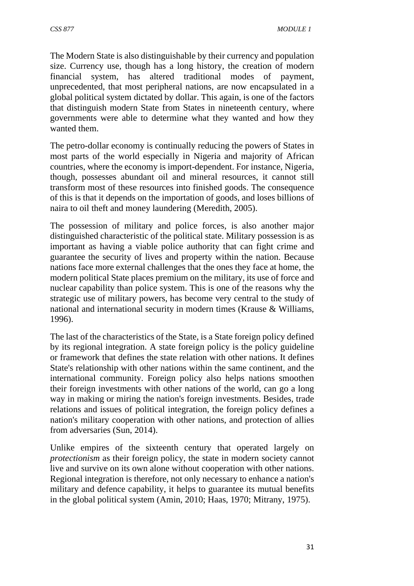The Modern State is also distinguishable by their currency and population size. Currency use, though has a long history, the creation of modern financial system, has altered traditional modes of payment, unprecedented, that most peripheral nations, are now encapsulated in a global political system dictated by dollar. This again, is one of the factors that distinguish modern State from States in nineteenth century, where governments were able to determine what they wanted and how they wanted them.

The petro-dollar economy is continually reducing the powers of States in most parts of the world especially in Nigeria and majority of African countries, where the economy is import-dependent. For instance, Nigeria, though, possesses abundant oil and mineral resources, it cannot still transform most of these resources into finished goods. The consequence of this is that it depends on the importation of goods, and loses billions of naira to oil theft and money laundering (Meredith, 2005).

The possession of military and police forces, is also another major distinguished characteristic of the political state. Military possession is as important as having a viable police authority that can fight crime and guarantee the security of lives and property within the nation. Because nations face more external challenges that the ones they face at home, the modern political State places premium on the military, its use of force and nuclear capability than police system. This is one of the reasons why the strategic use of military powers, has become very central to the study of national and international security in modern times (Krause & Williams, 1996).

The last of the characteristics of the State, is a State foreign policy defined by its regional integration. A state foreign policy is the policy guideline or framework that defines the state relation with other nations. It defines State's relationship with other nations within the same continent, and the international community. Foreign policy also helps nations smoothen their foreign investments with other nations of the world, can go a long way in making or miring the nation's foreign investments. Besides, trade relations and issues of political integration, the foreign policy defines a nation's military cooperation with other nations, and protection of allies from adversaries (Sun, 2014).

Unlike empires of the sixteenth century that operated largely on *protectionism* as their foreign policy, the state in modern society cannot live and survive on its own alone without cooperation with other nations. Regional integration is therefore, not only necessary to enhance a nation's military and defence capability, it helps to guarantee its mutual benefits in the global political system (Amin, 2010; Haas, 1970; Mitrany, 1975).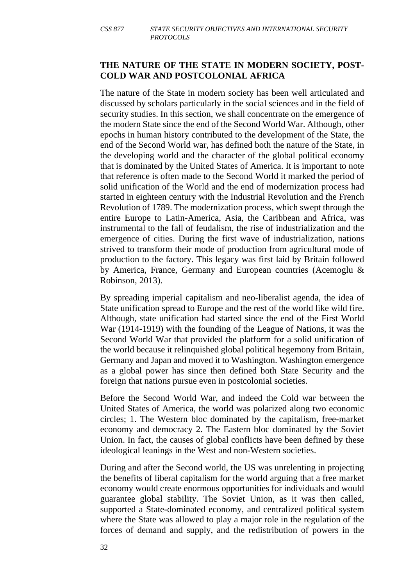#### **THE NATURE OF THE STATE IN MODERN SOCIETY, POST-COLD WAR AND POSTCOLONIAL AFRICA**

The nature of the State in modern society has been well articulated and discussed by scholars particularly in the social sciences and in the field of security studies. In this section, we shall concentrate on the emergence of the modern State since the end of the Second World War. Although, other epochs in human history contributed to the development of the State, the end of the Second World war, has defined both the nature of the State, in the developing world and the character of the global political economy that is dominated by the United States of America. It is important to note that reference is often made to the Second World it marked the period of solid unification of the World and the end of modernization process had started in eighteen century with the Industrial Revolution and the French Revolution of 1789. The modernization process, which swept through the entire Europe to Latin-America, Asia, the Caribbean and Africa, was instrumental to the fall of feudalism, the rise of industrialization and the emergence of cities. During the first wave of industrialization, nations strived to transform their mode of production from agricultural mode of production to the factory. This legacy was first laid by Britain followed by America, France, Germany and European countries (Acemoglu & Robinson, 2013).

By spreading imperial capitalism and neo-liberalist agenda, the idea of State unification spread to Europe and the rest of the world like wild fire. Although, state unification had started since the end of the First World War (1914-1919) with the founding of the League of Nations, it was the Second World War that provided the platform for a solid unification of the world because it relinquished global political hegemony from Britain, Germany and Japan and moved it to Washington. Washington emergence as a global power has since then defined both State Security and the foreign that nations pursue even in postcolonial societies.

Before the Second World War, and indeed the Cold war between the United States of America, the world was polarized along two economic circles; 1. The Western bloc dominated by the capitalism, free-market economy and democracy 2. The Eastern bloc dominated by the Soviet Union. In fact, the causes of global conflicts have been defined by these ideological leanings in the West and non-Western societies.

During and after the Second world, the US was unrelenting in projecting the benefits of liberal capitalism for the world arguing that a free market economy would create enormous opportunities for individuals and would guarantee global stability. The Soviet Union, as it was then called, supported a State-dominated economy, and centralized political system where the State was allowed to play a major role in the regulation of the forces of demand and supply, and the redistribution of powers in the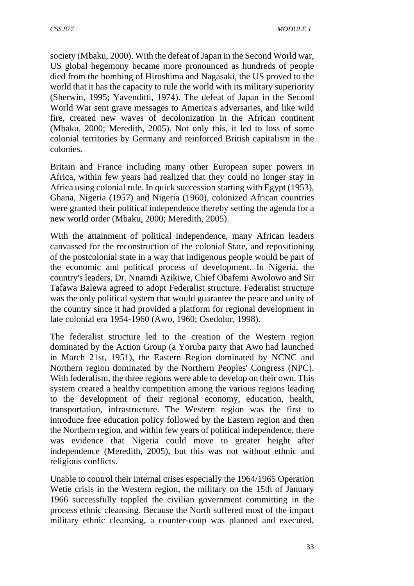society (Mbaku, 2000). With the defeat of Japan in the Second World war, US global hegemony became more pronounced as hundreds of people died from the bombing of Hiroshima and Nagasaki, the US proved to the world that it has the capacity to rule the world with its military superiority (Sherwin, 1995; Yavenditti, 1974). The defeat of Japan in the Second World War sent grave messages to America's adversaries, and like wild fire, created new waves of decolonization in the African continent (Mbaku, 2000; Meredith, 2005). Not only this, it led to loss of some colonial territories by Germany and reinforced British capitalism in the colonies.

Britain and France including many other European super powers in Africa, within few years had realized that they could no longer stay in Africa using colonial rule. In quick succession starting with Egypt (1953), Ghana, Nigeria (1957) and Nigeria (1960), colonized African countries were granted their political independence thereby setting the agenda for a new world order (Mbaku, 2000; Meredith, 2005).

With the attainment of political independence, many African leaders canvassed for the reconstruction of the colonial State, and repositioning of the postcolonial state in a way that indigenous people would be part of the economic and political process of development. In Nigeria, the country's leaders, Dr. Nnamdi Azikiwe, Chief Obafemi Awolowo and Sir Tafawa Balewa agreed to adopt Federalist structure. Federalist structure was the only political system that would guarantee the peace and unity of the country since it had provided a platform for regional development in late colonial era 1954-1960 (Awo, 1960; Osedolor, 1998).

The federalist structure led to the creation of the Western region dominated by the Action Group (a Yoruba party that Awo had launched in March 21st, 1951), the Eastern Region dominated by NCNC and Northern region dominated by the Northern Peoples' Congress (NPC). With federalism, the three regions were able to develop on their own. This system created a healthy competition among the various regions leading to the development of their regional economy, education, health, transportation, infrastructure. The Western region was the first to introduce free education policy followed by the Eastern region and then the Northern region, and within few years of political independence, there was evidence that Nigeria could move to greater height after independence (Meredith, 2005), but this was not without ethnic and religious conflicts.

Unable to control their internal crises especially the 1964/1965 Operation Wetie crisis in the Western region, the military on the 15th of January 1966 successfully toppled the civilian government committing in the process ethnic cleansing. Because the North suffered most of the impact military ethnic cleansing, a counter-coup was planned and executed,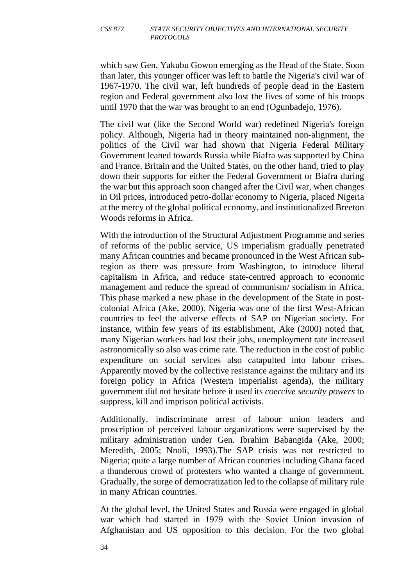which saw Gen. Yakubu Gowon emerging as the Head of the State. Soon than later, this younger officer was left to battle the Nigeria's civil war of 1967-1970. The civil war, left hundreds of people dead in the Eastern region and Federal government also lost the lives of some of his troops until 1970 that the war was brought to an end (Ogunbadejo, 1976).

The civil war (like the Second World war) redefined Nigeria's foreign policy. Although, Nigeria had in theory maintained non-alignment, the politics of the Civil war had shown that Nigeria Federal Military Government leaned towards Russia while Biafra was supported by China and France. Britain and the United States, on the other hand, tried to play down their supports for either the Federal Government or Biafra during the war but this approach soon changed after the Civil war, when changes in Oil prices, introduced petro-dollar economy to Nigeria, placed Nigeria at the mercy of the global political economy, and institutionalized Breeton Woods reforms in Africa.

With the introduction of the Structural Adjustment Programme and series of reforms of the public service, US imperialism gradually penetrated many African countries and became pronounced in the West African subregion as there was pressure from Washington, to introduce liberal capitalism in Africa, and reduce state-centred approach to economic management and reduce the spread of communism/ socialism in Africa. This phase marked a new phase in the development of the State in postcolonial Africa (Ake, 2000). Nigeria was one of the first West-African countries to feel the adverse effects of SAP on Nigerian society. For instance, within few years of its establishment, Ake (2000) noted that, many Nigerian workers had lost their jobs, unemployment rate increased astronomically so also was crime rate. The reduction in the cost of public expenditure on social services also catapulted into labour crises. Apparently moved by the collective resistance against the military and its foreign policy in Africa (Western imperialist agenda), the military government did not hesitate before it used its *coercive security powers* to suppress, kill and imprison political activists.

Additionally, indiscriminate arrest of labour union leaders and proscription of perceived labour organizations were supervised by the military administration under Gen. Ibrahim Babangida (Ake, 2000; Meredith, 2005; Nnoli, 1993).The SAP crisis was not restricted to Nigeria; quite a large number of African countries including Ghana faced a thunderous crowd of protesters who wanted a change of government. Gradually, the surge of democratization led to the collapse of military rule in many African countries.

At the global level, the United States and Russia were engaged in global war which had started in 1979 with the Soviet Union invasion of Afghanistan and US opposition to this decision. For the two global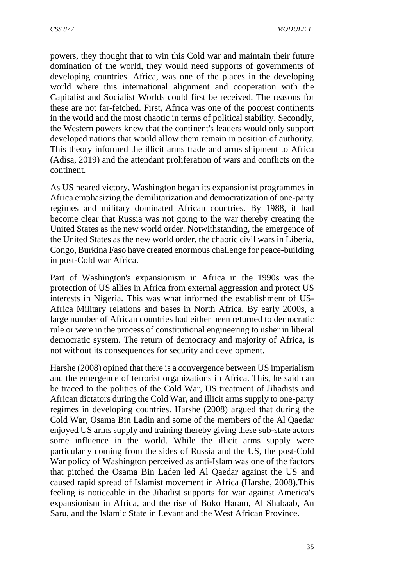powers, they thought that to win this Cold war and maintain their future domination of the world, they would need supports of governments of developing countries. Africa, was one of the places in the developing world where this international alignment and cooperation with the Capitalist and Socialist Worlds could first be received. The reasons for these are not far-fetched. First, Africa was one of the poorest continents in the world and the most chaotic in terms of political stability. Secondly, the Western powers knew that the continent's leaders would only support developed nations that would allow them remain in position of authority. This theory informed the illicit arms trade and arms shipment to Africa (Adisa, 2019) and the attendant proliferation of wars and conflicts on the continent.

As US neared victory, Washington began its expansionist programmes in Africa emphasizing the demilitarization and democratization of one-party regimes and military dominated African countries. By 1988, it had become clear that Russia was not going to the war thereby creating the United States as the new world order. Notwithstanding, the emergence of the United States as the new world order, the chaotic civil wars in Liberia, Congo, Burkina Faso have created enormous challenge for peace-building in post-Cold war Africa.

Part of Washington's expansionism in Africa in the 1990s was the protection of US allies in Africa from external aggression and protect US interests in Nigeria. This was what informed the establishment of US-Africa Military relations and bases in North Africa. By early 2000s, a large number of African countries had either been returned to democratic rule or were in the process of constitutional engineering to usher in liberal democratic system. The return of democracy and majority of Africa, is not without its consequences for security and development.

Harshe (2008) opined that there is a convergence between US imperialism and the emergence of terrorist organizations in Africa. This, he said can be traced to the politics of the Cold War, US treatment of Jihadists and African dictators during the Cold War, and illicit arms supply to one-party regimes in developing countries. Harshe (2008) argued that during the Cold War, Osama Bin Ladin and some of the members of the Al Qaedar enjoyed US arms supply and training thereby giving these sub-state actors some influence in the world. While the illicit arms supply were particularly coming from the sides of Russia and the US, the post-Cold War policy of Washington perceived as anti-Islam was one of the factors that pitched the Osama Bin Laden led Al Qaedar against the US and caused rapid spread of Islamist movement in Africa (Harshe, 2008).This feeling is noticeable in the Jihadist supports for war against America's expansionism in Africa, and the rise of Boko Haram, Al Shabaab, An Saru, and the Islamic State in Levant and the West African Province.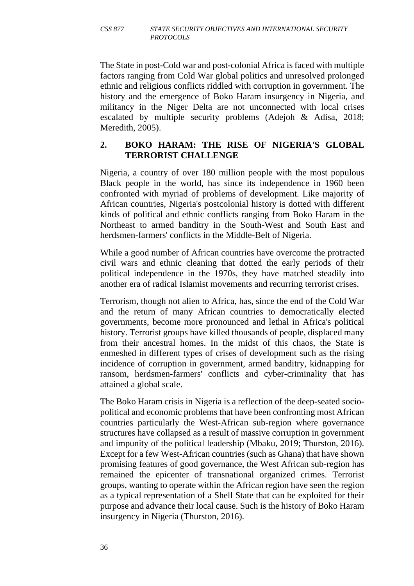The State in post-Cold war and post-colonial Africa is faced with multiple factors ranging from Cold War global politics and unresolved prolonged ethnic and religious conflicts riddled with corruption in government. The history and the emergence of Boko Haram insurgency in Nigeria, and militancy in the Niger Delta are not unconnected with local crises escalated by multiple security problems (Adejoh & Adisa, 2018; Meredith, 2005).

#### **2. BOKO HARAM: THE RISE OF NIGERIA'S GLOBAL TERRORIST CHALLENGE**

Nigeria, a country of over 180 million people with the most populous Black people in the world, has since its independence in 1960 been confronted with myriad of problems of development. Like majority of African countries, Nigeria's postcolonial history is dotted with different kinds of political and ethnic conflicts ranging from Boko Haram in the Northeast to armed banditry in the South-West and South East and herdsmen-farmers' conflicts in the Middle-Belt of Nigeria.

While a good number of African countries have overcome the protracted civil wars and ethnic cleaning that dotted the early periods of their political independence in the 1970s, they have matched steadily into another era of radical Islamist movements and recurring terrorist crises.

Terrorism, though not alien to Africa, has, since the end of the Cold War and the return of many African countries to democratically elected governments, become more pronounced and lethal in Africa's political history. Terrorist groups have killed thousands of people, displaced many from their ancestral homes. In the midst of this chaos, the State is enmeshed in different types of crises of development such as the rising incidence of corruption in government, armed banditry, kidnapping for ransom, herdsmen-farmers' conflicts and cyber-criminality that has attained a global scale.

The Boko Haram crisis in Nigeria is a reflection of the deep-seated sociopolitical and economic problems that have been confronting most African countries particularly the West-African sub-region where governance structures have collapsed as a result of massive corruption in government and impunity of the political leadership (Mbaku, 2019; Thurston, 2016). Except for a few West-African countries (such as Ghana) that have shown promising features of good governance, the West African sub-region has remained the epicenter of transnational organized crimes. Terrorist groups, wanting to operate within the African region have seen the region as a typical representation of a Shell State that can be exploited for their purpose and advance their local cause. Such is the history of Boko Haram insurgency in Nigeria (Thurston, 2016).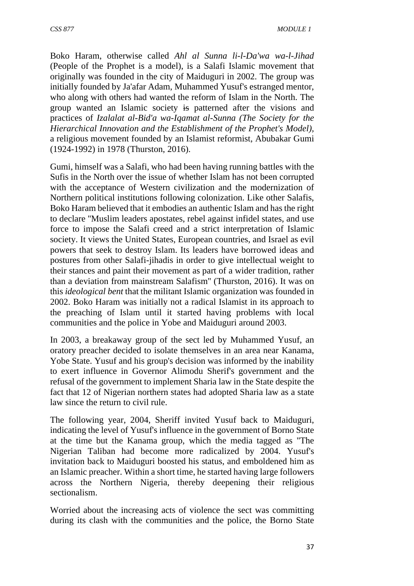Boko Haram, otherwise called *Ahl al Sunna li-l-Da'wa wa-l-Jihad* (People of the Prophet is a model), is a Salafi Islamic movement that originally was founded in the city of Maiduguri in 2002. The group was initially founded by Ja'afar Adam, Muhammed Yusuf's estranged mentor, who along with others had wanted the reform of Islam in the North. The group wanted an Islamic society is patterned after the visions and practices of *Izalalat al-Bid'a wa-Iqamat al-Sunna (The Society for the Hierarchical Innovation and the Establishment of the Prophet's Model),* a religious movement founded by an Islamist reformist, Abubakar Gumi (1924-1992) in 1978 (Thurston, 2016).

Gumi, himself was a Salafi, who had been having running battles with the Sufis in the North over the issue of whether Islam has not been corrupted with the acceptance of Western civilization and the modernization of Northern political institutions following colonization. Like other Salafis, Boko Haram believed that it embodies an authentic Islam and has the right to declare ''Muslim leaders apostates, rebel against infidel states, and use force to impose the Salafi creed and a strict interpretation of Islamic society. It views the United States, European countries, and Israel as evil powers that seek to destroy Islam. Its leaders have borrowed ideas and postures from other Salafi-jihadis in order to give intellectual weight to their stances and paint their movement as part of a wider tradition, rather than a deviation from mainstream Salafism'' (Thurston, 2016). It was on this *ideological bent* that the militant Islamic organization was founded in 2002. Boko Haram was initially not a radical Islamist in its approach to the preaching of Islam until it started having problems with local communities and the police in Yobe and Maiduguri around 2003.

In 2003, a breakaway group of the sect led by Muhammed Yusuf, an oratory preacher decided to isolate themselves in an area near Kanama, Yobe State. Yusuf and his group's decision was informed by the inability to exert influence in Governor Alimodu Sherif's government and the refusal of the government to implement Sharia law in the State despite the fact that 12 of Nigerian northern states had adopted Sharia law as a state law since the return to civil rule.

The following year, 2004, Sheriff invited Yusuf back to Maiduguri, indicating the level of Yusuf's influence in the government of Borno State at the time but the Kanama group, which the media tagged as ''The Nigerian Taliban had become more radicalized by 2004. Yusuf's invitation back to Maiduguri boosted his status, and emboldened him as an Islamic preacher. Within a short time, he started having large followers across the Northern Nigeria, thereby deepening their religious sectionalism.

Worried about the increasing acts of violence the sect was committing during its clash with the communities and the police, the Borno State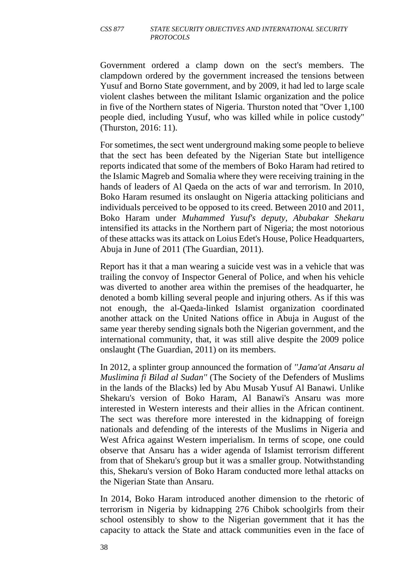Government ordered a clamp down on the sect's members. The clampdown ordered by the government increased the tensions between Yusuf and Borno State government, and by 2009, it had led to large scale violent clashes between the militant Islamic organization and the police in five of the Northern states of Nigeria. Thurston noted that ''Over 1,100 people died, including Yusuf, who was killed while in police custody'' (Thurston, 2016: 11).

For sometimes, the sect went underground making some people to believe that the sect has been defeated by the Nigerian State but intelligence reports indicated that some of the members of Boko Haram had retired to the Islamic Magreb and Somalia where they were receiving training in the hands of leaders of Al Qaeda on the acts of war and terrorism. In 2010, Boko Haram resumed its onslaught on Nigeria attacking politicians and individuals perceived to be opposed to its creed. Between 2010 and 2011, Boko Haram under *Muhammed Yusuf's deputy, Abubakar Shekaru* intensified its attacks in the Northern part of Nigeria; the most notorious of these attacks was its attack on Loius Edet's House, Police Headquarters, Abuja in June of 2011 (The Guardian, 2011).

Report has it that a man wearing a suicide vest was in a vehicle that was trailing the convoy of Inspector General of Police, and when his vehicle was diverted to another area within the premises of the headquarter, he denoted a bomb killing several people and injuring others. As if this was not enough, the al-Qaeda-linked Islamist organization coordinated another attack on the United Nations office in Abuja in August of the same year thereby sending signals both the Nigerian government, and the international community, that, it was still alive despite the 2009 police onslaught (The Guardian, 2011) on its members.

In 2012, a splinter group announced the formation of *''Jama'at Ansaru al Muslimina fi Bilad al Sudan''* (The Society of the Defenders of Muslims in the lands of the Blacks) led by Abu Musab Yusuf Al Banawi. Unlike Shekaru's version of Boko Haram, Al Banawi's Ansaru was more interested in Western interests and their allies in the African continent. The sect was therefore more interested in the kidnapping of foreign nationals and defending of the interests of the Muslims in Nigeria and West Africa against Western imperialism. In terms of scope, one could observe that Ansaru has a wider agenda of Islamist terrorism different from that of Shekaru's group but it was a smaller group. Notwithstanding this, Shekaru's version of Boko Haram conducted more lethal attacks on the Nigerian State than Ansaru.

In 2014, Boko Haram introduced another dimension to the rhetoric of terrorism in Nigeria by kidnapping 276 Chibok schoolgirls from their school ostensibly to show to the Nigerian government that it has the capacity to attack the State and attack communities even in the face of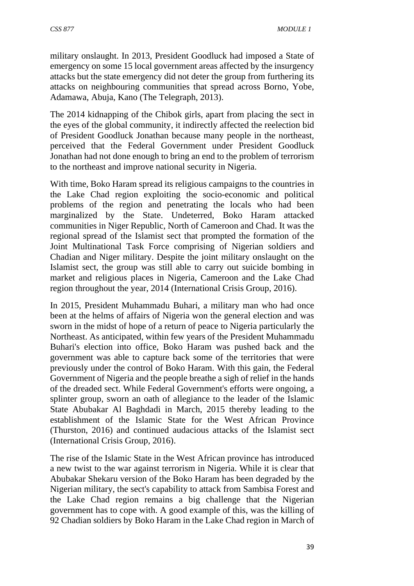military onslaught. In 2013, President Goodluck had imposed a State of emergency on some 15 local government areas affected by the insurgency attacks but the state emergency did not deter the group from furthering its attacks on neighbouring communities that spread across Borno, Yobe, Adamawa, Abuja, Kano (The Telegraph, 2013).

The 2014 kidnapping of the Chibok girls, apart from placing the sect in the eyes of the global community, it indirectly affected the reelection bid of President Goodluck Jonathan because many people in the northeast, perceived that the Federal Government under President Goodluck Jonathan had not done enough to bring an end to the problem of terrorism to the northeast and improve national security in Nigeria.

With time, Boko Haram spread its religious campaigns to the countries in the Lake Chad region exploiting the socio-economic and political problems of the region and penetrating the locals who had been marginalized by the State. Undeterred, Boko Haram attacked communities in Niger Republic, North of Cameroon and Chad. It was the regional spread of the Islamist sect that prompted the formation of the Joint Multinational Task Force comprising of Nigerian soldiers and Chadian and Niger military. Despite the joint military onslaught on the Islamist sect, the group was still able to carry out suicide bombing in market and religious places in Nigeria, Cameroon and the Lake Chad region throughout the year, 2014 (International Crisis Group, 2016).

In 2015, President Muhammadu Buhari, a military man who had once been at the helms of affairs of Nigeria won the general election and was sworn in the midst of hope of a return of peace to Nigeria particularly the Northeast. As anticipated, within few years of the President Muhammadu Buhari's election into office, Boko Haram was pushed back and the government was able to capture back some of the territories that were previously under the control of Boko Haram. With this gain, the Federal Government of Nigeria and the people breathe a sigh of relief in the hands of the dreaded sect. While Federal Government's efforts were ongoing, a splinter group, sworn an oath of allegiance to the leader of the Islamic State Abubakar Al Baghdadi in March, 2015 thereby leading to the establishment of the Islamic State for the West African Province (Thurston, 2016) and continued audacious attacks of the Islamist sect (International Crisis Group, 2016).

The rise of the Islamic State in the West African province has introduced a new twist to the war against terrorism in Nigeria. While it is clear that Abubakar Shekaru version of the Boko Haram has been degraded by the Nigerian military, the sect's capability to attack from Sambisa Forest and the Lake Chad region remains a big challenge that the Nigerian government has to cope with. A good example of this, was the killing of 92 Chadian soldiers by Boko Haram in the Lake Chad region in March of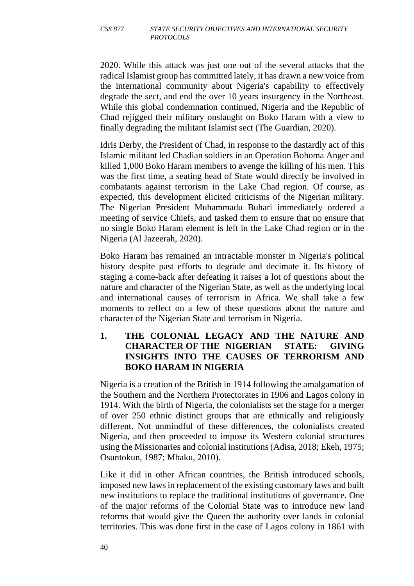2020. While this attack was just one out of the several attacks that the radical Islamist group has committed lately, it has drawn a new voice from the international community about Nigeria's capability to effectively degrade the sect, and end the over 10 years insurgency in the Northeast. While this global condemnation continued, Nigeria and the Republic of Chad rejigged their military onslaught on Boko Haram with a view to finally degrading the militant Islamist sect (The Guardian, 2020).

Idris Derby, the President of Chad, in response to the dastardly act of this Islamic militant led Chadian soldiers in an Operation Bohoma Anger and killed 1,000 Boko Haram members to avenge the killing of his men. This was the first time, a seating head of State would directly be involved in combatants against terrorism in the Lake Chad region. Of course, as expected, this development elicited criticisms of the Nigerian military. The Nigerian President Muhammadu Buhari immediately ordered a meeting of service Chiefs, and tasked them to ensure that no ensure that no single Boko Haram element is left in the Lake Chad region or in the Nigeria (Al Jazeerah, 2020).

Boko Haram has remained an intractable monster in Nigeria's political history despite past efforts to degrade and decimate it. Its history of staging a come-back after defeating it raises a lot of questions about the nature and character of the Nigerian State, as well as the underlying local and international causes of terrorism in Africa. We shall take a few moments to reflect on a few of these questions about the nature and character of the Nigerian State and terrorism in Nigeria.

#### **1. THE COLONIAL LEGACY AND THE NATURE AND CHARACTER OF THE NIGERIAN STATE: GIVING INSIGHTS INTO THE CAUSES OF TERRORISM AND BOKO HARAM IN NIGERIA**

Nigeria is a creation of the British in 1914 following the amalgamation of the Southern and the Northern Protectorates in 1906 and Lagos colony in 1914. With the birth of Nigeria, the colonialists set the stage for a merger of over 250 ethnic distinct groups that are ethnically and religiously different. Not unmindful of these differences, the colonialists created Nigeria, and then proceeded to impose its Western colonial structures using the Missionaries and colonial institutions (Adisa, 2018; Ekeh, 1975; Osuntokun, 1987; Mbaku, 2010).

Like it did in other African countries, the British introduced schools, imposed new laws in replacement of the existing customary laws and built new institutions to replace the traditional institutions of governance. One of the major reforms of the Colonial State was to introduce new land reforms that would give the Queen the authority over lands in colonial territories. This was done first in the case of Lagos colony in 1861 with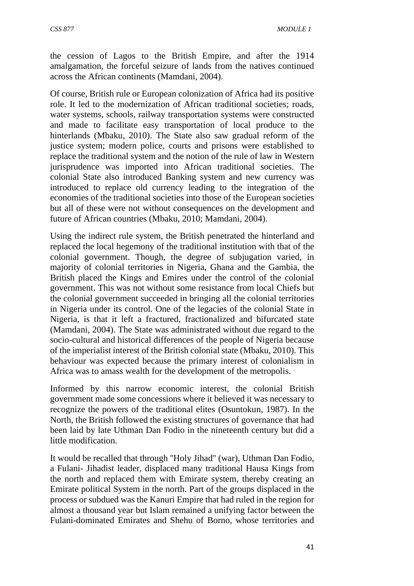*CSS 877 MODULE 1*

the cession of Lagos to the British Empire, and after the 1914 amalgamation, the forceful seizure of lands from the natives continued across the African continents (Mamdani, 2004).

Of course, British rule or European colonization of Africa had its positive role. It led to the modernization of African traditional societies; roads, water systems, schools, railway transportation systems were constructed and made to facilitate easy transportation of local produce to the hinterlands (Mbaku, 2010). The State also saw gradual reform of the justice system; modern police, courts and prisons were established to replace the traditional system and the notion of the rule of law in Western jurisprudence was imported into African traditional societies. The colonial State also introduced Banking system and new currency was introduced to replace old currency leading to the integration of the economies of the traditional societies into those of the European societies but all of these were not without consequences on the development and future of African countries (Mbaku, 2010; Mamdani, 2004).

Using the indirect rule system, the British penetrated the hinterland and replaced the local hegemony of the traditional institution with that of the colonial government. Though, the degree of subjugation varied, in majority of colonial territories in Nigeria, Ghana and the Gambia, the British placed the Kings and Emires under the control of the colonial government. This was not without some resistance from local Chiefs but the colonial government succeeded in bringing all the colonial territories in Nigeria under its control. One of the legacies of the colonial State in Nigeria, is that it left a fractured, fractionalized and bifurcated state (Mamdani, 2004). The State was administrated without due regard to the socio-cultural and historical differences of the people of Nigeria because of the imperialist interest of the British colonial state (Mbaku, 2010). This behaviour was expected because the primary interest of colonialism in Africa was to amass wealth for the development of the metropolis.

Informed by this narrow economic interest, the colonial British government made some concessions where it believed it was necessary to recognize the powers of the traditional elites (Osuntokun, 1987). In the North, the British followed the existing structures of governance that had been laid by late Uthman Dan Fodio in the nineteenth century but did a little modification.

It would be recalled that through ''Holy Jihad'' (war), Uthman Dan Fodio, a Fulani- Jihadist leader, displaced many traditional Hausa Kings from the north and replaced them with Emirate system, thereby creating an Emirate political System in the north. Part of the groups displaced in the process or subdued was the Kanuri Empire that had ruled in the region for almost a thousand year but Islam remained a unifying factor between the Fulani-dominated Emirates and Shehu of Borno, whose territories and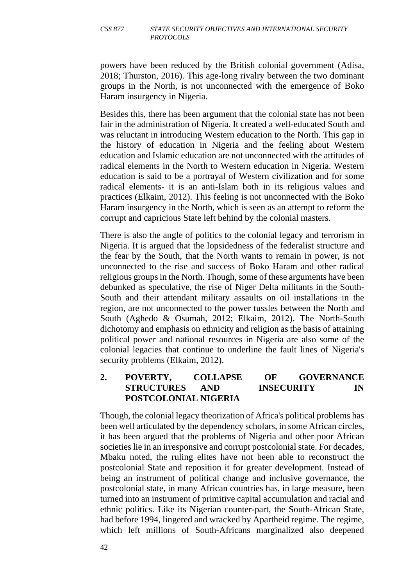powers have been reduced by the British colonial government (Adisa, 2018; Thurston, 2016). This age-long rivalry between the two dominant groups in the North, is not unconnected with the emergence of Boko Haram insurgency in Nigeria.

Besides this, there has been argument that the colonial state has not been fair in the administration of Nigeria. It created a well-educated South and was reluctant in introducing Western education to the North. This gap in the history of education in Nigeria and the feeling about Western education and Islamic education are not unconnected with the attitudes of radical elements in the North to Western education in Nigeria. Western education is said to be a portrayal of Western civilization and for some radical elements- it is an anti-Islam both in its religious values and practices (Elkaim, 2012). This feeling is not unconnected with the Boko Haram insurgency in the North, which is seen as an attempt to reform the corrupt and capricious State left behind by the colonial masters.

There is also the angle of politics to the colonial legacy and terrorism in Nigeria. It is argued that the lopsidedness of the federalist structure and the fear by the South, that the North wants to remain in power, is not unconnected to the rise and success of Boko Haram and other radical religious groups in the North. Though, some of these arguments have been debunked as speculative, the rise of Niger Delta militants in the South-South and their attendant military assaults on oil installations in the region, are not unconnected to the power tussles between the North and South (Aghedo & Osumah, 2012; Elkaim, 2012). The North-South dichotomy and emphasis on ethnicity and religion as the basis of attaining political power and national resources in Nigeria are also some of the colonial legacies that continue to underline the fault lines of Nigeria's security problems (Elkaim, 2012).

### **2. POVERTY, COLLAPSE OF GOVERNANCE STRUCTURES AND INSECURITY IN POSTCOLONIAL NIGERIA**

Though, the colonial legacy theorization of Africa's political problems has been well articulated by the dependency scholars, in some African circles, it has been argued that the problems of Nigeria and other poor African societies lie in an irresponsive and corrupt postcolonial state. For decades, Mbaku noted, the ruling elites have not been able to reconstruct the postcolonial State and reposition it for greater development. Instead of being an instrument of political change and inclusive governance, the postcolonial state, in many African countries has, in large measure, been turned into an instrument of primitive capital accumulation and racial and ethnic politics. Like its Nigerian counter-part, the South-African State, had before 1994, lingered and wracked by Apartheid regime. The regime, which left millions of South-Africans marginalized also deepened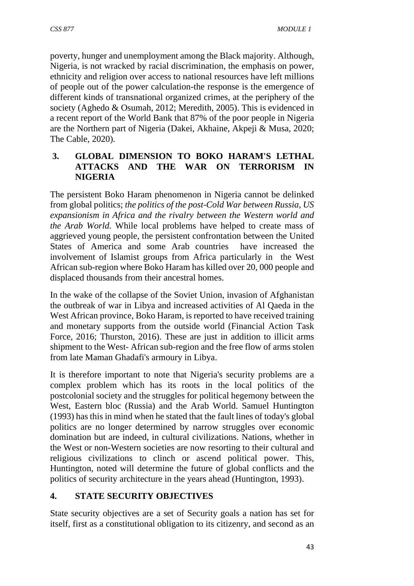poverty, hunger and unemployment among the Black majority. Although, Nigeria, is not wracked by racial discrimination, the emphasis on power, ethnicity and religion over access to national resources have left millions of people out of the power calculation-the response is the emergence of different kinds of transnational organized crimes, at the periphery of the society (Aghedo & Osumah, 2012; Meredith, 2005). This is evidenced in a recent report of the World Bank that 87% of the poor people in Nigeria are the Northern part of Nigeria (Dakei, Akhaine, Akpeji & Musa, 2020; The Cable, 2020).

### **3. GLOBAL DIMENSION TO BOKO HARAM'S LETHAL ATTACKS AND THE WAR ON TERRORISM IN NIGERIA**

The persistent Boko Haram phenomenon in Nigeria cannot be delinked from global politics; *the politics of the post-Cold War between Russia, US expansionism in Africa and the rivalry between the Western world and the Arab World.* While local problems have helped to create mass of aggrieved young people, the persistent confrontation between the United States of America and some Arab countries have increased the involvement of Islamist groups from Africa particularly in the West African sub-region where Boko Haram has killed over 20, 000 people and displaced thousands from their ancestral homes.

In the wake of the collapse of the Soviet Union, invasion of Afghanistan the outbreak of war in Libya and increased activities of Al Qaeda in the West African province, Boko Haram, is reported to have received training and monetary supports from the outside world (Financial Action Task Force, 2016; Thurston, 2016). These are just in addition to illicit arms shipment to the West- African sub-region and the free flow of arms stolen from late Maman Ghadafi's armoury in Libya.

It is therefore important to note that Nigeria's security problems are a complex problem which has its roots in the local politics of the postcolonial society and the struggles for political hegemony between the West, Eastern bloc (Russia) and the Arab World. Samuel Huntington (1993) has this in mind when he stated that the fault lines of today's global politics are no longer determined by narrow struggles over economic domination but are indeed, in cultural civilizations. Nations, whether in the West or non-Western societies are now resorting to their cultural and religious civilizations to clinch or ascend political power. This, Huntington, noted will determine the future of global conflicts and the politics of security architecture in the years ahead (Huntington, 1993).

# **4. STATE SECURITY OBJECTIVES**

State security objectives are a set of Security goals a nation has set for itself, first as a constitutional obligation to its citizenry, and second as an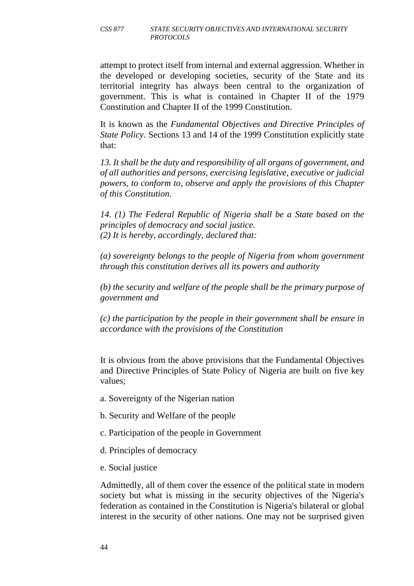attempt to protect itself from internal and external aggression. Whether in the developed or developing societies, security of the State and its territorial integrity has always been central to the organization of government. This is what is contained in Chapter II of the 1979 Constitution and Chapter II of the 1999 Constitution.

It is known as the *Fundamental Objectives and Directive Principles of State Policy*. Sections 13 and 14 of the 1999 Constitution explicitly state that:

*13. It shall be the duty and responsibility of all organs of government, and of all authorities and persons, exercising legislative, executive or judicial powers, to conform to, observe and apply the provisions of this Chapter of this Constitution.* 

*14. (1) The Federal Republic of Nigeria shall be a State based on the principles of democracy and social justice. (2) It is hereby, accordingly, declared that:*

*(a) sovereignty belongs to the people of Nigeria from whom government through this constitution derives all its powers and authority* 

*(b) the security and welfare of the people shall be the primary purpose of government and* 

*(c) the participation by the people in their government shall be ensure in accordance with the provisions of the Constitution* 

It is obvious from the above provisions that the Fundamental Objectives and Directive Principles of State Policy of Nigeria are built on five key values;

a. Sovereignty of the Nigerian nation

- b. Security and Welfare of the people
- c. Participation of the people in Government
- d. Principles of democracy
- e. Social justice

Admittedly, all of them cover the essence of the political state in modern society but what is missing in the security objectives of the Nigeria's federation as contained in the Constitution is Nigeria's bilateral or global interest in the security of other nations. One may not be surprised given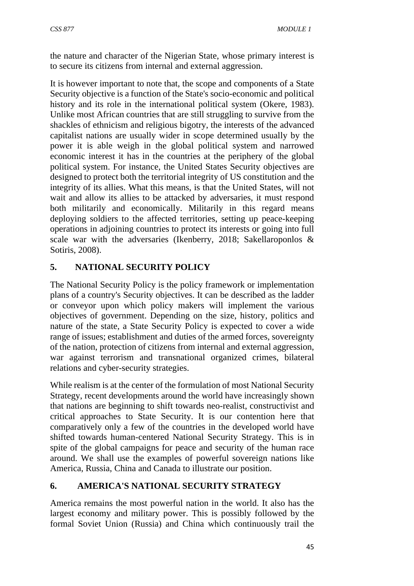the nature and character of the Nigerian State, whose primary interest is to secure its citizens from internal and external aggression.

It is however important to note that, the scope and components of a State Security objective is a function of the State's socio-economic and political history and its role in the international political system (Okere, 1983). Unlike most African countries that are still struggling to survive from the shackles of ethnicism and religious bigotry, the interests of the advanced capitalist nations are usually wider in scope determined usually by the power it is able weigh in the global political system and narrowed economic interest it has in the countries at the periphery of the global political system. For instance, the United States Security objectives are designed to protect both the territorial integrity of US constitution and the integrity of its allies. What this means, is that the United States, will not wait and allow its allies to be attacked by adversaries, it must respond both militarily and economically. Militarily in this regard means deploying soldiers to the affected territories, setting up peace-keeping operations in adjoining countries to protect its interests or going into full scale war with the adversaries (Ikenberry, 2018; Sakellaroponlos & Sotiris, 2008).

### **5. NATIONAL SECURITY POLICY**

The National Security Policy is the policy framework or implementation plans of a country's Security objectives. It can be described as the ladder or conveyor upon which policy makers will implement the various objectives of government. Depending on the size, history, politics and nature of the state, a State Security Policy is expected to cover a wide range of issues; establishment and duties of the armed forces, sovereignty of the nation, protection of citizens from internal and external aggression, war against terrorism and transnational organized crimes, bilateral relations and cyber-security strategies.

While realism is at the center of the formulation of most National Security Strategy, recent developments around the world have increasingly shown that nations are beginning to shift towards neo-realist, constructivist and critical approaches to State Security. It is our contention here that comparatively only a few of the countries in the developed world have shifted towards human-centered National Security Strategy. This is in spite of the global campaigns for peace and security of the human race around. We shall use the examples of powerful sovereign nations like America, Russia, China and Canada to illustrate our position.

#### **6. AMERICA'S NATIONAL SECURITY STRATEGY**

America remains the most powerful nation in the world. It also has the largest economy and military power. This is possibly followed by the formal Soviet Union (Russia) and China which continuously trail the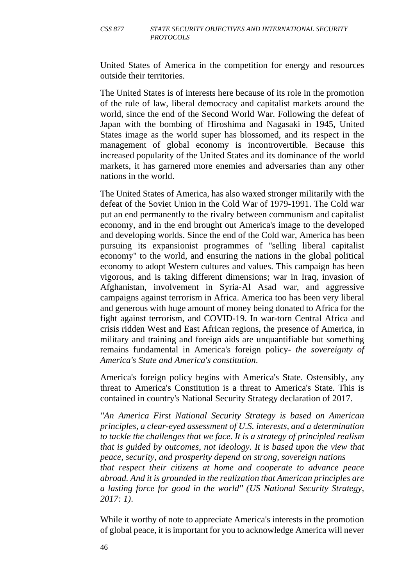United States of America in the competition for energy and resources outside their territories.

The United States is of interests here because of its role in the promotion of the rule of law, liberal democracy and capitalist markets around the world, since the end of the Second World War. Following the defeat of Japan with the bombing of Hiroshima and Nagasaki in 1945, United States image as the world super has blossomed, and its respect in the management of global economy is incontrovertible. Because this increased popularity of the United States and its dominance of the world markets, it has garnered more enemies and adversaries than any other nations in the world.

The United States of America, has also waxed stronger militarily with the defeat of the Soviet Union in the Cold War of 1979-1991. The Cold war put an end permanently to the rivalry between communism and capitalist economy, and in the end brought out America's image to the developed and developing worlds. Since the end of the Cold war, America has been pursuing its expansionist programmes of ''selling liberal capitalist economy'' to the world, and ensuring the nations in the global political economy to adopt Western cultures and values. This campaign has been vigorous, and is taking different dimensions; war in Iraq, invasion of Afghanistan, involvement in Syria-Al Asad war, and aggressive campaigns against terrorism in Africa. America too has been very liberal and generous with huge amount of money being donated to Africa for the fight against terrorism, and COVID-19. In war-torn Central Africa and crisis ridden West and East African regions, the presence of America, in military and training and foreign aids are unquantifiable but something remains fundamental in America's foreign policy- *the sovereignty of America's State and America's constitution*.

America's foreign policy begins with America's State. Ostensibly, any threat to America's Constitution is a threat to America's State. This is contained in country's National Security Strategy declaration of 2017.

*''An America First National Security Strategy is based on American principles, a clear-eyed assessment of U.S. interests, and a determination to tackle the challenges that we face. It is a strategy of principled realism that is guided by outcomes, not ideology. It is based upon the view that peace, security, and prosperity depend on strong, sovereign nations that respect their citizens at home and cooperate to advance peace abroad. And it is grounded in the realization that American principles are a lasting force for good in the world'' (US National Security Strategy, 2017: 1)*.

While it worthy of note to appreciate America's interests in the promotion of global peace, it is important for you to acknowledge America will never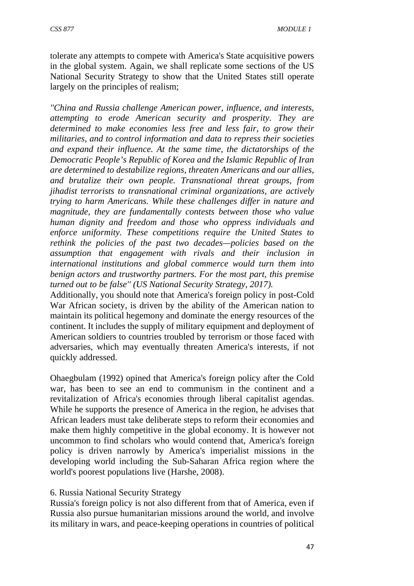tolerate any attempts to compete with America's State acquisitive powers in the global system. Again, we shall replicate some sections of the US National Security Strategy to show that the United States still operate largely on the principles of realism;

*''China and Russia challenge American power, influence, and interests, attempting to erode American security and prosperity. They are determined to make economies less free and less fair, to grow their militaries, and to control information and data to repress their societies and expand their influence. At the same time, the dictatorships of the Democratic People's Republic of Korea and the Islamic Republic of Iran are determined to destabilize regions, threaten Americans and our allies, and brutalize their own people. Transnational threat groups, from jihadist terrorists to transnational criminal organizations, are actively trying to harm Americans. While these challenges differ in nature and magnitude, they are fundamentally contests between those who value human dignity and freedom and those who oppress individuals and enforce uniformity. These competitions require the United States to rethink the policies of the past two decades—policies based on the assumption that engagement with rivals and their inclusion in international institutions and global commerce would turn them into benign actors and trustworthy partners. For the most part, this premise turned out to be false'' (US National Security Strategy, 2017).* 

Additionally, you should note that America's foreign policy in post-Cold War African society, is driven by the ability of the American nation to maintain its political hegemony and dominate the energy resources of the continent. It includes the supply of military equipment and deployment of American soldiers to countries troubled by terrorism or those faced with adversaries, which may eventually threaten America's interests, if not quickly addressed.

Ohaegbulam (1992) opined that America's foreign policy after the Cold war, has been to see an end to communism in the continent and a revitalization of Africa's economies through liberal capitalist agendas. While he supports the presence of America in the region, he advises that African leaders must take deliberate steps to reform their economies and make them highly competitive in the global economy. It is however not uncommon to find scholars who would contend that, America's foreign policy is driven narrowly by America's imperialist missions in the developing world including the Sub-Saharan Africa region where the world's poorest populations live (Harshe, 2008).

#### 6. Russia National Security Strategy

Russia's foreign policy is not also different from that of America, even if Russia also pursue humanitarian missions around the world, and involve its military in wars, and peace-keeping operations in countries of political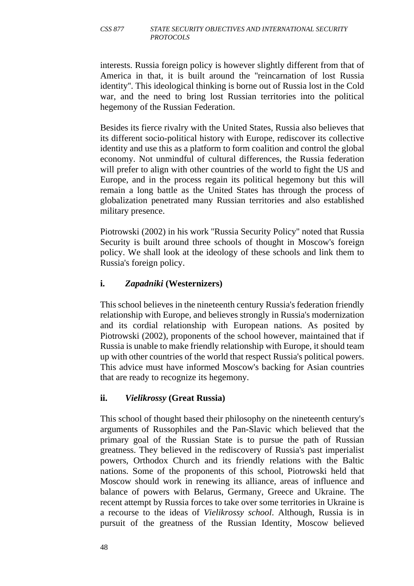interests. Russia foreign policy is however slightly different from that of America in that, it is built around the ''reincarnation of lost Russia identity''. This ideological thinking is borne out of Russia lost in the Cold war, and the need to bring lost Russian territories into the political hegemony of the Russian Federation.

Besides its fierce rivalry with the United States, Russia also believes that its different socio-political history with Europe, rediscover its collective identity and use this as a platform to form coalition and control the global economy. Not unmindful of cultural differences, the Russia federation will prefer to align with other countries of the world to fight the US and Europe, and in the process regain its political hegemony but this will remain a long battle as the United States has through the process of globalization penetrated many Russian territories and also established military presence.

Piotrowski (2002) in his work ''Russia Security Policy'' noted that Russia Security is built around three schools of thought in Moscow's foreign policy. We shall look at the ideology of these schools and link them to Russia's foreign policy.

### **i.** *Zapadniki* **(Westernizers)**

This school believes in the nineteenth century Russia's federation friendly relationship with Europe, and believes strongly in Russia's modernization and its cordial relationship with European nations. As posited by Piotrowski (2002), proponents of the school however, maintained that if Russia is unable to make friendly relationship with Europe, it should team up with other countries of the world that respect Russia's political powers. This advice must have informed Moscow's backing for Asian countries that are ready to recognize its hegemony.

#### **ii.** *Vielikrossy* **(Great Russia)**

This school of thought based their philosophy on the nineteenth century's arguments of Russophiles and the Pan-Slavic which believed that the primary goal of the Russian State is to pursue the path of Russian greatness. They believed in the rediscovery of Russia's past imperialist powers, Orthodox Church and its friendly relations with the Baltic nations. Some of the proponents of this school, Piotrowski held that Moscow should work in renewing its alliance, areas of influence and balance of powers with Belarus, Germany, Greece and Ukraine. The recent attempt by Russia forces to take over some territories in Ukraine is a recourse to the ideas of *Vielikrossy school*. Although, Russia is in pursuit of the greatness of the Russian Identity, Moscow believed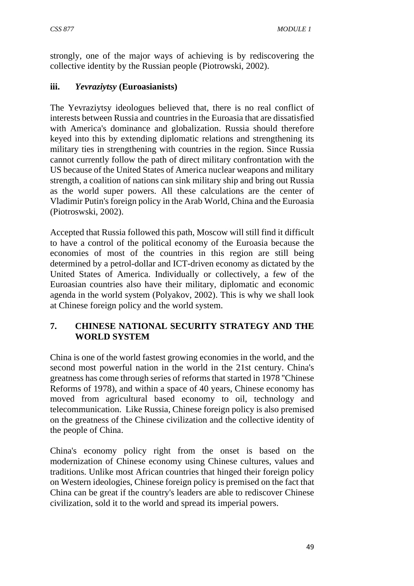strongly, one of the major ways of achieving is by rediscovering the collective identity by the Russian people (Piotrowski, 2002).

## **iii.** *Yevraziytsy* **(Euroasianists)**

The Yevraziytsy ideologues believed that, there is no real conflict of interests between Russia and countries in the Euroasia that are dissatisfied with America's dominance and globalization. Russia should therefore keyed into this by extending diplomatic relations and strengthening its military ties in strengthening with countries in the region. Since Russia cannot currently follow the path of direct military confrontation with the US because of the United States of America nuclear weapons and military strength, a coalition of nations can sink military ship and bring out Russia as the world super powers. All these calculations are the center of Vladimir Putin's foreign policy in the Arab World, China and the Euroasia (Piotroswski, 2002).

Accepted that Russia followed this path, Moscow will still find it difficult to have a control of the political economy of the Euroasia because the economies of most of the countries in this region are still being determined by a petrol-dollar and ICT-driven economy as dictated by the United States of America. Individually or collectively, a few of the Euroasian countries also have their military, diplomatic and economic agenda in the world system (Polyakov, 2002). This is why we shall look at Chinese foreign policy and the world system.

## **7. CHINESE NATIONAL SECURITY STRATEGY AND THE WORLD SYSTEM**

China is one of the world fastest growing economies in the world, and the second most powerful nation in the world in the 21st century. China's greatness has come through series of reforms that started in 1978 ''Chinese Reforms of 1978), and within a space of 40 years, Chinese economy has moved from agricultural based economy to oil, technology and telecommunication. Like Russia, Chinese foreign policy is also premised on the greatness of the Chinese civilization and the collective identity of the people of China.

China's economy policy right from the onset is based on the modernization of Chinese economy using Chinese cultures, values and traditions. Unlike most African countries that hinged their foreign policy on Western ideologies, Chinese foreign policy is premised on the fact that China can be great if the country's leaders are able to rediscover Chinese civilization, sold it to the world and spread its imperial powers.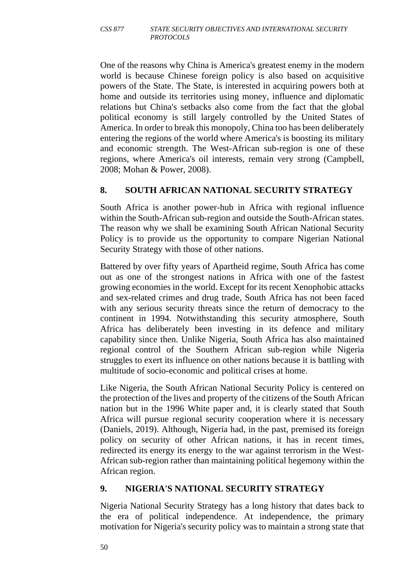One of the reasons why China is America's greatest enemy in the modern world is because Chinese foreign policy is also based on acquisitive powers of the State. The State, is interested in acquiring powers both at home and outside its territories using money, influence and diplomatic relations but China's setbacks also come from the fact that the global political economy is still largely controlled by the United States of America. In order to break this monopoly, China too has been deliberately entering the regions of the world where America's is boosting its military and economic strength. The West-African sub-region is one of these regions, where America's oil interests, remain very strong (Campbell, 2008; Mohan & Power, 2008).

## **8. SOUTH AFRICAN NATIONAL SECURITY STRATEGY**

South Africa is another power-hub in Africa with regional influence within the South-African sub-region and outside the South-African states. The reason why we shall be examining South African National Security Policy is to provide us the opportunity to compare Nigerian National Security Strategy with those of other nations.

Battered by over fifty years of Apartheid regime, South Africa has come out as one of the strongest nations in Africa with one of the fastest growing economies in the world. Except for its recent Xenophobic attacks and sex-related crimes and drug trade, South Africa has not been faced with any serious security threats since the return of democracy to the continent in 1994. Notwithstanding this security atmosphere, South Africa has deliberately been investing in its defence and military capability since then. Unlike Nigeria, South Africa has also maintained regional control of the Southern African sub-region while Nigeria struggles to exert its influence on other nations because it is battling with multitude of socio-economic and political crises at home.

Like Nigeria, the South African National Security Policy is centered on the protection of the lives and property of the citizens of the South African nation but in the 1996 White paper and, it is clearly stated that South Africa will pursue regional security cooperation where it is necessary (Daniels, 2019). Although, Nigeria had, in the past, premised its foreign policy on security of other African nations, it has in recent times, redirected its energy its energy to the war against terrorism in the West-African sub-region rather than maintaining political hegemony within the African region.

## **9. NIGERIA'S NATIONAL SECURITY STRATEGY**

Nigeria National Security Strategy has a long history that dates back to the era of political independence. At independence, the primary motivation for Nigeria's security policy was to maintain a strong state that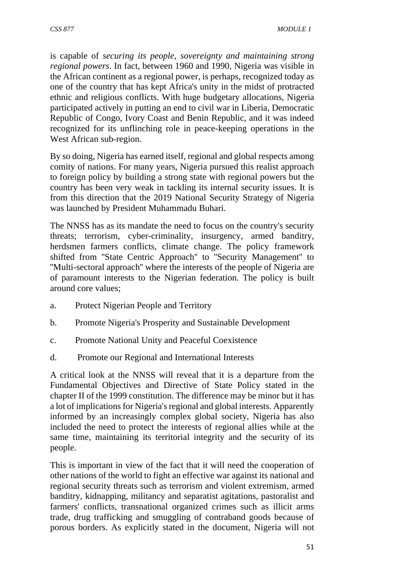is capable of *securing its people, sovereignty and maintaining strong regional powers*. In fact, between 1960 and 1990, Nigeria was visible in the African continent as a regional power, is perhaps, recognized today as one of the country that has kept Africa's unity in the midst of protracted ethnic and religious conflicts. With huge budgetary allocations, Nigeria participated actively in putting an end to civil war in Liberia, Democratic Republic of Congo, Ivory Coast and Benin Republic, and it was indeed recognized for its unflinching role in peace-keeping operations in the West African sub-region.

By so doing, Nigeria has earned itself, regional and global respects among comity of nations. For many years, Nigeria pursued this realist approach to foreign policy by building a strong state with regional powers but the country has been very weak in tackling its internal security issues. It is from this direction that the 2019 National Security Strategy of Nigeria was launched by President Muhammadu Buhari.

The NNSS has as its mandate the need to focus on the country's security threats; terrorism, cyber-criminality, insurgency, armed banditry, herdsmen farmers conflicts, climate change. The policy framework shifted from ''State Centric Approach'' to ''Security Management'' to ''Multi-sectoral approach'' where the interests of the people of Nigeria are of paramount interests to the Nigerian federation. The policy is built around core values;

- a. Protect Nigerian People and Territory
- b. Promote Nigeria's Prosperity and Sustainable Development
- c. Promote National Unity and Peaceful Coexistence
- d. Promote our Regional and International Interests

A critical look at the NNSS will reveal that it is a departure from the Fundamental Objectives and Directive of State Policy stated in the chapter II of the 1999 constitution. The difference may be minor but it has a lot of implications for Nigeria's regional and global interests. Apparently informed by an increasingly complex global society, Nigeria has also included the need to protect the interests of regional allies while at the same time, maintaining its territorial integrity and the security of its people.

This is important in view of the fact that it will need the cooperation of other nations of the world to fight an effective war against its national and regional security threats such as terrorism and violent extremism, armed banditry, kidnapping, militancy and separatist agitations, pastoralist and farmers' conflicts, transnational organized crimes such as illicit arms trade, drug trafficking and smuggling of contraband goods because of porous borders. As explicitly stated in the document, Nigeria will not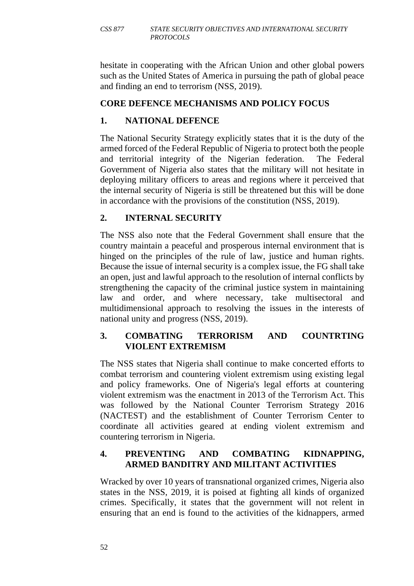hesitate in cooperating with the African Union and other global powers such as the United States of America in pursuing the path of global peace and finding an end to terrorism (NSS, 2019).

## **CORE DEFENCE MECHANISMS AND POLICY FOCUS**

# **1. NATIONAL DEFENCE**

The National Security Strategy explicitly states that it is the duty of the armed forced of the Federal Republic of Nigeria to protect both the people and territorial integrity of the Nigerian federation. The Federal Government of Nigeria also states that the military will not hesitate in deploying military officers to areas and regions where it perceived that the internal security of Nigeria is still be threatened but this will be done in accordance with the provisions of the constitution (NSS, 2019).

# **2. INTERNAL SECURITY**

The NSS also note that the Federal Government shall ensure that the country maintain a peaceful and prosperous internal environment that is hinged on the principles of the rule of law, justice and human rights. Because the issue of internal security is a complex issue, the FG shall take an open, just and lawful approach to the resolution of internal conflicts by strengthening the capacity of the criminal justice system in maintaining law and order, and where necessary, take multisectoral and multidimensional approach to resolving the issues in the interests of national unity and progress (NSS, 2019).

## **3. COMBATING TERRORISM AND COUNTRTING VIOLENT EXTREMISM**

The NSS states that Nigeria shall continue to make concerted efforts to combat terrorism and countering violent extremism using existing legal and policy frameworks. One of Nigeria's legal efforts at countering violent extremism was the enactment in 2013 of the Terrorism Act. This was followed by the National Counter Terrorism Strategy 2016 (NACTEST) and the establishment of Counter Terrorism Center to coordinate all activities geared at ending violent extremism and countering terrorism in Nigeria.

## **4. PREVENTING AND COMBATING KIDNAPPING, ARMED BANDITRY AND MILITANT ACTIVITIES**

Wracked by over 10 years of transnational organized crimes, Nigeria also states in the NSS, 2019, it is poised at fighting all kinds of organized crimes. Specifically, it states that the government will not relent in ensuring that an end is found to the activities of the kidnappers, armed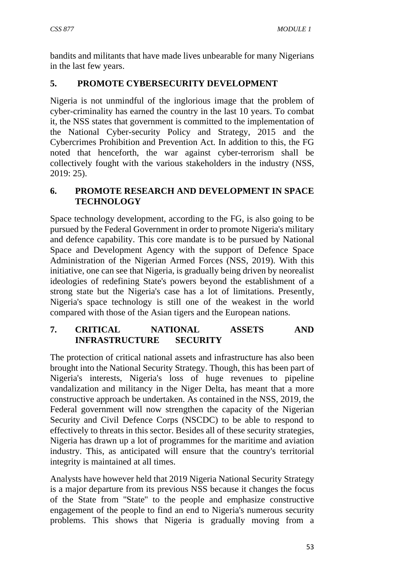bandits and militants that have made lives unbearable for many Nigerians in the last few years.

#### **5. PROMOTE CYBERSECURITY DEVELOPMENT**

Nigeria is not unmindful of the inglorious image that the problem of cyber-criminality has earned the country in the last 10 years. To combat it, the NSS states that government is committed to the implementation of the National Cyber-security Policy and Strategy, 2015 and the Cybercrimes Prohibition and Prevention Act. In addition to this, the FG noted that henceforth, the war against cyber-terrorism shall be collectively fought with the various stakeholders in the industry (NSS, 2019: 25).

### **6. PROMOTE RESEARCH AND DEVELOPMENT IN SPACE TECHNOLOGY**

Space technology development, according to the FG, is also going to be pursued by the Federal Government in order to promote Nigeria's military and defence capability. This core mandate is to be pursued by National Space and Development Agency with the support of Defence Space Administration of the Nigerian Armed Forces (NSS, 2019). With this initiative, one can see that Nigeria, is gradually being driven by neorealist ideologies of redefining State's powers beyond the establishment of a strong state but the Nigeria's case has a lot of limitations. Presently, Nigeria's space technology is still one of the weakest in the world compared with those of the Asian tigers and the European nations.

#### **7. CRITICAL NATIONAL ASSETS AND INFRASTRUCTURE SECURITY**

The protection of critical national assets and infrastructure has also been brought into the National Security Strategy. Though, this has been part of Nigeria's interests, Nigeria's loss of huge revenues to pipeline vandalization and militancy in the Niger Delta, has meant that a more constructive approach be undertaken. As contained in the NSS, 2019, the Federal government will now strengthen the capacity of the Nigerian Security and Civil Defence Corps (NSCDC) to be able to respond to effectively to threats in this sector. Besides all of these security strategies, Nigeria has drawn up a lot of programmes for the maritime and aviation industry. This, as anticipated will ensure that the country's territorial integrity is maintained at all times.

Analysts have however held that 2019 Nigeria National Security Strategy is a major departure from its previous NSS because it changes the focus of the State from ''State'' to the people and emphasize constructive engagement of the people to find an end to Nigeria's numerous security problems. This shows that Nigeria is gradually moving from a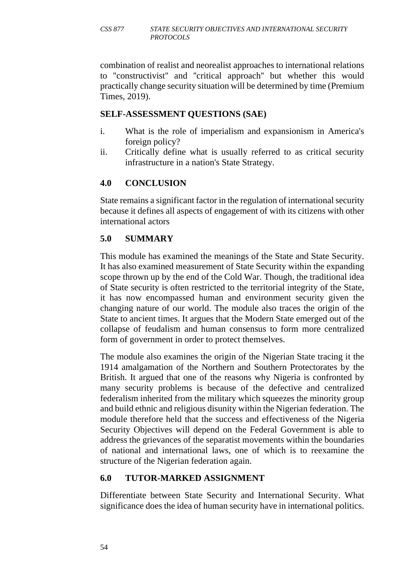combination of realist and neorealist approaches to international relations to ''constructivist'' and ''critical approach'' but whether this would practically change security situation will be determined by time (Premium Times, 2019).

### **SELF-ASSESSMENT QUESTIONS (SAE)**

- i. What is the role of imperialism and expansionism in America's foreign policy?
- ii. Critically define what is usually referred to as critical security infrastructure in a nation's State Strategy.

## **4.0 CONCLUSION**

State remains a significant factor in the regulation of international security because it defines all aspects of engagement of with its citizens with other international actors

# **5.0 SUMMARY**

This module has examined the meanings of the State and State Security. It has also examined measurement of State Security within the expanding scope thrown up by the end of the Cold War. Though, the traditional idea of State security is often restricted to the territorial integrity of the State, it has now encompassed human and environment security given the changing nature of our world. The module also traces the origin of the State to ancient times. It argues that the Modern State emerged out of the collapse of feudalism and human consensus to form more centralized form of government in order to protect themselves.

The module also examines the origin of the Nigerian State tracing it the 1914 amalgamation of the Northern and Southern Protectorates by the British. It argued that one of the reasons why Nigeria is confronted by many security problems is because of the defective and centralized federalism inherited from the military which squeezes the minority group and build ethnic and religious disunity within the Nigerian federation. The module therefore held that the success and effectiveness of the Nigeria Security Objectives will depend on the Federal Government is able to address the grievances of the separatist movements within the boundaries of national and international laws, one of which is to reexamine the structure of the Nigerian federation again.

## **6.0 TUTOR-MARKED ASSIGNMENT**

Differentiate between State Security and International Security. What significance does the idea of human security have in international politics.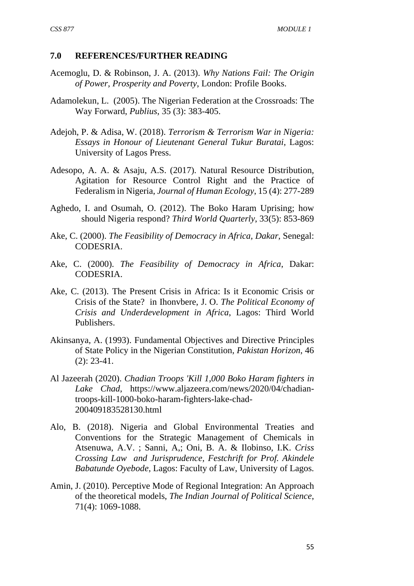#### **7.0 REFERENCES/FURTHER READING**

- Acemoglu, D. & Robinson, J. A. (2013). *Why Nations Fail: The Origin of Power, Prosperity and Poverty*, London: Profile Books.
- Adamolekun, L. (2005). The Nigerian Federation at the Crossroads: The Way Forward, *Publius*, 35 (3): 383-405.
- Adejoh, P. & Adisa, W. (2018). *Terrorism & Terrorism War in Nigeria: Essays in Honour of Lieutenant General Tukur Buratai*, Lagos: University of Lagos Press.
- Adesopo, A. A. & Asaju, A.S. (2017). Natural Resource Distribution, Agitation for Resource Control Right and the Practice of Federalism in Nigeria, *Journal of Human Ecology*, 15 (4): 277-289
- Aghedo, I. and Osumah, O. (2012). The Boko Haram Uprising; how should Nigeria respond? *Third World Quarterly*, 33(5): 853-869
- Ake, C. (2000). *The Feasibility of Democracy in Africa, Dakar*, Senegal: CODESRIA.
- Ake, C. (2000). *The Feasibility of Democracy in Africa*, Dakar: CODESRIA.
- Ake, C. (2013). The Present Crisis in Africa: Is it Economic Crisis or Crisis of the State? in Ihonvbere, J. O. *The Political Economy of Crisis and Underdevelopment in Africa*, Lagos: Third World Publishers.
- Akinsanya, A. (1993). Fundamental Objectives and Directive Principles of State Policy in the Nigerian Constitution, *Pakistan Horizon*, 46 (2): 23-41.
- Al Jazeerah (2020). *Chadian Troops 'Kill 1,000 Boko Haram fighters in Lake Chad*, https://www.aljazeera.com/news/2020/04/chadiantroops-kill-1000-boko-haram-fighters-lake-chad-200409183528130.html
- Alo, B. (2018). Nigeria and Global Environmental Treaties and Conventions for the Strategic Management of Chemicals in Atsenuwa, A.V. ; Sanni, A,; Oni, B. A. & Ilobinso, I.K. *Criss Crossing Law and Jurisprudence, Festchrift for Prof. Akindele Babatunde Oyebode*, Lagos: Faculty of Law, University of Lagos.
- Amin, J. (2010). Perceptive Mode of Regional Integration: An Approach of the theoretical models, *The Indian Journal of Political Science*, 71(4): 1069-1088.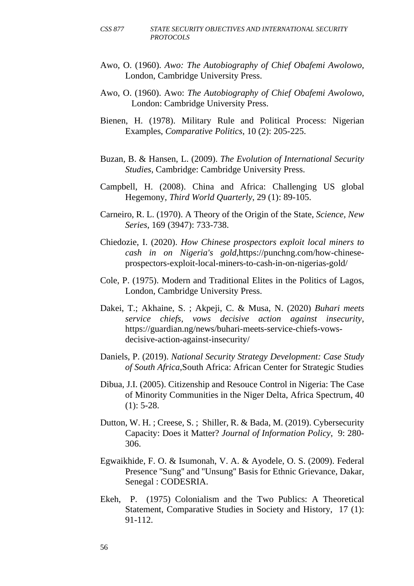- Awo, O. (1960). *Awo: The Autobiography of Chief Obafemi Awolowo,* London, Cambridge University Press.
- Awo, O. (1960). Awo: *The Autobiography of Chief Obafemi Awolowo*, London: Cambridge University Press.
- Bienen, H. (1978). Military Rule and Political Process: Nigerian Examples, *Comparative Politics*, 10 (2): 205-225.
- Buzan, B. & Hansen, L. (2009). *The Evolution of International Security Studies*, Cambridge: Cambridge University Press.
- Campbell, H. (2008). China and Africa: Challenging US global Hegemony, *Third World Quarterly*, 29 (1): 89-105.
- Carneiro, R. L. (1970). A Theory of the Origin of the State, *Science, New Series*, 169 (3947): 733-738.
- Chiedozie, I. (2020). *How Chinese prospectors exploit local miners to cash in on Nigeria's gold*,https://punchng.com/how-chineseprospectors-exploit-local-miners-to-cash-in-on-nigerias-gold/
- Cole, P. (1975). Modern and Traditional Elites in the Politics of Lagos, London, Cambridge University Press.
- Dakei, T.; Akhaine, S. ; Akpeji, C. & Musa, N. (2020) *Buhari meets service chiefs, vows decisive action against insecurity*, https://guardian.ng/news/buhari-meets-service-chiefs-vowsdecisive-action-against-insecurity/
- Daniels, P. (2019). *National Security Strategy Development: Case Study of South Africa*,South Africa: African Center for Strategic Studies
- Dibua, J.I. (2005). Citizenship and Resouce Control in Nigeria: The Case of Minority Communities in the Niger Delta, Africa Spectrum, 40  $(1): 5-28.$
- Dutton, W. H. ; Creese, S. ; Shiller, R. & Bada, M. (2019). Cybersecurity Capacity: Does it Matter? *Journal of Information Policy*, 9: 280- 306.
- Egwaikhide, F. O. & Isumonah, V. A. & Ayodele, O. S. (2009). Federal Presence ''Sung'' and ''Unsung'' Basis for Ethnic Grievance, Dakar, Senegal : CODESRIA.
- Ekeh, P. (1975) Colonialism and the Two Publics: A Theoretical Statement, Comparative Studies in Society and History, 17 (1): 91-112.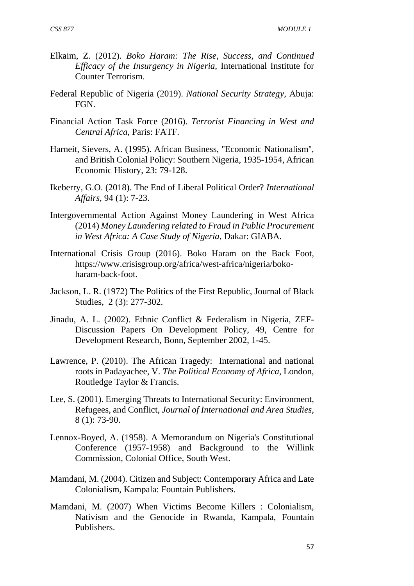- Elkaim, Z. (2012). *Boko Haram: The Rise, Success, and Continued Efficacy of the Insurgency in Nigeria,* International Institute for Counter Terrorism.
- Federal Republic of Nigeria (2019). *National Security Strategy*, Abuja: **FGN**
- Financial Action Task Force (2016). *Terrorist Financing in West and Central Africa*, Paris: FATF.
- Harneit, Sievers, A. (1995). African Business, ''Economic Nationalism'', and British Colonial Policy: Southern Nigeria, 1935-1954, African Economic History, 23: 79-128.
- Ikeberry, G.O. (2018). The End of Liberal Political Order? *International Affairs,* 94 (1): 7-23.
- Intergovernmental Action Against Money Laundering in West Africa (2014) *Money Laundering related to Fraud in Public Procurement in West Africa: A Case Study of Nigeria*, Dakar: GIABA.
- International Crisis Group (2016). Boko Haram on the Back Foot, https://www.crisisgroup.org/africa/west-africa/nigeria/bokoharam-back-foot.
- Jackson, L. R. (1972) The Politics of the First Republic, Journal of Black Studies, 2 (3): 277-302.
- Jinadu, A. L. (2002). Ethnic Conflict & Federalism in Nigeria, ZEF-Discussion Papers On Development Policy, 49, Centre for Development Research, Bonn, September 2002, 1-45.
- Lawrence, P. (2010). The African Tragedy: International and national roots in Padayachee, V. *The Political Economy of Africa*, London, Routledge Taylor & Francis.
- Lee, S. (2001). Emerging Threats to International Security: Environment, Refugees, and Conflict, *Journal of International and Area Studies*, 8 (1): 73-90.
- Lennox-Boyed, A. (1958). A Memorandum on Nigeria's Constitutional Conference (1957-1958) and Background to the Willink Commission, Colonial Office, South West.
- Mamdani, M. (2004). Citizen and Subject: Contemporary Africa and Late Colonialism, Kampala: Fountain Publishers.
- Mamdani, M. (2007) When Victims Become Killers : Colonialism, Nativism and the Genocide in Rwanda, Kampala, Fountain Publishers.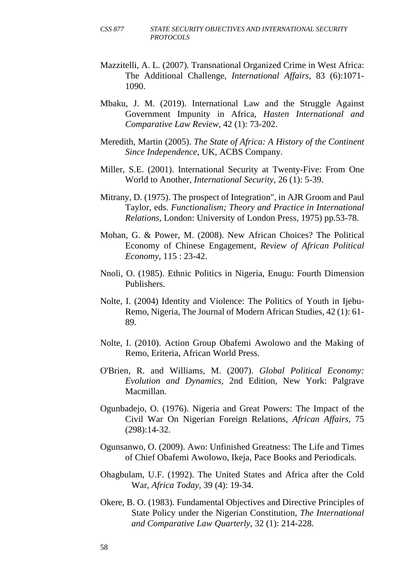- Mazzitelli, A. L. (2007). Transnational Organized Crime in West Africa: The Additional Challenge, *International Affairs*, 83 (6):1071- 1090.
- Mbaku, J. M. (2019). International Law and the Struggle Against Government Impunity in Africa, *Hasten International and Comparative Law Review,* 42 (1): 73-202.
- Meredith, Martin (2005). *The State of Africa: A History of the Continent Since Independence*, UK, ACBS Company.
- Miller, S.E. (2001). International Security at Twenty-Five: From One World to Another, *International Security*, 26 (1): 5-39.
- Mitrany, D. (1975). The prospect of Integration", in AJR Groom and Paul Taylor, eds. *Functionalism; Theory and Practice in International Relations,* London: University of London Press, 1975) pp.53-78.
- Mohan, G. & Power, M. (2008). New African Choices? The Political Economy of Chinese Engagement, *Review of African Political Economy,* 115 : 23-42.
- Nnoli, O. (1985). Ethnic Politics in Nigeria, Enugu: Fourth Dimension Publishers.
- Nolte, I. (2004) Identity and Violence: The Politics of Youth in Ijebu-Remo, Nigeria, The Journal of Modern African Studies, 42 (1): 61- 89.
- Nolte, I. (2010). Action Group Obafemi Awolowo and the Making of Remo, Eriteria, African World Press.
- O'Brien, R. and Williams, M. (2007). *Global Political Economy: Evolution and Dynamics,* 2nd Edition, New York: Palgrave Macmillan.
- Ogunbadejo, O. (1976). Nigeria and Great Powers: The Impact of the Civil War On Nigerian Foreign Relations, *African Affairs*, 75 (298):14-32.
- Ogunsanwo, O. (2009). Awo: Unfinished Greatness: The Life and Times of Chief Obafemi Awolowo, Ikeja, Pace Books and Periodicals.
- Ohagbulam, U.F. (1992). The United States and Africa after the Cold War, *Africa Today,* 39 (4): 19-34.
- Okere, B. O. (1983). Fundamental Objectives and Directive Principles of State Policy under the Nigerian Constitution, *The International and Comparative Law Quarterly*, 32 (1): 214-228.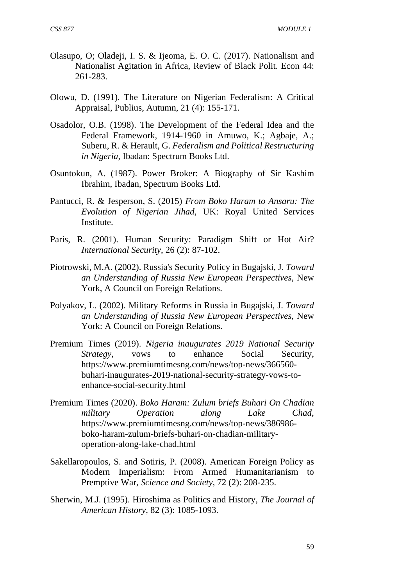- Olasupo, O; Oladeji, I. S. & Ijeoma, E. O. C. (2017). Nationalism and Nationalist Agitation in Africa, Review of Black Polit. Econ 44: 261-283.
- Olowu, D. (1991). The Literature on Nigerian Federalism: A Critical Appraisal, Publius, Autumn, 21 (4): 155-171.
- Osadolor, O.B. (1998). The Development of the Federal Idea and the Federal Framework, 1914-1960 in Amuwo, K.; Agbaje, A.; Suberu, R. & Herault, G. *Federalism and Political Restructuring in Nigeria*, Ibadan: Spectrum Books Ltd.
- Osuntokun, A. (1987). Power Broker: A Biography of Sir Kashim Ibrahim, Ibadan, Spectrum Books Ltd.
- Pantucci, R. & Jesperson, S. (2015) *From Boko Haram to Ansaru: The Evolution of Nigerian Jihad*, UK: Royal United Services Institute.
- Paris, R. (2001). Human Security: Paradigm Shift or Hot Air? *International Security*, 26 (2): 87-102.
- Piotrowski, M.A. (2002). Russia's Security Policy in Bugajski, J. *Toward an Understanding of Russia New European Perspectives,* New York, A Council on Foreign Relations.
- Polyakov, L. (2002). Military Reforms in Russia in Bugajski, J. *Toward an Understanding of Russia New European Perspectives*, New York: A Council on Foreign Relations.
- Premium Times (2019). *Nigeria inaugurates 2019 National Security Strategy,* vows to enhance Social Security, https://www.premiumtimesng.com/news/top-news/366560 buhari-inaugurates-2019-national-security-strategy-vows-toenhance-social-security.html
- Premium Times (2020). *Boko Haram: Zulum briefs Buhari On Chadian military Operation along Lake Chad*, https://www.premiumtimesng.com/news/top-news/386986 boko-haram-zulum-briefs-buhari-on-chadian-militaryoperation-along-lake-chad.html
- Sakellaropoulos, S. and Sotiris, P. (2008). American Foreign Policy as Modern Imperialism: From Armed Humanitarianism to Premptive War, *Science and Society*, 72 (2): 208-235.
- Sherwin, M.J. (1995). Hiroshima as Politics and History, *The Journal of American History*, 82 (3): 1085-1093.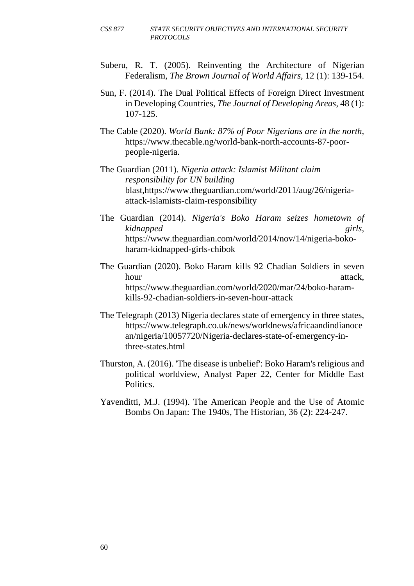- Suberu, R. T. (2005). Reinventing the Architecture of Nigerian Federalism, *The Brown Journal of World Affairs*, 12 (1): 139-154.
- Sun, F. (2014). The Dual Political Effects of Foreign Direct Investment in Developing Countries, *The Journal of Developing Areas*, 48 (1): 107-125.
- The Cable (2020). *World Bank: 87% of Poor Nigerians are in the north,* https://www.thecable.ng/world-bank-north-accounts-87-poorpeople-nigeria.
- The Guardian (2011). *Nigeria attack: Islamist Militant claim responsibility for UN building* blast,https://www.theguardian.com/world/2011/aug/26/nigeriaattack-islamists-claim-responsibility
- The Guardian (2014). *Nigeria's Boko Haram seizes hometown of kidnapped girls*, https://www.theguardian.com/world/2014/nov/14/nigeria-bokoharam-kidnapped-girls-chibok
- The Guardian (2020). Boko Haram kills 92 Chadian Soldiers in seven hour attack, https://www.theguardian.com/world/2020/mar/24/boko-haramkills-92-chadian-soldiers-in-seven-hour-attack
- The Telegraph (2013) Nigeria declares state of emergency in three states, https://www.telegraph.co.uk/news/worldnews/africaandindianoce an/nigeria/10057720/Nigeria-declares-state-of-emergency-inthree-states.html
- Thurston, A. (2016). 'The disease is unbelief': Boko Haram's religious and political worldview, Analyst Paper 22, Center for Middle East Politics.
- Yavenditti, M.J. (1994). The American People and the Use of Atomic Bombs On Japan: The 1940s, The Historian, 36 (2): 224-247.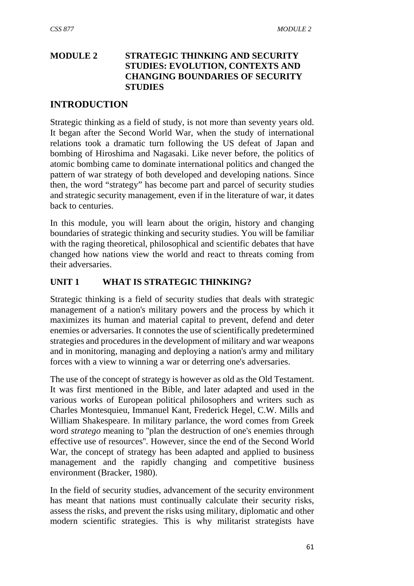# **MODULE 2 STRATEGIC THINKING AND SECURITY STUDIES: EVOLUTION, CONTEXTS AND CHANGING BOUNDARIES OF SECURITY STUDIES**

### **INTRODUCTION**

Strategic thinking as a field of study, is not more than seventy years old. It began after the Second World War, when the study of international relations took a dramatic turn following the US defeat of Japan and bombing of Hiroshima and Nagasaki. Like never before, the politics of atomic bombing came to dominate international politics and changed the pattern of war strategy of both developed and developing nations. Since then, the word "strategy" has become part and parcel of security studies and strategic security management, even if in the literature of war, it dates back to centuries.

In this module, you will learn about the origin, history and changing boundaries of strategic thinking and security studies. You will be familiar with the raging theoretical, philosophical and scientific debates that have changed how nations view the world and react to threats coming from their adversaries.

# **UNIT 1 WHAT IS STRATEGIC THINKING?**

Strategic thinking is a field of security studies that deals with strategic management of a nation's military powers and the process by which it maximizes its human and material capital to prevent, defend and deter enemies or adversaries. It connotes the use of scientifically predetermined strategies and procedures in the development of military and war weapons and in monitoring, managing and deploying a nation's army and military forces with a view to winning a war or deterring one's adversaries.

The use of the concept of strategy is however as old as the Old Testament. It was first mentioned in the Bible, and later adapted and used in the various works of European political philosophers and writers such as Charles Montesquieu, Immanuel Kant, Frederick Hegel, C.W. Mills and William Shakespeare. In military parlance, the word comes from Greek word *stratego* meaning to ''plan the destruction of one's enemies through effective use of resources''. However, since the end of the Second World War, the concept of strategy has been adapted and applied to business management and the rapidly changing and competitive business environment (Bracker, 1980).

In the field of security studies, advancement of the security environment has meant that nations must continually calculate their security risks, assess the risks, and prevent the risks using military, diplomatic and other modern scientific strategies. This is why militarist strategists have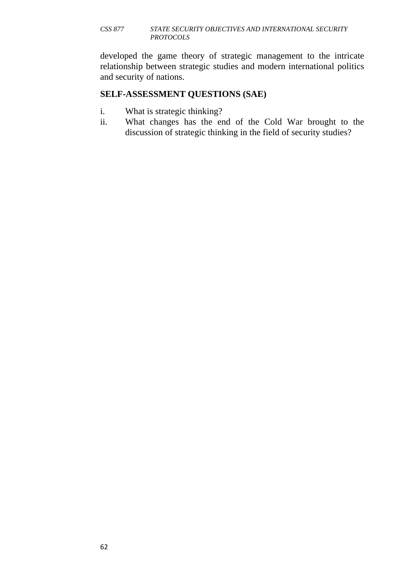#### *CSS 877 STATE SECURITY OBJECTIVES AND INTERNATIONAL SECURITY PROTOCOLS*

developed the game theory of strategic management to the intricate relationship between strategic studies and modern international politics and security of nations.

### **SELF-ASSESSMENT QUESTIONS (SAE)**

- i. What is strategic thinking?
- ii. What changes has the end of the Cold War brought to the discussion of strategic thinking in the field of security studies?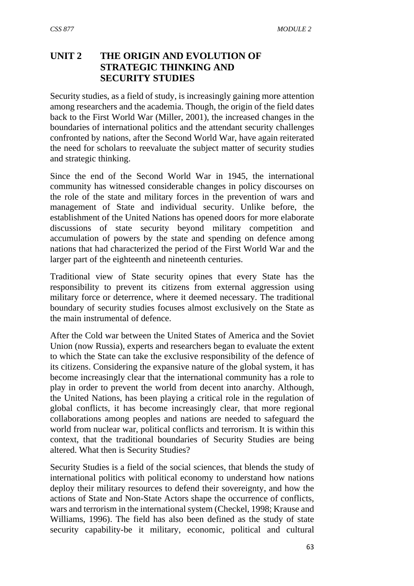# **UNIT 2 THE ORIGIN AND EVOLUTION OF STRATEGIC THINKING AND SECURITY STUDIES**

Security studies, as a field of study, is increasingly gaining more attention among researchers and the academia. Though, the origin of the field dates back to the First World War (Miller, 2001), the increased changes in the boundaries of international politics and the attendant security challenges confronted by nations, after the Second World War, have again reiterated the need for scholars to reevaluate the subject matter of security studies and strategic thinking.

Since the end of the Second World War in 1945, the international community has witnessed considerable changes in policy discourses on the role of the state and military forces in the prevention of wars and management of State and individual security. Unlike before, the establishment of the United Nations has opened doors for more elaborate discussions of state security beyond military competition and accumulation of powers by the state and spending on defence among nations that had characterized the period of the First World War and the larger part of the eighteenth and nineteenth centuries.

Traditional view of State security opines that every State has the responsibility to prevent its citizens from external aggression using military force or deterrence, where it deemed necessary. The traditional boundary of security studies focuses almost exclusively on the State as the main instrumental of defence.

After the Cold war between the United States of America and the Soviet Union (now Russia), experts and researchers began to evaluate the extent to which the State can take the exclusive responsibility of the defence of its citizens. Considering the expansive nature of the global system, it has become increasingly clear that the international community has a role to play in order to prevent the world from decent into anarchy. Although, the United Nations, has been playing a critical role in the regulation of global conflicts, it has become increasingly clear, that more regional collaborations among peoples and nations are needed to safeguard the world from nuclear war, political conflicts and terrorism. It is within this context, that the traditional boundaries of Security Studies are being altered. What then is Security Studies?

Security Studies is a field of the social sciences, that blends the study of international politics with political economy to understand how nations deploy their military resources to defend their sovereignty, and how the actions of State and Non-State Actors shape the occurrence of conflicts, wars and terrorism in the international system (Checkel, 1998; Krause and Williams, 1996). The field has also been defined as the study of state security capability-be it military, economic, political and cultural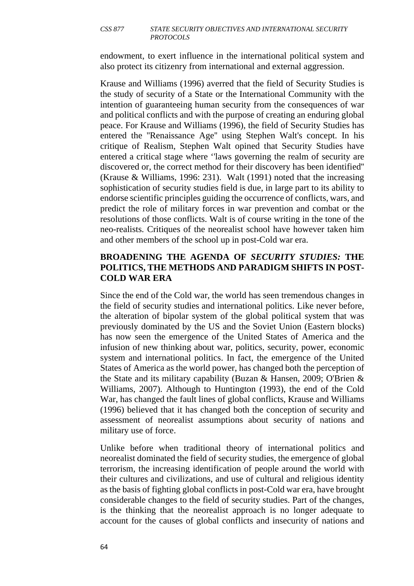#### *CSS 877 STATE SECURITY OBJECTIVES AND INTERNATIONAL SECURITY PROTOCOLS*

endowment, to exert influence in the international political system and also protect its citizenry from international and external aggression.

Krause and Williams (1996) averred that the field of Security Studies is the study of security of a State or the International Community with the intention of guaranteeing human security from the consequences of war and political conflicts and with the purpose of creating an enduring global peace. For Krause and Williams (1996), the field of Security Studies has entered the ''Renaissance Age'' using Stephen Walt's concept. In his critique of Realism, Stephen Walt opined that Security Studies have entered a critical stage where ''laws governing the realm of security are discovered or, the correct method for their discovery has been identified'' (Krause & Williams, 1996: 231). Walt (1991) noted that the increasing sophistication of security studies field is due, in large part to its ability to endorse scientific principles guiding the occurrence of conflicts, wars, and predict the role of military forces in war prevention and combat or the resolutions of those conflicts. Walt is of course writing in the tone of the neo-realists. Critiques of the neorealist school have however taken him and other members of the school up in post-Cold war era.

### **BROADENING THE AGENDA OF** *SECURITY STUDIES:* **THE POLITICS, THE METHODS AND PARADIGM SHIFTS IN POST-COLD WAR ERA**

Since the end of the Cold war, the world has seen tremendous changes in the field of security studies and international politics. Like never before, the alteration of bipolar system of the global political system that was previously dominated by the US and the Soviet Union (Eastern blocks) has now seen the emergence of the United States of America and the infusion of new thinking about war, politics, security, power, economic system and international politics. In fact, the emergence of the United States of America as the world power, has changed both the perception of the State and its military capability (Buzan & Hansen, 2009; O'Brien & Williams, 2007). Although to Huntington (1993), the end of the Cold War, has changed the fault lines of global conflicts, Krause and Williams (1996) believed that it has changed both the conception of security and assessment of neorealist assumptions about security of nations and military use of force.

Unlike before when traditional theory of international politics and neorealist dominated the field of security studies, the emergence of global terrorism, the increasing identification of people around the world with their cultures and civilizations, and use of cultural and religious identity as the basis of fighting global conflicts in post-Cold war era, have brought considerable changes to the field of security studies. Part of the changes, is the thinking that the neorealist approach is no longer adequate to account for the causes of global conflicts and insecurity of nations and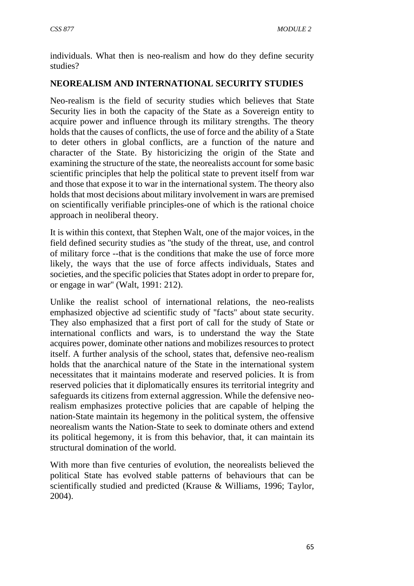individuals. What then is neo-realism and how do they define security studies?

# **NEOREALISM AND INTERNATIONAL SECURITY STUDIES**

Neo-realism is the field of security studies which believes that State Security lies in both the capacity of the State as a Sovereign entity to acquire power and influence through its military strengths. The theory holds that the causes of conflicts, the use of force and the ability of a State to deter others in global conflicts, are a function of the nature and character of the State. By historicizing the origin of the State and examining the structure of the state, the neorealists account for some basic scientific principles that help the political state to prevent itself from war and those that expose it to war in the international system. The theory also holds that most decisions about military involvement in wars are premised on scientifically verifiable principles-one of which is the rational choice approach in neoliberal theory.

It is within this context, that Stephen Walt, one of the major voices, in the field defined security studies as ''the study of the threat, use, and control of military force --that is the conditions that make the use of force more likely, the ways that the use of force affects individuals, States and societies, and the specific policies that States adopt in order to prepare for, or engage in war'' (Walt, 1991: 212).

Unlike the realist school of international relations, the neo-realists emphasized objective ad scientific study of ''facts'' about state security. They also emphasized that a first port of call for the study of State or international conflicts and wars, is to understand the way the State acquires power, dominate other nations and mobilizes resources to protect itself. A further analysis of the school, states that, defensive neo-realism holds that the anarchical nature of the State in the international system necessitates that it maintains moderate and reserved policies. It is from reserved policies that it diplomatically ensures its territorial integrity and safeguards its citizens from external aggression. While the defensive neorealism emphasizes protective policies that are capable of helping the nation-State maintain its hegemony in the political system, the offensive neorealism wants the Nation-State to seek to dominate others and extend its political hegemony, it is from this behavior, that, it can maintain its structural domination of the world.

With more than five centuries of evolution, the neorealists believed the political State has evolved stable patterns of behaviours that can be scientifically studied and predicted (Krause & Williams, 1996; Taylor, 2004).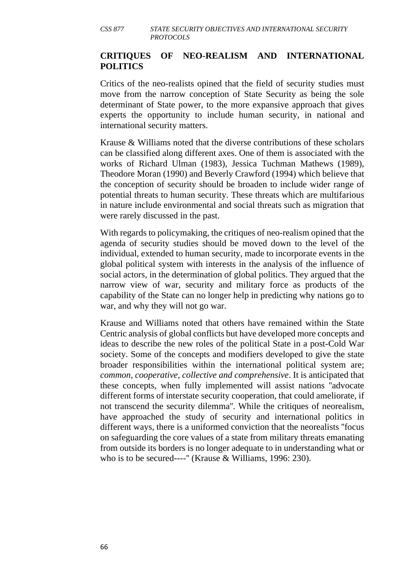### **CRITIQUES OF NEO-REALISM AND INTERNATIONAL POLITICS**

Critics of the neo-realists opined that the field of security studies must move from the narrow conception of State Security as being the sole determinant of State power, to the more expansive approach that gives experts the opportunity to include human security, in national and international security matters.

Krause & Williams noted that the diverse contributions of these scholars can be classified along different axes. One of them is associated with the works of Richard Ulman (1983), Jessica Tuchman Mathews (1989), Theodore Moran (1990) and Beverly Crawford (1994) which believe that the conception of security should be broaden to include wider range of potential threats to human security. These threats which are multifarious in nature include environmental and social threats such as migration that were rarely discussed in the past.

With regards to policymaking, the critiques of neo-realism opined that the agenda of security studies should be moved down to the level of the individual, extended to human security, made to incorporate events in the global political system with interests in the analysis of the influence of social actors, in the determination of global politics. They argued that the narrow view of war, security and military force as products of the capability of the State can no longer help in predicting why nations go to war, and why they will not go war.

Krause and Williams noted that others have remained within the State Centric analysis of global conflicts but have developed more concepts and ideas to describe the new roles of the political State in a post-Cold War society. Some of the concepts and modifiers developed to give the state broader responsibilities within the international political system are; *common, cooperative, collective and comprehensive*. It is anticipated that these concepts, when fully implemented will assist nations ''advocate different forms of interstate security cooperation, that could ameliorate, if not transcend the security dilemma''. While the critiques of neorealism, have approached the study of security and international politics in different ways, there is a uniformed conviction that the neorealists ''focus on safeguarding the core values of a state from military threats emanating from outside its borders is no longer adequate to in understanding what or who is to be secured----'' (Krause & Williams, 1996: 230).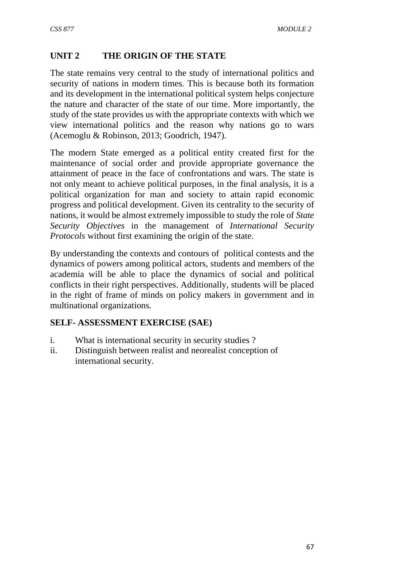# **UNIT 2 THE ORIGIN OF THE STATE**

The state remains very central to the study of international politics and security of nations in modern times. This is because both its formation and its development in the international political system helps conjecture the nature and character of the state of our time. More importantly, the study of the state provides us with the appropriate contexts with which we view international politics and the reason why nations go to wars (Acemoglu & Robinson, 2013; Goodrich, 1947).

The modern State emerged as a political entity created first for the maintenance of social order and provide appropriate governance the attainment of peace in the face of confrontations and wars. The state is not only meant to achieve political purposes, in the final analysis, it is a political organization for man and society to attain rapid economic progress and political development. Given its centrality to the security of nations, it would be almost extremely impossible to study the role of *State Security Objectives* in the management of *International Security Protocols* without first examining the origin of the state.

By understanding the contexts and contours of political contests and the dynamics of powers among political actors, students and members of the academia will be able to place the dynamics of social and political conflicts in their right perspectives. Additionally, students will be placed in the right of frame of minds on policy makers in government and in multinational organizations.

### **SELF- ASSESSMENT EXERCISE (SAE)**

- i. What is international security in security studies ?
- ii. Distinguish between realist and neorealist conception of international security.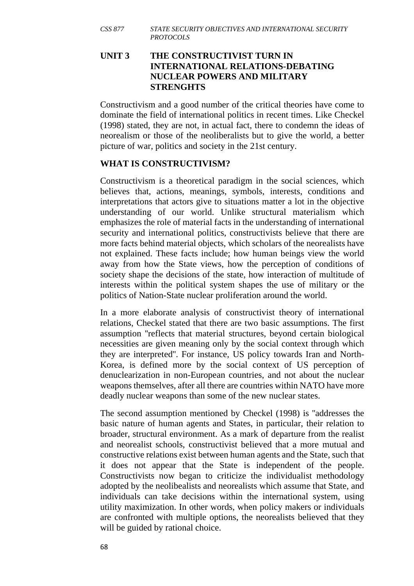## **UNIT 3 THE CONSTRUCTIVIST TURN IN INTERNATIONAL RELATIONS-DEBATING NUCLEAR POWERS AND MILITARY STRENGHTS**

Constructivism and a good number of the critical theories have come to dominate the field of international politics in recent times. Like Checkel (1998) stated, they are not, in actual fact, there to condemn the ideas of neorealism or those of the neoliberalists but to give the world, a better picture of war, politics and society in the 21st century.

## **WHAT IS CONSTRUCTIVISM?**

Constructivism is a theoretical paradigm in the social sciences, which believes that, actions, meanings, symbols, interests, conditions and interpretations that actors give to situations matter a lot in the objective understanding of our world. Unlike structural materialism which emphasizes the role of material facts in the understanding of international security and international politics, constructivists believe that there are more facts behind material objects, which scholars of the neorealists have not explained. These facts include; how human beings view the world away from how the State views, how the perception of conditions of society shape the decisions of the state, how interaction of multitude of interests within the political system shapes the use of military or the politics of Nation-State nuclear proliferation around the world.

In a more elaborate analysis of constructivist theory of international relations, Checkel stated that there are two basic assumptions. The first assumption ''reflects that material structures, beyond certain biological necessities are given meaning only by the social context through which they are interpreted''. For instance, US policy towards Iran and North-Korea, is defined more by the social context of US perception of denuclearization in non-European countries, and not about the nuclear weapons themselves, after all there are countries within NATO have more deadly nuclear weapons than some of the new nuclear states.

The second assumption mentioned by Checkel (1998) is ''addresses the basic nature of human agents and States, in particular, their relation to broader, structural environment. As a mark of departure from the realist and neorealist schools, constructivist believed that a more mutual and constructive relations exist between human agents and the State, such that it does not appear that the State is independent of the people. Constructivists now began to criticize the individualist methodology adopted by the neolibealists and neorealists which assume that State, and individuals can take decisions within the international system, using utility maximization. In other words, when policy makers or individuals are confronted with multiple options, the neorealists believed that they will be guided by rational choice.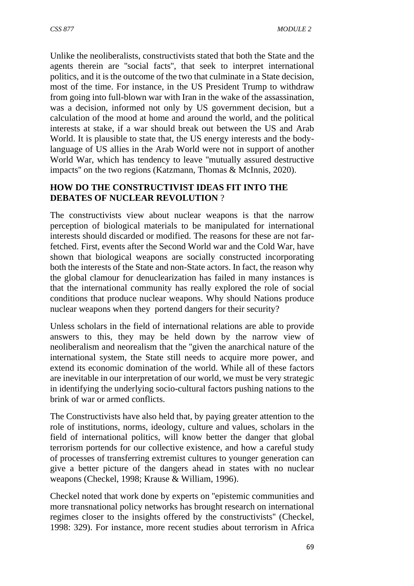Unlike the neoliberalists, constructivists stated that both the State and the agents therein are ''social facts'', that seek to interpret international politics, and it is the outcome of the two that culminate in a State decision, most of the time. For instance, in the US President Trump to withdraw from going into full-blown war with Iran in the wake of the assassination, was a decision, informed not only by US government decision, but a calculation of the mood at home and around the world, and the political interests at stake, if a war should break out between the US and Arab World. It is plausible to state that, the US energy interests and the bodylanguage of US allies in the Arab World were not in support of another World War, which has tendency to leave ''mutually assured destructive impacts'' on the two regions (Katzmann, Thomas & McInnis, 2020).

## **HOW DO THE CONSTRUCTIVIST IDEAS FIT INTO THE DEBATES OF NUCLEAR REVOLUTION** ?

The constructivists view about nuclear weapons is that the narrow perception of biological materials to be manipulated for international interests should discarded or modified. The reasons for these are not farfetched. First, events after the Second World war and the Cold War, have shown that biological weapons are socially constructed incorporating both the interests of the State and non-State actors. In fact, the reason why the global clamour for denuclearization has failed in many instances is that the international community has really explored the role of social conditions that produce nuclear weapons. Why should Nations produce nuclear weapons when they portend dangers for their security?

Unless scholars in the field of international relations are able to provide answers to this, they may be held down by the narrow view of neoliberalism and neorealism that the ''given the anarchical nature of the international system, the State still needs to acquire more power, and extend its economic domination of the world. While all of these factors are inevitable in our interpretation of our world, we must be very strategic in identifying the underlying socio-cultural factors pushing nations to the brink of war or armed conflicts.

The Constructivists have also held that, by paying greater attention to the role of institutions, norms, ideology, culture and values, scholars in the field of international politics, will know better the danger that global terrorism portends for our collective existence, and how a careful study of processes of transferring extremist cultures to younger generation can give a better picture of the dangers ahead in states with no nuclear weapons (Checkel, 1998; Krause & William, 1996).

Checkel noted that work done by experts on ''epistemic communities and more transnational policy networks has brought research on international regimes closer to the insights offered by the constructivists'' (Checkel, 1998: 329). For instance, more recent studies about terrorism in Africa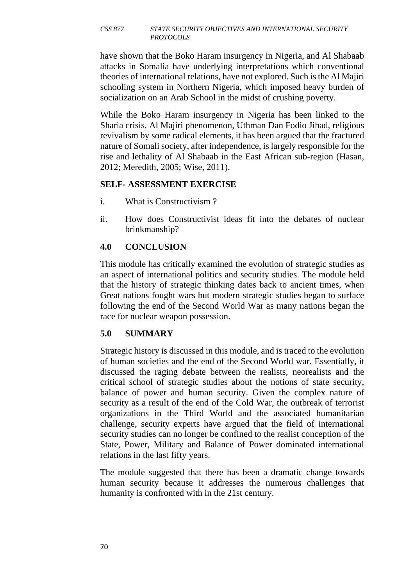#### *CSS 877 STATE SECURITY OBJECTIVES AND INTERNATIONAL SECURITY PROTOCOLS*

have shown that the Boko Haram insurgency in Nigeria, and Al Shabaab attacks in Somalia have underlying interpretations which conventional theories of international relations, have not explored. Such is the Al Majiri schooling system in Northern Nigeria, which imposed heavy burden of socialization on an Arab School in the midst of crushing poverty.

While the Boko Haram insurgency in Nigeria has been linked to the Sharia crisis, Al Majiri phenomenon, Uthman Dan Fodio Jihad, religious revivalism by some radical elements, it has been argued that the fractured nature of Somali society, after independence, is largely responsible for the rise and lethality of Al Shabaab in the East African sub-region (Hasan, 2012; Meredith, 2005; Wise, 2011).

### **SELF- ASSESSMENT EXERCISE**

- i. What is Constructivism ?
- ii. How does Constructivist ideas fit into the debates of nuclear brinkmanship?

### **4.0 CONCLUSION**

This module has critically examined the evolution of strategic studies as an aspect of international politics and security studies. The module held that the history of strategic thinking dates back to ancient times, when Great nations fought wars but modern strategic studies began to surface following the end of the Second World War as many nations began the race for nuclear weapon possession.

### **5.0 SUMMARY**

Strategic history is discussed in this module, and is traced to the evolution of human societies and the end of the Second World war. Essentially, it discussed the raging debate between the realists, neorealists and the critical school of strategic studies about the notions of state security, balance of power and human security. Given the complex nature of security as a result of the end of the Cold War, the outbreak of terrorist organizations in the Third World and the associated humanitarian challenge, security experts have argued that the field of international security studies can no longer be confined to the realist conception of the State, Power, Military and Balance of Power dominated international relations in the last fifty years.

The module suggested that there has been a dramatic change towards human security because it addresses the numerous challenges that humanity is confronted with in the 21st century.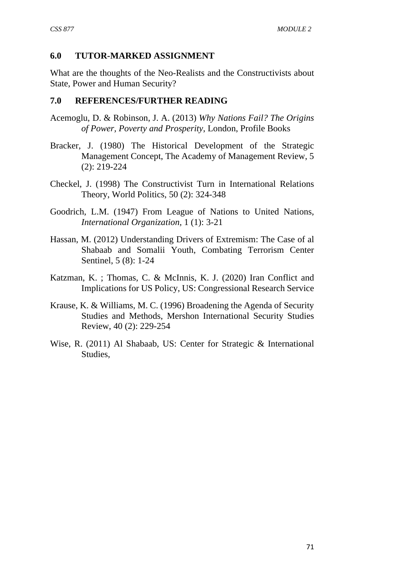### **6.0 TUTOR-MARKED ASSIGNMENT**

What are the thoughts of the Neo-Realists and the Constructivists about State, Power and Human Security?

### **7.0 REFERENCES/FURTHER READING**

- Acemoglu, D. & Robinson, J. A. (2013) *Why Nations Fail? The Origins of Power, Poverty and Prosperity*, London, Profile Books
- Bracker, J. (1980) The Historical Development of the Strategic Management Concept, The Academy of Management Review, 5 (2): 219-224
- Checkel, J. (1998) The Constructivist Turn in International Relations Theory, World Politics, 50 (2): 324-348
- Goodrich, L.M. (1947) From League of Nations to United Nations, *International Organization,* 1 (1): 3-21
- Hassan, M. (2012) Understanding Drivers of Extremism: The Case of al Shabaab and Somalii Youth, Combating Terrorism Center Sentinel, 5 (8): 1-24
- Katzman, K. ; Thomas, C. & McInnis, K. J. (2020) Iran Conflict and Implications for US Policy, US: Congressional Research Service
- Krause, K. & Williams, M. C. (1996) Broadening the Agenda of Security Studies and Methods, Mershon International Security Studies Review, 40 (2): 229-254
- Wise, R. (2011) Al Shabaab, US: Center for Strategic & International Studies,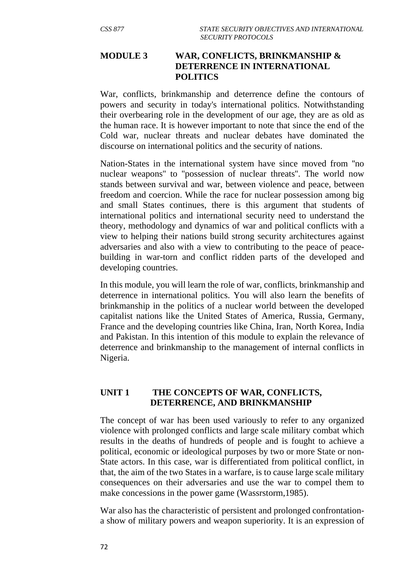### **MODULE 3 WAR, CONFLICTS, BRINKMANSHIP & DETERRENCE IN INTERNATIONAL POLITICS**

War, conflicts, brinkmanship and deterrence define the contours of powers and security in today's international politics. Notwithstanding their overbearing role in the development of our age, they are as old as the human race. It is however important to note that since the end of the Cold war, nuclear threats and nuclear debates have dominated the discourse on international politics and the security of nations.

Nation-States in the international system have since moved from ''no nuclear weapons'' to ''possession of nuclear threats''. The world now stands between survival and war, between violence and peace, between freedom and coercion. While the race for nuclear possession among big and small States continues, there is this argument that students of international politics and international security need to understand the theory, methodology and dynamics of war and political conflicts with a view to helping their nations build strong security architectures against adversaries and also with a view to contributing to the peace of peacebuilding in war-torn and conflict ridden parts of the developed and developing countries.

In this module, you will learn the role of war, conflicts, brinkmanship and deterrence in international politics. You will also learn the benefits of brinkmanship in the politics of a nuclear world between the developed capitalist nations like the United States of America, Russia, Germany, France and the developing countries like China, Iran, North Korea, India and Pakistan. In this intention of this module to explain the relevance of deterrence and brinkmanship to the management of internal conflicts in Nigeria.

### **UNIT 1 THE CONCEPTS OF WAR, CONFLICTS, DETERRENCE, AND BRINKMANSHIP**

The concept of war has been used variously to refer to any organized violence with prolonged conflicts and large scale military combat which results in the deaths of hundreds of people and is fought to achieve a political, economic or ideological purposes by two or more State or non-State actors. In this case, war is differentiated from political conflict, in that, the aim of the two States in a warfare, is to cause large scale military consequences on their adversaries and use the war to compel them to make concessions in the power game (Wassrstorm,1985).

War also has the characteristic of persistent and prolonged confrontationa show of military powers and weapon superiority. It is an expression of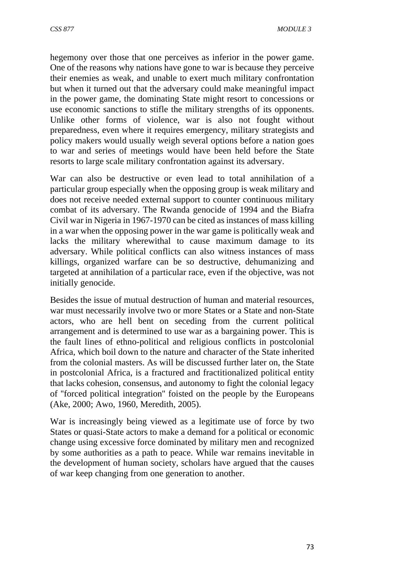hegemony over those that one perceives as inferior in the power game. One of the reasons why nations have gone to war is because they perceive their enemies as weak, and unable to exert much military confrontation but when it turned out that the adversary could make meaningful impact in the power game, the dominating State might resort to concessions or use economic sanctions to stifle the military strengths of its opponents. Unlike other forms of violence, war is also not fought without preparedness, even where it requires emergency, military strategists and policy makers would usually weigh several options before a nation goes to war and series of meetings would have been held before the State resorts to large scale military confrontation against its adversary.

War can also be destructive or even lead to total annihilation of a particular group especially when the opposing group is weak military and does not receive needed external support to counter continuous military combat of its adversary. The Rwanda genocide of 1994 and the Biafra Civil war in Nigeria in 1967-1970 can be cited as instances of mass killing in a war when the opposing power in the war game is politically weak and lacks the military wherewithal to cause maximum damage to its adversary. While political conflicts can also witness instances of mass killings, organized warfare can be so destructive, dehumanizing and targeted at annihilation of a particular race, even if the objective, was not initially genocide.

Besides the issue of mutual destruction of human and material resources, war must necessarily involve two or more States or a State and non-State actors, who are hell bent on seceding from the current political arrangement and is determined to use war as a bargaining power. This is the fault lines of ethno-political and religious conflicts in postcolonial Africa, which boil down to the nature and character of the State inherited from the colonial masters. As will be discussed further later on, the State in postcolonial Africa, is a fractured and fractitionalized political entity that lacks cohesion, consensus, and autonomy to fight the colonial legacy of ''forced political integration'' foisted on the people by the Europeans (Ake, 2000; Awo, 1960, Meredith, 2005).

War is increasingly being viewed as a legitimate use of force by two States or quasi-State actors to make a demand for a political or economic change using excessive force dominated by military men and recognized by some authorities as a path to peace. While war remains inevitable in the development of human society, scholars have argued that the causes of war keep changing from one generation to another.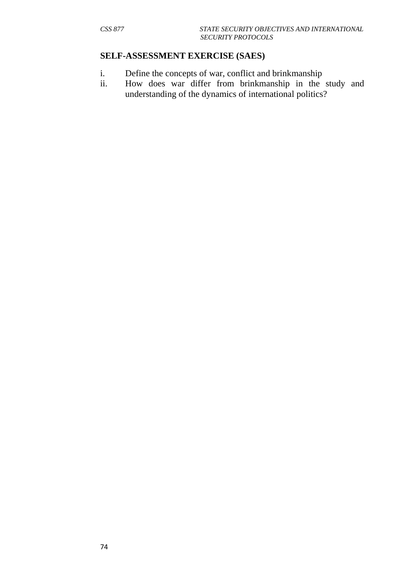#### **SELF-ASSESSMENT EXERCISE (SAES)**

- i. Define the concepts of war, conflict and brinkmanship
- ii. How does war differ from brinkmanship in the study and understanding of the dynamics of international politics?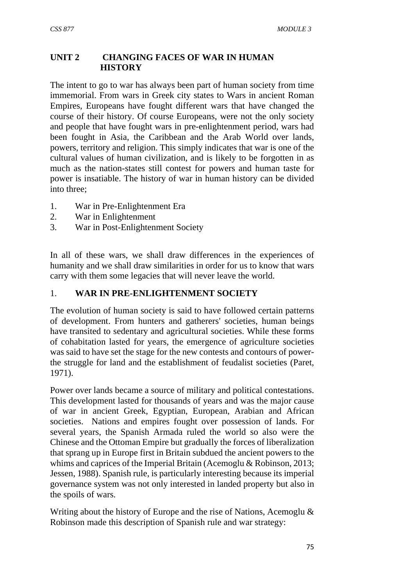### **UNIT 2 CHANGING FACES OF WAR IN HUMAN HISTORY**

The intent to go to war has always been part of human society from time immemorial. From wars in Greek city states to Wars in ancient Roman Empires, Europeans have fought different wars that have changed the course of their history. Of course Europeans, were not the only society and people that have fought wars in pre-enlightenment period, wars had been fought in Asia, the Caribbean and the Arab World over lands, powers, territory and religion. This simply indicates that war is one of the cultural values of human civilization, and is likely to be forgotten in as much as the nation-states still contest for powers and human taste for power is insatiable. The history of war in human history can be divided into three;

- 1. War in Pre-Enlightenment Era
- 2. War in Enlightenment
- 3. War in Post-Enlightenment Society

In all of these wars, we shall draw differences in the experiences of humanity and we shall draw similarities in order for us to know that wars carry with them some legacies that will never leave the world.

### 1. **WAR IN PRE-ENLIGHTENMENT SOCIETY**

The evolution of human society is said to have followed certain patterns of development. From hunters and gatherers' societies, human beings have transited to sedentary and agricultural societies. While these forms of cohabitation lasted for years, the emergence of agriculture societies was said to have set the stage for the new contests and contours of powerthe struggle for land and the establishment of feudalist societies (Paret, 1971).

Power over lands became a source of military and political contestations. This development lasted for thousands of years and was the major cause of war in ancient Greek, Egyptian, European, Arabian and African societies. Nations and empires fought over possession of lands. For several years, the Spanish Armada ruled the world so also were the Chinese and the Ottoman Empire but gradually the forces of liberalization that sprang up in Europe first in Britain subdued the ancient powers to the whims and caprices of the Imperial Britain (Acemoglu & Robinson, 2013; Jessen, 1988). Spanish rule, is particularly interesting because its imperial governance system was not only interested in landed property but also in the spoils of wars.

Writing about the history of Europe and the rise of Nations, Acemoglu & Robinson made this description of Spanish rule and war strategy: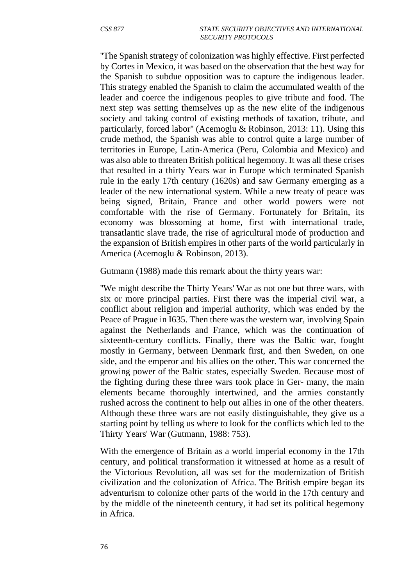''The Spanish strategy of colonization was highly effective. First perfected by Cortes in Mexico, it was based on the observation that the best way for the Spanish to subdue opposition was to capture the indigenous leader. This strategy enabled the Spanish to claim the accumulated wealth of the leader and coerce the indigenous peoples to give tribute and food. The next step was setting themselves up as the new elite of the indigenous society and taking control of existing methods of taxation, tribute, and particularly, forced labor'' (Acemoglu & Robinson, 2013: 11). Using this crude method, the Spanish was able to control quite a large number of territories in Europe, Latin-America (Peru, Colombia and Mexico) and was also able to threaten British political hegemony. It was all these crises that resulted in a thirty Years war in Europe which terminated Spanish rule in the early 17th century (1620s) and saw Germany emerging as a leader of the new international system. While a new treaty of peace was being signed, Britain, France and other world powers were not comfortable with the rise of Germany. Fortunately for Britain, its economy was blossoming at home, first with international trade, transatlantic slave trade, the rise of agricultural mode of production and the expansion of British empires in other parts of the world particularly in America (Acemoglu & Robinson, 2013).

Gutmann (1988) made this remark about the thirty years war:

''We might describe the Thirty Years' War as not one but three wars, with six or more principal parties. First there was the imperial civil war, a conflict about religion and imperial authority, which was ended by the Peace of Prague in I635. Then there was the western war, involving Spain against the Netherlands and France, which was the continuation of sixteenth-century conflicts. Finally, there was the Baltic war, fought mostly in Germany, between Denmark first, and then Sweden, on one side, and the emperor and his allies on the other. This war concerned the growing power of the Baltic states, especially Sweden. Because most of the fighting during these three wars took place in Ger- many, the main elements became thoroughly intertwined, and the armies constantly rushed across the continent to help out allies in one of the other theaters. Although these three wars are not easily distinguishable, they give us a starting point by telling us where to look for the conflicts which led to the Thirty Years' War (Gutmann, 1988: 753).

With the emergence of Britain as a world imperial economy in the 17th century, and political transformation it witnessed at home as a result of the Victorious Revolution, all was set for the modernization of British civilization and the colonization of Africa. The British empire began its adventurism to colonize other parts of the world in the 17th century and by the middle of the nineteenth century, it had set its political hegemony in Africa.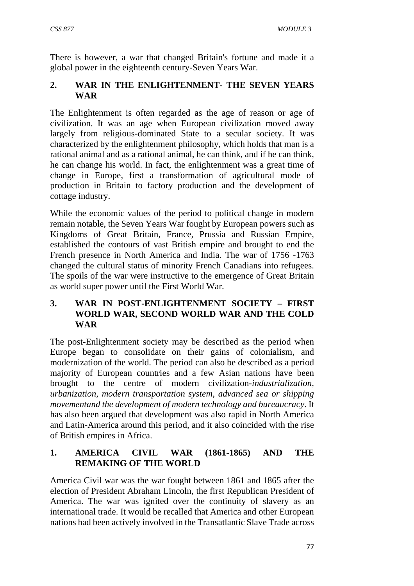There is however, a war that changed Britain's fortune and made it a global power in the eighteenth century-Seven Years War.

# **2. WAR IN THE ENLIGHTENMENT- THE SEVEN YEARS WAR**

The Enlightenment is often regarded as the age of reason or age of civilization. It was an age when European civilization moved away largely from religious-dominated State to a secular society. It was characterized by the enlightenment philosophy, which holds that man is a rational animal and as a rational animal, he can think, and if he can think, he can change his world. In fact, the enlightenment was a great time of change in Europe, first a transformation of agricultural mode of production in Britain to factory production and the development of cottage industry.

While the economic values of the period to political change in modern remain notable, the Seven Years War fought by European powers such as Kingdoms of Great Britain, France, Prussia and Russian Empire, established the contours of vast British empire and brought to end the French presence in North America and India. The war of 1756 -1763 changed the cultural status of minority French Canadians into refugees. The spoils of the war were instructive to the emergence of Great Britain as world super power until the First World War.

## **3. WAR IN POST-ENLIGHTENMENT SOCIETY – FIRST WORLD WAR, SECOND WORLD WAR AND THE COLD WAR**

The post-Enlightenment society may be described as the period when Europe began to consolidate on their gains of colonialism, and modernization of the world. The period can also be described as a period majority of European countries and a few Asian nations have been brought to the centre of modern civilization-*industrialization, urbanization, modern transportation system, advanced sea or shipping movementand the development of modern technology and bureaucracy*. It has also been argued that development was also rapid in North America and Latin-America around this period, and it also coincided with the rise of British empires in Africa.

## **1. AMERICA CIVIL WAR (1861-1865) AND THE REMAKING OF THE WORLD**

America Civil war was the war fought between 1861 and 1865 after the election of President Abraham Lincoln, the first Republican President of America. The war was ignited over the continuity of slavery as an international trade. It would be recalled that America and other European nations had been actively involved in the Transatlantic Slave Trade across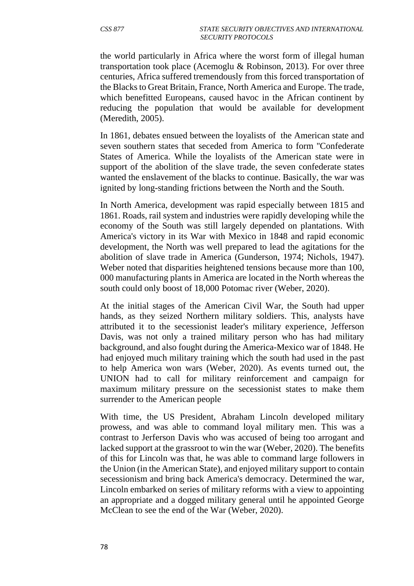the world particularly in Africa where the worst form of illegal human transportation took place (Acemoglu & Robinson, 2013). For over three centuries, Africa suffered tremendously from this forced transportation of the Blacks to Great Britain, France, North America and Europe. The trade, which benefitted Europeans, caused havoc in the African continent by reducing the population that would be available for development (Meredith, 2005).

In 1861, debates ensued between the loyalists of the American state and seven southern states that seceded from America to form ''Confederate States of America. While the loyalists of the American state were in support of the abolition of the slave trade, the seven confederate states wanted the enslavement of the blacks to continue. Basically, the war was ignited by long-standing frictions between the North and the South.

In North America, development was rapid especially between 1815 and 1861. Roads, rail system and industries were rapidly developing while the economy of the South was still largely depended on plantations. With America's victory in its War with Mexico in 1848 and rapid economic development, the North was well prepared to lead the agitations for the abolition of slave trade in America (Gunderson, 1974; Nichols, 1947). Weber noted that disparities heightened tensions because more than 100, 000 manufacturing plants in America are located in the North whereas the south could only boost of 18,000 Potomac river (Weber, 2020).

At the initial stages of the American Civil War, the South had upper hands, as they seized Northern military soldiers. This, analysts have attributed it to the secessionist leader's military experience, Jefferson Davis, was not only a trained military person who has had military background, and also fought during the America-Mexico war of 1848. He had enjoyed much military training which the south had used in the past to help America won wars (Weber, 2020). As events turned out, the UNION had to call for military reinforcement and campaign for maximum military pressure on the secessionist states to make them surrender to the American people

With time, the US President, Abraham Lincoln developed military prowess, and was able to command loyal military men. This was a contrast to Jerferson Davis who was accused of being too arrogant and lacked support at the grassroot to win the war (Weber, 2020). The benefits of this for Lincoln was that, he was able to command large followers in the Union (in the American State), and enjoyed military support to contain secessionism and bring back America's democracy. Determined the war, Lincoln embarked on series of military reforms with a view to appointing an appropriate and a dogged military general until he appointed George McClean to see the end of the War (Weber, 2020).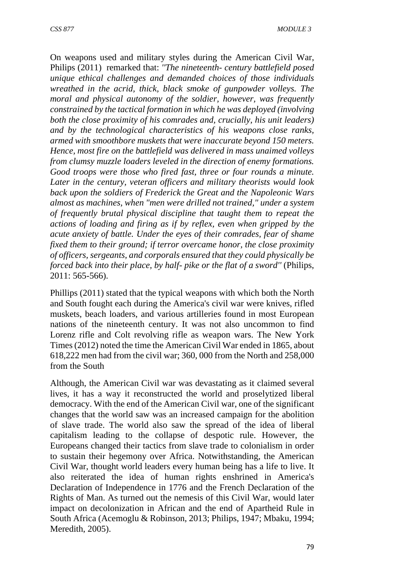On weapons used and military styles during the American Civil War, Philips (2011) remarked that: *''The nineteenth- century battlefield posed unique ethical challenges and demanded choices of those individuals wreathed in the acrid, thick, black smoke of gunpowder volleys. The moral and physical autonomy of the soldier, however, was frequently constrained by the tactical formation in which he was deployed (involving both the close proximity of his comrades and, crucially, his unit leaders) and by the technological characteristics of his weapons close ranks, armed with smoothbore muskets that were inaccurate beyond 150 meters. Hence, most fire on the battlefield was delivered in mass unaimed volleys from clumsy muzzle loaders leveled in the direction of enemy formations. Good troops were those who fired fast, three or four rounds a minute. Later in the century, veteran officers and military theorists would look back upon the soldiers of Frederick the Great and the Napoleonic Wars almost as machines, when "men were drilled not trained," under a system of frequently brutal physical discipline that taught them to repeat the actions of loading and firing as if by reflex, even when gripped by the acute anxiety of battle. Under the eyes of their comrades, fear of shame fixed them to their ground; if terror overcame honor, the close proximity of officers, sergeants, and corporals ensured that they could physically be forced back into their place, by half- pike or the flat of a sword"* (Philips, 2011: 565-566).

Phillips (2011) stated that the typical weapons with which both the North and South fought each during the America's civil war were knives, rifled muskets, beach loaders, and various artilleries found in most European nations of the nineteenth century. It was not also uncommon to find Lorenz rifle and Colt revolving rifle as weapon wars. The New York Times (2012) noted the time the American Civil War ended in 1865, about 618,222 men had from the civil war; 360, 000 from the North and 258,000 from the South

Although, the American Civil war was devastating as it claimed several lives, it has a way it reconstructed the world and proselytized liberal democracy. With the end of the American Civil war, one of the significant changes that the world saw was an increased campaign for the abolition of slave trade. The world also saw the spread of the idea of liberal capitalism leading to the collapse of despotic rule. However, the Europeans changed their tactics from slave trade to colonialism in order to sustain their hegemony over Africa. Notwithstanding, the American Civil War, thought world leaders every human being has a life to live. It also reiterated the idea of human rights enshrined in America's Declaration of Independence in 1776 and the French Declaration of the Rights of Man. As turned out the nemesis of this Civil War, would later impact on decolonization in African and the end of Apartheid Rule in South Africa (Acemoglu & Robinson, 2013; Philips, 1947; Mbaku, 1994; Meredith, 2005).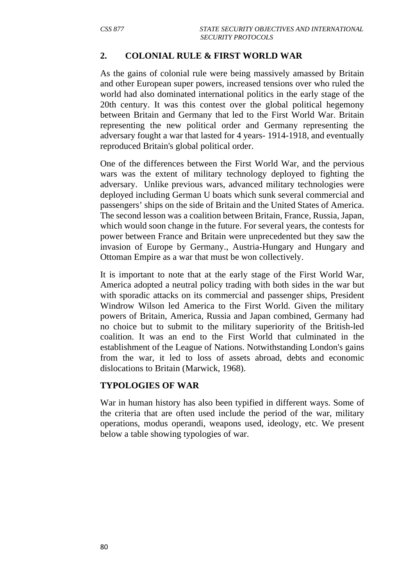### **2. COLONIAL RULE & FIRST WORLD WAR**

As the gains of colonial rule were being massively amassed by Britain and other European super powers, increased tensions over who ruled the world had also dominated international politics in the early stage of the 20th century. It was this contest over the global political hegemony between Britain and Germany that led to the First World War. Britain representing the new political order and Germany representing the adversary fought a war that lasted for 4 years- 1914-1918, and eventually reproduced Britain's global political order.

One of the differences between the First World War, and the pervious wars was the extent of military technology deployed to fighting the adversary. Unlike previous wars, advanced military technologies were deployed including German U boats which sunk several commercial and passengers' ships on the side of Britain and the United States of America. The second lesson was a coalition between Britain, France, Russia, Japan, which would soon change in the future. For several years, the contests for power between France and Britain were unprecedented but they saw the invasion of Europe by Germany., Austria-Hungary and Hungary and Ottoman Empire as a war that must be won collectively.

It is important to note that at the early stage of the First World War, America adopted a neutral policy trading with both sides in the war but with sporadic attacks on its commercial and passenger ships, President Windrow Wilson led America to the First World. Given the military powers of Britain, America, Russia and Japan combined, Germany had no choice but to submit to the military superiority of the British-led coalition. It was an end to the First World that culminated in the establishment of the League of Nations. Notwithstanding London's gains from the war, it led to loss of assets abroad, debts and economic dislocations to Britain (Marwick, 1968).

#### **TYPOLOGIES OF WAR**

War in human history has also been typified in different ways. Some of the criteria that are often used include the period of the war, military operations, modus operandi, weapons used, ideology, etc. We present below a table showing typologies of war.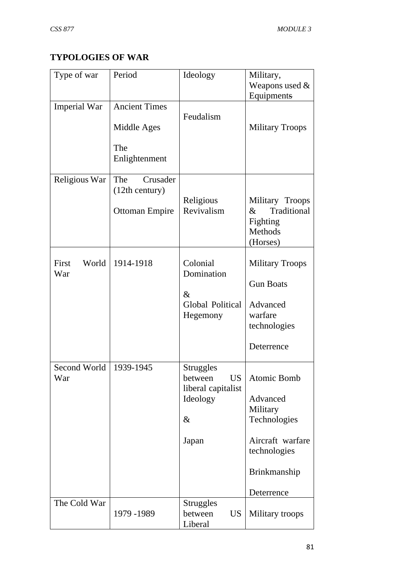# **TYPOLOGIES OF WAR**

| Type of war           | Period                                                      | Ideology                                                                                    | Military,<br>Weapons used $&$<br>Equipments                                                                                  |
|-----------------------|-------------------------------------------------------------|---------------------------------------------------------------------------------------------|------------------------------------------------------------------------------------------------------------------------------|
| <b>Imperial War</b>   | <b>Ancient Times</b><br>Middle Ages<br>The<br>Enlightenment | Feudalism                                                                                   | <b>Military Troops</b>                                                                                                       |
| Religious War         | The<br>Crusader<br>(12th century)<br><b>Ottoman Empire</b>  | Religious<br>Revivalism                                                                     | Military Troops<br>Traditional<br>$\&$<br>Fighting<br>Methods<br>(Horses)                                                    |
| First<br>World<br>War | 1914-1918                                                   | Colonial<br>Domination<br>$\&$<br>Global Political<br>Hegemony                              | <b>Military Troops</b><br><b>Gun Boats</b><br>Advanced<br>warfare<br>technologies<br>Deterrence                              |
| Second World<br>War   | 1939-1945                                                   | <b>Struggles</b><br><b>US</b><br>between<br>liberal capitalist<br>Ideology<br>$\&$<br>Japan | <b>Atomic Bomb</b><br>Advanced<br>Military<br>Technologies<br>Aircraft warfare<br>technologies<br>Brinkmanship<br>Deterrence |
| The Cold War          | 1979 - 1989                                                 | <b>Struggles</b><br>between<br><b>US</b><br>Liberal                                         | Military troops                                                                                                              |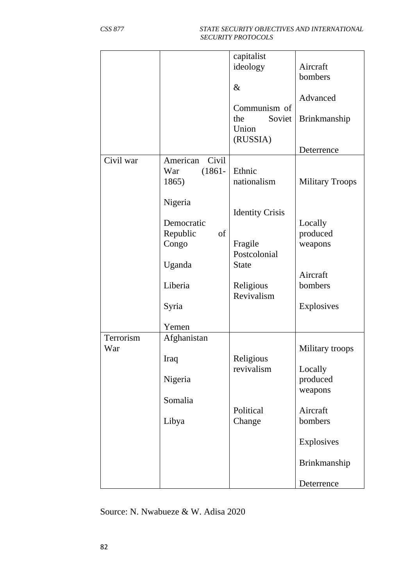|                  |                                                | capitalist<br>ideology<br>$\&$<br>Communism of<br>the<br>Soviet<br>Union<br>(RUSSIA) | Aircraft<br>bombers<br>Advanced<br>Brinkmanship |
|------------------|------------------------------------------------|--------------------------------------------------------------------------------------|-------------------------------------------------|
|                  |                                                |                                                                                      | Deterrence                                      |
| Civil war        | American<br>Civil<br>$(1861 -$<br>War<br>1865) | Ethnic<br>nationalism                                                                | <b>Military Troops</b>                          |
|                  | Nigeria<br>Democratic<br>Republic<br>of        | <b>Identity Crisis</b>                                                               | Locally<br>produced                             |
|                  | Congo<br>Uganda                                | Fragile<br>Postcolonial<br><b>State</b>                                              | weapons                                         |
|                  | Liberia                                        | Religious<br>Revivalism                                                              | Aircraft<br>bombers                             |
|                  | Syria                                          |                                                                                      | Explosives                                      |
|                  | Yemen                                          |                                                                                      |                                                 |
| Terrorism<br>War | Afghanistan<br>Iraq                            | Religious                                                                            | Military troops                                 |
|                  | Nigeria                                        | revivalism                                                                           | Locally<br>produced<br>weapons                  |
|                  | Somalia                                        | Political                                                                            | Aircraft                                        |
|                  | Libya                                          | Change                                                                               | bombers                                         |
|                  |                                                |                                                                                      | Explosives                                      |
|                  |                                                |                                                                                      | Brinkmanship                                    |
|                  |                                                |                                                                                      | Deterrence                                      |

Source: N. Nwabueze & W. Adisa 2020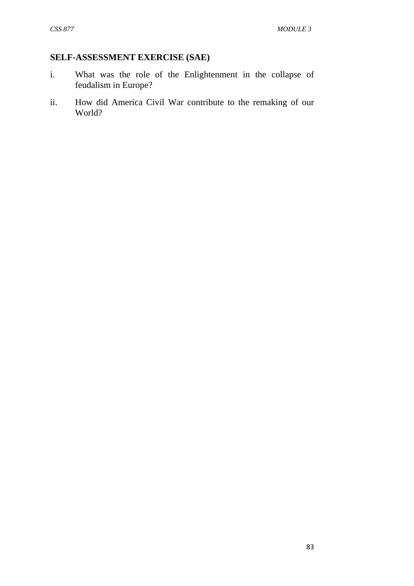### **SELF-ASSESSMENT EXERCISE (SAE)**

- i. What was the role of the Enlightenment in the collapse of feudalism in Europe?
- ii. How did America Civil War contribute to the remaking of our World?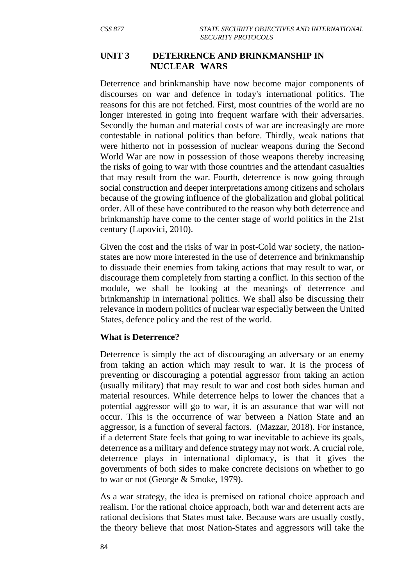### **UNIT 3 DETERRENCE AND BRINKMANSHIP IN NUCLEAR WARS**

Deterrence and brinkmanship have now become major components of discourses on war and defence in today's international politics. The reasons for this are not fetched. First, most countries of the world are no longer interested in going into frequent warfare with their adversaries. Secondly the human and material costs of war are increasingly are more contestable in national politics than before. Thirdly, weak nations that were hitherto not in possession of nuclear weapons during the Second World War are now in possession of those weapons thereby increasing the risks of going to war with those countries and the attendant casualties that may result from the war. Fourth, deterrence is now going through social construction and deeper interpretations among citizens and scholars because of the growing influence of the globalization and global political order. All of these have contributed to the reason why both deterrence and brinkmanship have come to the center stage of world politics in the 21st century (Lupovici, 2010).

Given the cost and the risks of war in post-Cold war society, the nationstates are now more interested in the use of deterrence and brinkmanship to dissuade their enemies from taking actions that may result to war, or discourage them completely from starting a conflict. In this section of the module, we shall be looking at the meanings of deterrence and brinkmanship in international politics. We shall also be discussing their relevance in modern politics of nuclear war especially between the United States, defence policy and the rest of the world.

#### **What is Deterrence?**

Deterrence is simply the act of discouraging an adversary or an enemy from taking an action which may result to war. It is the process of preventing or discouraging a potential aggressor from taking an action (usually military) that may result to war and cost both sides human and material resources. While deterrence helps to lower the chances that a potential aggressor will go to war, it is an assurance that war will not occur. This is the occurrence of war between a Nation State and an aggressor, is a function of several factors. (Mazzar, 2018). For instance, if a deterrent State feels that going to war inevitable to achieve its goals, deterrence as a military and defence strategy may not work. A crucial role, deterrence plays in international diplomacy, is that it gives the governments of both sides to make concrete decisions on whether to go to war or not (George & Smoke, 1979).

As a war strategy, the idea is premised on rational choice approach and realism. For the rational choice approach, both war and deterrent acts are rational decisions that States must take. Because wars are usually costly, the theory believe that most Nation-States and aggressors will take the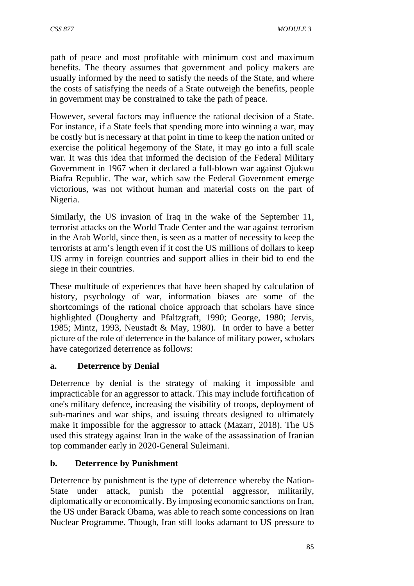path of peace and most profitable with minimum cost and maximum benefits. The theory assumes that government and policy makers are usually informed by the need to satisfy the needs of the State, and where the costs of satisfying the needs of a State outweigh the benefits, people in government may be constrained to take the path of peace.

However, several factors may influence the rational decision of a State. For instance, if a State feels that spending more into winning a war, may be costly but is necessary at that point in time to keep the nation united or exercise the political hegemony of the State, it may go into a full scale war. It was this idea that informed the decision of the Federal Military Government in 1967 when it declared a full-blown war against Ojukwu Biafra Republic. The war, which saw the Federal Government emerge victorious, was not without human and material costs on the part of Nigeria.

Similarly, the US invasion of Iraq in the wake of the September 11, terrorist attacks on the World Trade Center and the war against terrorism in the Arab World, since then, is seen as a matter of necessity to keep the terrorists at arm's length even if it cost the US millions of dollars to keep US army in foreign countries and support allies in their bid to end the siege in their countries.

These multitude of experiences that have been shaped by calculation of history, psychology of war, information biases are some of the shortcomings of the rational choice approach that scholars have since highlighted (Dougherty and Pfaltzgraft, 1990; George, 1980; Jervis, 1985; Mintz, 1993, Neustadt & May, 1980). In order to have a better picture of the role of deterrence in the balance of military power, scholars have categorized deterrence as follows:

# **a. Deterrence by Denial**

Deterrence by denial is the strategy of making it impossible and impracticable for an aggressor to attack. This may include fortification of one's military defence, increasing the visibility of troops, deployment of sub-marines and war ships, and issuing threats designed to ultimately make it impossible for the aggressor to attack (Mazarr, 2018). The US used this strategy against Iran in the wake of the assassination of Iranian top commander early in 2020-General Suleimani.

### **b. Deterrence by Punishment**

Deterrence by punishment is the type of deterrence whereby the Nation-State under attack, punish the potential aggressor, militarily, diplomatically or economically. By imposing economic sanctions on Iran, the US under Barack Obama, was able to reach some concessions on Iran Nuclear Programme. Though, Iran still looks adamant to US pressure to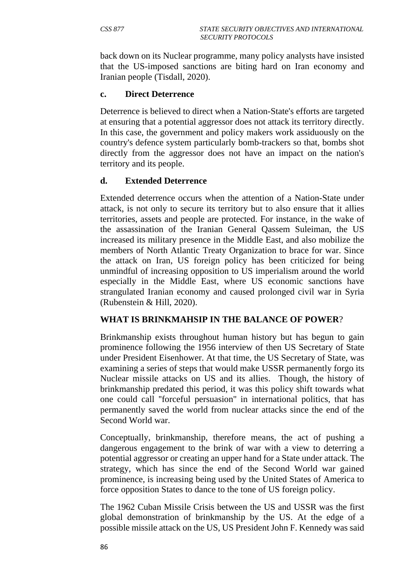back down on its Nuclear programme, many policy analysts have insisted that the US-imposed sanctions are biting hard on Iran economy and Iranian people (Tisdall, 2020).

#### **c. Direct Deterrence**

Deterrence is believed to direct when a Nation-State's efforts are targeted at ensuring that a potential aggressor does not attack its territory directly. In this case, the government and policy makers work assiduously on the country's defence system particularly bomb-trackers so that, bombs shot directly from the aggressor does not have an impact on the nation's territory and its people.

### **d. Extended Deterrence**

Extended deterrence occurs when the attention of a Nation-State under attack, is not only to secure its territory but to also ensure that it allies territories, assets and people are protected. For instance, in the wake of the assassination of the Iranian General Qassem Suleiman, the US increased its military presence in the Middle East, and also mobilize the members of North Atlantic Treaty Organization to brace for war. Since the attack on Iran, US foreign policy has been criticized for being unmindful of increasing opposition to US imperialism around the world especially in the Middle East, where US economic sanctions have strangulated Iranian economy and caused prolonged civil war in Syria (Rubenstein & Hill, 2020).

### **WHAT IS BRINKMAHSIP IN THE BALANCE OF POWER**?

Brinkmanship exists throughout human history but has begun to gain prominence following the 1956 interview of then US Secretary of State under President Eisenhower. At that time, the US Secretary of State, was examining a series of steps that would make USSR permanently forgo its Nuclear missile attacks on US and its allies. Though, the history of brinkmanship predated this period, it was this policy shift towards what one could call ''forceful persuasion'' in international politics, that has permanently saved the world from nuclear attacks since the end of the Second World war.

Conceptually, brinkmanship, therefore means, the act of pushing a dangerous engagement to the brink of war with a view to deterring a potential aggressor or creating an upper hand for a State under attack. The strategy, which has since the end of the Second World war gained prominence, is increasing being used by the United States of America to force opposition States to dance to the tone of US foreign policy.

The 1962 Cuban Missile Crisis between the US and USSR was the first global demonstration of brinkmanship by the US. At the edge of a possible missile attack on the US, US President John F. Kennedy was said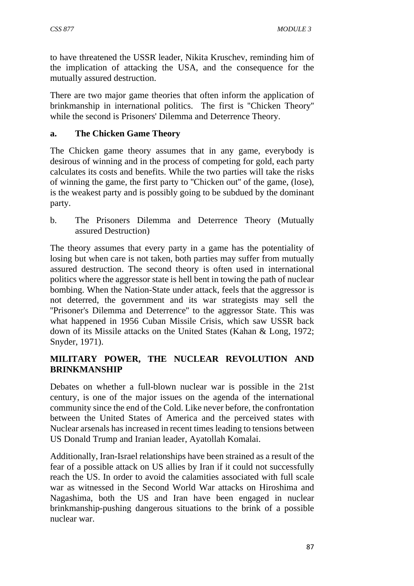to have threatened the USSR leader, Nikita Kruschev, reminding him of the implication of attacking the USA, and the consequence for the mutually assured destruction.

There are two major game theories that often inform the application of brinkmanship in international politics. The first is ''Chicken Theory'' while the second is Prisoners' Dilemma and Deterrence Theory.

## **a. The Chicken Game Theory**

The Chicken game theory assumes that in any game, everybody is desirous of winning and in the process of competing for gold, each party calculates its costs and benefits. While the two parties will take the risks of winning the game, the first party to ''Chicken out'' of the game, (lose), is the weakest party and is possibly going to be subdued by the dominant party.

b. The Prisoners Dilemma and Deterrence Theory (Mutually assured Destruction)

The theory assumes that every party in a game has the potentiality of losing but when care is not taken, both parties may suffer from mutually assured destruction. The second theory is often used in international politics where the aggressor state is hell bent in towing the path of nuclear bombing. When the Nation-State under attack, feels that the aggressor is not deterred, the government and its war strategists may sell the ''Prisoner's Dilemma and Deterrence'' to the aggressor State. This was what happened in 1956 Cuban Missile Crisis, which saw USSR back down of its Missile attacks on the United States (Kahan & Long, 1972; Snyder, 1971).

# **MILITARY POWER, THE NUCLEAR REVOLUTION AND BRINKMANSHIP**

Debates on whether a full-blown nuclear war is possible in the 21st century, is one of the major issues on the agenda of the international community since the end of the Cold. Like never before, the confrontation between the United States of America and the perceived states with Nuclear arsenals has increased in recent times leading to tensions between US Donald Trump and Iranian leader, Ayatollah Komalai.

Additionally, Iran-Israel relationships have been strained as a result of the fear of a possible attack on US allies by Iran if it could not successfully reach the US. In order to avoid the calamities associated with full scale war as witnessed in the Second World War attacks on Hiroshima and Nagashima, both the US and Iran have been engaged in nuclear brinkmanship-pushing dangerous situations to the brink of a possible nuclear war.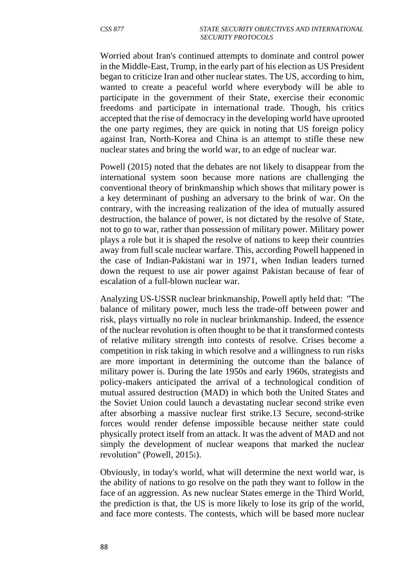Worried about Iran's continued attempts to dominate and control power in the Middle-East, Trump, in the early part of his election as US President began to criticize Iran and other nuclear states. The US, according to him, wanted to create a peaceful world where everybody will be able to participate in the government of their State, exercise their economic freedoms and participate in international trade. Though, his critics accepted that the rise of democracy in the developing world have uprooted the one party regimes, they are quick in noting that US foreign policy against Iran, North-Korea and China is an attempt to stifle these new nuclear states and bring the world war, to an edge of nuclear war.

Powell (2015) noted that the debates are not likely to disappear from the international system soon because more nations are challenging the conventional theory of brinkmanship which shows that military power is a key determinant of pushing an adversary to the brink of war. On the contrary, with the increasing realization of the idea of mutually assured destruction, the balance of power, is not dictated by the resolve of State, not to go to war, rather than possession of military power. Military power plays a role but it is shaped the resolve of nations to keep their countries away from full scale nuclear warfare. This, according Powell happened in the case of Indian-Pakistani war in 1971, when Indian leaders turned down the request to use air power against Pakistan because of fear of escalation of a full-blown nuclear war.

Analyzing US-USSR nuclear brinkmanship, Powell aptly held that: ''The balance of military power, much less the trade-off between power and risk, plays virtually no role in nuclear brinkmanship. Indeed, the essence of the nuclear revolution is often thought to be that it transformed contests of relative military strength into contests of resolve. Crises become a competition in risk taking in which resolve and a willingness to run risks are more important in determining the outcome than the balance of military power is. During the late 1950s and early 1960s, strategists and policy-makers anticipated the arrival of a technological condition of mutual assured destruction (MAD) in which both the United States and the Soviet Union could launch a devastating nuclear second strike even after absorbing a massive nuclear first strike.13 Secure, second-strike forces would render defense impossible because neither state could physically protect itself from an attack. It was the advent of MAD and not simply the development of nuclear weapons that marked the nuclear revolution'' (Powell, 2015:).

Obviously, in today's world, what will determine the next world war, is the ability of nations to go resolve on the path they want to follow in the face of an aggression. As new nuclear States emerge in the Third World, the prediction is that, the US is more likely to lose its grip of the world, and face more contests. The contests, which will be based more nuclear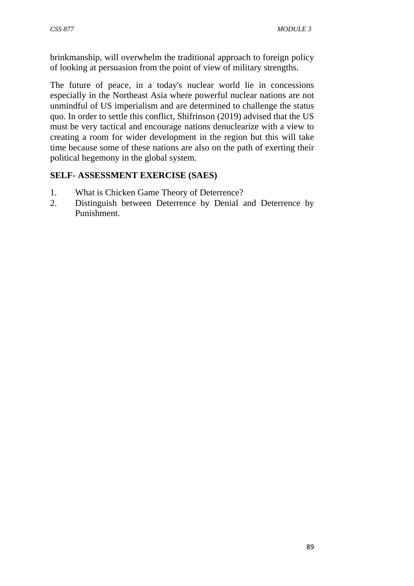brinkmanship, will overwhelm the traditional approach to foreign policy of looking at persuasion from the point of view of military strengths.

The future of peace, in a today's nuclear world lie in concessions especially in the Northeast Asia where powerful nuclear nations are not unmindful of US imperialism and are determined to challenge the status quo. In order to settle this conflict, Shifrinson (2019) advised that the US must be very tactical and encourage nations denuclearize with a view to creating a room for wider development in the region but this will take time because some of these nations are also on the path of exerting their political hegemony in the global system.

# **SELF- ASSESSMENT EXERCISE (SAES)**

- 1. What is Chicken Game Theory of Deterrence?
- 2. Distinguish between Deterrence by Denial and Deterrence by Punishment.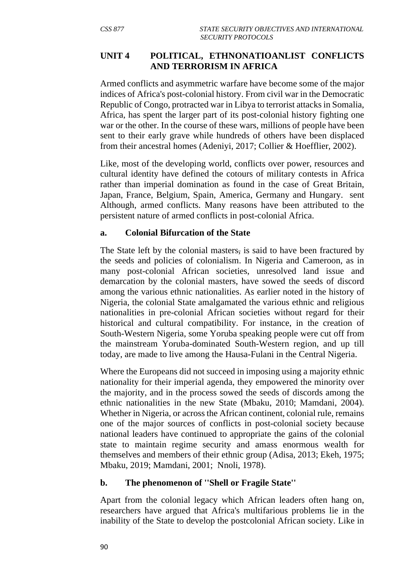### **UNIT 4 POLITICAL, ETHNONATIOANLIST CONFLICTS AND TERRORISM IN AFRICA**

Armed conflicts and asymmetric warfare have become some of the major indices of Africa's post-colonial history. From civil war in the Democratic Republic of Congo, protracted war in Libya to terrorist attacks in Somalia, Africa, has spent the larger part of its post-colonial history fighting one war or the other. In the course of these wars, millions of people have been sent to their early grave while hundreds of others have been displaced from their ancestral homes (Adeniyi, 2017; Collier & Hoefflier, 2002).

Like, most of the developing world, conflicts over power, resources and cultural identity have defined the cotours of military contests in Africa rather than imperial domination as found in the case of Great Britain, Japan, France, Belgium, Spain, America, Germany and Hungary. sent Although, armed conflicts. Many reasons have been attributed to the persistent nature of armed conflicts in post-colonial Africa.

#### **a. Colonial Bifurcation of the State**

The State left by the colonial masters, is said to have been fractured by the seeds and policies of colonialism. In Nigeria and Cameroon, as in many post-colonial African societies, unresolved land issue and demarcation by the colonial masters, have sowed the seeds of discord among the various ethnic nationalities. As earlier noted in the history of Nigeria, the colonial State amalgamated the various ethnic and religious nationalities in pre-colonial African societies without regard for their historical and cultural compatibility. For instance, in the creation of South-Western Nigeria, some Yoruba speaking people were cut off from the mainstream Yoruba-dominated South-Western region, and up till today, are made to live among the Hausa-Fulani in the Central Nigeria.

Where the Europeans did not succeed in imposing using a majority ethnic nationality for their imperial agenda, they empowered the minority over the majority, and in the process sowed the seeds of discords among the ethnic nationalities in the new State (Mbaku, 2010; Mamdani, 2004). Whether in Nigeria, or across the African continent, colonial rule, remains one of the major sources of conflicts in post-colonial society because national leaders have continued to appropriate the gains of the colonial state to maintain regime security and amass enormous wealth for themselves and members of their ethnic group (Adisa, 2013; Ekeh, 1975; Mbaku, 2019; Mamdani, 2001; Nnoli, 1978).

### **b. The phenomenon of ''Shell or Fragile State''**

Apart from the colonial legacy which African leaders often hang on, researchers have argued that Africa's multifarious problems lie in the inability of the State to develop the postcolonial African society. Like in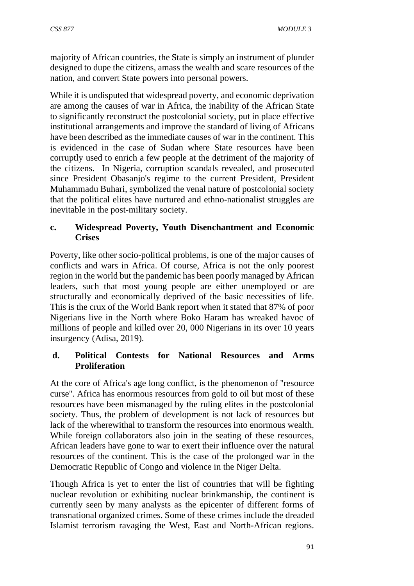majority of African countries, the State is simply an instrument of plunder designed to dupe the citizens, amass the wealth and scare resources of the nation, and convert State powers into personal powers.

While it is undisputed that widespread poverty, and economic deprivation are among the causes of war in Africa, the inability of the African State to significantly reconstruct the postcolonial society, put in place effective institutional arrangements and improve the standard of living of Africans have been described as the immediate causes of war in the continent. This is evidenced in the case of Sudan where State resources have been corruptly used to enrich a few people at the detriment of the majority of the citizens. In Nigeria, corruption scandals revealed, and prosecuted since President Obasanjo's regime to the current President, President Muhammadu Buhari, symbolized the venal nature of postcolonial society that the political elites have nurtured and ethno-nationalist struggles are inevitable in the post-military society.

### **c. Widespread Poverty, Youth Disenchantment and Economic Crises**

Poverty, like other socio-political problems, is one of the major causes of conflicts and wars in Africa. Of course, Africa is not the only poorest region in the world but the pandemic has been poorly managed by African leaders, such that most young people are either unemployed or are structurally and economically deprived of the basic necessities of life. This is the crux of the World Bank report when it stated that 87% of poor Nigerians live in the North where Boko Haram has wreaked havoc of millions of people and killed over 20, 000 Nigerians in its over 10 years insurgency (Adisa, 2019).

## **d. Political Contests for National Resources and Arms Proliferation**

At the core of Africa's age long conflict, is the phenomenon of ''resource curse''. Africa has enormous resources from gold to oil but most of these resources have been mismanaged by the ruling elites in the postcolonial society. Thus, the problem of development is not lack of resources but lack of the wherewithal to transform the resources into enormous wealth. While foreign collaborators also join in the seating of these resources, African leaders have gone to war to exert their influence over the natural resources of the continent. This is the case of the prolonged war in the Democratic Republic of Congo and violence in the Niger Delta.

Though Africa is yet to enter the list of countries that will be fighting nuclear revolution or exhibiting nuclear brinkmanship, the continent is currently seen by many analysts as the epicenter of different forms of transnational organized crimes. Some of these crimes include the dreaded Islamist terrorism ravaging the West, East and North-African regions.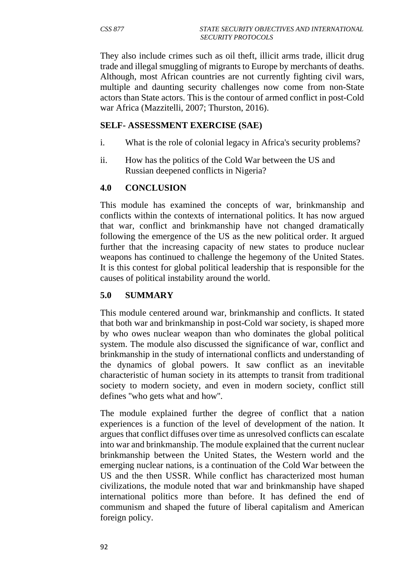They also include crimes such as oil theft, illicit arms trade, illicit drug trade and illegal smuggling of migrants to Europe by merchants of deaths. Although, most African countries are not currently fighting civil wars, multiple and daunting security challenges now come from non-State actors than State actors. This is the contour of armed conflict in post-Cold war Africa (Mazzitelli, 2007; Thurston, 2016).

### **SELF- ASSESSMENT EXERCISE (SAE)**

- i. What is the role of colonial legacy in Africa's security problems?
- ii. How has the politics of the Cold War between the US and Russian deepened conflicts in Nigeria?

### **4.0 CONCLUSION**

This module has examined the concepts of war, brinkmanship and conflicts within the contexts of international politics. It has now argued that war, conflict and brinkmanship have not changed dramatically following the emergence of the US as the new political order. It argued further that the increasing capacity of new states to produce nuclear weapons has continued to challenge the hegemony of the United States. It is this contest for global political leadership that is responsible for the causes of political instability around the world.

### **5.0 SUMMARY**

This module centered around war, brinkmanship and conflicts. It stated that both war and brinkmanship in post-Cold war society, is shaped more by who owes nuclear weapon than who dominates the global political system. The module also discussed the significance of war, conflict and brinkmanship in the study of international conflicts and understanding of the dynamics of global powers. It saw conflict as an inevitable characteristic of human society in its attempts to transit from traditional society to modern society, and even in modern society, conflict still defines ''who gets what and how''.

The module explained further the degree of conflict that a nation experiences is a function of the level of development of the nation. It argues that conflict diffuses over time as unresolved conflicts can escalate into war and brinkmanship. The module explained that the current nuclear brinkmanship between the United States, the Western world and the emerging nuclear nations, is a continuation of the Cold War between the US and the then USSR. While conflict has characterized most human civilizations, the module noted that war and brinkmanship have shaped international politics more than before. It has defined the end of communism and shaped the future of liberal capitalism and American foreign policy.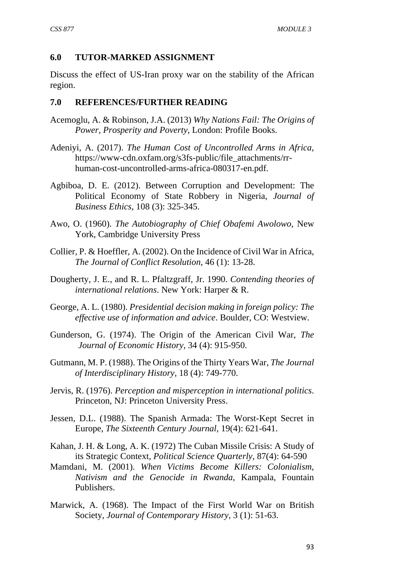### **6.0 TUTOR-MARKED ASSIGNMENT**

Discuss the effect of US-Iran proxy war on the stability of the African region.

### **7.0 REFERENCES/FURTHER READING**

- Acemoglu, A. & Robinson, J.A. (2013) *Why Nations Fail: The Origins of Power, Prosperity and Poverty*, London: Profile Books.
- Adeniyi, A. (2017). *The Human Cost of Uncontrolled Arms in Africa*, https://www-cdn.oxfam.org/s3fs-public/file\_attachments/rrhuman-cost-uncontrolled-arms-africa-080317-en.pdf.
- Agbiboa, D. E. (2012). Between Corruption and Development: The Political Economy of State Robbery in Nigeria, *Journal of Business Ethics*, 108 (3): 325-345.
- Awo, O. (1960). *The Autobiography of Chief Obafemi Awolowo,* New York, Cambridge University Press
- Collier, P. & Hoeffler, A. (2002). On the Incidence of Civil War in Africa, *The Journal of Conflict Resolution*, 46 (1): 13-28.
- Dougherty, J. E., and R. L. Pfaltzgraff, Jr. 1990. *Contending theories of international relations*. New York: Harper & R.
- George, A. L. (1980). *Presidential decision making in foreign policy: The effective use of information and advice*. Boulder, CO: Westview.
- Gunderson, G. (1974). The Origin of the American Civil War, *The Journal of Economic History*, 34 (4): 915-950.
- Gutmann, M. P. (1988). The Origins of the Thirty Years War, *The Journal of Interdisciplinary History*, 18 (4): 749-770.
- Jervis, R. (1976). *Perception and misperception in international politics*. Princeton, NJ: Princeton University Press.
- Jessen, D.L. (1988). The Spanish Armada: The Worst-Kept Secret in Europe, *The Sixteenth Century Journal*, 19(4): 621-641.
- Kahan, J. H. & Long, A. K. (1972) The Cuban Missile Crisis: A Study of its Strategic Context, *Political Science Quarterly*, 87(4): 64-590
- Mamdani, M. (2001). *When Victims Become Killers: Colonialism, Nativism and the Genocide in Rwanda*, Kampala, Fountain Publishers.
- Marwick, A. (1968). The Impact of the First World War on British Society, *Journal of Contemporary History*, 3 (1): 51-63.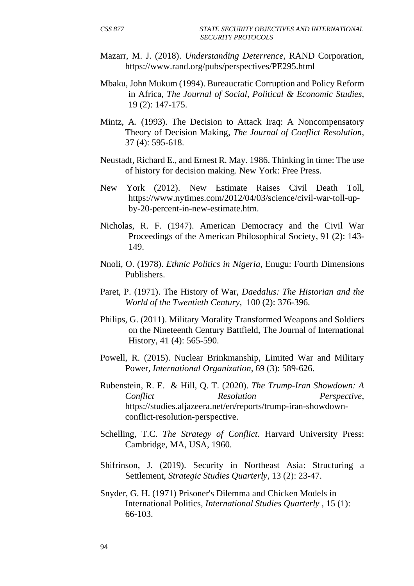- Mazarr, M. J. (2018). *Understanding Deterrence,* RAND Corporation, https://www.rand.org/pubs/perspectives/PE295.html
- Mbaku, John Mukum (1994). Bureaucratic Corruption and Policy Reform in Africa, *The Journal of Social, Political & Economic Studies*, 19 (2): 147-175.
- Mintz, A. (1993). The Decision to Attack Iraq: A Noncompensatory Theory of Decision Making, *The Journal of Conflict Resolution*, 37 (4): 595-618.
- Neustadt, Richard E., and Ernest R. May. 1986. Thinking in time: The use of history for decision making. New York: Free Press.
- New York (2012). New Estimate Raises Civil Death Toll, https://www.nytimes.com/2012/04/03/science/civil-war-toll-upby-20-percent-in-new-estimate.htm.
- Nicholas, R. F. (1947). American Democracy and the Civil War Proceedings of the American Philosophical Society, 91 (2): 143- 149.
- Nnoli, O. (1978). *Ethnic Politics in Nigeria,* Enugu: Fourth Dimensions Publishers.
- Paret, P. (1971). The History of War, *Daedalus: The Historian and the World of the Twentieth Century*, 100 (2): 376-396.
- Philips, G. (2011). Military Morality Transformed Weapons and Soldiers on the Nineteenth Century Battfield, The Journal of International History, 41 (4): 565-590.
- Powell, R. (2015). Nuclear Brinkmanship, Limited War and Military Power, *International Organization*, 69 (3): 589-626.
- Rubenstein, R. E. & Hill, Q. T. (2020). *The Trump-Iran Showdown: A Conflict Resolution Perspective*, https://studies.aljazeera.net/en/reports/trump-iran-showdownconflict-resolution-perspective.
- Schelling, T.C. *The Strategy of Conflict*. Harvard University Press: Cambridge, MA, USA, 1960.
- Shifrinson, J. (2019). Security in Northeast Asia: Structuring a Settlement, *Strategic Studies Quarterly*, 13 (2): 23-47.
- Snyder, G. H. (1971) Prisoner's Dilemma and Chicken Models in International Politics, *International Studies Quarterly* , 15 (1): 66-103.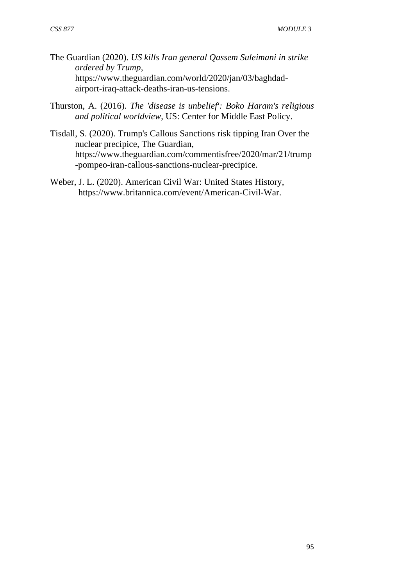- The Guardian (2020). *US kills Iran general Qassem Suleimani in strike ordered by Trump*, https://www.theguardian.com/world/2020/jan/03/baghdadairport-iraq-attack-deaths-iran-us-tensions.
- Thurston, A. (2016). *The 'disease is unbelief': Boko Haram's religious and political worldview*, US: Center for Middle East Policy.
- Tisdall, S. (2020). Trump's Callous Sanctions risk tipping Iran Over the nuclear precipice, The Guardian, https://www.theguardian.com/commentisfree/2020/mar/21/trump -pompeo-iran-callous-sanctions-nuclear-precipice.
- Weber, J. L. (2020). American Civil War: United States History, https://www.britannica.com/event/American-Civil-War.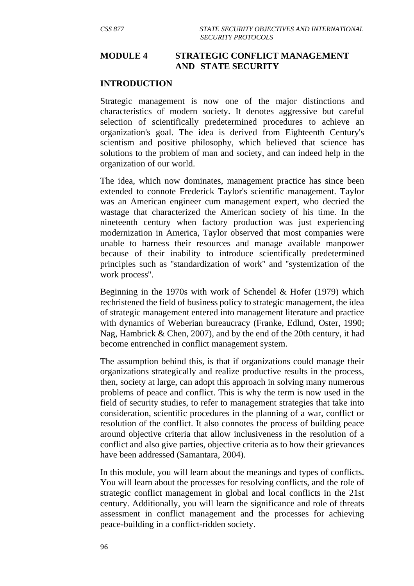### **MODULE 4 STRATEGIC CONFLICT MANAGEMENT AND STATE SECURITY**

#### **INTRODUCTION**

Strategic management is now one of the major distinctions and characteristics of modern society. It denotes aggressive but careful selection of scientifically predetermined procedures to achieve an organization's goal. The idea is derived from Eighteenth Century's scientism and positive philosophy, which believed that science has solutions to the problem of man and society, and can indeed help in the organization of our world.

The idea, which now dominates, management practice has since been extended to connote Frederick Taylor's scientific management. Taylor was an American engineer cum management expert, who decried the wastage that characterized the American society of his time. In the nineteenth century when factory production was just experiencing modernization in America, Taylor observed that most companies were unable to harness their resources and manage available manpower because of their inability to introduce scientifically predetermined principles such as ''standardization of work'' and ''systemization of the work process''.

Beginning in the 1970s with work of Schendel & Hofer (1979) which rechristened the field of business policy to strategic management, the idea of strategic management entered into management literature and practice with dynamics of Weberian bureaucracy (Franke, Edlund, Oster, 1990; Nag, Hambrick & Chen, 2007), and by the end of the 20th century, it had become entrenched in conflict management system.

The assumption behind this, is that if organizations could manage their organizations strategically and realize productive results in the process, then, society at large, can adopt this approach in solving many numerous problems of peace and conflict. This is why the term is now used in the field of security studies, to refer to management strategies that take into consideration, scientific procedures in the planning of a war, conflict or resolution of the conflict. It also connotes the process of building peace around objective criteria that allow inclusiveness in the resolution of a conflict and also give parties, objective criteria as to how their grievances have been addressed (Samantara, 2004).

In this module, you will learn about the meanings and types of conflicts. You will learn about the processes for resolving conflicts, and the role of strategic conflict management in global and local conflicts in the 21st century. Additionally, you will learn the significance and role of threats assessment in conflict management and the processes for achieving peace-building in a conflict-ridden society.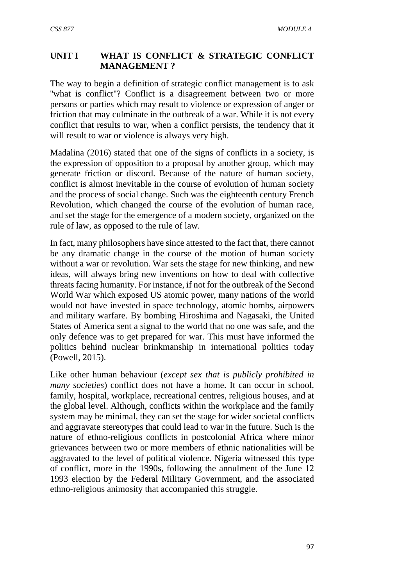## **UNIT I WHAT IS CONFLICT & STRATEGIC CONFLICT MANAGEMENT ?**

The way to begin a definition of strategic conflict management is to ask "what is conflict"? Conflict is a disagreement between two or more persons or parties which may result to violence or expression of anger or friction that may culminate in the outbreak of a war. While it is not every conflict that results to war, when a conflict persists, the tendency that it will result to war or violence is always very high.

Madalina (2016) stated that one of the signs of conflicts in a society, is the expression of opposition to a proposal by another group, which may generate friction or discord. Because of the nature of human society, conflict is almost inevitable in the course of evolution of human society and the process of social change. Such was the eighteenth century French Revolution, which changed the course of the evolution of human race, and set the stage for the emergence of a modern society, organized on the rule of law, as opposed to the rule of law.

In fact, many philosophers have since attested to the fact that, there cannot be any dramatic change in the course of the motion of human society without a war or revolution. War sets the stage for new thinking, and new ideas, will always bring new inventions on how to deal with collective threats facing humanity. For instance, if not for the outbreak of the Second World War which exposed US atomic power, many nations of the world would not have invested in space technology, atomic bombs, airpowers and military warfare. By bombing Hiroshima and Nagasaki, the United States of America sent a signal to the world that no one was safe, and the only defence was to get prepared for war. This must have informed the politics behind nuclear brinkmanship in international politics today (Powell, 2015).

Like other human behaviour (*except sex that is publicly prohibited in many societies*) conflict does not have a home. It can occur in school, family, hospital, workplace, recreational centres, religious houses, and at the global level. Although, conflicts within the workplace and the family system may be minimal, they can set the stage for wider societal conflicts and aggravate stereotypes that could lead to war in the future. Such is the nature of ethno-religious conflicts in postcolonial Africa where minor grievances between two or more members of ethnic nationalities will be aggravated to the level of political violence. Nigeria witnessed this type of conflict, more in the 1990s, following the annulment of the June 12 1993 election by the Federal Military Government, and the associated ethno-religious animosity that accompanied this struggle.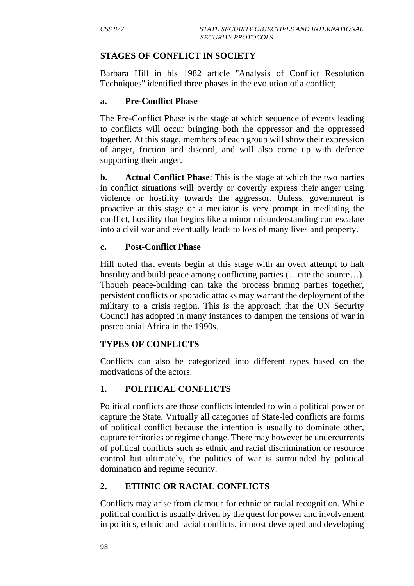### **STAGES OF CONFLICT IN SOCIETY**

Barbara Hill in his 1982 article ''Analysis of Conflict Resolution Techniques'' identified three phases in the evolution of a conflict;

#### **a. Pre-Conflict Phase**

The Pre-Conflict Phase is the stage at which sequence of events leading to conflicts will occur bringing both the oppressor and the oppressed together. At this stage, members of each group will show their expression of anger, friction and discord, and will also come up with defence supporting their anger.

**b.** Actual Conflict Phase: This is the stage at which the two parties in conflict situations will overtly or covertly express their anger using violence or hostility towards the aggressor. Unless, government is proactive at this stage or a mediator is very prompt in mediating the conflict, hostility that begins like a minor misunderstanding can escalate into a civil war and eventually leads to loss of many lives and property.

### **c. Post-Conflict Phase**

Hill noted that events begin at this stage with an overt attempt to halt hostility and build peace among conflicting parties (... cite the source...). Though peace-building can take the process brining parties together, persistent conflicts or sporadic attacks may warrant the deployment of the military to a crisis region. This is the approach that the UN Security Council has adopted in many instances to dampen the tensions of war in postcolonial Africa in the 1990s.

### **TYPES OF CONFLICTS**

Conflicts can also be categorized into different types based on the motivations of the actors.

# **1. POLITICAL CONFLICTS**

Political conflicts are those conflicts intended to win a political power or capture the State. Virtually all categories of State-led conflicts are forms of political conflict because the intention is usually to dominate other, capture territories or regime change. There may however be undercurrents of political conflicts such as ethnic and racial discrimination or resource control but ultimately, the politics of war is surrounded by political domination and regime security.

# **2. ETHNIC OR RACIAL CONFLICTS**

Conflicts may arise from clamour for ethnic or racial recognition. While political conflict is usually driven by the quest for power and involvement in politics, ethnic and racial conflicts, in most developed and developing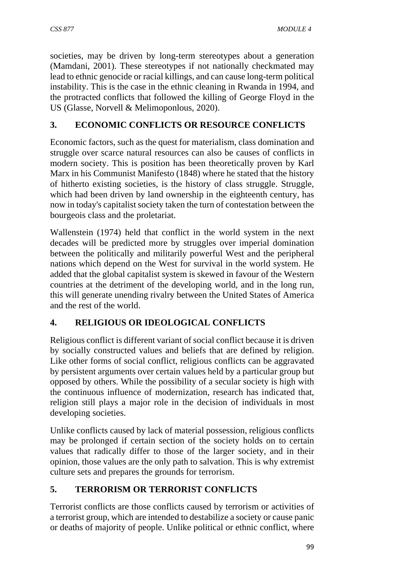societies, may be driven by long-term stereotypes about a generation (Mamdani, 2001). These stereotypes if not nationally checkmated may lead to ethnic genocide or racial killings, and can cause long-term political instability. This is the case in the ethnic cleaning in Rwanda in 1994, and the protracted conflicts that followed the killing of George Floyd in the US (Glasse, Norvell & Melimoponlous, 2020).

# **3. ECONOMIC CONFLICTS OR RESOURCE CONFLICTS**

Economic factors, such as the quest for materialism, class domination and struggle over scarce natural resources can also be causes of conflicts in modern society. This is position has been theoretically proven by Karl Marx in his Communist Manifesto (1848) where he stated that the history of hitherto existing societies, is the history of class struggle. Struggle, which had been driven by land ownership in the eighteenth century, has now in today's capitalist society taken the turn of contestation between the bourgeois class and the proletariat.

Wallenstein (1974) held that conflict in the world system in the next decades will be predicted more by struggles over imperial domination between the politically and militarily powerful West and the peripheral nations which depend on the West for survival in the world system. He added that the global capitalist system is skewed in favour of the Western countries at the detriment of the developing world, and in the long run, this will generate unending rivalry between the United States of America and the rest of the world.

# **4. RELIGIOUS OR IDEOLOGICAL CONFLICTS**

Religious conflict is different variant of social conflict because it is driven by socially constructed values and beliefs that are defined by religion. Like other forms of social conflict, religious conflicts can be aggravated by persistent arguments over certain values held by a particular group but opposed by others. While the possibility of a secular society is high with the continuous influence of modernization, research has indicated that, religion still plays a major role in the decision of individuals in most developing societies.

Unlike conflicts caused by lack of material possession, religious conflicts may be prolonged if certain section of the society holds on to certain values that radically differ to those of the larger society, and in their opinion, those values are the only path to salvation. This is why extremist culture sets and prepares the grounds for terrorism.

# **5. TERRORISM OR TERRORIST CONFLICTS**

Terrorist conflicts are those conflicts caused by terrorism or activities of a terrorist group, which are intended to destabilize a society or cause panic or deaths of majority of people. Unlike political or ethnic conflict, where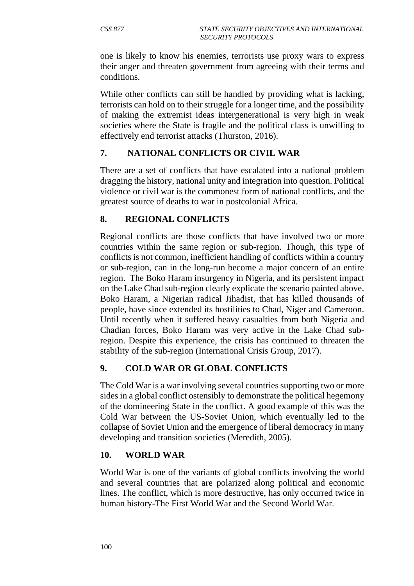one is likely to know his enemies, terrorists use proxy wars to express their anger and threaten government from agreeing with their terms and conditions.

While other conflicts can still be handled by providing what is lacking, terrorists can hold on to their struggle for a longer time, and the possibility of making the extremist ideas intergenerational is very high in weak societies where the State is fragile and the political class is unwilling to effectively end terrorist attacks (Thurston, 2016).

# **7. NATIONAL CONFLICTS OR CIVIL WAR**

There are a set of conflicts that have escalated into a national problem dragging the history, national unity and integration into question. Political violence or civil war is the commonest form of national conflicts, and the greatest source of deaths to war in postcolonial Africa.

### **8. REGIONAL CONFLICTS**

Regional conflicts are those conflicts that have involved two or more countries within the same region or sub-region. Though, this type of conflicts is not common, inefficient handling of conflicts within a country or sub-region, can in the long-run become a major concern of an entire region. The Boko Haram insurgency in Nigeria, and its persistent impact on the Lake Chad sub-region clearly explicate the scenario painted above. Boko Haram, a Nigerian radical Jihadist, that has killed thousands of people, have since extended its hostilities to Chad, Niger and Cameroon. Until recently when it suffered heavy casualties from both Nigeria and Chadian forces, Boko Haram was very active in the Lake Chad subregion. Despite this experience, the crisis has continued to threaten the stability of the sub-region (International Crisis Group, 2017).

#### **9. COLD WAR OR GLOBAL CONFLICTS**

The Cold War is a war involving several countries supporting two or more sides in a global conflict ostensibly to demonstrate the political hegemony of the domineering State in the conflict. A good example of this was the Cold War between the US-Soviet Union, which eventually led to the collapse of Soviet Union and the emergence of liberal democracy in many developing and transition societies (Meredith, 2005).

#### **10. WORLD WAR**

World War is one of the variants of global conflicts involving the world and several countries that are polarized along political and economic lines. The conflict, which is more destructive, has only occurred twice in human history-The First World War and the Second World War.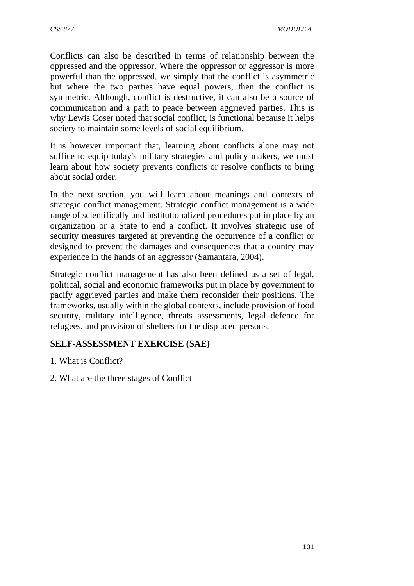Conflicts can also be described in terms of relationship between the oppressed and the oppressor. Where the oppressor or aggressor is more powerful than the oppressed, we simply that the conflict is asymmetric but where the two parties have equal powers, then the conflict is symmetric. Although, conflict is destructive, it can also be a source of communication and a path to peace between aggrieved parties. This is why Lewis Coser noted that social conflict, is functional because it helps society to maintain some levels of social equilibrium.

It is however important that, learning about conflicts alone may not suffice to equip today's military strategies and policy makers, we must learn about how society prevents conflicts or resolve conflicts to bring about social order.

In the next section, you will learn about meanings and contexts of strategic conflict management. Strategic conflict management is a wide range of scientifically and institutionalized procedures put in place by an organization or a State to end a conflict. It involves strategic use of security measures targeted at preventing the occurrence of a conflict or designed to prevent the damages and consequences that a country may experience in the hands of an aggressor (Samantara, 2004).

Strategic conflict management has also been defined as a set of legal, political, social and economic frameworks put in place by government to pacify aggrieved parties and make them reconsider their positions. The frameworks, usually within the global contexts, include provision of food security, military intelligence, threats assessments, legal defence for refugees, and provision of shelters for the displaced persons.

### **SELF-ASSESSMENT EXERCISE (SAE)**

- 1. What is Conflict?
- 2. What are the three stages of Conflict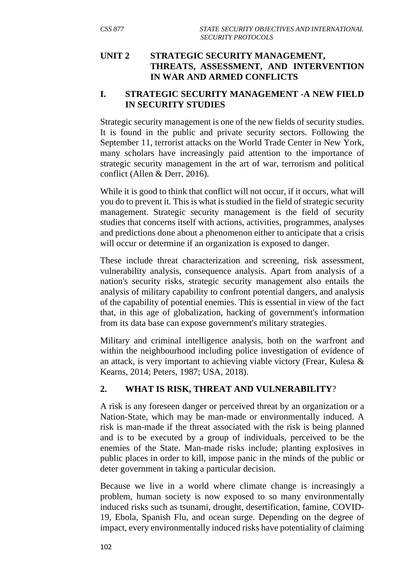### **UNIT 2 STRATEGIC SECURITY MANAGEMENT, THREATS, ASSESSMENT, AND INTERVENTION IN WAR AND ARMED CONFLICTS**

### **I. STRATEGIC SECURITY MANAGEMENT -A NEW FIELD IN SECURITY STUDIES**

Strategic security management is one of the new fields of security studies. It is found in the public and private security sectors. Following the September 11, terrorist attacks on the World Trade Center in New York, many scholars have increasingly paid attention to the importance of strategic security management in the art of war, terrorism and political conflict (Allen & Derr, 2016).

While it is good to think that conflict will not occur, if it occurs, what will you do to prevent it. This is what is studied in the field of strategic security management. Strategic security management is the field of security studies that concerns itself with actions, activities, programmes, analyses and predictions done about a phenomenon either to anticipate that a crisis will occur or determine if an organization is exposed to danger.

These include threat characterization and screening, risk assessment, vulnerability analysis, consequence analysis. Apart from analysis of a nation's security risks, strategic security management also entails the analysis of military capability to confront potential dangers, and analysis of the capability of potential enemies. This is essential in view of the fact that, in this age of globalization, hacking of government's information from its data base can expose government's military strategies.

Military and criminal intelligence analysis, both on the warfront and within the neighbourhood including police investigation of evidence of an attack, is very important to achieving viable victory (Frear, Kulesa & Kearns, 2014; Peters, 1987; USA, 2018).

# **2. WHAT IS RISK, THREAT AND VULNERABILITY**?

A risk is any foreseen danger or perceived threat by an organization or a Nation-State, which may be man-made or environmentally induced. A risk is man-made if the threat associated with the risk is being planned and is to be executed by a group of individuals, perceived to be the enemies of the State. Man-made risks include; planting explosives in public places in order to kill, impose panic in the minds of the public or deter government in taking a particular decision.

Because we live in a world where climate change is increasingly a problem, human society is now exposed to so many environmentally induced risks such as tsunami, drought, desertification, famine, COVID-19, Ebola, Spanish Flu, and ocean surge. Depending on the degree of impact, every environmentally induced risks have potentiality of claiming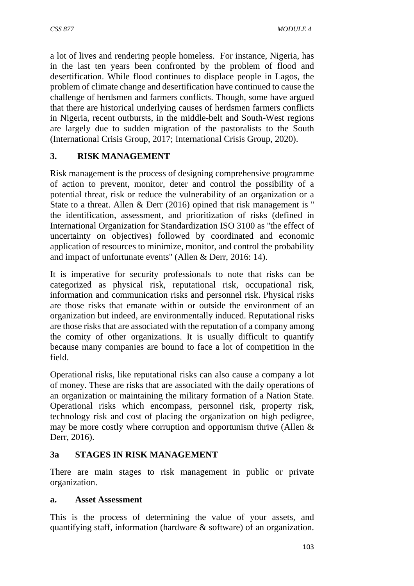a lot of lives and rendering people homeless. For instance, Nigeria, has in the last ten years been confronted by the problem of flood and desertification. While flood continues to displace people in Lagos, the problem of climate change and desertification have continued to cause the challenge of herdsmen and farmers conflicts. Though, some have argued that there are historical underlying causes of herdsmen farmers conflicts in Nigeria, recent outbursts, in the middle-belt and South-West regions are largely due to sudden migration of the pastoralists to the South (International Crisis Group, 2017; International Crisis Group, 2020).

# **3. RISK MANAGEMENT**

Risk management is the process of designing comprehensive programme of action to prevent, monitor, deter and control the possibility of a potential threat, risk or reduce the vulnerability of an organization or a State to a threat. Allen & Derr (2016) opined that risk management is '' the identification, assessment, and prioritization of risks (defined in International Organization for Standardization ISO 3100 as ''the effect of uncertainty on objectives) followed by coordinated and economic application of resources to minimize, monitor, and control the probability and impact of unfortunate events'' (Allen & Derr, 2016: 14).

It is imperative for security professionals to note that risks can be categorized as physical risk, reputational risk, occupational risk, information and communication risks and personnel risk. Physical risks are those risks that emanate within or outside the environment of an organization but indeed, are environmentally induced. Reputational risks are those risks that are associated with the reputation of a company among the comity of other organizations. It is usually difficult to quantify because many companies are bound to face a lot of competition in the field.

Operational risks, like reputational risks can also cause a company a lot of money. These are risks that are associated with the daily operations of an organization or maintaining the military formation of a Nation State. Operational risks which encompass, personnel risk, property risk, technology risk and cost of placing the organization on high pedigree, may be more costly where corruption and opportunism thrive (Allen & Derr, 2016).

# **3a STAGES IN RISK MANAGEMENT**

There are main stages to risk management in public or private organization.

### **a. Asset Assessment**

This is the process of determining the value of your assets, and quantifying staff, information (hardware & software) of an organization.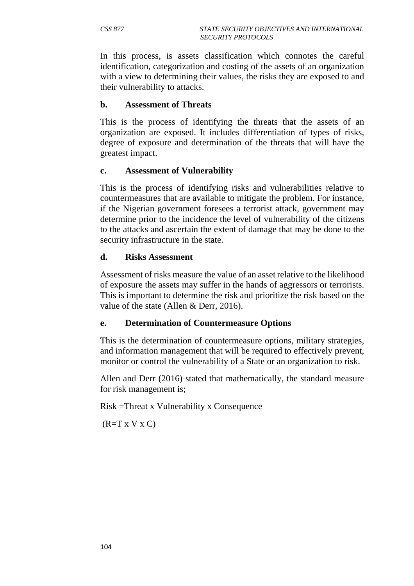In this process, is assets classification which connotes the careful identification, categorization and costing of the assets of an organization with a view to determining their values, the risks they are exposed to and their vulnerability to attacks.

#### **b. Assessment of Threats**

This is the process of identifying the threats that the assets of an organization are exposed. It includes differentiation of types of risks, degree of exposure and determination of the threats that will have the greatest impact.

#### **c. Assessment of Vulnerability**

This is the process of identifying risks and vulnerabilities relative to countermeasures that are available to mitigate the problem. For instance, if the Nigerian government foresees a terrorist attack, government may determine prior to the incidence the level of vulnerability of the citizens to the attacks and ascertain the extent of damage that may be done to the security infrastructure in the state.

#### **d. Risks Assessment**

Assessment of risks measure the value of an asset relative to the likelihood of exposure the assets may suffer in the hands of aggressors or terrorists. This is important to determine the risk and prioritize the risk based on the value of the state (Allen & Derr, 2016).

### **e. Determination of Countermeasure Options**

This is the determination of countermeasure options, military strategies, and information management that will be required to effectively prevent, monitor or control the vulnerability of a State or an organization to risk.

Allen and Derr (2016) stated that mathematically, the standard measure for risk management is;

Risk =Threat x Vulnerability x Consequence

 $(R=T X V X C)$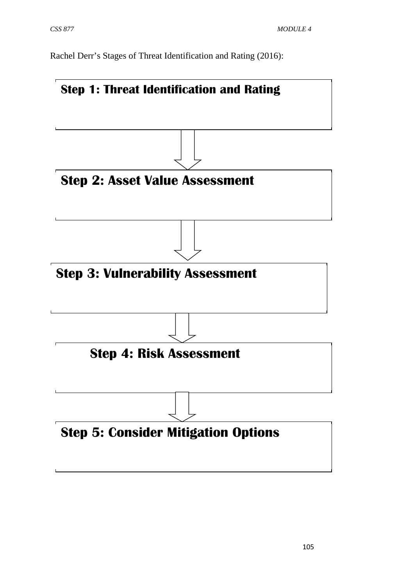Rachel Derr's Stages of Threat Identification and Rating (2016):

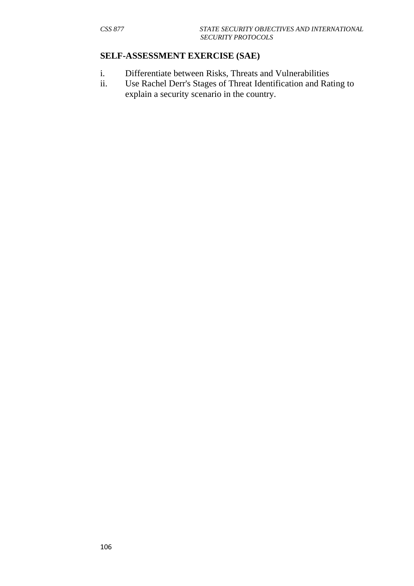#### **SELF-ASSESSMENT EXERCISE (SAE)**

- i. Differentiate between Risks, Threats and Vulnerabilities
- ii. Use Rachel Derr's Stages of Threat Identification and Rating to explain a security scenario in the country.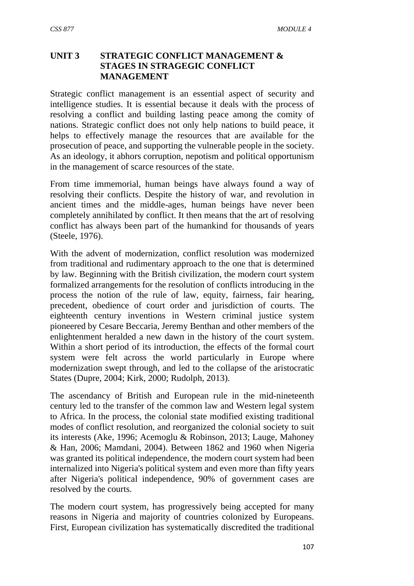### **UNIT 3 STRATEGIC CONFLICT MANAGEMENT & STAGES IN STRAGEGIC CONFLICT MANAGEMENT**

Strategic conflict management is an essential aspect of security and intelligence studies. It is essential because it deals with the process of resolving a conflict and building lasting peace among the comity of nations. Strategic conflict does not only help nations to build peace, it helps to effectively manage the resources that are available for the prosecution of peace, and supporting the vulnerable people in the society. As an ideology, it abhors corruption, nepotism and political opportunism in the management of scarce resources of the state.

From time immemorial, human beings have always found a way of resolving their conflicts. Despite the history of war, and revolution in ancient times and the middle-ages, human beings have never been completely annihilated by conflict. It then means that the art of resolving conflict has always been part of the humankind for thousands of years (Steele, 1976).

With the advent of modernization, conflict resolution was modernized from traditional and rudimentary approach to the one that is determined by law. Beginning with the British civilization, the modern court system formalized arrangements for the resolution of conflicts introducing in the process the notion of the rule of law, equity, fairness, fair hearing, precedent, obedience of court order and jurisdiction of courts. The eighteenth century inventions in Western criminal justice system pioneered by Cesare Beccaria, Jeremy Benthan and other members of the enlightenment heralded a new dawn in the history of the court system. Within a short period of its introduction, the effects of the formal court system were felt across the world particularly in Europe where modernization swept through, and led to the collapse of the aristocratic States (Dupre, 2004; Kirk, 2000; Rudolph, 2013).

The ascendancy of British and European rule in the mid-nineteenth century led to the transfer of the common law and Western legal system to Africa. In the process, the colonial state modified existing traditional modes of conflict resolution, and reorganized the colonial society to suit its interests (Ake, 1996; Acemoglu & Robinson, 2013; Lauge, Mahoney & Han, 2006; Mamdani, 2004). Between 1862 and 1960 when Nigeria was granted its political independence, the modern court system had been internalized into Nigeria's political system and even more than fifty years after Nigeria's political independence, 90% of government cases are resolved by the courts.

The modern court system, has progressively being accepted for many reasons in Nigeria and majority of countries colonized by Europeans. First, European civilization has systematically discredited the traditional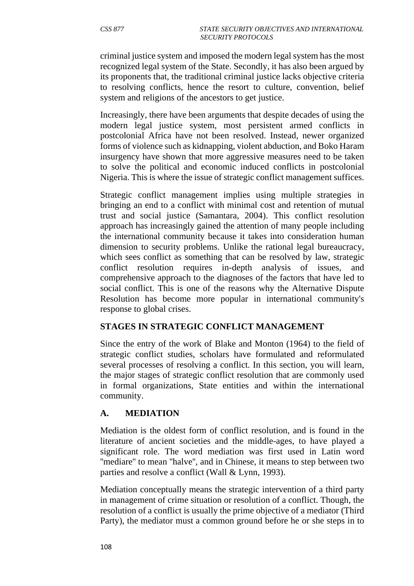criminal justice system and imposed the modern legal system has the most recognized legal system of the State. Secondly, it has also been argued by its proponents that, the traditional criminal justice lacks objective criteria to resolving conflicts, hence the resort to culture, convention, belief system and religions of the ancestors to get justice.

Increasingly, there have been arguments that despite decades of using the modern legal justice system, most persistent armed conflicts in postcolonial Africa have not been resolved. Instead, newer organized forms of violence such as kidnapping, violent abduction, and Boko Haram insurgency have shown that more aggressive measures need to be taken to solve the political and economic induced conflicts in postcolonial Nigeria. This is where the issue of strategic conflict management suffices.

Strategic conflict management implies using multiple strategies in bringing an end to a conflict with minimal cost and retention of mutual trust and social justice (Samantara, 2004). This conflict resolution approach has increasingly gained the attention of many people including the international community because it takes into consideration human dimension to security problems. Unlike the rational legal bureaucracy, which sees conflict as something that can be resolved by law, strategic conflict resolution requires in-depth analysis of issues, and comprehensive approach to the diagnoses of the factors that have led to social conflict. This is one of the reasons why the Alternative Dispute Resolution has become more popular in international community's response to global crises.

### **STAGES IN STRATEGIC CONFLICT MANAGEMENT**

Since the entry of the work of Blake and Monton (1964) to the field of strategic conflict studies, scholars have formulated and reformulated several processes of resolving a conflict. In this section, you will learn, the major stages of strategic conflict resolution that are commonly used in formal organizations, State entities and within the international community.

# **A. MEDIATION**

Mediation is the oldest form of conflict resolution, and is found in the literature of ancient societies and the middle-ages, to have played a significant role. The word mediation was first used in Latin word "mediare" to mean "halve", and in Chinese, it means to step between two parties and resolve a conflict (Wall & Lynn, 1993).

Mediation conceptually means the strategic intervention of a third party in management of crime situation or resolution of a conflict. Though, the resolution of a conflict is usually the prime objective of a mediator (Third Party), the mediator must a common ground before he or she steps in to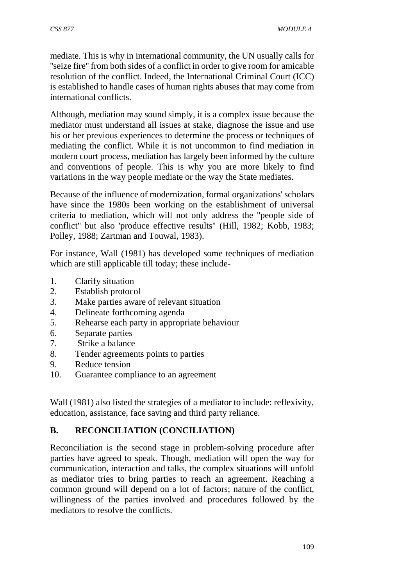mediate. This is why in international community, the UN usually calls for ''seize fire'' from both sides of a conflict in order to give room for amicable resolution of the conflict. Indeed, the International Criminal Court (ICC) is established to handle cases of human rights abuses that may come from international conflicts.

Although, mediation may sound simply, it is a complex issue because the mediator must understand all issues at stake, diagnose the issue and use his or her previous experiences to determine the process or techniques of mediating the conflict. While it is not uncommon to find mediation in modern court process, mediation has largely been informed by the culture and conventions of people. This is why you are more likely to find variations in the way people mediate or the way the State mediates.

Because of the influence of modernization, formal organizations' scholars have since the 1980s been working on the establishment of universal criteria to mediation, which will not only address the ''people side of conflict'' but also 'produce effective results'' (Hill, 1982; Kobb, 1983; Polley, 1988; Zartman and Touwal, 1983).

For instance, Wall (1981) has developed some techniques of mediation which are still applicable till today; these include-

- 1. Clarify situation
- 2. Establish protocol
- 3. Make parties aware of relevant situation
- 4. Delineate forthcoming agenda
- 5. Rehearse each party in appropriate behaviour
- 6. Separate parties
- 7. Strike a balance
- 8. Tender agreements points to parties
- 9. Reduce tension
- 10. Guarantee compliance to an agreement

Wall (1981) also listed the strategies of a mediator to include: reflexivity, education, assistance, face saving and third party reliance.

# **B. RECONCILIATION (CONCILIATION)**

Reconciliation is the second stage in problem-solving procedure after parties have agreed to speak. Though, mediation will open the way for communication, interaction and talks, the complex situations will unfold as mediator tries to bring parties to reach an agreement. Reaching a common ground will depend on a lot of factors; nature of the conflict, willingness of the parties involved and procedures followed by the mediators to resolve the conflicts.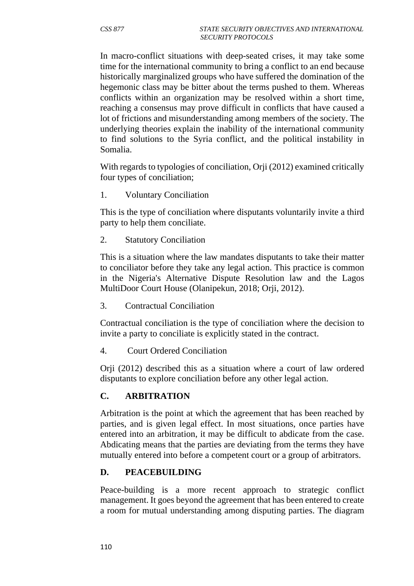In macro-conflict situations with deep-seated crises, it may take some time for the international community to bring a conflict to an end because historically marginalized groups who have suffered the domination of the hegemonic class may be bitter about the terms pushed to them. Whereas conflicts within an organization may be resolved within a short time, reaching a consensus may prove difficult in conflicts that have caused a lot of frictions and misunderstanding among members of the society. The underlying theories explain the inability of the international community to find solutions to the Syria conflict, and the political instability in Somalia.

With regards to typologies of conciliation, Orji (2012) examined critically four types of conciliation;

1. Voluntary Conciliation

This is the type of conciliation where disputants voluntarily invite a third party to help them conciliate.

2. Statutory Conciliation

This is a situation where the law mandates disputants to take their matter to conciliator before they take any legal action. This practice is common in the Nigeria's Alternative Dispute Resolution law and the Lagos MultiDoor Court House (Olanipekun, 2018; Orji, 2012).

3. Contractual Conciliation

Contractual conciliation is the type of conciliation where the decision to invite a party to conciliate is explicitly stated in the contract.

4. Court Ordered Conciliation

Orji (2012) described this as a situation where a court of law ordered disputants to explore conciliation before any other legal action.

#### **C. ARBITRATION**

Arbitration is the point at which the agreement that has been reached by parties, and is given legal effect. In most situations, once parties have entered into an arbitration, it may be difficult to abdicate from the case. Abdicating means that the parties are deviating from the terms they have mutually entered into before a competent court or a group of arbitrators.

#### **D. PEACEBUILDING**

Peace-building is a more recent approach to strategic conflict management. It goes beyond the agreement that has been entered to create a room for mutual understanding among disputing parties. The diagram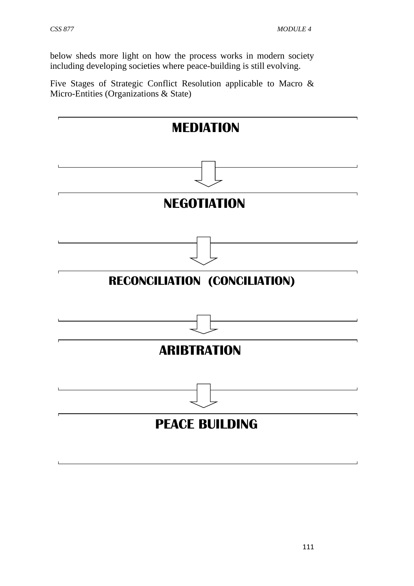below sheds more light on how the process works in modern society including developing societies where peace-building is still evolving.

Five Stages of Strategic Conflict Resolution applicable to Macro & Micro-Entities (Organizations & State)

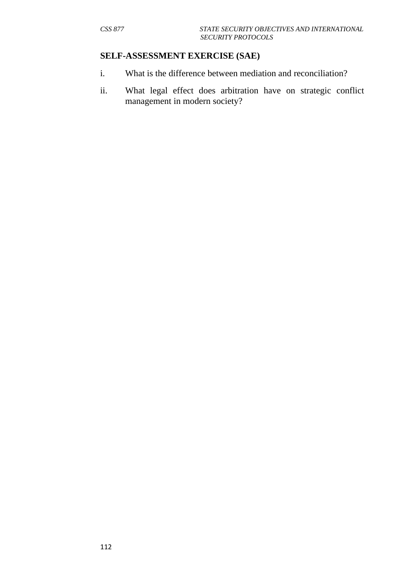#### **SELF-ASSESSMENT EXERCISE (SAE)**

- i. What is the difference between mediation and reconciliation?
- ii. What legal effect does arbitration have on strategic conflict management in modern society?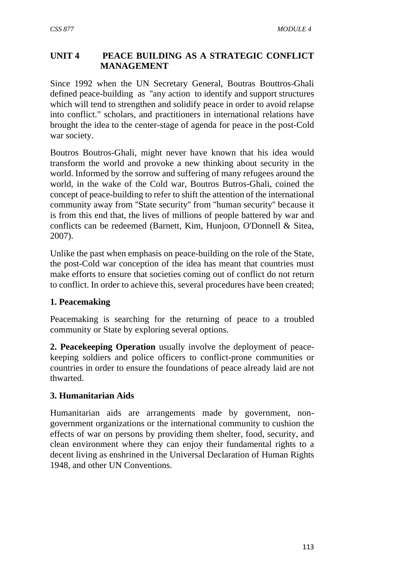## **UNIT 4 PEACE BUILDING AS A STRATEGIC CONFLICT MANAGEMENT**

Since 1992 when the UN Secretary General, Boutras Bouttros-Ghali defined peace-building as ''any action to identify and support structures which will tend to strengthen and solidify peace in order to avoid relapse into conflict." scholars, and practitioners in international relations have brought the idea to the center-stage of agenda for peace in the post-Cold war society.

Boutros Boutros-Ghali, might never have known that his idea would transform the world and provoke a new thinking about security in the world. Informed by the sorrow and suffering of many refugees around the world, in the wake of the Cold war, Boutros Butros-Ghali, coined the concept of peace-building to refer to shift the attention of the international community away from ''State security'' from ''human security'' because it is from this end that, the lives of millions of people battered by war and conflicts can be redeemed (Barnett, Kim, Hunjoon, O'Donnell & Sitea, 2007).

Unlike the past when emphasis on peace-building on the role of the State, the post-Cold war conception of the idea has meant that countries must make efforts to ensure that societies coming out of conflict do not return to conflict. In order to achieve this, several procedures have been created;

### **1. Peacemaking**

Peacemaking is searching for the returning of peace to a troubled community or State by exploring several options.

**2. Peacekeeping Operation** usually involve the deployment of peacekeeping soldiers and police officers to conflict-prone communities or countries in order to ensure the foundations of peace already laid are not thwarted.

# **3. Humanitarian Aids**

Humanitarian aids are arrangements made by government, nongovernment organizations or the international community to cushion the effects of war on persons by providing them shelter, food, security, and clean environment where they can enjoy their fundamental rights to a decent living as enshrined in the Universal Declaration of Human Rights 1948, and other UN Conventions.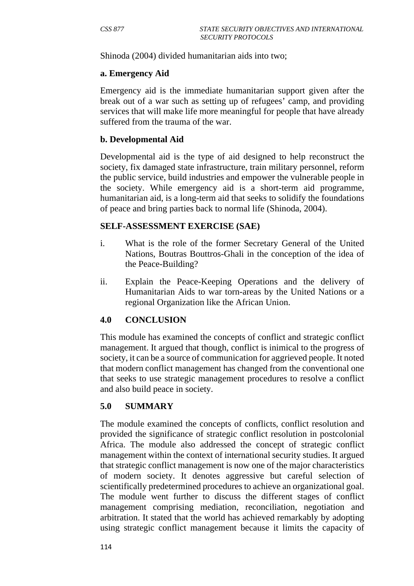Shinoda (2004) divided humanitarian aids into two;

#### **a. Emergency Aid**

Emergency aid is the immediate humanitarian support given after the break out of a war such as setting up of refugees' camp, and providing services that will make life more meaningful for people that have already suffered from the trauma of the war.

#### **b. Developmental Aid**

Developmental aid is the type of aid designed to help reconstruct the society, fix damaged state infrastructure, train military personnel, reform the public service, build industries and empower the vulnerable people in the society. While emergency aid is a short-term aid programme, humanitarian aid, is a long-term aid that seeks to solidify the foundations of peace and bring parties back to normal life (Shinoda, 2004).

#### **SELF-ASSESSMENT EXERCISE (SAE)**

- i. What is the role of the former Secretary General of the United Nations, Boutras Bouttros-Ghali in the conception of the idea of the Peace-Building?
- ii. Explain the Peace-Keeping Operations and the delivery of Humanitarian Aids to war torn-areas by the United Nations or a regional Organization like the African Union.

### **4.0 CONCLUSION**

This module has examined the concepts of conflict and strategic conflict management. It argued that though, conflict is inimical to the progress of society, it can be a source of communication for aggrieved people. It noted that modern conflict management has changed from the conventional one that seeks to use strategic management procedures to resolve a conflict and also build peace in society.

#### **5.0 SUMMARY**

The module examined the concepts of conflicts, conflict resolution and provided the significance of strategic conflict resolution in postcolonial Africa. The module also addressed the concept of strategic conflict management within the context of international security studies. It argued that strategic conflict management is now one of the major characteristics of modern society. It denotes aggressive but careful selection of scientifically predetermined procedures to achieve an organizational goal. The module went further to discuss the different stages of conflict management comprising mediation, reconciliation, negotiation and arbitration. It stated that the world has achieved remarkably by adopting using strategic conflict management because it limits the capacity of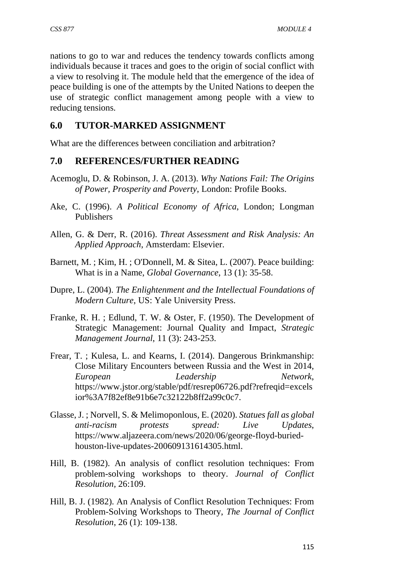nations to go to war and reduces the tendency towards conflicts among individuals because it traces and goes to the origin of social conflict with a view to resolving it. The module held that the emergence of the idea of peace building is one of the attempts by the United Nations to deepen the use of strategic conflict management among people with a view to reducing tensions.

## **6.0 TUTOR-MARKED ASSIGNMENT**

What are the differences between conciliation and arbitration?

### **7.0 REFERENCES/FURTHER READING**

- Acemoglu, D. & Robinson, J. A. (2013). *Why Nations Fail: The Origins of Power, Prosperity and Poverty*, London: Profile Books.
- Ake, C. (1996). *A Political Economy of Africa*, London; Longman Publishers
- Allen, G. & Derr, R. (2016). *Threat Assessment and Risk Analysis: An Applied Approach*, Amsterdam: Elsevier.
- Barnett, M. ; Kim, H. ; O'Donnell, M. & Sitea, L. (2007). Peace building: What is in a Name, *Global Governance*, 13 (1): 35-58.
- Dupre, L. (2004). *The Enlightenment and the Intellectual Foundations of Modern Culture*, US: Yale University Press.
- Franke, R. H. ; Edlund, T. W. & Oster, F. (1950). The Development of Strategic Management: Journal Quality and Impact, *Strategic Management Journal*, 11 (3): 243-253.
- Frear, T. ; Kulesa, L. and Kearns, I. (2014). Dangerous Brinkmanship: Close Military Encounters between Russia and the West in 2014, *European Leadership Network*, https://www.jstor.org/stable/pdf/resrep06726.pdf?refreqid=excels ior%3A7f82ef8e91b6e7c32122b8ff2a99c0c7.
- Glasse, J. ; Norvell, S. & Melimoponlous, E. (2020). *Statues fall as global anti-racism protests spread: Live Updates*, https://www.aljazeera.com/news/2020/06/george-floyd-buriedhouston-live-updates-200609131614305.html.
- Hill, B. (1982). An analysis of conflict resolution techniques: From problem-solving workshops to theory. *Journal of Conflict Resolution,* 26:109.
- Hill, B. J. (1982). An Analysis of Conflict Resolution Techniques: From Problem-Solving Workshops to Theory, *The Journal of Conflict Resolution*, 26 (1): 109-138.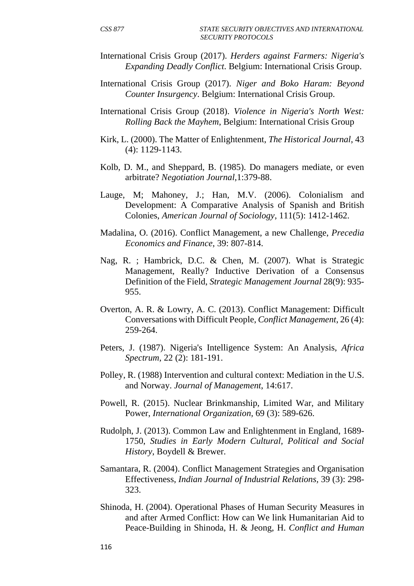- International Crisis Group (2017). *Herders against Farmers: Nigeria's Expanding Deadly Conflict*. Belgium: International Crisis Group.
- International Crisis Group (2017). *Niger and Boko Haram: Beyond Counter Insurgency*. Belgium: International Crisis Group.
- International Crisis Group (2018). *Violence in Nigeria's North West: Rolling Back the Mayhem*, Belgium: International Crisis Group
- Kirk, L. (2000). The Matter of Enlightenment, *The Historical Journal*, 43 (4): 1129-1143.
- Kolb, D. M., and Sheppard, B. (1985). Do managers mediate, or even arbitrate? *Negotiation Journal*,1:379-88.
- Lauge, M; Mahoney, J.; Han, M.V. (2006). Colonialism and Development: A Comparative Analysis of Spanish and British Colonies, *American Journal of Sociology*, 111(5): 1412-1462.
- Madalina, O. (2016). Conflict Management, a new Challenge, *Precedia Economics and Finance*, 39: 807-814.
- Nag, R. ; Hambrick, D.C. & Chen, M. (2007). What is Strategic Management, Really? Inductive Derivation of a Consensus Definition of the Field, *Strategic Management Journal* 28(9): 935- 955.
- Overton, A. R. & Lowry, A. C. (2013). Conflict Management: Difficult Conversations with Difficult People, *Conflict Management*, 26 (4): 259-264.
- Peters, J. (1987). Nigeria's Intelligence System: An Analysis, *Africa Spectrum,* 22 (2): 181-191.
- Polley, R. (1988) Intervention and cultural context: Mediation in the U.S. and Norway. *Journal of Management*, 14:617.
- Powell, R. (2015). Nuclear Brinkmanship, Limited War, and Military Power, *International Organization,* 69 (3): 589-626.
- Rudolph, J. (2013). Common Law and Enlightenment in England, 1689- 1750, *Studies in Early Modern Cultural, Political and Social History*, Boydell & Brewer.
- Samantara, R. (2004). Conflict Management Strategies and Organisation Effectiveness, *Indian Journal of Industrial Relations,* 39 (3): 298- 323.
- Shinoda, H. (2004). Operational Phases of Human Security Measures in and after Armed Conflict: How can We link Humanitarian Aid to Peace-Building in Shinoda, H. & Jeong, H. *Conflict and Human*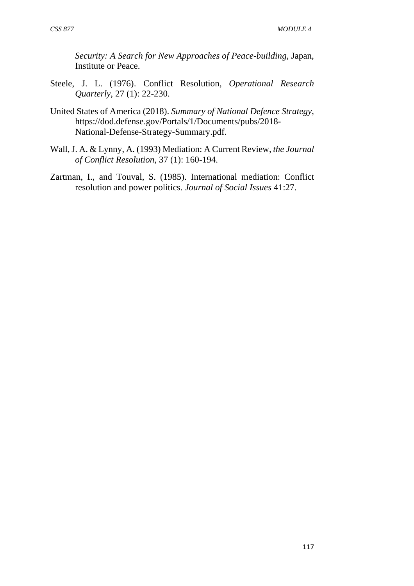*Security: A Search for New Approaches of Peace-building*, Japan, Institute or Peace.

- Steele, J. L. (1976). Conflict Resolution, *Operational Research Quarterly*, 27 (1): 22-230.
- United States of America (2018). *Summary of National Defence Strategy*, https://dod.defense.gov/Portals/1/Documents/pubs/2018- National-Defense-Strategy-Summary.pdf.
- Wall, J. A. & Lynny, A. (1993) Mediation: A Current Review, *the Journal of Conflict Resolution*, 37 (1): 160-194.
- Zartman, I., and Touval, S. (1985). International mediation: Conflict resolution and power politics. *Journal of Social Issues* 41:27.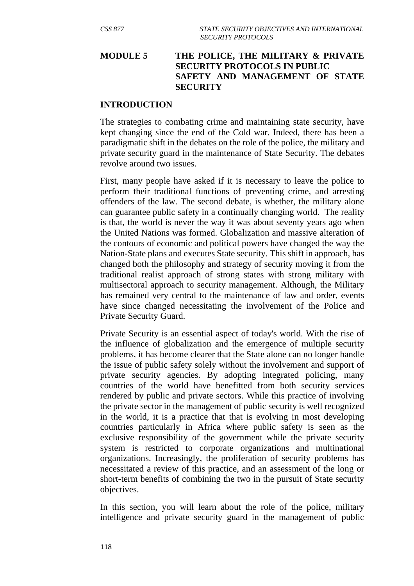### **MODULE 5 THE POLICE, THE MILITARY & PRIVATE SECURITY PROTOCOLS IN PUBLIC SAFETY AND MANAGEMENT OF STATE SECURITY**

#### **INTRODUCTION**

The strategies to combating crime and maintaining state security, have kept changing since the end of the Cold war. Indeed, there has been a paradigmatic shift in the debates on the role of the police, the military and private security guard in the maintenance of State Security. The debates revolve around two issues.

First, many people have asked if it is necessary to leave the police to perform their traditional functions of preventing crime, and arresting offenders of the law. The second debate, is whether, the military alone can guarantee public safety in a continually changing world. The reality is that, the world is never the way it was about seventy years ago when the United Nations was formed. Globalization and massive alteration of the contours of economic and political powers have changed the way the Nation-State plans and executes State security. This shift in approach, has changed both the philosophy and strategy of security moving it from the traditional realist approach of strong states with strong military with multisectoral approach to security management. Although, the Military has remained very central to the maintenance of law and order, events have since changed necessitating the involvement of the Police and Private Security Guard.

Private Security is an essential aspect of today's world. With the rise of the influence of globalization and the emergence of multiple security problems, it has become clearer that the State alone can no longer handle the issue of public safety solely without the involvement and support of private security agencies. By adopting integrated policing, many countries of the world have benefitted from both security services rendered by public and private sectors. While this practice of involving the private sector in the management of public security is well recognized in the world, it is a practice that that is evolving in most developing countries particularly in Africa where public safety is seen as the exclusive responsibility of the government while the private security system is restricted to corporate organizations and multinational organizations. Increasingly, the proliferation of security problems has necessitated a review of this practice, and an assessment of the long or short-term benefits of combining the two in the pursuit of State security objectives.

In this section, you will learn about the role of the police, military intelligence and private security guard in the management of public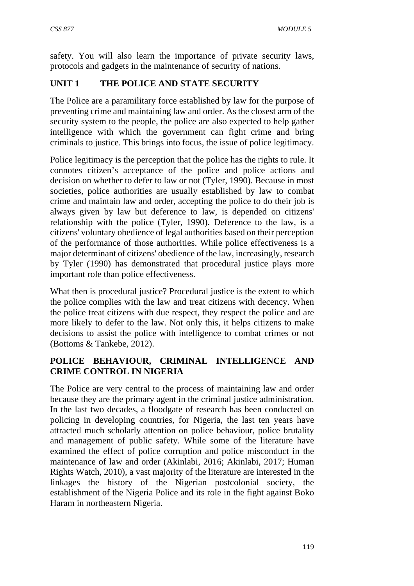safety. You will also learn the importance of private security laws, protocols and gadgets in the maintenance of security of nations.

# **UNIT 1 THE POLICE AND STATE SECURITY**

The Police are a paramilitary force established by law for the purpose of preventing crime and maintaining law and order. As the closest arm of the security system to the people, the police are also expected to help gather intelligence with which the government can fight crime and bring criminals to justice. This brings into focus, the issue of police legitimacy.

Police legitimacy is the perception that the police has the rights to rule. It connotes citizen's acceptance of the police and police actions and decision on whether to defer to law or not (Tyler, 1990). Because in most societies, police authorities are usually established by law to combat crime and maintain law and order, accepting the police to do their job is always given by law but deference to law, is depended on citizens' relationship with the police (Tyler, 1990). Deference to the law, is a citizens' voluntary obedience of legal authorities based on their perception of the performance of those authorities. While police effectiveness is a major determinant of citizens' obedience of the law, increasingly, research by Tyler (1990) has demonstrated that procedural justice plays more important role than police effectiveness.

What then is procedural justice? Procedural justice is the extent to which the police complies with the law and treat citizens with decency. When the police treat citizens with due respect, they respect the police and are more likely to defer to the law. Not only this, it helps citizens to make decisions to assist the police with intelligence to combat crimes or not (Bottoms & Tankebe, 2012).

## **POLICE BEHAVIOUR, CRIMINAL INTELLIGENCE AND CRIME CONTROL IN NIGERIA**

The Police are very central to the process of maintaining law and order because they are the primary agent in the criminal justice administration. In the last two decades, a floodgate of research has been conducted on policing in developing countries, for Nigeria, the last ten years have attracted much scholarly attention on police behaviour, police brutality and management of public safety. While some of the literature have examined the effect of police corruption and police misconduct in the maintenance of law and order (Akinlabi, 2016; Akinlabi, 2017; Human Rights Watch, 2010), a vast majority of the literature are interested in the linkages the history of the Nigerian postcolonial society, the establishment of the Nigeria Police and its role in the fight against Boko Haram in northeastern Nigeria.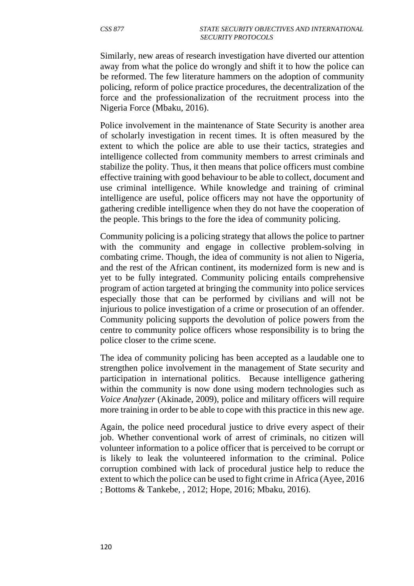Similarly, new areas of research investigation have diverted our attention away from what the police do wrongly and shift it to how the police can be reformed. The few literature hammers on the adoption of community policing, reform of police practice procedures, the decentralization of the force and the professionalization of the recruitment process into the Nigeria Force (Mbaku, 2016).

Police involvement in the maintenance of State Security is another area of scholarly investigation in recent times. It is often measured by the extent to which the police are able to use their tactics, strategies and intelligence collected from community members to arrest criminals and stabilize the polity. Thus, it then means that police officers must combine effective training with good behaviour to be able to collect, document and use criminal intelligence. While knowledge and training of criminal intelligence are useful, police officers may not have the opportunity of gathering credible intelligence when they do not have the cooperation of the people. This brings to the fore the idea of community policing.

Community policing is a policing strategy that allows the police to partner with the community and engage in collective problem-solving in combating crime. Though, the idea of community is not alien to Nigeria, and the rest of the African continent, its modernized form is new and is yet to be fully integrated. Community policing entails comprehensive program of action targeted at bringing the community into police services especially those that can be performed by civilians and will not be injurious to police investigation of a crime or prosecution of an offender. Community policing supports the devolution of police powers from the centre to community police officers whose responsibility is to bring the police closer to the crime scene.

The idea of community policing has been accepted as a laudable one to strengthen police involvement in the management of State security and participation in international politics. Because intelligence gathering within the community is now done using modern technologies such as *Voice Analyzer* (Akinade, 2009), police and military officers will require more training in order to be able to cope with this practice in this new age.

Again, the police need procedural justice to drive every aspect of their job. Whether conventional work of arrest of criminals, no citizen will volunteer information to a police officer that is perceived to be corrupt or is likely to leak the volunteered information to the criminal. Police corruption combined with lack of procedural justice help to reduce the extent to which the police can be used to fight crime in Africa (Ayee, 2016 ; Bottoms & Tankebe, , 2012; Hope, 2016; Mbaku, 2016).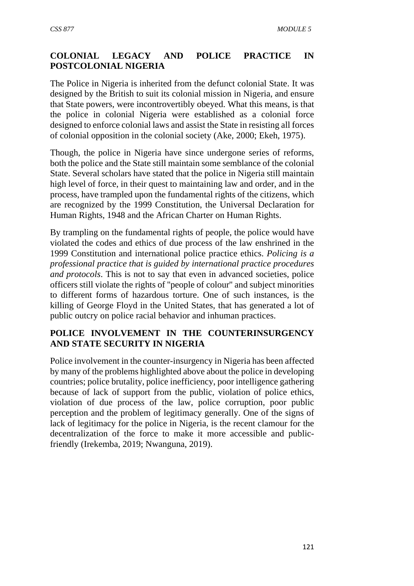# **COLONIAL LEGACY AND POLICE PRACTICE IN POSTCOLONIAL NIGERIA**

The Police in Nigeria is inherited from the defunct colonial State. It was designed by the British to suit its colonial mission in Nigeria, and ensure that State powers, were incontrovertibly obeyed. What this means, is that the police in colonial Nigeria were established as a colonial force designed to enforce colonial laws and assist the State in resisting all forces of colonial opposition in the colonial society (Ake, 2000; Ekeh, 1975).

Though, the police in Nigeria have since undergone series of reforms, both the police and the State still maintain some semblance of the colonial State. Several scholars have stated that the police in Nigeria still maintain high level of force, in their quest to maintaining law and order, and in the process, have trampled upon the fundamental rights of the citizens, which are recognized by the 1999 Constitution, the Universal Declaration for Human Rights, 1948 and the African Charter on Human Rights.

By trampling on the fundamental rights of people, the police would have violated the codes and ethics of due process of the law enshrined in the 1999 Constitution and international police practice ethics. *Policing is a professional practice that is guided by international practice procedures and protocols*. This is not to say that even in advanced societies, police officers still violate the rights of ''people of colour'' and subject minorities to different forms of hazardous torture. One of such instances, is the killing of George Floyd in the United States, that has generated a lot of public outcry on police racial behavior and inhuman practices.

## **POLICE INVOLVEMENT IN THE COUNTERINSURGENCY AND STATE SECURITY IN NIGERIA**

Police involvement in the counter-insurgency in Nigeria has been affected by many of the problems highlighted above about the police in developing countries; police brutality, police inefficiency, poor intelligence gathering because of lack of support from the public, violation of police ethics, violation of due process of the law, police corruption, poor public perception and the problem of legitimacy generally. One of the signs of lack of legitimacy for the police in Nigeria, is the recent clamour for the decentralization of the force to make it more accessible and publicfriendly (Irekemba, 2019; Nwanguna, 2019).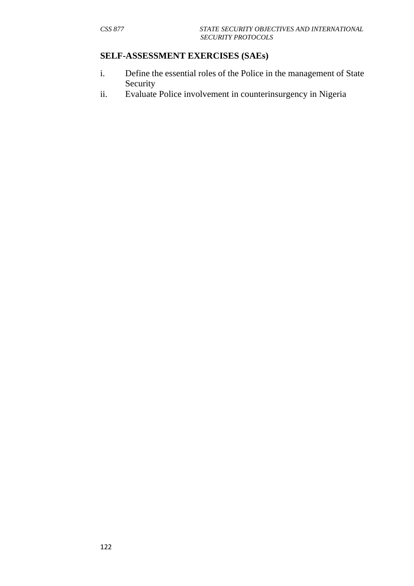## **SELF-ASSESSMENT EXERCISES (SAEs)**

- i. Define the essential roles of the Police in the management of State Security
- ii. Evaluate Police involvement in counterinsurgency in Nigeria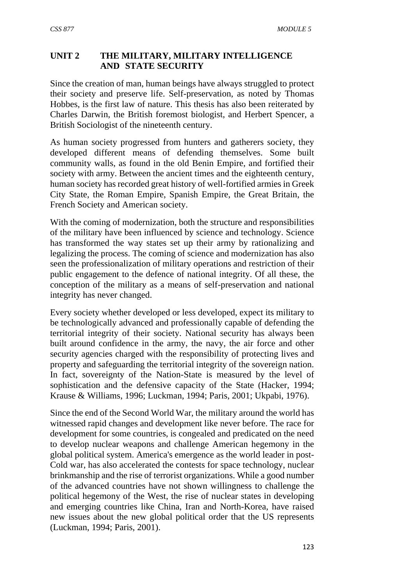## **UNIT 2 THE MILITARY, MILITARY INTELLIGENCE AND STATE SECURITY**

Since the creation of man, human beings have always struggled to protect their society and preserve life. Self-preservation, as noted by Thomas Hobbes, is the first law of nature. This thesis has also been reiterated by Charles Darwin, the British foremost biologist, and Herbert Spencer, a British Sociologist of the nineteenth century.

As human society progressed from hunters and gatherers society, they developed different means of defending themselves. Some built community walls, as found in the old Benin Empire, and fortified their society with army. Between the ancient times and the eighteenth century, human society has recorded great history of well-fortified armies in Greek City State, the Roman Empire, Spanish Empire, the Great Britain, the French Society and American society.

With the coming of modernization, both the structure and responsibilities of the military have been influenced by science and technology. Science has transformed the way states set up their army by rationalizing and legalizing the process. The coming of science and modernization has also seen the professionalization of military operations and restriction of their public engagement to the defence of national integrity. Of all these, the conception of the military as a means of self-preservation and national integrity has never changed.

Every society whether developed or less developed, expect its military to be technologically advanced and professionally capable of defending the territorial integrity of their society. National security has always been built around confidence in the army, the navy, the air force and other security agencies charged with the responsibility of protecting lives and property and safeguarding the territorial integrity of the sovereign nation. In fact, sovereignty of the Nation-State is measured by the level of sophistication and the defensive capacity of the State (Hacker, 1994; Krause & Williams, 1996; Luckman, 1994; Paris, 2001; Ukpabi, 1976).

Since the end of the Second World War, the military around the world has witnessed rapid changes and development like never before. The race for development for some countries, is congealed and predicated on the need to develop nuclear weapons and challenge American hegemony in the global political system. America's emergence as the world leader in post-Cold war, has also accelerated the contests for space technology, nuclear brinkmanship and the rise of terrorist organizations. While a good number of the advanced countries have not shown willingness to challenge the political hegemony of the West, the rise of nuclear states in developing and emerging countries like China, Iran and North-Korea, have raised new issues about the new global political order that the US represents (Luckman, 1994; Paris, 2001).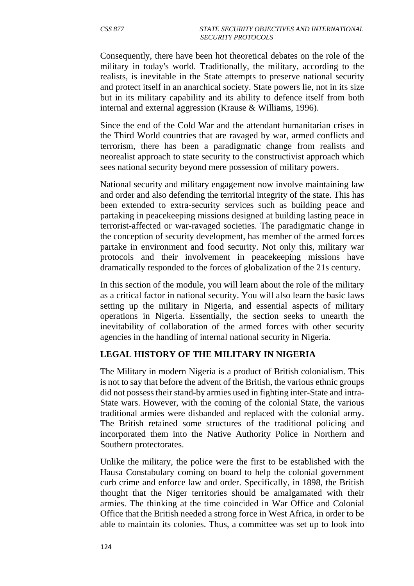Consequently, there have been hot theoretical debates on the role of the military in today's world. Traditionally, the military, according to the realists, is inevitable in the State attempts to preserve national security and protect itself in an anarchical society. State powers lie, not in its size but in its military capability and its ability to defence itself from both internal and external aggression (Krause & Williams, 1996).

Since the end of the Cold War and the attendant humanitarian crises in the Third World countries that are ravaged by war, armed conflicts and terrorism, there has been a paradigmatic change from realists and neorealist approach to state security to the constructivist approach which sees national security beyond mere possession of military powers.

National security and military engagement now involve maintaining law and order and also defending the territorial integrity of the state. This has been extended to extra-security services such as building peace and partaking in peacekeeping missions designed at building lasting peace in terrorist-affected or war-ravaged societies. The paradigmatic change in the conception of security development, has member of the armed forces partake in environment and food security. Not only this, military war protocols and their involvement in peacekeeping missions have dramatically responded to the forces of globalization of the 21s century.

In this section of the module, you will learn about the role of the military as a critical factor in national security. You will also learn the basic laws setting up the military in Nigeria, and essential aspects of military operations in Nigeria. Essentially, the section seeks to unearth the inevitability of collaboration of the armed forces with other security agencies in the handling of internal national security in Nigeria.

### **LEGAL HISTORY OF THE MILITARY IN NIGERIA**

The Military in modern Nigeria is a product of British colonialism. This is not to say that before the advent of the British, the various ethnic groups did not possess their stand-by armies used in fighting inter-State and intra-State wars. However, with the coming of the colonial State, the various traditional armies were disbanded and replaced with the colonial army. The British retained some structures of the traditional policing and incorporated them into the Native Authority Police in Northern and Southern protectorates.

Unlike the military, the police were the first to be established with the Hausa Constabulary coming on board to help the colonial government curb crime and enforce law and order. Specifically, in 1898, the British thought that the Niger territories should be amalgamated with their armies. The thinking at the time coincided in War Office and Colonial Office that the British needed a strong force in West Africa, in order to be able to maintain its colonies. Thus, a committee was set up to look into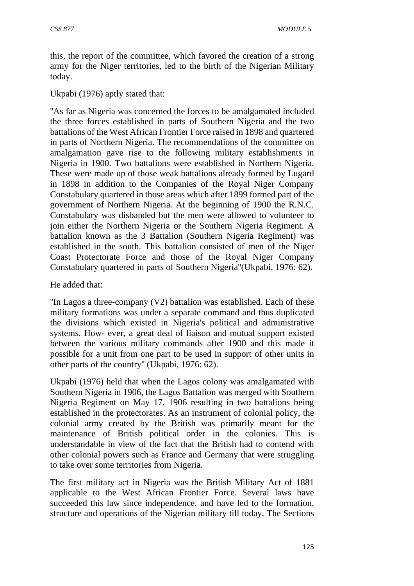this, the report of the committee, which favored the creation of a strong army for the Niger territories, led to the birth of the Nigerian Military today.

Ukpabi (1976) aptly stated that:

''As far as Nigeria was concerned the forces to be amalgamated included the three forces established in parts of Southern Nigeria and the two battalions of the West African Frontier Force raised in 1898 and quartered in parts of Northern Nigeria. The recommendations of the committee on amalgamation gave rise to the following military establishments in Nigeria in 1900. Two battalions were established in Northern Nigeria. These were made up of those weak battalions already formed by Lugard in 1898 in addition to the Companies of the Royal Niger Company Constabulary quartered in those areas which after 1899 formed part of the government of Northern Nigeria. At the beginning of 1900 the R.N.C. Constabulary was disbanded but the men were allowed to volunteer to join either the Northern Nigeria or the Southern Nigeria Regiment. A battalion known as the 3 Battalion (Southern Nigeria Regiment) was established in the south. This battalion consisted of men of the Niger Coast Protectorate Force and those of the Royal Niger Company Constabulary quartered in parts of Southern Nigeria''(Ukpabi, 1976: 62).

He added that:

''In Lagos a three-company (V2) battalion was established. Each of these military formations was under a separate command and thus duplicated the divisions which existed in Nigeria's political and administrative systems. How- ever, a great deal of liaison and mutual support existed between the various military commands after 1900 and this made it possible for a unit from one part to be used in support of other units in other parts of the country'' (Ukpabi, 1976: 62).

Ukpabi (1976) held that when the Lagos colony was amalgamated with Southern Nigeria in 1906, the Lagos Battalion was merged with Southern Nigeria Regiment on May 17, 1906 resulting in two battalions being established in the protectorates. As an instrument of colonial policy, the colonial army created by the British was primarily meant for the maintenance of British political order in the colonies. This is understandable in view of the fact that the British had to contend with other colonial powers such as France and Germany that were struggling to take over some territories from Nigeria.

The first military act in Nigeria was the British Military Act of 1881 applicable to the West African Frontier Force. Several laws have succeeded this law since independence, and have led to the formation, structure and operations of the Nigerian military till today. The Sections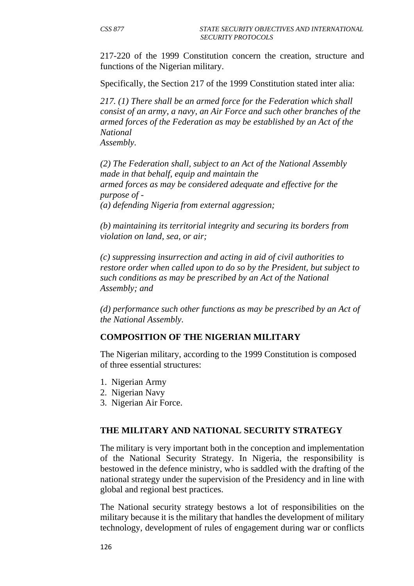217-220 of the 1999 Constitution concern the creation, structure and functions of the Nigerian military.

Specifically, the Section 217 of the 1999 Constitution stated inter alia:

*217. (1) There shall be an armed force for the Federation which shall consist of an army, a navy, an Air Force and such other branches of the armed forces of the Federation as may be established by an Act of the National* 

*Assembly.* 

*(2) The Federation shall, subject to an Act of the National Assembly made in that behalf, equip and maintain the armed forces as may be considered adequate and effective for the purpose of - (a) defending Nigeria from external aggression;* 

*(b) maintaining its territorial integrity and securing its borders from violation on land, sea, or air;* 

*(c) suppressing insurrection and acting in aid of civil authorities to restore order when called upon to do so by the President, but subject to such conditions as may be prescribed by an Act of the National Assembly; and* 

*(d) performance such other functions as may be prescribed by an Act of the National Assembly.* 

### **COMPOSITION OF THE NIGERIAN MILITARY**

The Nigerian military, according to the 1999 Constitution is composed of three essential structures:

- 1. Nigerian Army
- 2. Nigerian Navy
- 3. Nigerian Air Force.

#### **THE MILITARY AND NATIONAL SECURITY STRATEGY**

The military is very important both in the conception and implementation of the National Security Strategy. In Nigeria, the responsibility is bestowed in the defence ministry, who is saddled with the drafting of the national strategy under the supervision of the Presidency and in line with global and regional best practices.

The National security strategy bestows a lot of responsibilities on the military because it is the military that handles the development of military technology, development of rules of engagement during war or conflicts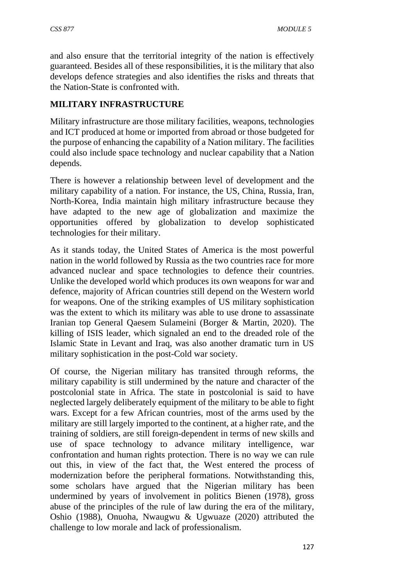and also ensure that the territorial integrity of the nation is effectively guaranteed. Besides all of these responsibilities, it is the military that also develops defence strategies and also identifies the risks and threats that the Nation-State is confronted with.

### **MILITARY INFRASTRUCTURE**

Military infrastructure are those military facilities, weapons, technologies and ICT produced at home or imported from abroad or those budgeted for the purpose of enhancing the capability of a Nation military. The facilities could also include space technology and nuclear capability that a Nation depends.

There is however a relationship between level of development and the military capability of a nation. For instance, the US, China, Russia, Iran, North-Korea, India maintain high military infrastructure because they have adapted to the new age of globalization and maximize the opportunities offered by globalization to develop sophisticated technologies for their military.

As it stands today, the United States of America is the most powerful nation in the world followed by Russia as the two countries race for more advanced nuclear and space technologies to defence their countries. Unlike the developed world which produces its own weapons for war and defence, majority of African countries still depend on the Western world for weapons. One of the striking examples of US military sophistication was the extent to which its military was able to use drone to assassinate Iranian top General Qaesem Sulameini (Borger & Martin, 2020). The killing of ISIS leader, which signaled an end to the dreaded role of the Islamic State in Levant and Iraq, was also another dramatic turn in US military sophistication in the post-Cold war society.

Of course, the Nigerian military has transited through reforms, the military capability is still undermined by the nature and character of the postcolonial state in Africa. The state in postcolonial is said to have neglected largely deliberately equipment of the military to be able to fight wars. Except for a few African countries, most of the arms used by the military are still largely imported to the continent, at a higher rate, and the training of soldiers, are still foreign-dependent in terms of new skills and use of space technology to advance military intelligence, war confrontation and human rights protection. There is no way we can rule out this, in view of the fact that, the West entered the process of modernization before the peripheral formations. Notwithstanding this, some scholars have argued that the Nigerian military has been undermined by years of involvement in politics Bienen (1978), gross abuse of the principles of the rule of law during the era of the military, Oshio (1988), Onuoha, Nwaugwu & Ugwuaze (2020) attributed the challenge to low morale and lack of professionalism.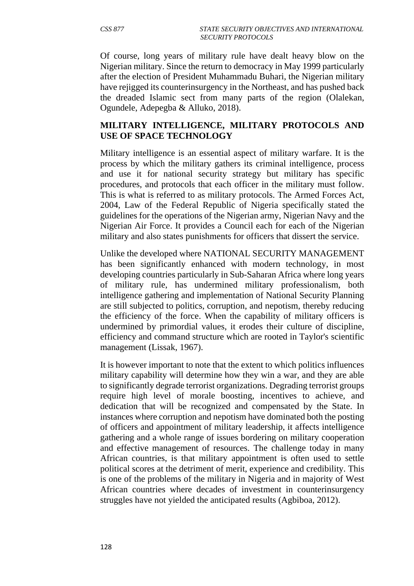Of course, long years of military rule have dealt heavy blow on the Nigerian military. Since the return to democracy in May 1999 particularly after the election of President Muhammadu Buhari, the Nigerian military have rejigged its counterinsurgency in the Northeast, and has pushed back the dreaded Islamic sect from many parts of the region (Olalekan, Ogundele, Adepegba & Alluko, 2018).

### **MILITARY INTELLIGENCE, MILITARY PROTOCOLS AND USE OF SPACE TECHNOLOGY**

Military intelligence is an essential aspect of military warfare. It is the process by which the military gathers its criminal intelligence, process and use it for national security strategy but military has specific procedures, and protocols that each officer in the military must follow. This is what is referred to as military protocols. The Armed Forces Act, 2004, Law of the Federal Republic of Nigeria specifically stated the guidelines for the operations of the Nigerian army, Nigerian Navy and the Nigerian Air Force. It provides a Council each for each of the Nigerian military and also states punishments for officers that dissert the service.

Unlike the developed where NATIONAL SECURITY MANAGEMENT has been significantly enhanced with modern technology, in most developing countries particularly in Sub-Saharan Africa where long years of military rule, has undermined military professionalism, both intelligence gathering and implementation of National Security Planning are still subjected to politics, corruption, and nepotism, thereby reducing the efficiency of the force. When the capability of military officers is undermined by primordial values, it erodes their culture of discipline, efficiency and command structure which are rooted in Taylor's scientific management (Lissak, 1967).

It is however important to note that the extent to which politics influences military capability will determine how they win a war, and they are able to significantly degrade terrorist organizations. Degrading terrorist groups require high level of morale boosting, incentives to achieve, and dedication that will be recognized and compensated by the State. In instances where corruption and nepotism have dominated both the posting of officers and appointment of military leadership, it affects intelligence gathering and a whole range of issues bordering on military cooperation and effective management of resources. The challenge today in many African countries, is that military appointment is often used to settle political scores at the detriment of merit, experience and credibility. This is one of the problems of the military in Nigeria and in majority of West African countries where decades of investment in counterinsurgency struggles have not yielded the anticipated results (Agbiboa, 2012).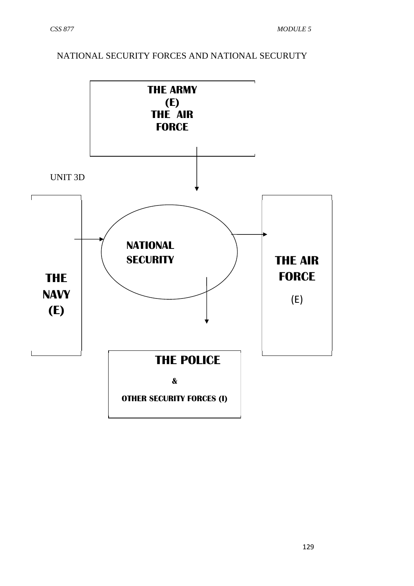# NATIONAL SECURITY FORCES AND NATIONAL SECURUTY

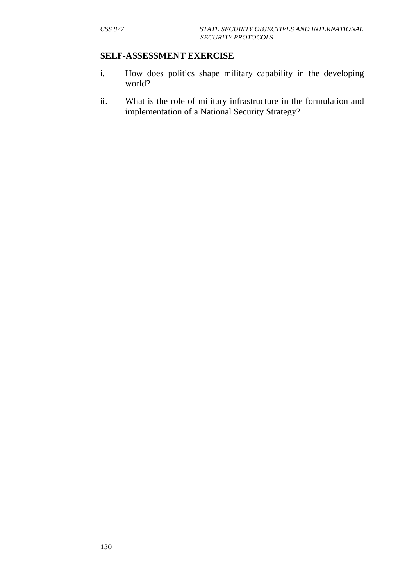#### **SELF-ASSESSMENT EXERCISE**

- i. How does politics shape military capability in the developing world?
- ii. What is the role of military infrastructure in the formulation and implementation of a National Security Strategy?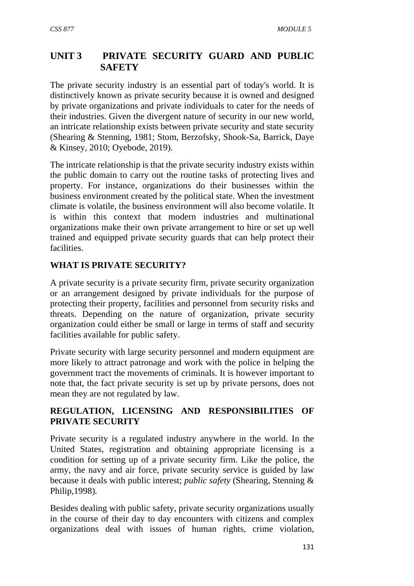# **UNIT 3 PRIVATE SECURITY GUARD AND PUBLIC SAFETY**

The private security industry is an essential part of today's world. It is distinctively known as private security because it is owned and designed by private organizations and private individuals to cater for the needs of their industries. Given the divergent nature of security in our new world, an intricate relationship exists between private security and state security (Shearing & Stenning, 1981; Stom, Berzofsky, Shook-Sa, Barrick, Daye & Kinsey, 2010; Oyebode, 2019).

The intricate relationship is that the private security industry exists within the public domain to carry out the routine tasks of protecting lives and property. For instance, organizations do their businesses within the business environment created by the political state. When the investment climate is volatile, the business environment will also become volatile. It is within this context that modern industries and multinational organizations make their own private arrangement to hire or set up well trained and equipped private security guards that can help protect their facilities.

# **WHAT IS PRIVATE SECURITY?**

A private security is a private security firm, private security organization or an arrangement designed by private individuals for the purpose of protecting their property, facilities and personnel from security risks and threats. Depending on the nature of organization, private security organization could either be small or large in terms of staff and security facilities available for public safety.

Private security with large security personnel and modern equipment are more likely to attract patronage and work with the police in helping the government tract the movements of criminals. It is however important to note that, the fact private security is set up by private persons, does not mean they are not regulated by law.

# **REGULATION, LICENSING AND RESPONSIBILITIES OF PRIVATE SECURITY**

Private security is a regulated industry anywhere in the world. In the United States, registration and obtaining appropriate licensing is a condition for setting up of a private security firm. Like the police, the army, the navy and air force, private security service is guided by law because it deals with public interest; *public safety* (Shearing, Stenning & Philip,1998)*.*

Besides dealing with public safety, private security organizations usually in the course of their day to day encounters with citizens and complex organizations deal with issues of human rights, crime violation,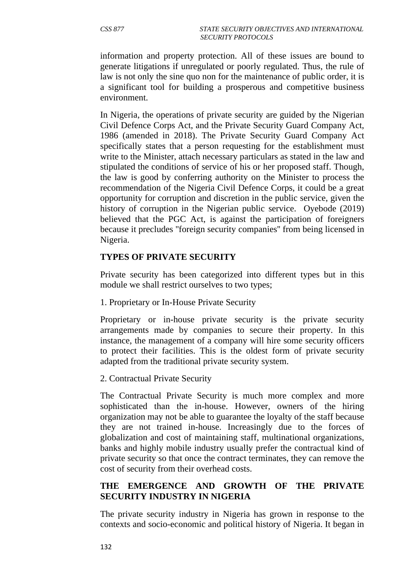information and property protection. All of these issues are bound to generate litigations if unregulated or poorly regulated. Thus, the rule of law is not only the sine quo non for the maintenance of public order, it is a significant tool for building a prosperous and competitive business environment.

In Nigeria, the operations of private security are guided by the Nigerian Civil Defence Corps Act, and the Private Security Guard Company Act, 1986 (amended in 2018). The Private Security Guard Company Act specifically states that a person requesting for the establishment must write to the Minister, attach necessary particulars as stated in the law and stipulated the conditions of service of his or her proposed staff. Though, the law is good by conferring authority on the Minister to process the recommendation of the Nigeria Civil Defence Corps, it could be a great opportunity for corruption and discretion in the public service, given the history of corruption in the Nigerian public service. Oyebode (2019) believed that the PGC Act, is against the participation of foreigners because it precludes ''foreign security companies'' from being licensed in Nigeria.

### **TYPES OF PRIVATE SECURITY**

Private security has been categorized into different types but in this module we shall restrict ourselves to two types;

1. Proprietary or In-House Private Security

Proprietary or in-house private security is the private security arrangements made by companies to secure their property. In this instance, the management of a company will hire some security officers to protect their facilities. This is the oldest form of private security adapted from the traditional private security system.

2. Contractual Private Security

The Contractual Private Security is much more complex and more sophisticated than the in-house. However, owners of the hiring organization may not be able to guarantee the loyalty of the staff because they are not trained in-house. Increasingly due to the forces of globalization and cost of maintaining staff, multinational organizations, banks and highly mobile industry usually prefer the contractual kind of private security so that once the contract terminates, they can remove the cost of security from their overhead costs.

## **THE EMERGENCE AND GROWTH OF THE PRIVATE SECURITY INDUSTRY IN NIGERIA**

The private security industry in Nigeria has grown in response to the contexts and socio-economic and political history of Nigeria. It began in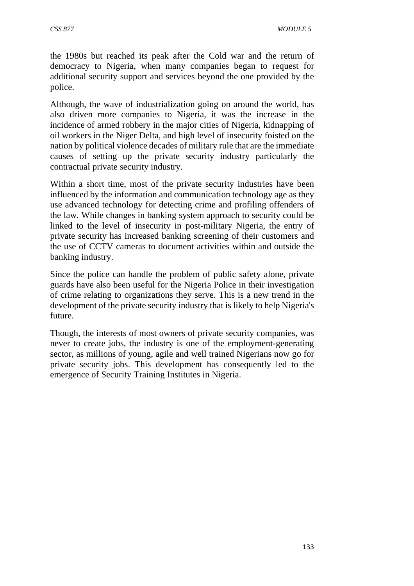the 1980s but reached its peak after the Cold war and the return of democracy to Nigeria, when many companies began to request for additional security support and services beyond the one provided by the police.

Although, the wave of industrialization going on around the world, has also driven more companies to Nigeria, it was the increase in the incidence of armed robbery in the major cities of Nigeria, kidnapping of oil workers in the Niger Delta, and high level of insecurity foisted on the nation by political violence decades of military rule that are the immediate causes of setting up the private security industry particularly the contractual private security industry.

Within a short time, most of the private security industries have been influenced by the information and communication technology age as they use advanced technology for detecting crime and profiling offenders of the law. While changes in banking system approach to security could be linked to the level of insecurity in post-military Nigeria, the entry of private security has increased banking screening of their customers and the use of CCTV cameras to document activities within and outside the banking industry.

Since the police can handle the problem of public safety alone, private guards have also been useful for the Nigeria Police in their investigation of crime relating to organizations they serve. This is a new trend in the development of the private security industry that is likely to help Nigeria's future.

Though, the interests of most owners of private security companies, was never to create jobs, the industry is one of the employment-generating sector, as millions of young, agile and well trained Nigerians now go for private security jobs. This development has consequently led to the emergence of Security Training Institutes in Nigeria.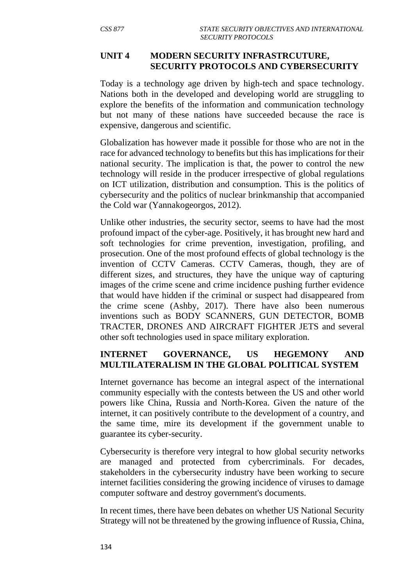#### **UNIT 4 MODERN SECURITY INFRASTRCUTURE, SECURITY PROTOCOLS AND CYBERSECURITY**

Today is a technology age driven by high-tech and space technology. Nations both in the developed and developing world are struggling to explore the benefits of the information and communication technology but not many of these nations have succeeded because the race is expensive, dangerous and scientific.

Globalization has however made it possible for those who are not in the race for advanced technology to benefits but this has implications for their national security. The implication is that, the power to control the new technology will reside in the producer irrespective of global regulations on ICT utilization, distribution and consumption. This is the politics of cybersecurity and the politics of nuclear brinkmanship that accompanied the Cold war (Yannakogeorgos, 2012).

Unlike other industries, the security sector, seems to have had the most profound impact of the cyber-age. Positively, it has brought new hard and soft technologies for crime prevention, investigation, profiling, and prosecution. One of the most profound effects of global technology is the invention of CCTV Cameras. CCTV Cameras, though, they are of different sizes, and structures, they have the unique way of capturing images of the crime scene and crime incidence pushing further evidence that would have hidden if the criminal or suspect had disappeared from the crime scene (Ashby, 2017). There have also been numerous inventions such as BODY SCANNERS, GUN DETECTOR, BOMB TRACTER, DRONES AND AIRCRAFT FIGHTER JETS and several other soft technologies used in space military exploration.

## **INTERNET GOVERNANCE, US HEGEMONY AND MULTILATERALISM IN THE GLOBAL POLITICAL SYSTEM**

Internet governance has become an integral aspect of the international community especially with the contests between the US and other world powers like China, Russia and North-Korea. Given the nature of the internet, it can positively contribute to the development of a country, and the same time, mire its development if the government unable to guarantee its cyber-security.

Cybersecurity is therefore very integral to how global security networks are managed and protected from cybercriminals. For decades, stakeholders in the cybersecurity industry have been working to secure internet facilities considering the growing incidence of viruses to damage computer software and destroy government's documents.

In recent times, there have been debates on whether US National Security Strategy will not be threatened by the growing influence of Russia, China,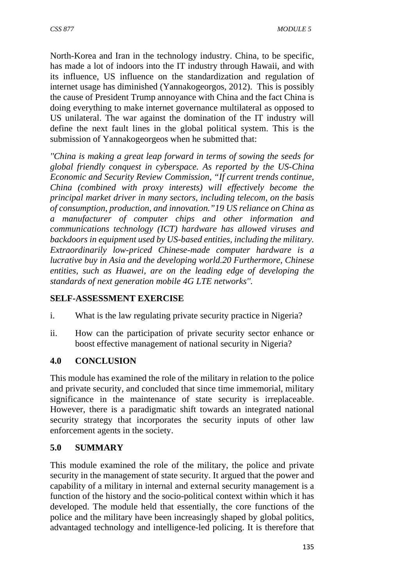North-Korea and Iran in the technology industry. China, to be specific, has made a lot of indoors into the IT industry through Hawaii, and with its influence, US influence on the standardization and regulation of internet usage has diminished (Yannakogeorgos, 2012). This is possibly the cause of President Trump annoyance with China and the fact China is doing everything to make internet governance multilateral as opposed to US unilateral. The war against the domination of the IT industry will define the next fault lines in the global political system. This is the submission of Yannakogeorgeos when he submitted that:

*''China is making a great leap forward in terms of sowing the seeds for global friendly conquest in cyberspace. As reported by the US-China Economic and Security Review Commission, "If current trends continue, China (combined with proxy interests) will effectively become the principal market driver in many sectors, including telecom, on the basis of consumption, production, and innovation."19 US reliance on China as a manufacturer of computer chips and other information and communications technology (ICT) hardware has allowed viruses and backdoors in equipment used by US-based entities, including the military. Extraordinarily low-priced Chinese-made computer hardware is a lucrative buy in Asia and the developing world.20 Furthermore, Chinese entities, such as Huawei, are on the leading edge of developing the standards of next generation mobile 4G LTE networks''.* 

### **SELF-ASSESSMENT EXERCISE**

- i. What is the law regulating private security practice in Nigeria?
- ii. How can the participation of private security sector enhance or boost effective management of national security in Nigeria?

# **4.0 CONCLUSION**

This module has examined the role of the military in relation to the police and private security, and concluded that since time immemorial, military significance in the maintenance of state security is irreplaceable. However, there is a paradigmatic shift towards an integrated national security strategy that incorporates the security inputs of other law enforcement agents in the society.

#### **5.0 SUMMARY**

This module examined the role of the military, the police and private security in the management of state security. It argued that the power and capability of a military in internal and external security management is a function of the history and the socio-political context within which it has developed. The module held that essentially, the core functions of the police and the military have been increasingly shaped by global politics, advantaged technology and intelligence-led policing. It is therefore that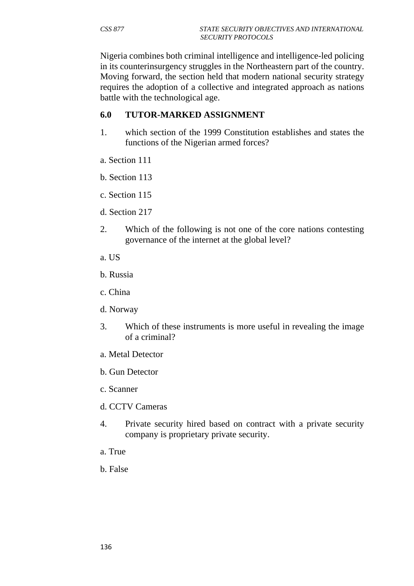Nigeria combines both criminal intelligence and intelligence-led policing in its counterinsurgency struggles in the Northeastern part of the country. Moving forward, the section held that modern national security strategy requires the adoption of a collective and integrated approach as nations battle with the technological age.

#### **6.0 TUTOR-MARKED ASSIGNMENT**

- 1. which section of the 1999 Constitution establishes and states the functions of the Nigerian armed forces?
- a. Section 111
- b. Section 113
- c. Section 115
- d. Section 217
- 2. Which of the following is not one of the core nations contesting governance of the internet at the global level?
- a. US
- b. Russia
- c. China
- d. Norway
- 3. Which of these instruments is more useful in revealing the image of a criminal?
- a. Metal Detector
- b. Gun Detector
- c. Scanner
- d. CCTV Cameras
- 4. Private security hired based on contract with a private security company is proprietary private security.
- a. True
- b. False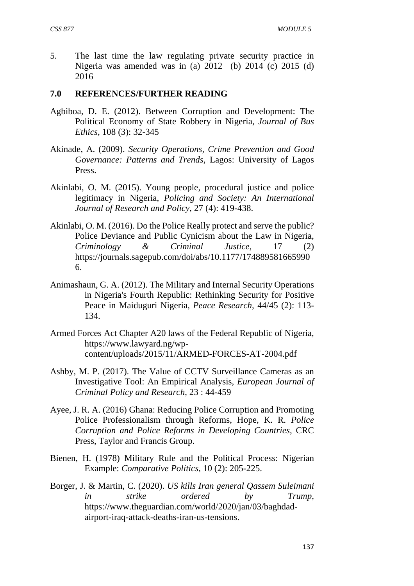5. The last time the law regulating private security practice in Nigeria was amended was in (a) 2012 (b) 2014 (c) 2015 (d) 2016

#### **7.0 REFERENCES/FURTHER READING**

- Agbiboa, D. E. (2012). Between Corruption and Development: The Political Economy of State Robbery in Nigeria, *Journal of Bus Ethics*, 108 (3): 32-345
- Akinade, A. (2009). *Security Operations, Crime Prevention and Good Governance: Patterns and Trends*, Lagos: University of Lagos Press.
- Akinlabi, O. M. (2015). Young people, procedural justice and police legitimacy in Nigeria, *Policing and Society: An International Journal of Research and Policy*, 27 (4): 419-438.
- Akinlabi, O. M. (2016). Do the Police Really protect and serve the public? Police Deviance and Public Cynicism about the Law in Nigeria, *Criminology & Criminal Justice*, 17 (2) https://journals.sagepub.com/doi/abs/10.1177/174889581665990 6.
- Animashaun, G. A. (2012). The Military and Internal Security Operations in Nigeria's Fourth Republic: Rethinking Security for Positive Peace in Maiduguri Nigeria, *Peace Research*, 44/45 (2): 113- 134.
- Armed Forces Act Chapter A20 laws of the Federal Republic of Nigeria, https://www.lawyard.ng/wpcontent/uploads/2015/11/ARMED-FORCES-AT-2004.pdf
- Ashby, M. P. (2017). The Value of CCTV Surveillance Cameras as an Investigative Tool: An Empirical Analysis, *European Journal of Criminal Policy and Research*, 23 : 44-459
- Ayee, J. R. A. (2016) Ghana: Reducing Police Corruption and Promoting Police Professionalism through Reforms, Hope, K. R. *Police Corruption and Police Reforms in Developing Countries*, CRC Press, Taylor and Francis Group.
- Bienen, H. (1978) Military Rule and the Political Process: Nigerian Example: *Comparative Politics,* 10 (2): 205-225.
- Borger, J. & Martin, C. (2020). *US kills Iran general Qassem Suleimani in strike ordered by Trump*, https://www.theguardian.com/world/2020/jan/03/baghdadairport-iraq-attack-deaths-iran-us-tensions.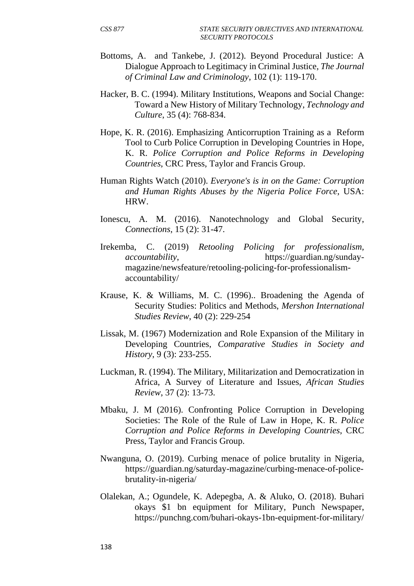- Bottoms, A. and Tankebe, J. (2012). Beyond Procedural Justice: A Dialogue Approach to Legitimacy in Criminal Justice, *The Journal of Criminal Law and Criminology*, 102 (1): 119-170.
- Hacker, B. C. (1994). Military Institutions, Weapons and Social Change: Toward a New History of Military Technology, *Technology and Culture*, 35 (4): 768-834.
- Hope, K. R. (2016). Emphasizing Anticorruption Training as a Reform Tool to Curb Police Corruption in Developing Countries in Hope, K. R. *Police Corruption and Police Reforms in Developing Countries*, CRC Press, Taylor and Francis Group.
- Human Rights Watch (2010). *Everyone's is in on the Game: Corruption and Human Rights Abuses by the Nigeria Police Force*, USA: HRW.
- Ionescu, A. M. (2016). Nanotechnology and Global Security, *Connections*, 15 (2): 31-47.
- Irekemba, C. (2019) *Retooling Policing for professionalism, accountability*, https://guardian.ng/sundaymagazine/newsfeature/retooling-policing-for-professionalismaccountability/
- Krause, K. & Williams, M. C. (1996).. Broadening the Agenda of Security Studies: Politics and Methods, *Mershon International Studies Review*, 40 (2): 229-254
- Lissak, M. (1967) Modernization and Role Expansion of the Military in Developing Countries, *Comparative Studies in Society and History*, 9 (3): 233-255.
- Luckman, R. (1994). The Military, Militarization and Democratization in Africa, A Survey of Literature and Issues, *African Studies Review*, 37 (2): 13-73.
- Mbaku, J. M (2016). Confronting Police Corruption in Developing Societies: The Role of the Rule of Law in Hope, K. R. *Police Corruption and Police Reforms in Developing Countries*, CRC Press, Taylor and Francis Group.
- Nwanguna, O. (2019). Curbing menace of police brutality in Nigeria, https://guardian.ng/saturday-magazine/curbing-menace-of-policebrutality-in-nigeria/
- Olalekan, A.; Ogundele, K. Adepegba, A. & Aluko, O. (2018). Buhari okays \$1 bn equipment for Military, Punch Newspaper, https://punchng.com/buhari-okays-1bn-equipment-for-military/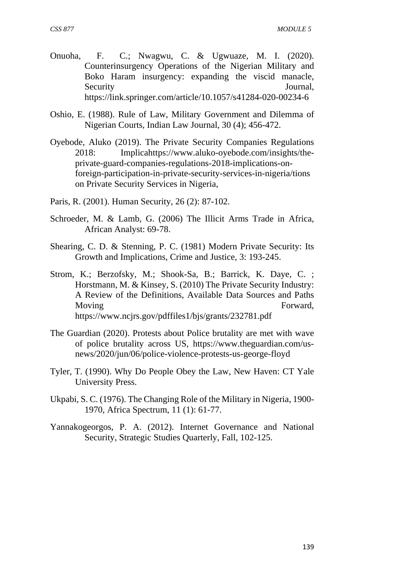- Onuoha, F. C.; Nwagwu, C. & Ugwuaze, M. I. (2020). Counterinsurgency Operations of the Nigerian Military and Boko Haram insurgency: expanding the viscid manacle, Security Journal, https://link.springer.com/article/10.1057/s41284-020-00234-6
- Oshio, E. (1988). Rule of Law, Military Government and Dilemma of Nigerian Courts, Indian Law Journal, 30 (4); 456-472.
- Oyebode, Aluko (2019). The Private Security Companies Regulations 2018: Implicahttps://www.aluko-oyebode.com/insights/theprivate-guard-companies-regulations-2018-implications-onforeign-participation-in-private-security-services-in-nigeria/tions on Private Security Services in Nigeria,
- Paris, R. (2001). Human Security, 26 (2): 87-102.
- Schroeder, M. & Lamb, G. (2006) The Illicit Arms Trade in Africa, African Analyst: 69-78.
- Shearing, C. D. & Stenning, P. C. (1981) Modern Private Security: Its Growth and Implications, Crime and Justice, 3: 193-245.
- Strom, K.; Berzofsky, M.; Shook-Sa, B.; Barrick, K. Daye, C. ; Horstmann, M. & Kinsey, S. (2010) The Private Security Industry: A Review of the Definitions, Available Data Sources and Paths Moving Forward, https://www.ncjrs.gov/pdffiles1/bjs/grants/232781.pdf
- The Guardian (2020). Protests about Police brutality are met with wave of police brutality across US, https://www.theguardian.com/usnews/2020/jun/06/police-violence-protests-us-george-floyd
- Tyler, T. (1990). Why Do People Obey the Law, New Haven: CT Yale University Press.
- Ukpabi, S. C. (1976). The Changing Role of the Military in Nigeria, 1900- 1970, Africa Spectrum, 11 (1): 61-77.
- Yannakogeorgos, P. A. (2012). Internet Governance and National Security, Strategic Studies Quarterly, Fall, 102-125.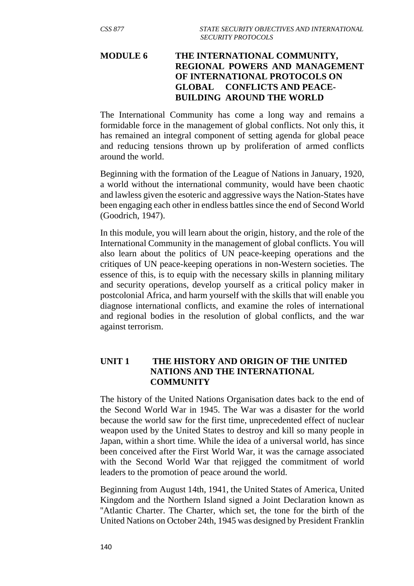# **MODULE 6 THE INTERNATIONAL COMMUNITY, REGIONAL POWERS AND MANAGEMENT OF INTERNATIONAL PROTOCOLS ON GLOBAL CONFLICTS AND PEACE- BUILDING AROUND THE WORLD**

The International Community has come a long way and remains a formidable force in the management of global conflicts. Not only this, it has remained an integral component of setting agenda for global peace and reducing tensions thrown up by proliferation of armed conflicts around the world.

Beginning with the formation of the League of Nations in January, 1920, a world without the international community, would have been chaotic and lawless given the esoteric and aggressive ways the Nation-States have been engaging each other in endless battles since the end of Second World (Goodrich, 1947).

In this module, you will learn about the origin, history, and the role of the International Community in the management of global conflicts. You will also learn about the politics of UN peace-keeping operations and the critiques of UN peace-keeping operations in non-Western societies. The essence of this, is to equip with the necessary skills in planning military and security operations, develop yourself as a critical policy maker in postcolonial Africa, and harm yourself with the skills that will enable you diagnose international conflicts, and examine the roles of international and regional bodies in the resolution of global conflicts, and the war against terrorism.

## **UNIT 1 THE HISTORY AND ORIGIN OF THE UNITED NATIONS AND THE INTERNATIONAL COMMUNITY**

The history of the United Nations Organisation dates back to the end of the Second World War in 1945. The War was a disaster for the world because the world saw for the first time, unprecedented effect of nuclear weapon used by the United States to destroy and kill so many people in Japan, within a short time. While the idea of a universal world, has since been conceived after the First World War, it was the carnage associated with the Second World War that rejigged the commitment of world leaders to the promotion of peace around the world.

Beginning from August 14th, 1941, the United States of America, United Kingdom and the Northern Island signed a Joint Declaration known as ''Atlantic Charter. The Charter, which set, the tone for the birth of the United Nations on October 24th, 1945 was designed by President Franklin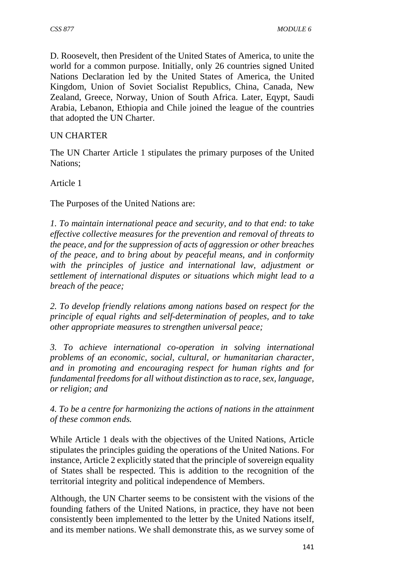D. Roosevelt, then President of the United States of America, to unite the world for a common purpose. Initially, only 26 countries signed United Nations Declaration led by the United States of America, the United Kingdom, Union of Soviet Socialist Republics, China, Canada, New Zealand, Greece, Norway, Union of South Africa. Later, Eqypt, Saudi Arabia, Lebanon, Ethiopia and Chile joined the league of the countries that adopted the UN Charter.

### UN CHARTER

The UN Charter Article 1 stipulates the primary purposes of the United Nations;

Article 1

The Purposes of the United Nations are:

*1. To maintain international peace and security, and to that end: to take effective collective measures for the prevention and removal of threats to the peace, and for the suppression of acts of aggression or other breaches of the peace, and to bring about by peaceful means, and in conformity with the principles of justice and international law, adjustment or settlement of international disputes or situations which might lead to a breach of the peace;* 

*2. To develop friendly relations among nations based on respect for the principle of equal rights and self-determination of peoples, and to take other appropriate measures to strengthen universal peace;* 

*3. To achieve international co-operation in solving international problems of an economic, social, cultural, or humanitarian character, and in promoting and encouraging respect for human rights and for fundamental freedoms for all without distinction as to race, sex, language, or religion; and* 

*4. To be a centre for harmonizing the actions of nations in the attainment of these common ends.* 

While Article 1 deals with the objectives of the United Nations, Article stipulates the principles guiding the operations of the United Nations. For instance, Article 2 explicitly stated that the principle of sovereign equality of States shall be respected. This is addition to the recognition of the territorial integrity and political independence of Members.

Although, the UN Charter seems to be consistent with the visions of the founding fathers of the United Nations, in practice, they have not been consistently been implemented to the letter by the United Nations itself, and its member nations. We shall demonstrate this, as we survey some of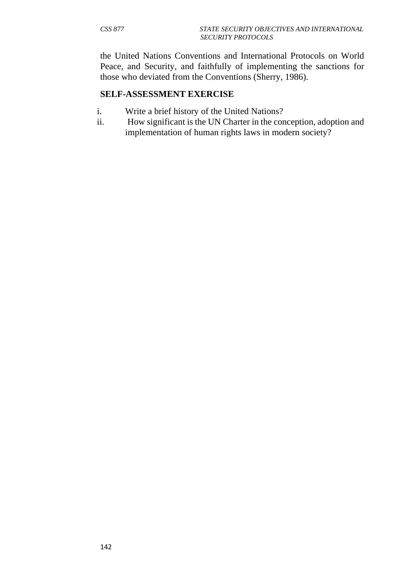the United Nations Conventions and International Protocols on World Peace, and Security, and faithfully of implementing the sanctions for those who deviated from the Conventions (Sherry, 1986).

#### **SELF-ASSESSMENT EXERCISE**

- i. Write a brief history of the United Nations?
- ii. How significant is the UN Charter in the conception, adoption and implementation of human rights laws in modern society?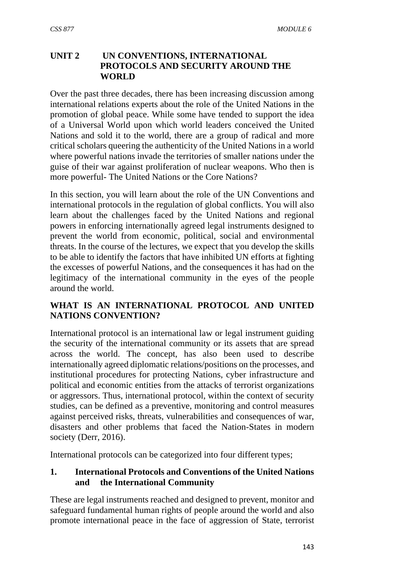# **UNIT 2 UN CONVENTIONS, INTERNATIONAL PROTOCOLS AND SECURITY AROUND THE WORLD**

Over the past three decades, there has been increasing discussion among international relations experts about the role of the United Nations in the promotion of global peace. While some have tended to support the idea of a Universal World upon which world leaders conceived the United Nations and sold it to the world, there are a group of radical and more critical scholars queering the authenticity of the United Nations in a world where powerful nations invade the territories of smaller nations under the guise of their war against proliferation of nuclear weapons. Who then is more powerful- The United Nations or the Core Nations?

In this section, you will learn about the role of the UN Conventions and international protocols in the regulation of global conflicts. You will also learn about the challenges faced by the United Nations and regional powers in enforcing internationally agreed legal instruments designed to prevent the world from economic, political, social and environmental threats. In the course of the lectures, we expect that you develop the skills to be able to identify the factors that have inhibited UN efforts at fighting the excesses of powerful Nations, and the consequences it has had on the legitimacy of the international community in the eyes of the people around the world.

## **WHAT IS AN INTERNATIONAL PROTOCOL AND UNITED NATIONS CONVENTION?**

International protocol is an international law or legal instrument guiding the security of the international community or its assets that are spread across the world. The concept, has also been used to describe internationally agreed diplomatic relations/positions on the processes, and institutional procedures for protecting Nations, cyber infrastructure and political and economic entities from the attacks of terrorist organizations or aggressors. Thus, international protocol, within the context of security studies, can be defined as a preventive, monitoring and control measures against perceived risks, threats, vulnerabilities and consequences of war, disasters and other problems that faced the Nation-States in modern society (Derr, 2016).

International protocols can be categorized into four different types;

## **1. International Protocols and Conventions of the United Nations and the International Community**

These are legal instruments reached and designed to prevent, monitor and safeguard fundamental human rights of people around the world and also promote international peace in the face of aggression of State, terrorist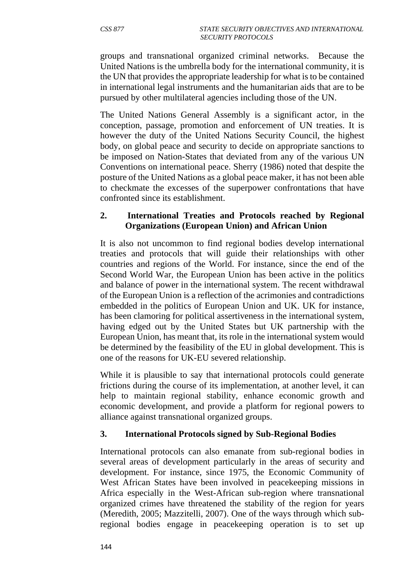groups and transnational organized criminal networks. Because the United Nations is the umbrella body for the international community, it is the UN that provides the appropriate leadership for what is to be contained in international legal instruments and the humanitarian aids that are to be pursued by other multilateral agencies including those of the UN.

The United Nations General Assembly is a significant actor, in the conception, passage, promotion and enforcement of UN treaties. It is however the duty of the United Nations Security Council, the highest body, on global peace and security to decide on appropriate sanctions to be imposed on Nation-States that deviated from any of the various UN Conventions on international peace. Sherry (1986) noted that despite the posture of the United Nations as a global peace maker, it has not been able to checkmate the excesses of the superpower confrontations that have confronted since its establishment.

#### **2. International Treaties and Protocols reached by Regional Organizations (European Union) and African Union**

It is also not uncommon to find regional bodies develop international treaties and protocols that will guide their relationships with other countries and regions of the World. For instance, since the end of the Second World War, the European Union has been active in the politics and balance of power in the international system. The recent withdrawal of the European Union is a reflection of the acrimonies and contradictions embedded in the politics of European Union and UK. UK for instance, has been clamoring for political assertiveness in the international system, having edged out by the United States but UK partnership with the European Union, has meant that, its role in the international system would be determined by the feasibility of the EU in global development. This is one of the reasons for UK-EU severed relationship.

While it is plausible to say that international protocols could generate frictions during the course of its implementation, at another level, it can help to maintain regional stability, enhance economic growth and economic development, and provide a platform for regional powers to alliance against transnational organized groups.

#### **3. International Protocols signed by Sub-Regional Bodies**

International protocols can also emanate from sub-regional bodies in several areas of development particularly in the areas of security and development. For instance, since 1975, the Economic Community of West African States have been involved in peacekeeping missions in Africa especially in the West-African sub-region where transnational organized crimes have threatened the stability of the region for years (Meredith, 2005; Mazzitelli, 2007). One of the ways through which subregional bodies engage in peacekeeping operation is to set up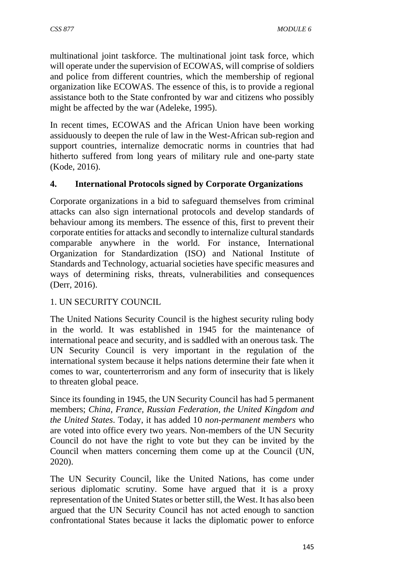multinational joint taskforce. The multinational joint task force, which will operate under the supervision of ECOWAS, will comprise of soldiers and police from different countries, which the membership of regional organization like ECOWAS. The essence of this, is to provide a regional assistance both to the State confronted by war and citizens who possibly might be affected by the war (Adeleke, 1995).

In recent times, ECOWAS and the African Union have been working assiduously to deepen the rule of law in the West-African sub-region and support countries, internalize democratic norms in countries that had hitherto suffered from long years of military rule and one-party state (Kode, 2016).

# **4. International Protocols signed by Corporate Organizations**

Corporate organizations in a bid to safeguard themselves from criminal attacks can also sign international protocols and develop standards of behaviour among its members. The essence of this, first to prevent their corporate entities for attacks and secondly to internalize cultural standards comparable anywhere in the world. For instance, International Organization for Standardization (ISO) and National Institute of Standards and Technology, actuarial societies have specific measures and ways of determining risks, threats, vulnerabilities and consequences (Derr, 2016).

#### 1. UN SECURITY COUNCIL

The United Nations Security Council is the highest security ruling body in the world. It was established in 1945 for the maintenance of international peace and security, and is saddled with an onerous task. The UN Security Council is very important in the regulation of the international system because it helps nations determine their fate when it comes to war, counterterrorism and any form of insecurity that is likely to threaten global peace.

Since its founding in 1945, the UN Security Council has had 5 permanent members; *China, France, Russian Federation, the United Kingdom and the United States*. Today, it has added 10 *non-permanent members* who are voted into office every two years. Non-members of the UN Security Council do not have the right to vote but they can be invited by the Council when matters concerning them come up at the Council (UN, 2020).

The UN Security Council, like the United Nations, has come under serious diplomatic scrutiny. Some have argued that it is a proxy representation of the United States or better still, the West. It has also been argued that the UN Security Council has not acted enough to sanction confrontational States because it lacks the diplomatic power to enforce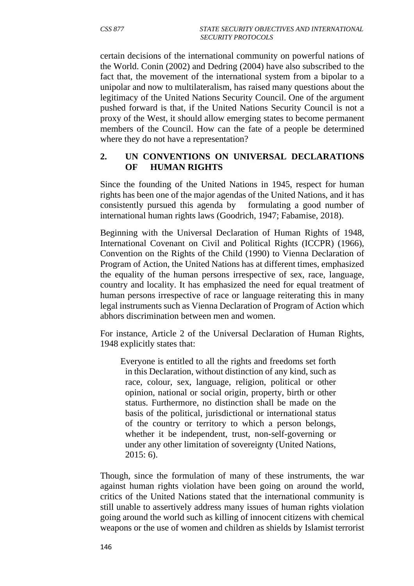certain decisions of the international community on powerful nations of the World. Conin (2002) and Dedring (2004) have also subscribed to the fact that, the movement of the international system from a bipolar to a unipolar and now to multilateralism, has raised many questions about the legitimacy of the United Nations Security Council. One of the argument pushed forward is that, if the United Nations Security Council is not a proxy of the West, it should allow emerging states to become permanent members of the Council. How can the fate of a people be determined where they do not have a representation?

### **2. UN CONVENTIONS ON UNIVERSAL DECLARATIONS OF HUMAN RIGHTS**

Since the founding of the United Nations in 1945, respect for human rights has been one of the major agendas of the United Nations, and it has consistently pursued this agenda by formulating a good number of international human rights laws (Goodrich, 1947; Fabamise, 2018).

Beginning with the Universal Declaration of Human Rights of 1948, International Covenant on Civil and Political Rights (ICCPR) (1966), Convention on the Rights of the Child (1990) to Vienna Declaration of Program of Action, the United Nations has at different times, emphasized the equality of the human persons irrespective of sex, race, language, country and locality. It has emphasized the need for equal treatment of human persons irrespective of race or language reiterating this in many legal instruments such as Vienna Declaration of Program of Action which abhors discrimination between men and women.

For instance, Article 2 of the Universal Declaration of Human Rights, 1948 explicitly states that:

 Everyone is entitled to all the rights and freedoms set forth in this Declaration, without distinction of any kind, such as race, colour, sex, language, religion, political or other opinion, national or social origin, property, birth or other status. Furthermore, no distinction shall be made on the basis of the political, jurisdictional or international status of the country or territory to which a person belongs, whether it be independent, trust, non-self-governing or under any other limitation of sovereignty (United Nations, 2015: 6).

Though, since the formulation of many of these instruments, the war against human rights violation have been going on around the world, critics of the United Nations stated that the international community is still unable to assertively address many issues of human rights violation going around the world such as killing of innocent citizens with chemical weapons or the use of women and children as shields by Islamist terrorist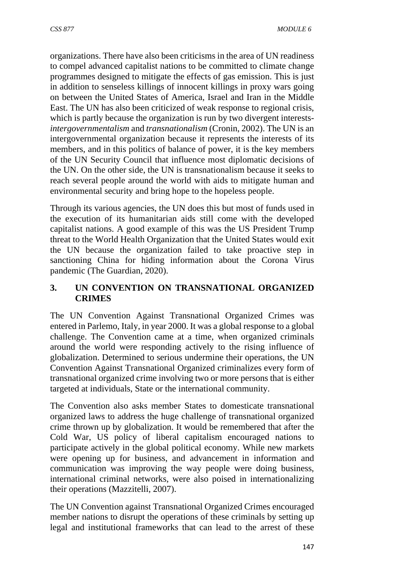organizations. There have also been criticisms in the area of UN readiness to compel advanced capitalist nations to be committed to climate change programmes designed to mitigate the effects of gas emission. This is just in addition to senseless killings of innocent killings in proxy wars going on between the United States of America, Israel and Iran in the Middle East. The UN has also been criticized of weak response to regional crisis, which is partly because the organization is run by two divergent interests*intergovernmentalism* and *transnationalism* (Cronin, 2002). The UN is an intergovernmental organization because it represents the interests of its members, and in this politics of balance of power, it is the key members of the UN Security Council that influence most diplomatic decisions of the UN. On the other side, the UN is transnationalism because it seeks to reach several people around the world with aids to mitigate human and environmental security and bring hope to the hopeless people.

Through its various agencies, the UN does this but most of funds used in the execution of its humanitarian aids still come with the developed capitalist nations. A good example of this was the US President Trump threat to the World Health Organization that the United States would exit the UN because the organization failed to take proactive step in sanctioning China for hiding information about the Corona Virus pandemic (The Guardian, 2020).

## **3. UN CONVENTION ON TRANSNATIONAL ORGANIZED CRIMES**

The UN Convention Against Transnational Organized Crimes was entered in Parlemo, Italy, in year 2000. It was a global response to a global challenge. The Convention came at a time, when organized criminals around the world were responding actively to the rising influence of globalization. Determined to serious undermine their operations, the UN Convention Against Transnational Organized criminalizes every form of transnational organized crime involving two or more persons that is either targeted at individuals, State or the international community.

The Convention also asks member States to domesticate transnational organized laws to address the huge challenge of transnational organized crime thrown up by globalization. It would be remembered that after the Cold War, US policy of liberal capitalism encouraged nations to participate actively in the global political economy. While new markets were opening up for business, and advancement in information and communication was improving the way people were doing business, international criminal networks, were also poised in internationalizing their operations (Mazzitelli, 2007).

The UN Convention against Transnational Organized Crimes encouraged member nations to disrupt the operations of these criminals by setting up legal and institutional frameworks that can lead to the arrest of these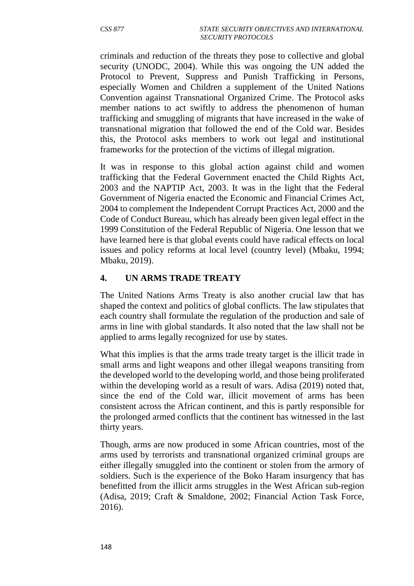criminals and reduction of the threats they pose to collective and global security (UNODC, 2004). While this was ongoing the UN added the Protocol to Prevent, Suppress and Punish Trafficking in Persons, especially Women and Children a supplement of the United Nations Convention against Transnational Organized Crime. The Protocol asks member nations to act swiftly to address the phenomenon of human trafficking and smuggling of migrants that have increased in the wake of transnational migration that followed the end of the Cold war. Besides this, the Protocol asks members to work out legal and institutional frameworks for the protection of the victims of illegal migration.

It was in response to this global action against child and women trafficking that the Federal Government enacted the Child Rights Act, 2003 and the NAPTIP Act, 2003. It was in the light that the Federal Government of Nigeria enacted the Economic and Financial Crimes Act, 2004 to complement the Independent Corrupt Practices Act, 2000 and the Code of Conduct Bureau, which has already been given legal effect in the 1999 Constitution of the Federal Republic of Nigeria. One lesson that we have learned here is that global events could have radical effects on local issues and policy reforms at local level (country level) (Mbaku, 1994; Mbaku, 2019).

#### **4. UN ARMS TRADE TREATY**

The United Nations Arms Treaty is also another crucial law that has shaped the context and politics of global conflicts. The law stipulates that each country shall formulate the regulation of the production and sale of arms in line with global standards. It also noted that the law shall not be applied to arms legally recognized for use by states.

What this implies is that the arms trade treaty target is the illicit trade in small arms and light weapons and other illegal weapons transiting from the developed world to the developing world, and those being proliferated within the developing world as a result of wars. Adisa (2019) noted that, since the end of the Cold war, illicit movement of arms has been consistent across the African continent, and this is partly responsible for the prolonged armed conflicts that the continent has witnessed in the last thirty years.

Though, arms are now produced in some African countries, most of the arms used by terrorists and transnational organized criminal groups are either illegally smuggled into the continent or stolen from the armory of soldiers. Such is the experience of the Boko Haram insurgency that has benefitted from the illicit arms struggles in the West African sub-region (Adisa, 2019; Craft & Smaldone, 2002; Financial Action Task Force, 2016).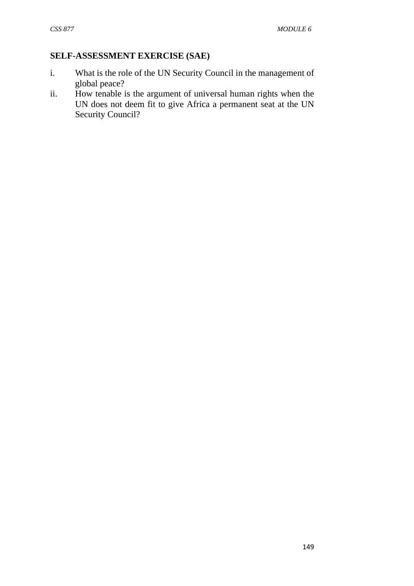## **SELF-ASSESSMENT EXERCISE (SAE)**

- i. What is the role of the UN Security Council in the management of global peace?
- ii. How tenable is the argument of universal human rights when the UN does not deem fit to give Africa a permanent seat at the UN Security Council?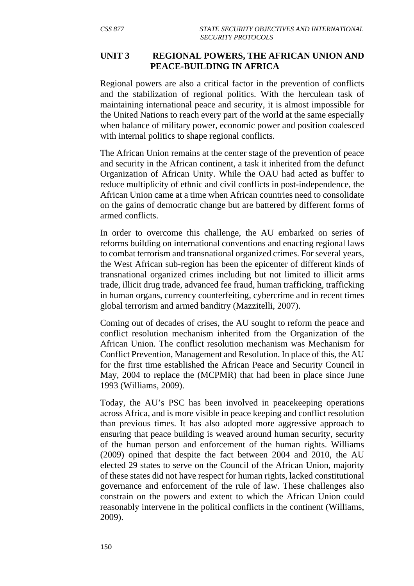#### **UNIT 3 REGIONAL POWERS, THE AFRICAN UNION AND PEACE-BUILDING IN AFRICA**

Regional powers are also a critical factor in the prevention of conflicts and the stabilization of regional politics. With the herculean task of maintaining international peace and security, it is almost impossible for the United Nations to reach every part of the world at the same especially when balance of military power, economic power and position coalesced with internal politics to shape regional conflicts.

The African Union remains at the center stage of the prevention of peace and security in the African continent, a task it inherited from the defunct Organization of African Unity. While the OAU had acted as buffer to reduce multiplicity of ethnic and civil conflicts in post-independence, the African Union came at a time when African countries need to consolidate on the gains of democratic change but are battered by different forms of armed conflicts.

In order to overcome this challenge, the AU embarked on series of reforms building on international conventions and enacting regional laws to combat terrorism and transnational organized crimes. For several years, the West African sub-region has been the epicenter of different kinds of transnational organized crimes including but not limited to illicit arms trade, illicit drug trade, advanced fee fraud, human trafficking, trafficking in human organs, currency counterfeiting, cybercrime and in recent times global terrorism and armed banditry (Mazzitelli, 2007).

Coming out of decades of crises, the AU sought to reform the peace and conflict resolution mechanism inherited from the Organization of the African Union. The conflict resolution mechanism was Mechanism for Conflict Prevention, Management and Resolution. In place of this, the AU for the first time established the African Peace and Security Council in May, 2004 to replace the (MCPMR) that had been in place since June 1993 (Williams, 2009).

Today, the AU's PSC has been involved in peacekeeping operations across Africa, and is more visible in peace keeping and conflict resolution than previous times. It has also adopted more aggressive approach to ensuring that peace building is weaved around human security, security of the human person and enforcement of the human rights. Williams (2009) opined that despite the fact between 2004 and 2010, the AU elected 29 states to serve on the Council of the African Union, majority of these states did not have respect for human rights, lacked constitutional governance and enforcement of the rule of law. These challenges also constrain on the powers and extent to which the African Union could reasonably intervene in the political conflicts in the continent (Williams, 2009).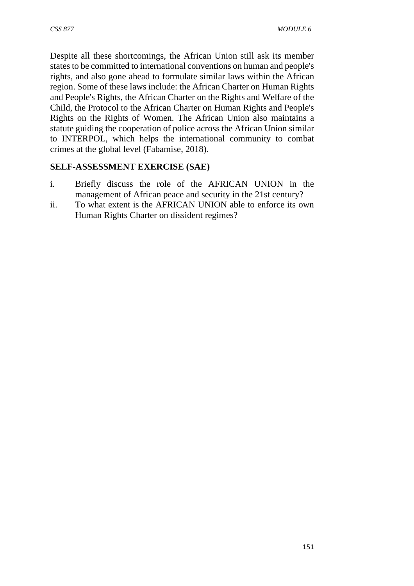Despite all these shortcomings, the African Union still ask its member states to be committed to international conventions on human and people's rights, and also gone ahead to formulate similar laws within the African region. Some of these laws include: the African Charter on Human Rights and People's Rights, the African Charter on the Rights and Welfare of the Child, the Protocol to the African Charter on Human Rights and People's Rights on the Rights of Women. The African Union also maintains a statute guiding the cooperation of police across the African Union similar to INTERPOL, which helps the international community to combat crimes at the global level (Fabamise, 2018).

# **SELF-ASSESSMENT EXERCISE (SAE)**

- i. Briefly discuss the role of the AFRICAN UNION in the management of African peace and security in the 21st century?
- ii. To what extent is the AFRICAN UNION able to enforce its own Human Rights Charter on dissident regimes?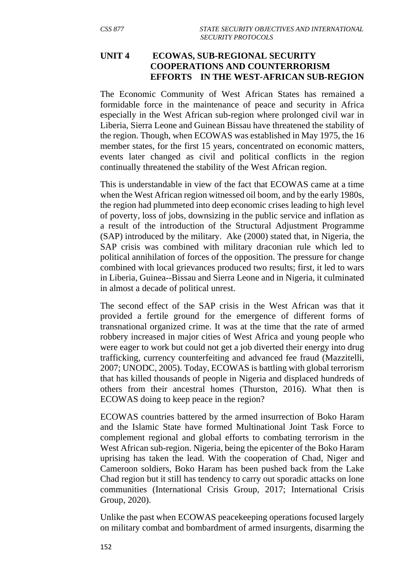### **UNIT 4 ECOWAS, SUB-REGIONAL SECURITY COOPERATIONS AND COUNTERRORISM EFFORTS IN THE WEST-AFRICAN SUB-REGION**

The Economic Community of West African States has remained a formidable force in the maintenance of peace and security in Africa especially in the West African sub-region where prolonged civil war in Liberia, Sierra Leone and Guinean Bissau have threatened the stability of the region. Though, when ECOWAS was established in May 1975, the 16 member states, for the first 15 years, concentrated on economic matters, events later changed as civil and political conflicts in the region continually threatened the stability of the West African region.

This is understandable in view of the fact that ECOWAS came at a time when the West African region witnessed oil boom, and by the early 1980s, the region had plummeted into deep economic crises leading to high level of poverty, loss of jobs, downsizing in the public service and inflation as a result of the introduction of the Structural Adjustment Programme (SAP) introduced by the military. Ake (2000) stated that, in Nigeria, the SAP crisis was combined with military draconian rule which led to political annihilation of forces of the opposition. The pressure for change combined with local grievances produced two results; first, it led to wars in Liberia, Guinea--Bissau and Sierra Leone and in Nigeria, it culminated in almost a decade of political unrest.

The second effect of the SAP crisis in the West African was that it provided a fertile ground for the emergence of different forms of transnational organized crime. It was at the time that the rate of armed robbery increased in major cities of West Africa and young people who were eager to work but could not get a job diverted their energy into drug trafficking, currency counterfeiting and advanced fee fraud (Mazzitelli, 2007; UNODC, 2005). Today, ECOWAS is battling with global terrorism that has killed thousands of people in Nigeria and displaced hundreds of others from their ancestral homes (Thurston, 2016). What then is ECOWAS doing to keep peace in the region?

ECOWAS countries battered by the armed insurrection of Boko Haram and the Islamic State have formed Multinational Joint Task Force to complement regional and global efforts to combating terrorism in the West African sub-region. Nigeria, being the epicenter of the Boko Haram uprising has taken the lead. With the cooperation of Chad, Niger and Cameroon soldiers, Boko Haram has been pushed back from the Lake Chad region but it still has tendency to carry out sporadic attacks on lone communities (International Crisis Group, 2017; International Crisis Group, 2020).

Unlike the past when ECOWAS peacekeeping operations focused largely on military combat and bombardment of armed insurgents, disarming the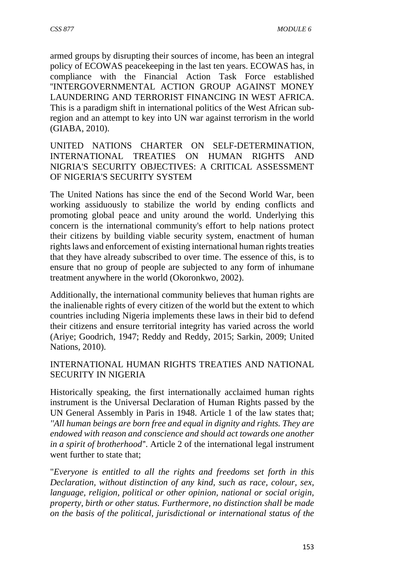armed groups by disrupting their sources of income, has been an integral policy of ECOWAS peacekeeping in the last ten years. ECOWAS has, in compliance with the Financial Action Task Force established ''INTERGOVERNMENTAL ACTION GROUP AGAINST MONEY LAUNDERING AND TERRORIST FINANCING IN WEST AFRICA. This is a paradigm shift in international politics of the West African subregion and an attempt to key into UN war against terrorism in the world (GIABA, 2010).

UNITED NATIONS CHARTER ON SELF-DETERMINATION, INTERNATIONAL TREATIES ON HUMAN RIGHTS AND NIGRIA'S SECURITY OBJECTIVES: A CRITICAL ASSESSMENT OF NIGERIA'S SECURITY SYSTEM

The United Nations has since the end of the Second World War, been working assiduously to stabilize the world by ending conflicts and promoting global peace and unity around the world. Underlying this concern is the international community's effort to help nations protect their citizens by building viable security system, enactment of human rights laws and enforcement of existing international human rights treaties that they have already subscribed to over time. The essence of this, is to ensure that no group of people are subjected to any form of inhumane treatment anywhere in the world (Okoronkwo, 2002).

Additionally, the international community believes that human rights are the inalienable rights of every citizen of the world but the extent to which countries including Nigeria implements these laws in their bid to defend their citizens and ensure territorial integrity has varied across the world (Ariye; Goodrich, 1947; Reddy and Reddy, 2015; Sarkin, 2009; United Nations, 2010).

#### INTERNATIONAL HUMAN RIGHTS TREATIES AND NATIONAL SECURITY IN NIGERIA

Historically speaking, the first internationally acclaimed human rights instrument is the Universal Declaration of Human Rights passed by the UN General Assembly in Paris in 1948. Article 1 of the law states that; *''All human beings are born free and equal in dignity and rights. They are endowed with reason and conscience and should act towards one another in a spirit of brotherhood'*'. Article 2 of the international legal instrument went further to state that;

"*Everyone is entitled to all the rights and freedoms set forth in this Declaration, without distinction of any kind, such as race, colour, sex, language, religion, political or other opinion, national or social origin, property, birth or other status. Furthermore, no distinction shall be made on the basis of the political, jurisdictional or international status of the*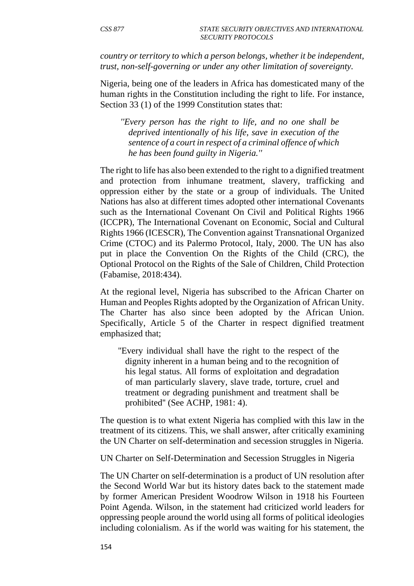*country or territory to which a person belongs, whether it be independent, trust, non-self-governing or under any other limitation of sovereignty.*

Nigeria, being one of the leaders in Africa has domesticated many of the human rights in the Constitution including the right to life. For instance, Section 33 (1) of the 1999 Constitution states that:

 *''Every person has the right to life, and no one shall be deprived intentionally of his life, save in execution of the sentence of a court in respect of a criminal offence of which he has been found guilty in Nigeria.''*

The right to life has also been extended to the right to a dignified treatment and protection from inhumane treatment, slavery, trafficking and oppression either by the state or a group of individuals. The United Nations has also at different times adopted other international Covenants such as the International Covenant On Civil and Political Rights 1966 (ICCPR), The International Covenant on Economic, Social and Cultural Rights 1966 (ICESCR), The Convention against Transnational Organized Crime (CTOC) and its Palermo Protocol, Italy, 2000. The UN has also put in place the Convention On the Rights of the Child (CRC), the Optional Protocol on the Rights of the Sale of Children, Child Protection (Fabamise, 2018:434).

At the regional level, Nigeria has subscribed to the African Charter on Human and Peoples Rights adopted by the Organization of African Unity. The Charter has also since been adopted by the African Union. Specifically, Article 5 of the Charter in respect dignified treatment emphasized that;

 ''Every individual shall have the right to the respect of the dignity inherent in a human being and to the recognition of his legal status. All forms of exploitation and degradation of man particularly slavery, slave trade, torture, cruel and treatment or degrading punishment and treatment shall be prohibited'' (See ACHP, 1981: 4).

The question is to what extent Nigeria has complied with this law in the treatment of its citizens. This, we shall answer, after critically examining the UN Charter on self-determination and secession struggles in Nigeria.

UN Charter on Self-Determination and Secession Struggles in Nigeria

The UN Charter on self-determination is a product of UN resolution after the Second World War but its history dates back to the statement made by former American President Woodrow Wilson in 1918 his Fourteen Point Agenda. Wilson, in the statement had criticized world leaders for oppressing people around the world using all forms of political ideologies including colonialism. As if the world was waiting for his statement, the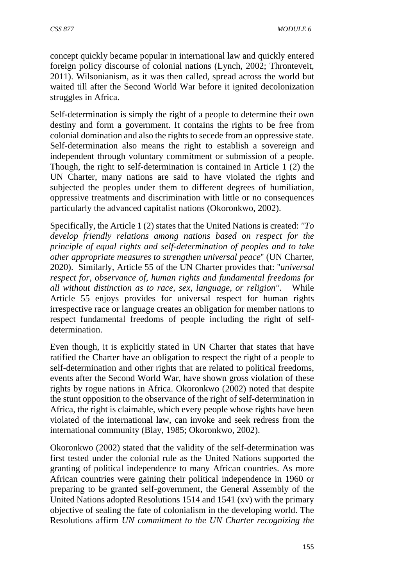concept quickly became popular in international law and quickly entered foreign policy discourse of colonial nations (Lynch, 2002; Thronteveit, 2011). Wilsonianism, as it was then called, spread across the world but waited till after the Second World War before it ignited decolonization struggles in Africa.

Self-determination is simply the right of a people to determine their own destiny and form a government. It contains the rights to be free from colonial domination and also the rights to secede from an oppressive state. Self-determination also means the right to establish a sovereign and independent through voluntary commitment or submission of a people. Though, the right to self-determination is contained in Article 1 (2) the UN Charter, many nations are said to have violated the rights and subjected the peoples under them to different degrees of humiliation, oppressive treatments and discrimination with little or no consequences particularly the advanced capitalist nations (Okoronkwo, 2002).

Specifically, the Article 1 (2) states that the United Nations is created: *''To develop friendly relations among nations based on respect for the principle of equal rights and self-determination of peoples and to take other appropriate measures to strengthen universal peace*'' (UN Charter, 2020). Similarly, Article 55 of the UN Charter provides that: ''*universal respect for, observance of, human rights and fundamental freedoms for all without distinction as to race, sex, language, or religion''*. While Article 55 enjoys provides for universal respect for human rights irrespective race or language creates an obligation for member nations to respect fundamental freedoms of people including the right of selfdetermination.

Even though, it is explicitly stated in UN Charter that states that have ratified the Charter have an obligation to respect the right of a people to self-determination and other rights that are related to political freedoms, events after the Second World War, have shown gross violation of these rights by rogue nations in Africa. Okoronkwo (2002) noted that despite the stunt opposition to the observance of the right of self-determination in Africa, the right is claimable, which every people whose rights have been violated of the international law, can invoke and seek redress from the international community (Blay, 1985; Okoronkwo, 2002).

Okoronkwo (2002) stated that the validity of the self-determination was first tested under the colonial rule as the United Nations supported the granting of political independence to many African countries. As more African countries were gaining their political independence in 1960 or preparing to be granted self-government, the General Assembly of the United Nations adopted Resolutions 1514 and 1541 (xv) with the primary objective of sealing the fate of colonialism in the developing world. The Resolutions affirm *UN commitment to the UN Charter recognizing the*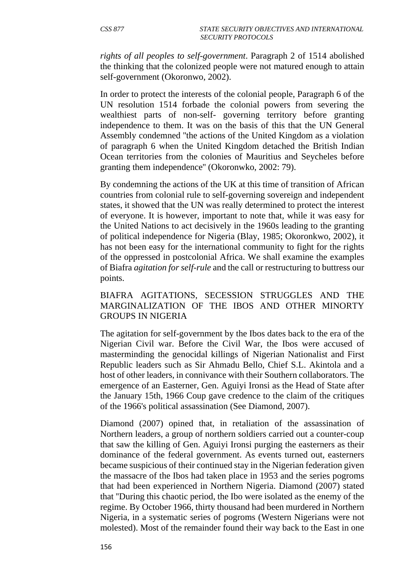*rights of all peoples to self-government*. Paragraph 2 of 1514 abolished the thinking that the colonized people were not matured enough to attain self-government (Okoronwo, 2002).

In order to protect the interests of the colonial people, Paragraph 6 of the UN resolution 1514 forbade the colonial powers from severing the wealthiest parts of non-self- governing territory before granting independence to them. It was on the basis of this that the UN General Assembly condemned ''the actions of the United Kingdom as a violation of paragraph 6 when the United Kingdom detached the British Indian Ocean territories from the colonies of Mauritius and Seycheles before granting them independence'' (Okoronwko, 2002: 79).

By condemning the actions of the UK at this time of transition of African countries from colonial rule to self-governing sovereign and independent states, it showed that the UN was really determined to protect the interest of everyone. It is however, important to note that, while it was easy for the United Nations to act decisively in the 1960s leading to the granting of political independence for Nigeria (Blay, 1985; Okoronkwo, 2002), it has not been easy for the international community to fight for the rights of the oppressed in postcolonial Africa. We shall examine the examples of Biafra *agitation for self-rule* and the call or restructuring to buttress our points.

#### BIAFRA AGITATIONS, SECESSION STRUGGLES AND THE MARGINALIZATION OF THE IBOS AND OTHER MINORTY GROUPS IN NIGERIA

The agitation for self-government by the Ibos dates back to the era of the Nigerian Civil war. Before the Civil War, the Ibos were accused of masterminding the genocidal killings of Nigerian Nationalist and First Republic leaders such as Sir Ahmadu Bello, Chief S.L. Akintola and a host of other leaders, in connivance with their Southern collaborators. The emergence of an Easterner, Gen. Aguiyi Ironsi as the Head of State after the January 15th, 1966 Coup gave credence to the claim of the critiques of the 1966's political assassination (See Diamond, 2007).

Diamond (2007) opined that, in retaliation of the assassination of Northern leaders, a group of northern soldiers carried out a counter-coup that saw the killing of Gen. Aguiyi Ironsi purging the easterners as their dominance of the federal government. As events turned out, easterners became suspicious of their continued stay in the Nigerian federation given the massacre of the Ibos had taken place in 1953 and the series pogroms that had been experienced in Northern Nigeria. Diamond (2007) stated that ''During this chaotic period, the Ibo were isolated as the enemy of the regime. By October 1966, thirty thousand had been murdered in Northern Nigeria, in a systematic series of pogroms (Western Nigerians were not molested). Most of the remainder found their way back to the East in one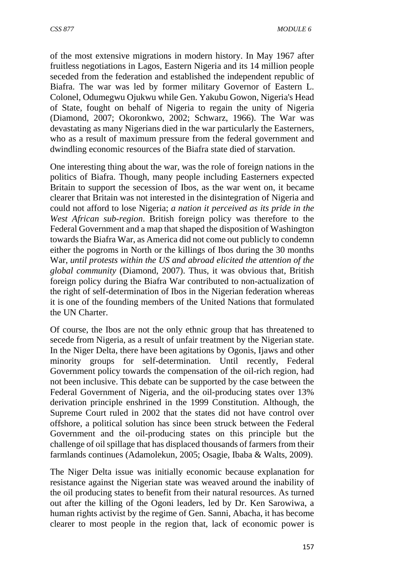of the most extensive migrations in modern history. In May 1967 after fruitless negotiations in Lagos, Eastern Nigeria and its 14 million people seceded from the federation and established the independent republic of Biafra. The war was led by former military Governor of Eastern L. Colonel, Odumegwu Ojukwu while Gen. Yakubu Gowon, Nigeria's Head of State, fought on behalf of Nigeria to regain the unity of Nigeria (Diamond, 2007; Okoronkwo, 2002; Schwarz, 1966). The War was devastating as many Nigerians died in the war particularly the Easterners, who as a result of maximum pressure from the federal government and dwindling economic resources of the Biafra state died of starvation.

One interesting thing about the war, was the role of foreign nations in the politics of Biafra. Though, many people including Easterners expected Britain to support the secession of Ibos, as the war went on, it became clearer that Britain was not interested in the disintegration of Nigeria and could not afford to lose Nigeria; *a nation it perceived as its pride in the West African sub-region*. British foreign policy was therefore to the Federal Government and a map that shaped the disposition of Washington towards the Biafra War, as America did not come out publicly to condemn either the pogroms in North or the killings of Ibos during the 30 months War, *until protests within the US and abroad elicited the attention of the global community* (Diamond, 2007). Thus, it was obvious that, British foreign policy during the Biafra War contributed to non-actualization of the right of self-determination of Ibos in the Nigerian federation whereas it is one of the founding members of the United Nations that formulated the UN Charter.

Of course, the Ibos are not the only ethnic group that has threatened to secede from Nigeria, as a result of unfair treatment by the Nigerian state. In the Niger Delta, there have been agitations by Ogonis, Ijaws and other minority groups for self-determination. Until recently, Federal Government policy towards the compensation of the oil-rich region, had not been inclusive. This debate can be supported by the case between the Federal Government of Nigeria, and the oil-producing states over 13% derivation principle enshrined in the 1999 Constitution. Although, the Supreme Court ruled in 2002 that the states did not have control over offshore, a political solution has since been struck between the Federal Government and the oil-producing states on this principle but the challenge of oil spillage that has displaced thousands of farmers from their farmlands continues (Adamolekun, 2005; Osagie, Ibaba & Walts, 2009).

The Niger Delta issue was initially economic because explanation for resistance against the Nigerian state was weaved around the inability of the oil producing states to benefit from their natural resources. As turned out after the killing of the Ogoni leaders, led by Dr. Ken Sarowiwa, a human rights activist by the regime of Gen. Sanni, Abacha, it has become clearer to most people in the region that, lack of economic power is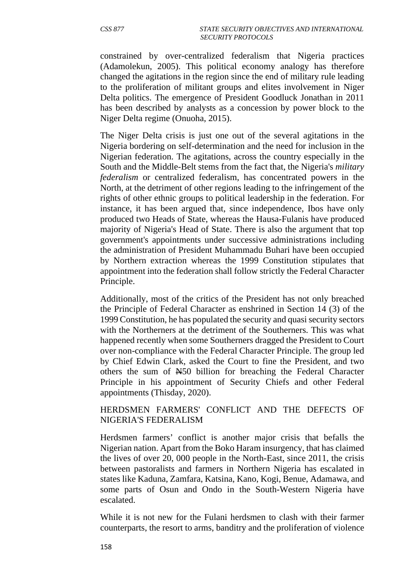constrained by over-centralized federalism that Nigeria practices (Adamolekun, 2005). This political economy analogy has therefore changed the agitations in the region since the end of military rule leading to the proliferation of militant groups and elites involvement in Niger Delta politics. The emergence of President Goodluck Jonathan in 2011 has been described by analysts as a concession by power block to the Niger Delta regime (Onuoha, 2015).

The Niger Delta crisis is just one out of the several agitations in the Nigeria bordering on self-determination and the need for inclusion in the Nigerian federation. The agitations, across the country especially in the South and the Middle-Belt stems from the fact that, the Nigeria's *military federalism* or centralized federalism, has concentrated powers in the North, at the detriment of other regions leading to the infringement of the rights of other ethnic groups to political leadership in the federation. For instance, it has been argued that, since independence, Ibos have only produced two Heads of State, whereas the Hausa-Fulanis have produced majority of Nigeria's Head of State. There is also the argument that top government's appointments under successive administrations including the administration of President Muhammadu Buhari have been occupied by Northern extraction whereas the 1999 Constitution stipulates that appointment into the federation shall follow strictly the Federal Character Principle.

Additionally, most of the critics of the President has not only breached the Principle of Federal Character as enshrined in Section 14 (3) of the 1999 Constitution, he has populated the security and quasi security sectors with the Northerners at the detriment of the Southerners. This was what happened recently when some Southerners dragged the President to Court over non-compliance with the Federal Character Principle. The group led by Chief Edwin Clark, asked the Court to fine the President, and two others the sum of N50 billion for breaching the Federal Character Principle in his appointment of Security Chiefs and other Federal appointments (Thisday, 2020).

### HERDSMEN FARMERS' CONFLICT AND THE DEFECTS OF NIGERIA'S FEDERALISM

Herdsmen farmers' conflict is another major crisis that befalls the Nigerian nation. Apart from the Boko Haram insurgency, that has claimed the lives of over 20, 000 people in the North-East, since 2011, the crisis between pastoralists and farmers in Northern Nigeria has escalated in states like Kaduna, Zamfara, Katsina, Kano, Kogi, Benue, Adamawa, and some parts of Osun and Ondo in the South-Western Nigeria have escalated.

While it is not new for the Fulani herdsmen to clash with their farmer counterparts, the resort to arms, banditry and the proliferation of violence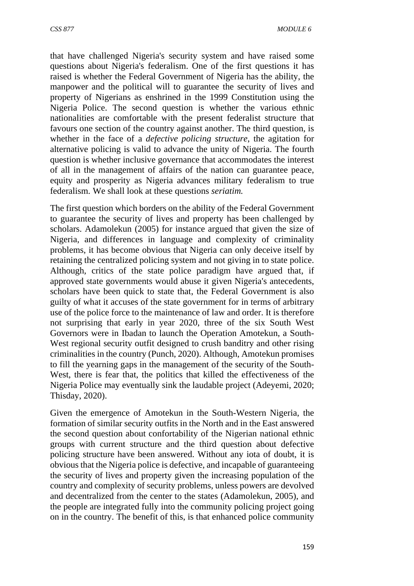that have challenged Nigeria's security system and have raised some questions about Nigeria's federalism. One of the first questions it has raised is whether the Federal Government of Nigeria has the ability, the manpower and the political will to guarantee the security of lives and property of Nigerians as enshrined in the 1999 Constitution using the Nigeria Police. The second question is whether the various ethnic nationalities are comfortable with the present federalist structure that favours one section of the country against another. The third question, is whether in the face of a *defective policing structure*, the agitation for alternative policing is valid to advance the unity of Nigeria. The fourth question is whether inclusive governance that accommodates the interest of all in the management of affairs of the nation can guarantee peace, equity and prosperity as Nigeria advances military federalism to true federalism. We shall look at these questions *seriatim.*

The first question which borders on the ability of the Federal Government to guarantee the security of lives and property has been challenged by scholars. Adamolekun (2005) for instance argued that given the size of Nigeria, and differences in language and complexity of criminality problems, it has become obvious that Nigeria can only deceive itself by retaining the centralized policing system and not giving in to state police. Although, critics of the state police paradigm have argued that, if approved state governments would abuse it given Nigeria's antecedents, scholars have been quick to state that, the Federal Government is also guilty of what it accuses of the state government for in terms of arbitrary use of the police force to the maintenance of law and order. It is therefore not surprising that early in year 2020, three of the six South West Governors were in Ibadan to launch the Operation Amotekun, a South-West regional security outfit designed to crush banditry and other rising criminalities in the country (Punch, 2020). Although, Amotekun promises to fill the yearning gaps in the management of the security of the South-West, there is fear that, the politics that killed the effectiveness of the Nigeria Police may eventually sink the laudable project (Adeyemi, 2020; Thisday, 2020).

Given the emergence of Amotekun in the South-Western Nigeria, the formation of similar security outfits in the North and in the East answered the second question about confortability of the Nigerian national ethnic groups with current structure and the third question about defective policing structure have been answered. Without any iota of doubt, it is obvious that the Nigeria police is defective, and incapable of guaranteeing the security of lives and property given the increasing population of the country and complexity of security problems, unless powers are devolved and decentralized from the center to the states (Adamolekun, 2005), and the people are integrated fully into the community policing project going on in the country. The benefit of this, is that enhanced police community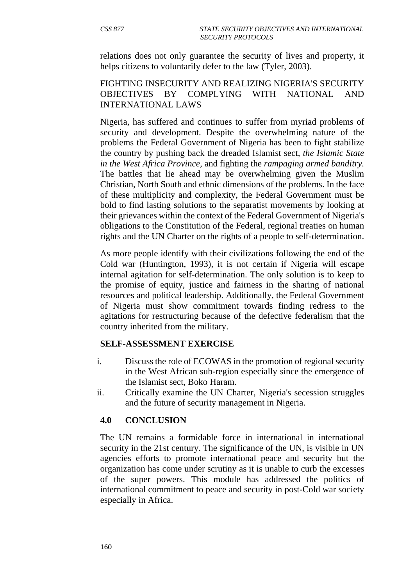relations does not only guarantee the security of lives and property, it helps citizens to voluntarily defer to the law (Tyler, 2003).

#### FIGHTING INSECURITY AND REALIZING NIGERIA'S SECURITY OBJECTIVES BY COMPLYING WITH NATIONAL AND INTERNATIONAL LAWS

Nigeria, has suffered and continues to suffer from myriad problems of security and development. Despite the overwhelming nature of the problems the Federal Government of Nigeria has been to fight stabilize the country by pushing back the dreaded Islamist sect, *the Islamic State in the West Africa Province,* and fighting the *rampaging armed banditry.* The battles that lie ahead may be overwhelming given the Muslim Christian, North South and ethnic dimensions of the problems. In the face of these multiplicity and complexity, the Federal Government must be bold to find lasting solutions to the separatist movements by looking at their grievances within the context of the Federal Government of Nigeria's obligations to the Constitution of the Federal, regional treaties on human rights and the UN Charter on the rights of a people to self-determination.

As more people identify with their civilizations following the end of the Cold war (Huntington, 1993), it is not certain if Nigeria will escape internal agitation for self-determination. The only solution is to keep to the promise of equity, justice and fairness in the sharing of national resources and political leadership. Additionally, the Federal Government of Nigeria must show commitment towards finding redress to the agitations for restructuring because of the defective federalism that the country inherited from the military.

#### **SELF-ASSESSMENT EXERCISE**

- i. Discuss the role of ECOWAS in the promotion of regional security in the West African sub-region especially since the emergence of the Islamist sect, Boko Haram.
- ii. Critically examine the UN Charter, Nigeria's secession struggles and the future of security management in Nigeria.

#### **4.0 CONCLUSION**

The UN remains a formidable force in international in international security in the 21st century. The significance of the UN, is visible in UN agencies efforts to promote international peace and security but the organization has come under scrutiny as it is unable to curb the excesses of the super powers. This module has addressed the politics of international commitment to peace and security in post-Cold war society especially in Africa.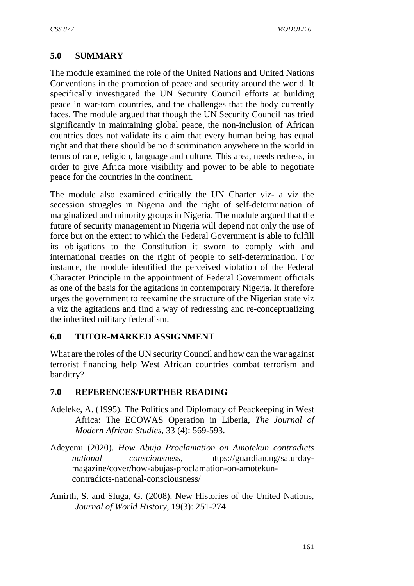### **5.0 SUMMARY**

The module examined the role of the United Nations and United Nations Conventions in the promotion of peace and security around the world. It specifically investigated the UN Security Council efforts at building peace in war-torn countries, and the challenges that the body currently faces. The module argued that though the UN Security Council has tried significantly in maintaining global peace, the non-inclusion of African countries does not validate its claim that every human being has equal right and that there should be no discrimination anywhere in the world in terms of race, religion, language and culture. This area, needs redress, in order to give Africa more visibility and power to be able to negotiate peace for the countries in the continent.

The module also examined critically the UN Charter viz- a viz the secession struggles in Nigeria and the right of self-determination of marginalized and minority groups in Nigeria. The module argued that the future of security management in Nigeria will depend not only the use of force but on the extent to which the Federal Government is able to fulfill its obligations to the Constitution it sworn to comply with and international treaties on the right of people to self-determination. For instance, the module identified the perceived violation of the Federal Character Principle in the appointment of Federal Government officials as one of the basis for the agitations in contemporary Nigeria. It therefore urges the government to reexamine the structure of the Nigerian state viz a viz the agitations and find a way of redressing and re-conceptualizing the inherited military federalism.

#### **6.0 TUTOR-MARKED ASSIGNMENT**

What are the roles of the UN security Council and how can the war against terrorist financing help West African countries combat terrorism and banditry?

#### **7.0 REFERENCES/FURTHER READING**

- Adeleke, A. (1995). The Politics and Diplomacy of Peackeeping in West Africa: The ECOWAS Operation in Liberia, *The Journal of Modern African Studies*, 33 (4): 569-593.
- Adeyemi (2020). *How Abuja Proclamation on Amotekun contradicts national consciousness*, https://guardian.ng/saturdaymagazine/cover/how-abujas-proclamation-on-amotekuncontradicts-national-consciousness/
- Amirth, S. and Sluga, G. (2008). New Histories of the United Nations, *Journal of World History*, 19(3): 251-274.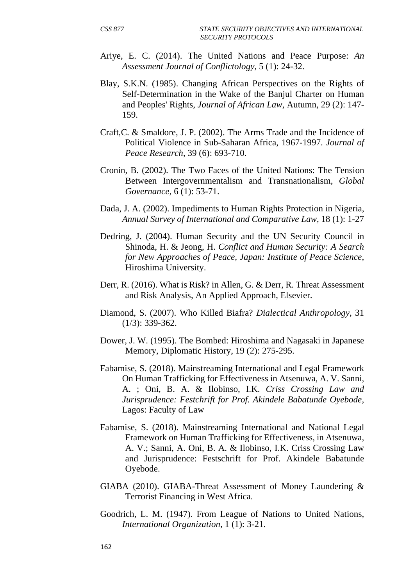- Ariye, E. C. (2014). The United Nations and Peace Purpose: *An Assessment Journal of Conflictology*, 5 (1): 24-32.
- Blay, S.K.N. (1985). Changing African Perspectives on the Rights of Self-Determination in the Wake of the Banjul Charter on Human and Peoples' Rights, *Journal of African Law*, Autumn, 29 (2): 147- 159.
- Craft,C. & Smaldore, J. P. (2002). The Arms Trade and the Incidence of Political Violence in Sub-Saharan Africa, 1967-1997. *Journal of Peace Research*, 39 (6): 693-710.
- Cronin, B. (2002). The Two Faces of the United Nations: The Tension Between Intergovernmentalism and Transnationalism, *Global Governance*, 6 (1): 53-71.
- Dada, J. A. (2002). Impediments to Human Rights Protection in Nigeria, *Annual Survey of International and Comparative Law*, 18 (1): 1-27
- Dedring, J. (2004). Human Security and the UN Security Council in Shinoda, H. & Jeong, H. *Conflict and Human Security: A Search for New Approaches of Peace, Japan: Institute of Peace Science*, Hiroshima University.
- Derr, R. (2016). What is Risk? in Allen, G. & Derr, R. Threat Assessment and Risk Analysis, An Applied Approach, Elsevier.
- Diamond, S. (2007). Who Killed Biafra? *Dialectical Anthropology,* 31 (1/3): 339-362.
- Dower, J. W. (1995). The Bombed: Hiroshima and Nagasaki in Japanese Memory, Diplomatic History, 19 (2): 275-295.
- Fabamise, S. (2018). Mainstreaming International and Legal Framework On Human Trafficking for Effectiveness in Atsenuwa, A. V. Sanni, A. ; Oni, B. A. & Ilobinso, I.K. *Criss Crossing Law and Jurisprudence: Festchrift for Prof. Akindele Babatunde Oyebode*, Lagos: Faculty of Law
- Fabamise, S. (2018). Mainstreaming International and National Legal Framework on Human Trafficking for Effectiveness, in Atsenuwa, A. V.; Sanni, A. Oni, B. A. & Ilobinso, I.K. Criss Crossing Law and Jurisprudence: Festschrift for Prof. Akindele Babatunde Oyebode.
- GIABA (2010). GIABA-Threat Assessment of Money Laundering & Terrorist Financing in West Africa.
- Goodrich, L. M. (1947). From League of Nations to United Nations, *International Organization*, 1 (1): 3-21.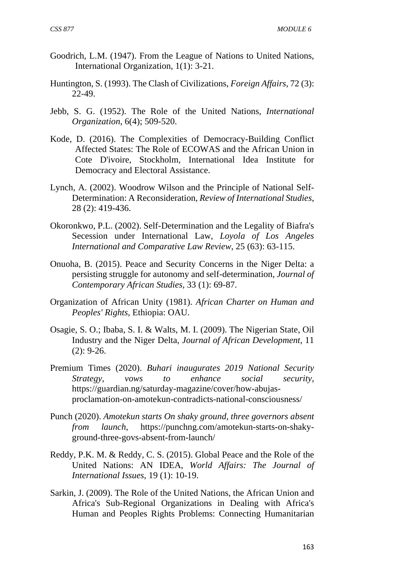- Goodrich, L.M. (1947). From the League of Nations to United Nations, International Organization, 1(1): 3-21.
- Huntington, S. (1993). The Clash of Civilizations, *Foreign Affairs*, 72 (3): 22-49.
- Jebb, S. G. (1952). The Role of the United Nations, *International Organization*, 6(4); 509-520.
- Kode, D. (2016). The Complexities of Democracy-Building Conflict Affected States: The Role of ECOWAS and the African Union in Cote D'ivoire, Stockholm, International Idea Institute for Democracy and Electoral Assistance.
- Lynch, A. (2002). Woodrow Wilson and the Principle of National Self-Determination: A Reconsideration, *Review of International Studies*, 28 (2): 419-436.
- Okoronkwo, P.L. (2002). Self-Determination and the Legality of Biafra's Secession under International Law, *Loyola of Los Angeles International and Comparative Law Review*, 25 (63): 63-115.
- Onuoha, B. (2015). Peace and Security Concerns in the Niger Delta: a persisting struggle for autonomy and self-determination, *Journal of Contemporary African Studies*, 33 (1): 69-87.
- Organization of African Unity (1981). *African Charter on Human and Peoples' Rights*, Ethiopia: OAU.
- Osagie, S. O.; Ibaba, S. I. & Walts, M. I. (2009). The Nigerian State, Oil Industry and the Niger Delta, *Journal of African Development*, 11 (2): 9-26.
- Premium Times (2020). *Buhari inaugurates 2019 National Security Strategy, vows to enhance social security*, https://guardian.ng/saturday-magazine/cover/how-abujasproclamation-on-amotekun-contradicts-national-consciousness/
- Punch (2020). *Amotekun starts On shaky ground, three governors absent from launch*, https://punchng.com/amotekun-starts-on-shakyground-three-govs-absent-from-launch/
- Reddy, P.K. M. & Reddy, C. S. (2015). Global Peace and the Role of the United Nations: AN IDEA, *World Affairs: The Journal of International Issues*, 19 (1): 10-19.
- Sarkin, J. (2009). The Role of the United Nations, the African Union and Africa's Sub-Regional Organizations in Dealing with Africa's Human and Peoples Rights Problems: Connecting Humanitarian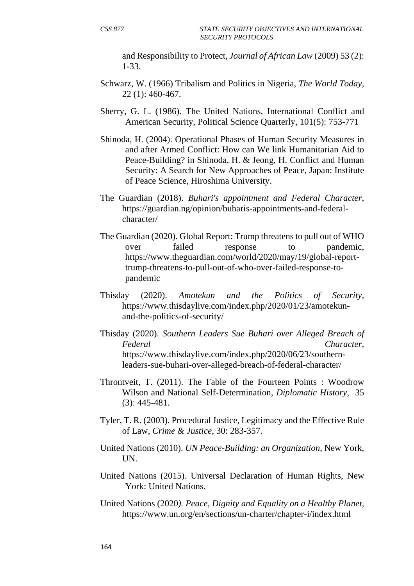and Responsibility to Protect, *Journal of African Law* (2009) 53 (2): 1-33.

- Schwarz, W. (1966) Tribalism and Politics in Nigeria, *The World Today*, 22 (1): 460-467.
- Sherry, G. L. (1986). The United Nations, International Conflict and American Security, Political Science Quarterly, 101(5): 753-771
- Shinoda, H. (2004). Operational Phases of Human Security Measures in and after Armed Conflict: How can We link Humanitarian Aid to Peace-Building? in Shinoda, H. & Jeong, H. Conflict and Human Security: A Search for New Approaches of Peace, Japan: Institute of Peace Science, Hiroshima University.
- The Guardian (2018). *Buhari's appointment and Federal Character,* https://guardian.ng/opinion/buharis-appointments-and-federalcharacter/
- The Guardian (2020). Global Report: Trump threatens to pull out of WHO over failed response to pandemic, https://www.theguardian.com/world/2020/may/19/global-reporttrump-threatens-to-pull-out-of-who-over-failed-response-topandemic
- Thisday (2020). *Amotekun and the Politics of Security*, https://www.thisdaylive.com/index.php/2020/01/23/amotekunand-the-politics-of-security/
- Thisday (2020). *Southern Leaders Sue Buhari over Alleged Breach of Federal Character*, https://www.thisdaylive.com/index.php/2020/06/23/southernleaders-sue-buhari-over-alleged-breach-of-federal-character/
- Throntveit, T. (2011). The Fable of the Fourteen Points : Woodrow Wilson and National Self-Determination, *Diplomatic History*, 35 (3): 445-481.
- Tyler, T. R. (2003). Procedural Justice, Legitimacy and the Effective Rule of Law, *Crime & Justice*, 30: 283-357.
- United Nations (2010). *UN Peace-Building: an Organization*, New York, UN.
- United Nations (2015). Universal Declaration of Human Rights, New York: United Nations.
- United Nations (2020*). Peace, Dignity and Equality on a Healthy Planet*, https://www.un.org/en/sections/un-charter/chapter-i/index.html